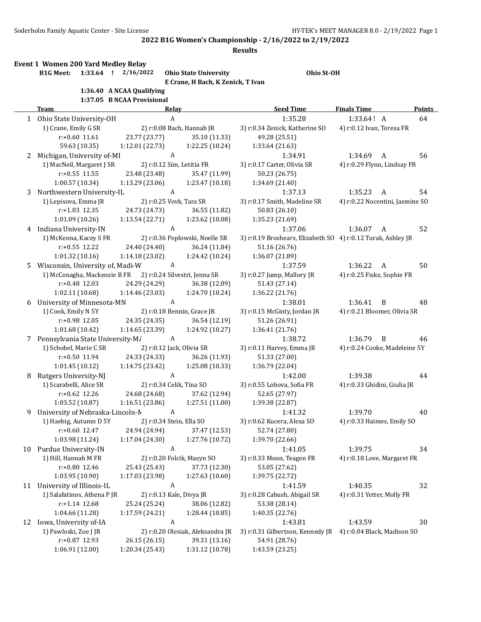**Results**

**Event 1 Women 200 Yard Medley Relay**

| E                         |
|---------------------------|
| 1:36.40 A NCAA Qualifying |

**E Crane, H Bach, K Zenick, T Ivan**

**B1G Meet: 1:33.64 ! 2/16/2022 Ohio State University Ohio St-OH**

# **1:37.05 B NCAA Provisional**

|    | Team                                                       | <b>Relay</b>              |                                  | <b>Seed Time</b>                                             | <b>Finals Time</b>              | <b>Points</b> |
|----|------------------------------------------------------------|---------------------------|----------------------------------|--------------------------------------------------------------|---------------------------------|---------------|
|    | 1 Ohio State University-OH                                 | A                         |                                  | 1:35.28                                                      | 1:33.64! A                      | 64            |
|    | 1) Crane, Emily G SR                                       |                           | 2) r:0.08 Bach, Hannah JR        | 3) r:0.34 Zenick, Katherine SO                               | 4) r:0.12 Ivan, Teresa FR       |               |
|    | $r$ :+0.60 11.61                                           | 23.77 (23.77)             | 35.10 (11.33)                    | 49.28 (25.51)                                                |                                 |               |
|    | 59.63 (10.35)                                              | 1:12.01 (22.73)           | 1:22.25 (10.24)                  | 1:33.64 (21.63)                                              |                                 |               |
| 2  | Michigan, University of-MI                                 | A                         |                                  | 1:34.91                                                      | 1:34.69<br>A                    | 56            |
|    | 1) MacNeil, Margaret J SR                                  | 2) r:0.12 Sim, Letitia FR |                                  | 3) r:0.17 Carter, Olivia SR                                  | 4) r:0.29 Flynn, Lindsay FR     |               |
|    | $r: +0.55$ 11.55                                           | 23.48 (23.48)             | 35.47 (11.99)                    | 50.23 (26.75)                                                |                                 |               |
|    | 1:00.57 (10.34)                                            | 1:13.29(23.06)            | 1:23.47 (10.18)                  | 1:34.69 (21.40)                                              |                                 |               |
| 3  | Northwestern University-IL                                 | A                         |                                  | 1:37.13                                                      | 1:35.23<br>A                    | 54            |
|    | 1) Lepisova, Emma JR                                       | 2) r:0.25 Vovk, Tara SR   |                                  | 3) r:0.17 Smith, Madeline SR                                 | 4) r:0.22 Nocentini, Jasmine SO |               |
|    | $r: +1.03$ 12.35                                           | 24.73 (24.73)             | 36.55 (11.82)                    | 50.83 (26.10)                                                |                                 |               |
|    | 1:01.09(10.26)                                             | 1:13.54(22.71)            | 1:23.62 (10.08)                  | 1:35.23 (21.69)                                              |                                 |               |
|    | 4 Indiana University-IN                                    | A                         |                                  | 1:37.06                                                      | 1:36.07<br>A                    | 52            |
|    | 1) McKenna, Kacey S FR                                     |                           | 2) r:0.36 Peplowski, Noelle SR   | 3) r:0.19 Broshears, Elizabeth SO 4) r:0.12 Turak, Ashley JR |                                 |               |
|    | $r: +0.55$ 12.22                                           | 24.40 (24.40)             | 36.24 (11.84)                    | 51.16 (26.76)                                                |                                 |               |
|    | 1:01.32(10.16)                                             | 1:14.18 (23.02)           | 1:24.42 (10.24)                  | 1:36.07 (21.89)                                              |                                 |               |
| 5. | Wisconsin, University of, Madi-W                           | A                         |                                  | 1:37.59                                                      | 1:36.22<br>A                    | 50            |
|    | 1) McConagha, Mackenzie B FR 2) r:0.24 Silvestri, Jenna SR |                           |                                  | 3) r:0.27 Jump, Mallory JR                                   | 4) r:0.25 Fiske, Sophie FR      |               |
|    | $r: +0.48$ 12.03                                           | 24.29 (24.29)             | 36.38 (12.09)                    | 51.43 (27.14)                                                |                                 |               |
|    | 1:02.11 (10.68)                                            | 1:14.46 (23.03)           | 1:24.70 (10.24)                  | 1:36.22 (21.76)                                              |                                 |               |
| 6  | University of Minnesota-MN                                 | $\boldsymbol{A}$          |                                  | 1:38.01                                                      | 1:36.41<br>B                    | 48            |
|    | 1) Cook, Emily N 5Y                                        |                           | 2) r:0.18 Bennin, Grace JR       | 3) r:0.15 McGinty, Jordan JR                                 | 4) r:0.21 Bloomer, Olivia SR    |               |
|    | r:+0.98 12.05                                              | 24.35 (24.35)             | 36.54 (12.19)                    | 51.26 (26.91)                                                |                                 |               |
|    | 1:01.68(10.42)                                             | 1:14.65 (23.39)           | 1:24.92 (10.27)                  | 1:36.41 (21.76)                                              |                                 |               |
|    | 7 Pennsylvania State University-M/                         | A                         |                                  | 1:38.72                                                      | 1:36.79<br>B                    | 46            |
|    | 1) Schobel, Marie C SR                                     | 2) r:0.12 Jack, Olivia SR |                                  | 3) r:0.11 Harvey, Emma JR                                    | 4) r:0.24 Cooke, Madeleine 5Y   |               |
|    | r:+0.50 11.94                                              | 24.33 (24.33)             | 36.26 (11.93)                    | 51.33 (27.00)                                                |                                 |               |
|    | 1:01.45(10.12)                                             | 1:14.75 (23.42)           | 1:25.08 (10.33)                  | 1:36.79 (22.04)                                              |                                 |               |
| 8  | Rutgers University-NJ                                      | A                         |                                  | 1:42.00                                                      | 1:39.38                         | 44            |
|    | 1) Scarabelli, Alice SR                                    | 2) r:0.34 Celik, Tina SO  |                                  | 3) r:0.55 Lobova, Sofia FR                                   | 4) r:0.33 Ghidini, Giulia JR    |               |
|    | r:+0.62 12.26                                              | 24.68 (24.68)             | 37.62 (12.94)                    | 52.65 (27.97)                                                |                                 |               |
|    | 1:03.52(10.87)                                             | 1:16.51(23.86)            | 1:27.51 (11.00)                  | 1:39.38 (22.87)                                              |                                 |               |
|    | 9 University of Nebraska-Lincoln-N                         | $\boldsymbol{A}$          |                                  | 1:41.32                                                      | 1:39.70                         | 40            |
|    | 1) Haebig, Autumn D 5Y                                     | 2) r:0.34 Stein, Ella SO  |                                  | 3) r:0.62 Kucera, Alexa SO                                   | 4) r:0.33 Haimes, Emily SO      |               |
|    | r:+0.60 12.47                                              | 24.94 (24.94)             | 37.47 (12.53)                    | 52.74 (27.80)                                                |                                 |               |
|    | 1:03.98 (11.24)                                            | 1:17.04 (24.30)           | 1:27.76 (10.72)                  | 1:39.70 (22.66)                                              |                                 |               |
|    | 10 Purdue University-IN                                    | A                         |                                  | 1:41.05                                                      | 1:39.75                         | 34            |
|    | 1) Hill, Hannah M FR                                       |                           | 2) r:0.20 Folcik, Masyn SO       | 3) r:0.33 Moon, Teagen FR                                    | 4) r:0.18 Love, Margaret FR     |               |
|    | r:+0.80 12.46                                              | 25.43 (25.43)             | 37.73 (12.30)                    | 53.05 (27.62)                                                |                                 |               |
|    | 1:03.95 (10.90)                                            | 1:17.03 (23.98)           | 1:27.63 (10.60)                  | 1:39.75 (22.72)                                              |                                 |               |
| 11 | University of Illinois-IL                                  | $\boldsymbol{A}$          |                                  | 1:41.59                                                      | 1:40.35                         | 32            |
|    | 1) Salafatinos, Athena P JR                                | 2) r:0.13 Kale, Divya JR  |                                  | 3) r:0.28 Cabush, Abigail SR                                 | 4) r:0.31 Yetter, Molly FR      |               |
|    | r:+1.14 12.68                                              | 25.24 (25.24)             | 38.06 (12.82)                    | 53.38 (28.14)                                                |                                 |               |
|    | 1:04.66 (11.28)                                            | 1:17.59 (24.21)           | 1:28.44 (10.85)                  | 1:40.35 (22.76)                                              |                                 |               |
| 12 | Iowa, University of-IA                                     | A                         |                                  | 1:43.81                                                      | 1:43.59                         | 30            |
|    | 1) Pawloski, Zoe J JR                                      |                           | 2) r:0.20 Olesiak, Aleksandra JR | 3) r:0.31 Gilbertson, Kennedy JR 4) r:0.04 Black, Madison SO |                                 |               |
|    | r:+0.87 12.93                                              | 26.15 (26.15)             | 39.31 (13.16)                    | 54.91 (28.76)                                                |                                 |               |
|    | 1:06.91 (12.00)                                            | 1:20.34 (25.43)           | 1:31.12 (10.78)                  | 1:43.59 (23.25)                                              |                                 |               |
|    |                                                            |                           |                                  |                                                              |                                 |               |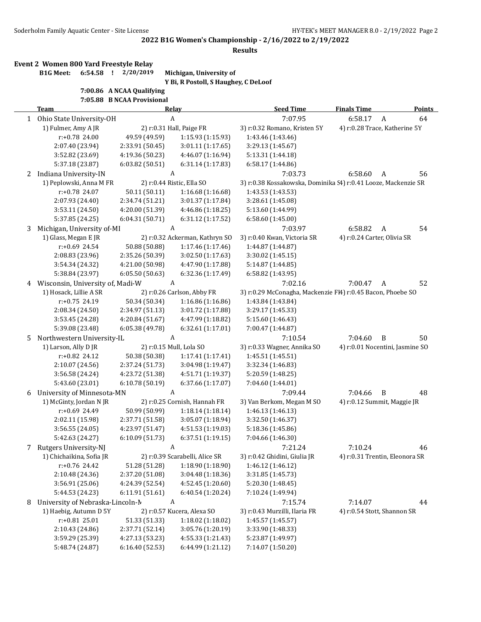**Results**

#### **Event 2 Women 800 Yard Freestyle Relay**

**B1G Meet: 6:54.58 ! 2/20/2019 Michigan, University of**

**Y Bi, R Postoll, S Haughey, C DeLoof**

#### **7:00.86 A NCAA Qualifying 7:05.88 B NCAA Provisional**

| 7:05.88 B NCAA Provisional |  |
|----------------------------|--|
|                            |  |
|                            |  |
|                            |  |

|   | Team                             |                 | <b>Relay</b>                   | <b>Seed Time</b>                                               | <b>Finals Time</b>          | <b>Points</b>                   |
|---|----------------------------------|-----------------|--------------------------------|----------------------------------------------------------------|-----------------------------|---------------------------------|
|   | 1 Ohio State University-OH       |                 | A                              | 7:07.95                                                        | 6:58.17                     | $\boldsymbol{A}$<br>64          |
|   | 1) Fulmer, Amy A JR              |                 | 2) r:0.31 Hall, Paige FR       | 3) r:0.32 Romano, Kristen 5Y                                   |                             | 4) r:0.28 Trace, Katherine 5Y   |
|   | r:+0.78 24.00                    | 49.59 (49.59)   | 1:15.93(1:15.93)               | 1:43.46 (1:43.46)                                              |                             |                                 |
|   | 2:07.40 (23.94)                  | 2:33.91 (50.45) | 3:01.11 (1:17.65)              | 3:29.13 (1:45.67)                                              |                             |                                 |
|   | 3:52.82 (23.69)                  | 4:19.36 (50.23) | 4:46.07 (1:16.94)              | 5:13.31 (1:44.18)                                              |                             |                                 |
|   | 5:37.18 (23.87)                  | 6:03.82 (50.51) | 6:31.14 (1:17.83)              | 6:58.17 (1:44.86)                                              |                             |                                 |
| 2 | Indiana University-IN            |                 | A                              | 7:03.73                                                        | 6:58.60                     | 56<br>A                         |
|   | 1) Peplowski, Anna M FR          |                 | 2) r:0.44 Ristic, Ella SO      | 3) r:0.38 Kossakowska, Dominika 54) r:0.41 Looze, Mackenzie SR |                             |                                 |
|   | r:+0.78 24.07                    | 50.11 (50.11)   | 1:16.68 (1:16.68)              | 1:43.53 (1:43.53)                                              |                             |                                 |
|   | 2:07.93 (24.40)                  | 2:34.74 (51.21) | 3:01.37 (1:17.84)              | 3:28.61 (1:45.08)                                              |                             |                                 |
|   | 3:53.11 (24.50)                  | 4:20.00 (51.39) | 4:46.86 (1:18.25)              | 5:13.60 (1:44.99)                                              |                             |                                 |
|   | 5:37.85 (24.25)                  | 6:04.31(50.71)  | 6:31.12 (1:17.52)              | 6:58.60 (1:45.00)                                              |                             |                                 |
| 3 | Michigan, University of-MI       |                 | A                              | 7:03.97                                                        | 6:58.82                     | 54<br>A                         |
|   | 1) Glass, Megan E JR             |                 | 2) r:0.32 Ackerman, Kathryn SO | 3) r:0.40 Kwan, Victoria SR                                    | 4) r:0.24 Carter, Olivia SR |                                 |
|   | $r: +0.69$ 24.54                 | 50.88 (50.88)   | 1:17.46 (1:17.46)              | 1:44.87 (1:44.87)                                              |                             |                                 |
|   | 2:08.83 (23.96)                  | 2:35.26 (50.39) | 3:02.50 (1:17.63)              | 3:30.02 (1:45.15)                                              |                             |                                 |
|   | 3:54.34 (24.32)                  | 4:21.00 (50.98) | 4:47.90 (1:17.88)              | 5:14.87 (1:44.85)                                              |                             |                                 |
|   | 5:38.84 (23.97)                  | 6:05.50(50.63)  | 6:32.36 (1:17.49)              | 6:58.82 (1:43.95)                                              |                             |                                 |
| 4 | Wisconsin, University of, Madi-W |                 | A                              | 7:02.16                                                        | 7:00.47                     | 52<br>A                         |
|   | 1) Hosack, Lillie A SR           |                 | 2) r:0.26 Carlson, Abby FR     | 3) r:0.29 McConagha, Mackenzie FI4) r:0.45 Bacon, Phoebe SO    |                             |                                 |
|   | $r: +0.75$ 24.19                 | 50.34 (50.34)   | 1:16.86 (1:16.86)              | 1:43.84 (1:43.84)                                              |                             |                                 |
|   | 2:08.34 (24.50)                  | 2:34.97 (51.13) | 3:01.72 (1:17.88)              | 3:29.17 (1:45.33)                                              |                             |                                 |
|   | 3:53.45 (24.28)                  | 4:20.84 (51.67) | 4:47.99 (1:18.82)              | 5:15.60 (1:46.43)                                              |                             |                                 |
|   | 5:39.08 (23.48)                  | 6:05.38 (49.78) | 6:32.61 (1:17.01)              | 7:00.47 (1:44.87)                                              |                             |                                 |
| 5 | Northwestern University-IL       |                 | A                              | 7:10.54                                                        | 7:04.60                     | B<br>50                         |
|   | 1) Larson, Ally D JR             |                 | 2) r:0.15 Mull, Lola SO        | 3) r:0.33 Wagner, Annika SO                                    |                             | 4) r:0.01 Nocentini, Jasmine SO |
|   | r:+0.82 24.12                    | 50.38 (50.38)   | 1:17.41 (1:17.41)              | 1:45.51 (1:45.51)                                              |                             |                                 |
|   | 2:10.07 (24.56)                  | 2:37.24 (51.73) | 3:04.98 (1:19.47)              | 3:32.34 (1:46.83)                                              |                             |                                 |
|   | 3:56.58 (24.24)                  | 4:23.72 (51.38) | 4:51.71 (1:19.37)              | 5:20.59 (1:48.25)                                              |                             |                                 |
|   | 5:43.60 (23.01)                  | 6:10.78 (50.19) | 6:37.66 (1:17.07)              | 7:04.60 (1:44.01)                                              |                             |                                 |
| 6 | University of Minnesota-MN       |                 | A                              | 7:09.44                                                        | 7:04.66                     | B<br>48                         |
|   | 1) McGinty, Jordan N JR          |                 | 2) r:0.25 Cornish, Hannah FR   | 3) Van Berkom, Megan M SO                                      |                             | 4) r:0.12 Summit, Maggie JR     |
|   | r:+0.69 24.49                    | 50.99 (50.99)   | 1:18.14 (1:18.14)              | 1:46.13 (1:46.13)                                              |                             |                                 |
|   | 2:02.11 (15.98)                  | 2:37.71 (51.58) | 3:05.07 (1:18.94)              | 3:32.50 (1:46.37)                                              |                             |                                 |
|   | 3:56.55(24.05)                   | 4:23.97 (51.47) | 4:51.53 (1:19.03)              | 5:18.36 (1:45.86)                                              |                             |                                 |
|   | 5:42.63 (24.27)                  | 6:10.09 (51.73) | 6:37.51 (1:19.15)              | 7:04.66 (1:46.30)                                              |                             |                                 |
| 7 | Rutgers University-NJ            |                 | A                              | 7:21.24                                                        | 7:10.24                     | 46                              |
|   | 1) Chichaikina, Sofia JR         |                 | 2) r:0.39 Scarabelli, Alice SR | 3) r:0.42 Ghidini, Giulia JR                                   |                             | 4) r:0.31 Trentin, Eleonora SR  |
|   | r:+0.76 24.42                    | 51.28 (51.28)   | 1:18.90 (1:18.90)              | 1:46.12 (1:46.12)                                              |                             |                                 |
|   | 2:10.48 (24.36)                  | 2:37.20 (51.08) | 3:04.48 (1:18.36)              | 3:31.85 (1:45.73)                                              |                             |                                 |
|   | 3:56.91 (25.06)                  | 4:24.39 (52.54) | 4:52.45 (1:20.60)              | 5:20.30 (1:48.45)                                              |                             |                                 |
|   | 5:44.53 (24.23)                  | 6:11.91 (51.61) | 6:40.54 (1:20.24)              | 7:10.24 (1:49.94)                                              |                             |                                 |
| 8 | University of Nebraska-Lincoln-N |                 | A                              | 7:15.74                                                        | 7:14.07                     | 44                              |
|   | 1) Haebig, Autumn D 5Y           |                 | 2) r:0.57 Kucera, Alexa SO     | 3) r:0.43 Murzilli, Ilaria FR                                  |                             | 4) r:0.54 Stott, Shannon SR     |
|   | $r: +0.81$ 25.01                 | 51.33 (51.33)   | 1:18.02 (1:18.02)              | 1:45.57 (1:45.57)                                              |                             |                                 |
|   | 2:10.43 (24.86)                  | 2:37.71 (52.14) | 3:05.76 (1:20.19)              | 3:33.90 (1:48.33)                                              |                             |                                 |
|   | 3:59.29 (25.39)                  | 4:27.13 (53.23) | 4:55.33 (1:21.43)              | 5:23.87 (1:49.97)                                              |                             |                                 |
|   | 5:48.74 (24.87)                  | 6:16.40 (52.53) | 6:44.99 (1:21.12)              | 7:14.07 (1:50.20)                                              |                             |                                 |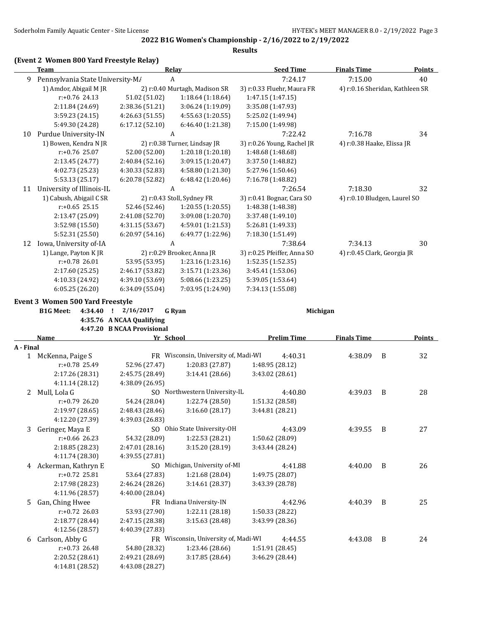## **(Event 2 Women 800 Yard Freestyle Relay)**

|    | Team                             |                 | Relay                         | <b>Seed Time</b>            | <b>Finals Time</b>              | <b>Points</b> |
|----|----------------------------------|-----------------|-------------------------------|-----------------------------|---------------------------------|---------------|
| 9  | Pennsylvania State University-M/ |                 | A                             | 7:24.17                     | 7:15.00                         | 40            |
|    | 1) Amdor, Abigail M JR           |                 | 2) r:0.40 Murtagh, Madison SR | 3) r:0.33 Fluehr, Maura FR  | 4) r:0.16 Sheridan, Kathleen SR |               |
|    | $r: +0.76$ 24.13                 | 51.02 (51.02)   | 1:18.64(1:18.64)              | 1:47.15 (1:47.15)           |                                 |               |
|    | 2:11.84 (24.69)                  | 2:38.36 (51.21) | 3:06.24 (1:19.09)             | 3:35.08 (1:47.93)           |                                 |               |
|    | 3:59.23 (24.15)                  | 4:26.63 (51.55) | 4:55.63 (1:20.55)             | 5:25.02 (1:49.94)           |                                 |               |
|    | 5:49.30 (24.28)                  | 6:17.12 (52.10) | 6:46.40 (1:21.38)             | 7:15.00 (1:49.98)           |                                 |               |
| 10 | Purdue University-IN             |                 | A                             | 7:22.42                     | 7:16.78                         | 34            |
|    | 1) Bowen, Kendra N JR            |                 | 2) r:0.38 Turner, Lindsay JR  | 3) r:0.26 Young, Rachel JR  | 4) r:0.38 Haake, Elissa JR      |               |
|    | $r: +0.76$ 25.07                 | 52.00 (52.00)   | 1:20.18(1:20.18)              | 1:48.68 (1:48.68)           |                                 |               |
|    | 2:13.45 (24.77)                  | 2:40.84 (52.16) | 3:09.15 (1:20.47)             | 3:37.50 (1:48.82)           |                                 |               |
|    | 4:02.73 (25.23)                  | 4:30.33 (52.83) | 4:58.80 (1:21.30)             | 5:27.96 (1:50.46)           |                                 |               |
|    | 5:53.13 (25.17)                  | 6:20.78 (52.82) | 6:48.42 (1:20.46)             | 7:16.78 (1:48.82)           |                                 |               |
| 11 | University of Illinois-IL        |                 | A                             | 7:26.54                     | 7:18.30                         | 32            |
|    | 1) Cabush, Abigail C SR          |                 | 2) r:0.43 Stoll, Sydney FR    | 3) r:0.41 Bognar, Cara SO   | 4) r:0.10 Bludgen, Laurel SO    |               |
|    | $r: +0.65$ 25.15                 | 52.46 (52.46)   | 1:20.55(1:20.55)              | 1:48.38 (1:48.38)           |                                 |               |
|    | 2:13.47 (25.09)                  | 2:41.08 (52.70) | 3:09.08 (1:20.70)             | 3:37.48 (1:49.10)           |                                 |               |
|    | 3:52.98 (15.50)                  | 4:31.15 (53.67) | 4:59.01 (1:21.53)             | 5:26.81 (1:49.33)           |                                 |               |
|    | 5:52.31 (25.50)                  | 6:20.97(54.16)  | 6:49.77 (1:22.96)             | 7:18.30 (1:51.49)           |                                 |               |
| 12 | Iowa, University of-IA           |                 | A                             | 7:38.64                     | 7:34.13                         | 30            |
|    | 1) Lange, Payton K JR            |                 | 2) r:0.29 Brooker, Anna JR    | 3) r:0.25 Pfeiffer, Anna SO | 4) r:0.45 Clark, Georgia JR     |               |
|    | r:+0.78 26.01                    | 53.95 (53.95)   | 1:23.16 (1:23.16)             | 1:52.35 (1:52.35)           |                                 |               |
|    | 2:17.60 (25.25)                  | 2:46.17 (53.82) | 3:15.71 (1:23.36)             | 3:45.41 (1:53.06)           |                                 |               |
|    | 4:10.33 (24.92)                  | 4:39.10 (53.69) | 5:08.66 (1:23.25)             | 5:39.05 (1:53.64)           |                                 |               |
|    | 6:05.25(26.20)                   | 6:34.09 (55.04) | 7:03.95 (1:24.90)             | 7:34.13 (1:55.08)           |                                 |               |

#### **Event 3 Women 500 Yard Freestyle**

**B1G Meet: 4:34.40 ! 2/16/2017 G Ryan Michigan 4:35.76 A NCAA Qualifying 4:47.20 B NCAA Provisional**

|              | Name                | Yr School       |                                      | <b>Prelim Time</b> | <b>Finals Time</b> |   | <b>Points</b> |
|--------------|---------------------|-----------------|--------------------------------------|--------------------|--------------------|---|---------------|
| A - Final    |                     |                 |                                      |                    |                    |   |               |
| $\mathbf{1}$ | McKenna, Paige S    |                 | FR Wisconsin, University of, Madi-WI | 4:40.31            | 4:38.09            | B | 32            |
|              | $r: +0.78$ 25.49    | 52.96 (27.47)   | 1:20.83 (27.87)                      | 1:48.95 (28.12)    |                    |   |               |
|              | 2:17.26 (28.31)     | 2:45.75 (28.49) | 3:14.41 (28.66)                      | 3:43.02 (28.61)    |                    |   |               |
|              | 4:11.14 (28.12)     | 4:38.09 (26.95) |                                      |                    |                    |   |               |
| 2            | Mull, Lola G        |                 | SO Northwestern University-IL        | 4:40.80            | 4:39.03            | B | 28            |
|              | $r: +0.79$ 26.20    | 54.24 (28.04)   | 1:22.74 (28.50)                      | 1:51.32 (28.58)    |                    |   |               |
|              | 2:19.97 (28.65)     | 2:48.43 (28.46) | 3:16.60(28.17)                       | 3:44.81 (28.21)    |                    |   |               |
|              | 4:12.20 (27.39)     | 4:39.03 (26.83) |                                      |                    |                    |   |               |
| 3            | Geringer, Maya E    |                 | SO Ohio State University-OH          | 4:43.09            | 4:39.55            | B | 27            |
|              | $r: +0.66$ 26.23    | 54.32 (28.09)   | 1:22.53(28.21)                       | 1:50.62 (28.09)    |                    |   |               |
|              | 2:18.85 (28.23)     | 2:47.01 (28.16) | 3:15.20 (28.19)                      | 3:43.44 (28.24)    |                    |   |               |
|              | 4:11.74 (28.30)     | 4:39.55 (27.81) |                                      |                    |                    |   |               |
| 4            | Ackerman, Kathryn E |                 | SO Michigan, University of-MI        | 4:41.88            | 4:40.00            | B | 26            |
|              | $r: +0.72$ 25.81    | 53.64 (27.83)   | 1:21.68 (28.04)                      | 1:49.75 (28.07)    |                    |   |               |
|              | 2:17.98 (28.23)     | 2:46.24 (28.26) | 3:14.61 (28.37)                      | 3:43.39 (28.78)    |                    |   |               |
|              | 4:11.96 (28.57)     | 4:40.00 (28.04) |                                      |                    |                    |   |               |
| .5.          | Gan, Ching Hwee     |                 | FR Indiana University-IN             | 4:42.96            | 4:40.39            | B | 25            |
|              | $r: +0.72$ 26.03    | 53.93 (27.90)   | 1:22.11 (28.18)                      | 1:50.33 (28.22)    |                    |   |               |
|              | 2:18.77 (28.44)     | 2:47.15 (28.38) | 3:15.63 (28.48)                      | 3:43.99 (28.36)    |                    |   |               |
|              | 4:12.56 (28.57)     | 4:40.39 (27.83) |                                      |                    |                    |   |               |
| 6            | Carlson, Abby G     |                 | FR Wisconsin, University of, Madi-WI | 4:44.55            | 4:43.08            | B | 24            |
|              | $r: +0.73$ 26.48    | 54.80 (28.32)   | 1:23.46 (28.66)                      | 1:51.91 (28.45)    |                    |   |               |
|              | 2:20.52 (28.61)     | 2:49.21 (28.69) | 3:17.85 (28.64)                      | 3:46.29 (28.44)    |                    |   |               |
|              | 4:14.81 (28.52)     | 4:43.08 (28.27) |                                      |                    |                    |   |               |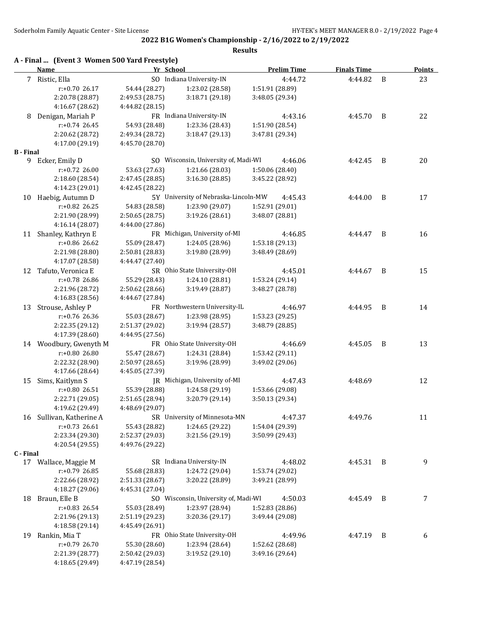|                  | A - Final  (Event 3 Women 500 Yard Freestyle)<br><b>Name</b> | Yr School       |                                      | <b>Prelim Time</b> | <b>Finals Time</b> |   | <b>Points</b> |
|------------------|--------------------------------------------------------------|-----------------|--------------------------------------|--------------------|--------------------|---|---------------|
|                  | 7 Ristic, Ella                                               |                 | SO Indiana University-IN             | 4:44.72            | 4:44.82            | B | 23            |
|                  | $r: +0.70$ 26.17                                             | 54.44 (28.27)   | 1:23.02 (28.58)                      | 1:51.91 (28.89)    |                    |   |               |
|                  | 2:20.78 (28.87)                                              | 2:49.53 (28.75) | 3:18.71 (29.18)                      | 3:48.05 (29.34)    |                    |   |               |
|                  | 4:16.67 (28.62)                                              | 4:44.82 (28.15) |                                      |                    |                    |   |               |
| 8                | Denigan, Mariah P                                            |                 | FR Indiana University-IN             | 4:43.16            | 4:45.70            | B | 22            |
|                  | $r: +0.74$ 26.45                                             | 54.93 (28.48)   | 1:23.36 (28.43)                      | 1:51.90 (28.54)    |                    |   |               |
|                  | 2:20.62 (28.72)                                              | 2:49.34 (28.72) | 3:18.47 (29.13)                      | 3:47.81 (29.34)    |                    |   |               |
|                  | 4:17.00 (29.19)                                              | 4:45.70 (28.70) |                                      |                    |                    |   |               |
| <b>B</b> - Final |                                                              |                 |                                      |                    |                    |   |               |
|                  | 9 Ecker, Emily D                                             |                 | SO Wisconsin, University of, Madi-WI | 4:46.06            | 4:42.45            | B | 20            |
|                  | r:+0.72 26.00                                                | 53.63 (27.63)   | 1:21.66 (28.03)                      | 1:50.06 (28.40)    |                    |   |               |
|                  | 2:18.60 (28.54)                                              | 2:47.45 (28.85) | 3:16.30 (28.85)                      | 3:45.22 (28.92)    |                    |   |               |
|                  | 4:14.23 (29.01)                                              | 4:42.45 (28.22) |                                      |                    |                    |   |               |
| 10               | Haebig, Autumn D                                             |                 | 5Y University of Nebraska-Lincoln-MW | 4:45.43            | 4:44.00            | B | 17            |
|                  | $r: +0.82$ 26.25                                             | 54.83 (28.58)   | 1:23.90 (29.07)                      | 1:52.91 (29.01)    |                    |   |               |
|                  | 2:21.90 (28.99)                                              | 2:50.65(28.75)  | 3:19.26 (28.61)                      | 3:48.07 (28.81)    |                    |   |               |
|                  | 4:16.14 (28.07)                                              | 4:44.00 (27.86) |                                      |                    |                    |   |               |
|                  | 11 Shanley, Kathryn E                                        |                 | FR Michigan, University of-MI        | 4:46.85            | 4:44.47            | B | 16            |
|                  | $r: +0.86$ 26.62                                             | 55.09 (28.47)   | 1:24.05 (28.96)                      | 1:53.18 (29.13)    |                    |   |               |
|                  | 2:21.98 (28.80)                                              | 2:50.81 (28.83) | 3:19.80 (28.99)                      | 3:48.49 (28.69)    |                    |   |               |
|                  | 4:17.07 (28.58)                                              | 4:44.47 (27.40) |                                      |                    |                    |   |               |
| 12               | Tafuto, Veronica E                                           |                 | SR Ohio State University-OH          | 4:45.01            | 4:44.67            | B | 15            |
|                  | $r: +0.78$ 26.86                                             | 55.29 (28.43)   | 1:24.10 (28.81)                      | 1:53.24 (29.14)    |                    |   |               |
|                  | 2:21.96 (28.72)                                              | 2:50.62 (28.66) | 3:19.49 (28.87)                      | 3:48.27 (28.78)    |                    |   |               |
|                  | 4:16.83 (28.56)                                              | 4:44.67 (27.84) |                                      |                    |                    |   |               |
| 13               | Strouse, Ashley P                                            |                 | FR Northwestern University-IL        | 4:46.97            | 4:44.95            | B | 14            |
|                  | r:+0.76 26.36                                                | 55.03 (28.67)   | 1:23.98 (28.95)                      | 1:53.23 (29.25)    |                    |   |               |
|                  | 2:22.35 (29.12)                                              | 2:51.37 (29.02) | 3:19.94 (28.57)                      | 3:48.79 (28.85)    |                    |   |               |
|                  | 4:17.39 (28.60)                                              | 4:44.95 (27.56) |                                      |                    |                    |   |               |
|                  | 14 Woodbury, Gwenyth M                                       |                 | FR Ohio State University-OH          | 4:46.69            | 4:45.05            | B | 13            |
|                  | r:+0.80 26.80                                                | 55.47 (28.67)   | 1:24.31 (28.84)                      | 1:53.42 (29.11)    |                    |   |               |
|                  | 2:22.32 (28.90)                                              | 2:50.97 (28.65) | 3:19.96 (28.99)                      | 3:49.02 (29.06)    |                    |   |               |
|                  | 4:17.66 (28.64)                                              | 4:45.05 (27.39) |                                      |                    |                    |   |               |
| 15               | Sims, Kaitlynn S                                             |                 | JR Michigan, University of-MI        | 4:47.43            | 4:48.69            |   | 12            |
|                  | $r: +0.80$ 26.51                                             | 55.39 (28.88)   | 1:24.58 (29.19)                      | 1:53.66 (29.08)    |                    |   |               |
|                  | 2:22.71 (29.05)                                              | 2:51.65 (28.94) | 3:20.79 (29.14)                      | 3:50.13 (29.34)    |                    |   |               |
|                  | 4:19.62 (29.49)                                              | 4:48.69 (29.07) |                                      |                    |                    |   |               |
|                  | 16 Sullivan, Katherine A                                     |                 | SR University of Minnesota-MN        | 4:47.37            | 4:49.76            |   | 11            |
|                  | $r: +0.73$ 26.61                                             | 55.43 (28.82)   | 1:24.65 (29.22)                      | 1:54.04 (29.39)    |                    |   |               |
|                  | 2:23.34 (29.30)                                              | 2:52.37 (29.03) | 3:21.56 (29.19)                      | 3:50.99 (29.43)    |                    |   |               |
|                  | 4:20.54 (29.55)                                              | 4:49.76 (29.22) |                                      |                    |                    |   |               |
| C - Final        |                                                              |                 |                                      |                    |                    |   |               |
|                  | 17 Wallace, Maggie M                                         |                 | SR Indiana University-IN             | 4:48.02            | 4:45.31            | B | 9             |
|                  | r:+0.79 26.85                                                | 55.68 (28.83)   | 1:24.72 (29.04)                      | 1:53.74 (29.02)    |                    |   |               |
|                  | 2:22.66 (28.92)                                              | 2:51.33 (28.67) | 3:20.22 (28.89)                      | 3:49.21 (28.99)    |                    |   |               |
|                  | 4:18.27 (29.06)                                              | 4:45.31 (27.04) |                                      |                    |                    |   |               |
| 18               | Braun, Elle B                                                |                 | SO Wisconsin, University of, Madi-WI | 4:50.03            | 4:45.49            | B | 7             |
|                  | $r: +0.83$ 26.54                                             | 55.03 (28.49)   | 1:23.97 (28.94)                      | 1:52.83 (28.86)    |                    |   |               |
|                  | 2:21.96 (29.13)                                              | 2:51.19 (29.23) | 3:20.36 (29.17)                      | 3:49.44 (29.08)    |                    |   |               |
|                  | 4:18.58 (29.14)                                              | 4:45.49 (26.91) |                                      |                    |                    |   |               |
| 19               | Rankin, Mia T                                                |                 | FR Ohio State University-OH          | 4:49.96            | 4:47.19            | B | 6             |
|                  | $r: +0.79$ 26.70                                             | 55.30 (28.60)   | 1:23.94 (28.64)                      | 1:52.62 (28.68)    |                    |   |               |
|                  | 2:21.39 (28.77)                                              | 2:50.42 (29.03) | 3:19.52 (29.10)                      | 3:49.16 (29.64)    |                    |   |               |
|                  | 4:18.65 (29.49)                                              | 4:47.19 (28.54) |                                      |                    |                    |   |               |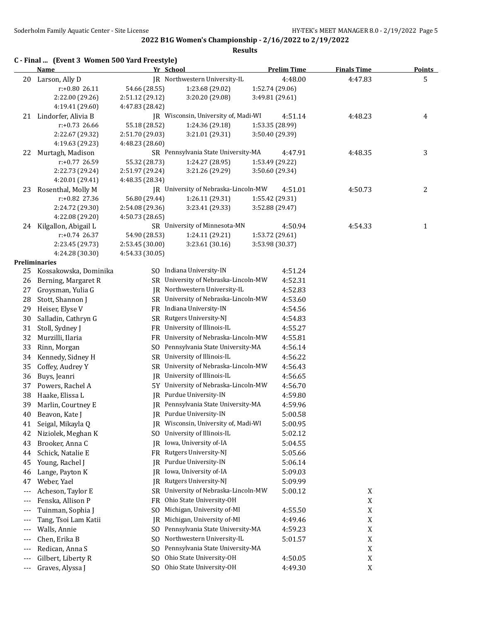|                          | C - Final  (Event 3 Women 500 Yard Freestyle)<br><b>Name</b> | Yr School       |                                      |                 | <b>Prelim Time</b> | <b>Finals Time</b> | <b>Points</b>  |
|--------------------------|--------------------------------------------------------------|-----------------|--------------------------------------|-----------------|--------------------|--------------------|----------------|
| 20                       | Larson, Ally D                                               |                 | JR Northwestern University-IL        |                 | 4:48.00            | 4:47.83            | 5              |
|                          | $r: +0.8026.11$                                              | 54.66 (28.55)   | 1:23.68 (29.02)                      | 1:52.74 (29.06) |                    |                    |                |
|                          | 2:22.00 (29.26)                                              | 2:51.12 (29.12) | 3:20.20 (29.08)                      | 3:49.81 (29.61) |                    |                    |                |
|                          | 4:19.41 (29.60)                                              | 4:47.83 (28.42) |                                      |                 |                    |                    |                |
|                          | 21 Lindorfer, Alivia B                                       |                 | JR Wisconsin, University of, Madi-WI |                 | 4:51.14            | 4:48.23            | 4              |
|                          | $r: +0.73$ 26.66                                             | 55.18 (28.52)   | 1:24.36 (29.18)                      | 1:53.35 (28.99) |                    |                    |                |
|                          | 2:22.67 (29.32)                                              | 2:51.70 (29.03) | 3:21.01 (29.31)                      | 3:50.40 (29.39) |                    |                    |                |
|                          | 4:19.63 (29.23)                                              | 4:48.23 (28.60) |                                      |                 |                    |                    |                |
| 22                       | Murtagh, Madison                                             |                 | SR Pennsylvania State University-MA  |                 | 4:47.91            | 4:48.35            | $\mathbf{3}$   |
|                          | r:+0.77 26.59                                                | 55.32 (28.73)   | 1:24.27 (28.95)                      | 1:53.49 (29.22) |                    |                    |                |
|                          | 2:22.73 (29.24)                                              | 2:51.97 (29.24) | 3:21.26 (29.29)                      | 3:50.60 (29.34) |                    |                    |                |
|                          | 4:20.01 (29.41)<br>23 Rosenthal, Molly M                     | 4:48.35 (28.34) | JR University of Nebraska-Lincoln-MW |                 | 4:51.01            |                    | $\overline{2}$ |
|                          | r:+0.82 27.36                                                | 56.80 (29.44)   | 1:26.11 (29.31)                      | 1:55.42 (29.31) |                    | 4:50.73            |                |
|                          | 2:24.72 (29.30)                                              | 2:54.08 (29.36) | 3:23.41 (29.33)                      | 3:52.88 (29.47) |                    |                    |                |
|                          | 4:22.08 (29.20)                                              | 4:50.73 (28.65) |                                      |                 |                    |                    |                |
| 24                       | Kilgallon, Abigail L                                         |                 | SR University of Minnesota-MN        |                 | 4:50.94            | 4:54.33            | $\mathbf{1}$   |
|                          | r:+0.74 26.37                                                | 54.90 (28.53)   | 1:24.11 (29.21)                      | 1:53.72 (29.61) |                    |                    |                |
|                          | 2:23.45 (29.73)                                              | 2:53.45 (30.00) | 3:23.61 (30.16)                      | 3:53.98 (30.37) |                    |                    |                |
|                          | 4:24.28 (30.30)                                              | 4:54.33 (30.05) |                                      |                 |                    |                    |                |
|                          | Preliminaries                                                |                 |                                      |                 |                    |                    |                |
| 25                       | Kossakowska, Dominika                                        |                 | SO Indiana University-IN             |                 | 4:51.24            |                    |                |
| 26                       | Berning, Margaret R                                          |                 | SR University of Nebraska-Lincoln-MW |                 | 4:52.31            |                    |                |
| 27                       | Groysman, Yulia G                                            |                 | JR Northwestern University-IL        |                 | 4:52.83            |                    |                |
| 28                       | Stott, Shannon J                                             |                 | SR University of Nebraska-Lincoln-MW |                 | 4:53.60            |                    |                |
| 29                       | Heiser, Elyse V                                              |                 | FR Indiana University-IN             |                 | 4:54.56            |                    |                |
| 30                       | Salladin, Cathryn G                                          |                 | SR Rutgers University-NJ             |                 | 4:54.83            |                    |                |
| 31                       | Stoll, Sydney J                                              |                 | FR University of Illinois-IL         |                 | 4:55.27            |                    |                |
| 32                       | Murzilli, Ilaria                                             |                 | FR University of Nebraska-Lincoln-MW |                 | 4:55.81            |                    |                |
| 33                       | Rinn, Morgan                                                 |                 | SO Pennsylvania State University-MA  |                 | 4:56.14            |                    |                |
| 34                       | Kennedy, Sidney H                                            |                 | SR University of Illinois-IL         |                 | 4:56.22            |                    |                |
| 35                       | Coffey, Audrey Y                                             |                 | SR University of Nebraska-Lincoln-MW |                 | 4:56.43            |                    |                |
| 36                       | Buys, Jeanri                                                 | IR              | University of Illinois-IL            |                 | 4:56.65            |                    |                |
| 37                       | Powers, Rachel A                                             |                 | 5Y University of Nebraska-Lincoln-MW |                 | 4:56.70            |                    |                |
| 38                       | Haake, Elissa L                                              |                 | JR Purdue University-IN              |                 | 4:59.80            |                    |                |
| 39                       | Marlin, Courtney E                                           |                 | JR Pennsylvania State University-MA  |                 | 4:59.96            |                    |                |
| 40                       | Beavon, Kate J                                               |                 | JR Purdue University-IN              |                 | 5:00.58            |                    |                |
| 41                       | Seigal, Mikayla Q                                            |                 | JR Wisconsin, University of, Madi-WI |                 | 5:00.95            |                    |                |
| 42                       | Niziolek, Meghan K                                           | SO.             | University of Illinois-IL            |                 | 5:02.12            |                    |                |
| 43                       | Brooker, Anna C                                              | IR              | Iowa, University of-IA               |                 | 5:04.55            |                    |                |
| 44                       | Schick, Natalie E                                            |                 | FR Rutgers University-NJ             |                 | 5:05.66            |                    |                |
| 45                       | Young, Rachel J                                              | IR              | Purdue University-IN                 |                 | 5:06.14            |                    |                |
| 46                       | Lange, Payton K                                              |                 | JR Iowa, University of-IA            |                 | 5:09.03            |                    |                |
| 47                       | Weber, Yael                                                  | IR              | Rutgers University-NJ                |                 | 5:09.99            |                    |                |
| $---$                    | Acheson, Taylor E                                            | SR              | University of Nebraska-Lincoln-MW    |                 | 5:00.12            | X                  |                |
| $---$                    | Fenska, Allison P                                            | FR              | Ohio State University-OH             |                 |                    | $\mathbf X$        |                |
| $---$                    | Tuinman, Sophia J                                            | SO.             | Michigan, University of-MI           |                 | 4:55.50            | $\mathbf X$        |                |
| ---                      | Tang, Tsoi Lam Katii                                         | IR              | Michigan, University of-MI           |                 | 4:49.46            | $\mathbf X$        |                |
| ---                      | Walls, Annie                                                 | SO.             | Pennsylvania State University-MA     |                 | 4:59.23            | $\mathbf X$        |                |
| ---                      | Chen, Erika B                                                | SO.             | Northwestern University-IL           |                 | 5:01.57            | $\mathbf X$        |                |
| ---                      | Redican, Anna S                                              | SO.             | Pennsylvania State University-MA     |                 |                    | $\mathbf X$        |                |
| ---                      | Gilbert, Liberty R                                           | S <sub>O</sub>  | Ohio State University-OH             |                 | 4:50.05            | $\mathbf X$        |                |
| $\hspace{0.05cm} \cdots$ | Graves, Alyssa J                                             | SO.             | Ohio State University-OH             |                 | 4:49.30            | $\mathbf X$        |                |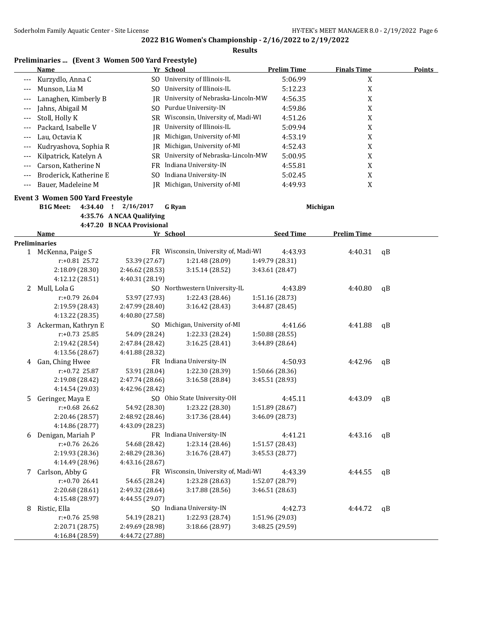#### **Results**

## **Preliminaries ... (Event 3 Women 500 Yard Freestyle)**

|                   | Name                   |     | Yr School                         | <b>Prelim Time</b> | <b>Finals Time</b> | Points |
|-------------------|------------------------|-----|-----------------------------------|--------------------|--------------------|--------|
|                   | Kurzydlo, Anna C       | SO. | University of Illinois-IL         | 5:06.99            | X                  |        |
| $--$              | Munson, Lia M          | SO. | University of Illinois-IL         | 5:12.23            | A                  |        |
|                   | Lanaghen, Kimberly B   | IR  | University of Nebraska-Lincoln-MW | 4:56.35            | Λ                  |        |
| $---$             | Jahns, Abigail M       | SO. | Purdue University-IN              | 4:59.86            | X                  |        |
| $\qquad \qquad -$ | Stoll, Holly K         | SR  | Wisconsin, University of, Madi-WI | 4:51.26            | X                  |        |
| $---$             | Packard, Isabelle V    | IR  | University of Illinois-IL         | 5:09.94            | A                  |        |
|                   | Lau, Octavia K         | IR  | Michigan, University of-MI        | 4:53.19            | Λ                  |        |
| $\qquad \qquad -$ | Kudryashova, Sophia R  | IR  | Michigan, University of-MI        | 4:52.43            | X                  |        |
|                   | Kilpatrick, Katelyn A  | SR. | University of Nebraska-Lincoln-MW | 5:00.95            | X                  |        |
| $---$             | Carson, Katherine N    | FR  | Indiana University-IN             | 4:55.81            | X                  |        |
|                   | Broderick, Katherine E | SO. | Indiana University-IN             | 5:02.45            | v<br>Λ             |        |
|                   | Bauer, Madeleine M     | IR. | Michigan, University of-MI        | 4:49.93            | л                  |        |

#### **Event 3 Women 500 Yard Freestyle**

**B1G Meet: 4:34.40 ! 2/16/2017 G Ryan Michigan**

**4:35.76 A NCAA Qualifying**

**4:47.20 B NCAA Provisional**

| <b>Preliminaries</b><br>FR Wisconsin, University of, Madi-WI<br>1 McKenna, Paige S<br>4:43.93<br>4:40.31<br>$\mathsf{a}\mathsf{B}$<br>$r: +0.81$ 25.72<br>53.39 (27.67)<br>1:21.48 (28.09)<br>1:49.79 (28.31)<br>2:18.09 (28.30)<br>3:15.14 (28.52)<br>2:46.62 (28.53)<br>3:43.61 (28.47)<br>4:12.12 (28.51)<br>4:40.31 (28.19)<br>Mull, Lola G<br>SO Northwestern University-IL<br>4:43.89<br>4:40.80<br>qB<br>2<br>$r: +0.79$ 26.04<br>53.97 (27.93)<br>1:22.43 (28.46)<br>1:51.16 (28.73)<br>2:19.59 (28.43)<br>3:16.42 (28.43)<br>2:47.99 (28.40)<br>3:44.87 (28.45)<br>4:13.22 (28.35)<br>4:40.80 (27.58)<br>SO Michigan, University of-MI<br>Ackerman, Kathryn E<br>4:41.66<br>4:41.88<br>3<br>$\mathsf{q}$<br>$r: +0.73$ 25.85<br>54.09 (28.24)<br>1:22.33 (28.24)<br>1:50.88 (28.55)<br>2:19.42 (28.54)<br>2:47.84 (28.42)<br>3:16.25 (28.41)<br>3:44.89 (28.64)<br>4:13.56 (28.67)<br>4:41.88 (28.32)<br>Gan, Ching Hwee<br>FR Indiana University-IN<br>4:50.93<br>4:42.96<br>qB<br>4<br>$r: +0.72$ 25.87<br>1:22.30 (28.39)<br>1:50.66 (28.36)<br>53.91 (28.04)<br>2:19.08 (28.42)<br>3:16.58 (28.84)<br>3:45.51 (28.93)<br>2:47.74 (28.66)<br>4:14.54 (29.03)<br>4:42.96 (28.42)<br>SO Ohio State University-OH<br>Geringer, Maya E<br>4:45.11<br>4:43.09<br>5.<br>$\mathsf{q}$<br>$r: +0.68$ 26.62<br>1:23.22 (28.30)<br>54.92 (28.30)<br>1:51.89 (28.67)<br>2:20.46 (28.57)<br>2:48.92 (28.46)<br>3:17.36 (28.44)<br>3:46.09 (28.73)<br>4:14.86 (28.77)<br>4:43.09 (28.23)<br>FR Indiana University-IN<br>Denigan, Mariah P<br>4:41.21<br>4:43.16<br>6<br>qB<br>r:+0.76 26.26<br>54.68 (28.42)<br>1:23.14 (28.46)<br>1:51.57 (28.43)<br>2:19.93 (28.36)<br>3:16.76 (28.47)<br>3:45.53 (28.77)<br>2:48.29 (28.36)<br>4:14.49 (28.96)<br>4:43.16 (28.67)<br>FR Wisconsin, University of, Madi-WI<br>Carlson, Abby G<br>4:43.39<br>4:44.55<br>7<br>$\alpha$ <sub>B</sub><br>1:23.28 (28.63)<br>$r: +0.7026.41$<br>54.65 (28.24)<br>1:52.07 (28.79)<br>2:20.68 (28.61)<br>2:49.32 (28.64)<br>3:17.88 (28.56)<br>3:46.51 (28.63) | Name            | Yr School       | <b>Seed Time</b> | <b>Prelim Time</b> |  |
|------------------------------------------------------------------------------------------------------------------------------------------------------------------------------------------------------------------------------------------------------------------------------------------------------------------------------------------------------------------------------------------------------------------------------------------------------------------------------------------------------------------------------------------------------------------------------------------------------------------------------------------------------------------------------------------------------------------------------------------------------------------------------------------------------------------------------------------------------------------------------------------------------------------------------------------------------------------------------------------------------------------------------------------------------------------------------------------------------------------------------------------------------------------------------------------------------------------------------------------------------------------------------------------------------------------------------------------------------------------------------------------------------------------------------------------------------------------------------------------------------------------------------------------------------------------------------------------------------------------------------------------------------------------------------------------------------------------------------------------------------------------------------------------------------------------------------------------------------------------------------------------------------------------------------------------------------------------------------------------------------------------------------------------|-----------------|-----------------|------------------|--------------------|--|
|                                                                                                                                                                                                                                                                                                                                                                                                                                                                                                                                                                                                                                                                                                                                                                                                                                                                                                                                                                                                                                                                                                                                                                                                                                                                                                                                                                                                                                                                                                                                                                                                                                                                                                                                                                                                                                                                                                                                                                                                                                          |                 |                 |                  |                    |  |
|                                                                                                                                                                                                                                                                                                                                                                                                                                                                                                                                                                                                                                                                                                                                                                                                                                                                                                                                                                                                                                                                                                                                                                                                                                                                                                                                                                                                                                                                                                                                                                                                                                                                                                                                                                                                                                                                                                                                                                                                                                          |                 |                 |                  |                    |  |
|                                                                                                                                                                                                                                                                                                                                                                                                                                                                                                                                                                                                                                                                                                                                                                                                                                                                                                                                                                                                                                                                                                                                                                                                                                                                                                                                                                                                                                                                                                                                                                                                                                                                                                                                                                                                                                                                                                                                                                                                                                          |                 |                 |                  |                    |  |
|                                                                                                                                                                                                                                                                                                                                                                                                                                                                                                                                                                                                                                                                                                                                                                                                                                                                                                                                                                                                                                                                                                                                                                                                                                                                                                                                                                                                                                                                                                                                                                                                                                                                                                                                                                                                                                                                                                                                                                                                                                          |                 |                 |                  |                    |  |
|                                                                                                                                                                                                                                                                                                                                                                                                                                                                                                                                                                                                                                                                                                                                                                                                                                                                                                                                                                                                                                                                                                                                                                                                                                                                                                                                                                                                                                                                                                                                                                                                                                                                                                                                                                                                                                                                                                                                                                                                                                          |                 |                 |                  |                    |  |
|                                                                                                                                                                                                                                                                                                                                                                                                                                                                                                                                                                                                                                                                                                                                                                                                                                                                                                                                                                                                                                                                                                                                                                                                                                                                                                                                                                                                                                                                                                                                                                                                                                                                                                                                                                                                                                                                                                                                                                                                                                          |                 |                 |                  |                    |  |
|                                                                                                                                                                                                                                                                                                                                                                                                                                                                                                                                                                                                                                                                                                                                                                                                                                                                                                                                                                                                                                                                                                                                                                                                                                                                                                                                                                                                                                                                                                                                                                                                                                                                                                                                                                                                                                                                                                                                                                                                                                          |                 |                 |                  |                    |  |
|                                                                                                                                                                                                                                                                                                                                                                                                                                                                                                                                                                                                                                                                                                                                                                                                                                                                                                                                                                                                                                                                                                                                                                                                                                                                                                                                                                                                                                                                                                                                                                                                                                                                                                                                                                                                                                                                                                                                                                                                                                          |                 |                 |                  |                    |  |
|                                                                                                                                                                                                                                                                                                                                                                                                                                                                                                                                                                                                                                                                                                                                                                                                                                                                                                                                                                                                                                                                                                                                                                                                                                                                                                                                                                                                                                                                                                                                                                                                                                                                                                                                                                                                                                                                                                                                                                                                                                          |                 |                 |                  |                    |  |
|                                                                                                                                                                                                                                                                                                                                                                                                                                                                                                                                                                                                                                                                                                                                                                                                                                                                                                                                                                                                                                                                                                                                                                                                                                                                                                                                                                                                                                                                                                                                                                                                                                                                                                                                                                                                                                                                                                                                                                                                                                          |                 |                 |                  |                    |  |
|                                                                                                                                                                                                                                                                                                                                                                                                                                                                                                                                                                                                                                                                                                                                                                                                                                                                                                                                                                                                                                                                                                                                                                                                                                                                                                                                                                                                                                                                                                                                                                                                                                                                                                                                                                                                                                                                                                                                                                                                                                          |                 |                 |                  |                    |  |
|                                                                                                                                                                                                                                                                                                                                                                                                                                                                                                                                                                                                                                                                                                                                                                                                                                                                                                                                                                                                                                                                                                                                                                                                                                                                                                                                                                                                                                                                                                                                                                                                                                                                                                                                                                                                                                                                                                                                                                                                                                          |                 |                 |                  |                    |  |
|                                                                                                                                                                                                                                                                                                                                                                                                                                                                                                                                                                                                                                                                                                                                                                                                                                                                                                                                                                                                                                                                                                                                                                                                                                                                                                                                                                                                                                                                                                                                                                                                                                                                                                                                                                                                                                                                                                                                                                                                                                          |                 |                 |                  |                    |  |
|                                                                                                                                                                                                                                                                                                                                                                                                                                                                                                                                                                                                                                                                                                                                                                                                                                                                                                                                                                                                                                                                                                                                                                                                                                                                                                                                                                                                                                                                                                                                                                                                                                                                                                                                                                                                                                                                                                                                                                                                                                          |                 |                 |                  |                    |  |
|                                                                                                                                                                                                                                                                                                                                                                                                                                                                                                                                                                                                                                                                                                                                                                                                                                                                                                                                                                                                                                                                                                                                                                                                                                                                                                                                                                                                                                                                                                                                                                                                                                                                                                                                                                                                                                                                                                                                                                                                                                          |                 |                 |                  |                    |  |
|                                                                                                                                                                                                                                                                                                                                                                                                                                                                                                                                                                                                                                                                                                                                                                                                                                                                                                                                                                                                                                                                                                                                                                                                                                                                                                                                                                                                                                                                                                                                                                                                                                                                                                                                                                                                                                                                                                                                                                                                                                          |                 |                 |                  |                    |  |
|                                                                                                                                                                                                                                                                                                                                                                                                                                                                                                                                                                                                                                                                                                                                                                                                                                                                                                                                                                                                                                                                                                                                                                                                                                                                                                                                                                                                                                                                                                                                                                                                                                                                                                                                                                                                                                                                                                                                                                                                                                          |                 |                 |                  |                    |  |
|                                                                                                                                                                                                                                                                                                                                                                                                                                                                                                                                                                                                                                                                                                                                                                                                                                                                                                                                                                                                                                                                                                                                                                                                                                                                                                                                                                                                                                                                                                                                                                                                                                                                                                                                                                                                                                                                                                                                                                                                                                          |                 |                 |                  |                    |  |
|                                                                                                                                                                                                                                                                                                                                                                                                                                                                                                                                                                                                                                                                                                                                                                                                                                                                                                                                                                                                                                                                                                                                                                                                                                                                                                                                                                                                                                                                                                                                                                                                                                                                                                                                                                                                                                                                                                                                                                                                                                          |                 |                 |                  |                    |  |
|                                                                                                                                                                                                                                                                                                                                                                                                                                                                                                                                                                                                                                                                                                                                                                                                                                                                                                                                                                                                                                                                                                                                                                                                                                                                                                                                                                                                                                                                                                                                                                                                                                                                                                                                                                                                                                                                                                                                                                                                                                          |                 |                 |                  |                    |  |
|                                                                                                                                                                                                                                                                                                                                                                                                                                                                                                                                                                                                                                                                                                                                                                                                                                                                                                                                                                                                                                                                                                                                                                                                                                                                                                                                                                                                                                                                                                                                                                                                                                                                                                                                                                                                                                                                                                                                                                                                                                          |                 |                 |                  |                    |  |
|                                                                                                                                                                                                                                                                                                                                                                                                                                                                                                                                                                                                                                                                                                                                                                                                                                                                                                                                                                                                                                                                                                                                                                                                                                                                                                                                                                                                                                                                                                                                                                                                                                                                                                                                                                                                                                                                                                                                                                                                                                          |                 |                 |                  |                    |  |
|                                                                                                                                                                                                                                                                                                                                                                                                                                                                                                                                                                                                                                                                                                                                                                                                                                                                                                                                                                                                                                                                                                                                                                                                                                                                                                                                                                                                                                                                                                                                                                                                                                                                                                                                                                                                                                                                                                                                                                                                                                          |                 |                 |                  |                    |  |
|                                                                                                                                                                                                                                                                                                                                                                                                                                                                                                                                                                                                                                                                                                                                                                                                                                                                                                                                                                                                                                                                                                                                                                                                                                                                                                                                                                                                                                                                                                                                                                                                                                                                                                                                                                                                                                                                                                                                                                                                                                          |                 |                 |                  |                    |  |
|                                                                                                                                                                                                                                                                                                                                                                                                                                                                                                                                                                                                                                                                                                                                                                                                                                                                                                                                                                                                                                                                                                                                                                                                                                                                                                                                                                                                                                                                                                                                                                                                                                                                                                                                                                                                                                                                                                                                                                                                                                          |                 |                 |                  |                    |  |
|                                                                                                                                                                                                                                                                                                                                                                                                                                                                                                                                                                                                                                                                                                                                                                                                                                                                                                                                                                                                                                                                                                                                                                                                                                                                                                                                                                                                                                                                                                                                                                                                                                                                                                                                                                                                                                                                                                                                                                                                                                          |                 |                 |                  |                    |  |
|                                                                                                                                                                                                                                                                                                                                                                                                                                                                                                                                                                                                                                                                                                                                                                                                                                                                                                                                                                                                                                                                                                                                                                                                                                                                                                                                                                                                                                                                                                                                                                                                                                                                                                                                                                                                                                                                                                                                                                                                                                          |                 |                 |                  |                    |  |
|                                                                                                                                                                                                                                                                                                                                                                                                                                                                                                                                                                                                                                                                                                                                                                                                                                                                                                                                                                                                                                                                                                                                                                                                                                                                                                                                                                                                                                                                                                                                                                                                                                                                                                                                                                                                                                                                                                                                                                                                                                          |                 |                 |                  |                    |  |
|                                                                                                                                                                                                                                                                                                                                                                                                                                                                                                                                                                                                                                                                                                                                                                                                                                                                                                                                                                                                                                                                                                                                                                                                                                                                                                                                                                                                                                                                                                                                                                                                                                                                                                                                                                                                                                                                                                                                                                                                                                          | 4:15.48 (28.97) | 4:44.55 (29.07) |                  |                    |  |
| SO Indiana University-IN<br>Ristic, Ella<br>4:42.73<br>8<br>4:44.72<br>$\mathsf{q}$                                                                                                                                                                                                                                                                                                                                                                                                                                                                                                                                                                                                                                                                                                                                                                                                                                                                                                                                                                                                                                                                                                                                                                                                                                                                                                                                                                                                                                                                                                                                                                                                                                                                                                                                                                                                                                                                                                                                                      |                 |                 |                  |                    |  |
| r:+0.76 25.98<br>54.19 (28.21)<br>1:22.93 (28.74)<br>1:51.96 (29.03)                                                                                                                                                                                                                                                                                                                                                                                                                                                                                                                                                                                                                                                                                                                                                                                                                                                                                                                                                                                                                                                                                                                                                                                                                                                                                                                                                                                                                                                                                                                                                                                                                                                                                                                                                                                                                                                                                                                                                                     |                 |                 |                  |                    |  |
| 2:49.69 (28.98)<br>3:18.66 (28.97)<br>3:48.25 (29.59)<br>2:20.71 (28.75)                                                                                                                                                                                                                                                                                                                                                                                                                                                                                                                                                                                                                                                                                                                                                                                                                                                                                                                                                                                                                                                                                                                                                                                                                                                                                                                                                                                                                                                                                                                                                                                                                                                                                                                                                                                                                                                                                                                                                                 |                 |                 |                  |                    |  |
| 4:16.84 (28.59)<br>4:44.72 (27.88)                                                                                                                                                                                                                                                                                                                                                                                                                                                                                                                                                                                                                                                                                                                                                                                                                                                                                                                                                                                                                                                                                                                                                                                                                                                                                                                                                                                                                                                                                                                                                                                                                                                                                                                                                                                                                                                                                                                                                                                                       |                 |                 |                  |                    |  |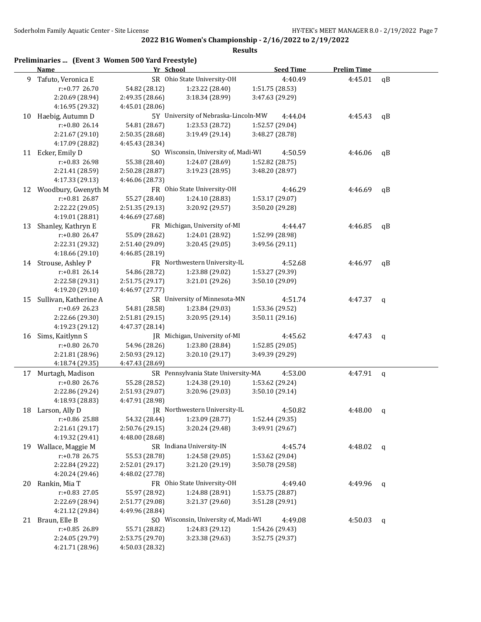|    | Preliminaries  (Event 3 Women 500 Yard Freestyle)<br><b>Name</b> | Yr School       |                                      | <b>Seed Time</b> | <b>Prelim Time</b> |              |
|----|------------------------------------------------------------------|-----------------|--------------------------------------|------------------|--------------------|--------------|
| 9  | Tafuto, Veronica E                                               |                 | SR Ohio State University-OH          | 4:40.49          | 4:45.01            | qB           |
|    | r:+0.77 26.70                                                    | 54.82 (28.12)   | 1:23.22 (28.40)                      | 1:51.75 (28.53)  |                    |              |
|    | 2:20.69 (28.94)                                                  | 2:49.35 (28.66) | 3:18.34 (28.99)                      | 3:47.63 (29.29)  |                    |              |
|    | 4:16.95 (29.32)                                                  | 4:45.01 (28.06) |                                      |                  |                    |              |
| 10 | Haebig, Autumn D                                                 |                 | 5Y University of Nebraska-Lincoln-MW | 4:44.04          | 4:45.43            | qB           |
|    | r:+0.80 26.14                                                    | 54.81 (28.67)   | 1:23.53 (28.72)                      | 1:52.57 (29.04)  |                    |              |
|    | 2:21.67 (29.10)                                                  | 2:50.35 (28.68) | 3:19.49 (29.14)                      | 3:48.27 (28.78)  |                    |              |
|    | 4:17.09 (28.82)                                                  | 4:45.43 (28.34) |                                      |                  |                    |              |
|    | 11 Ecker, Emily D                                                |                 | SO Wisconsin, University of, Madi-WI | 4:50.59          | 4:46.06            | qB           |
|    | r:+0.83 26.98                                                    | 55.38 (28.40)   | 1:24.07 (28.69)                      | 1:52.82 (28.75)  |                    |              |
|    | 2:21.41 (28.59)                                                  | 2:50.28 (28.87) | 3:19.23 (28.95)                      | 3:48.20 (28.97)  |                    |              |
|    | 4:17.33 (29.13)                                                  | 4:46.06 (28.73) |                                      |                  |                    |              |
|    | 12 Woodbury, Gwenyth M                                           |                 | FR Ohio State University-OH          | 4:46.29          | 4:46.69            | qB           |
|    | r:+0.81 26.87                                                    | 55.27 (28.40)   | 1:24.10 (28.83)                      | 1:53.17 (29.07)  |                    |              |
|    | 2:22.22 (29.05)                                                  | 2:51.35 (29.13) | 3:20.92 (29.57)                      | 3:50.20 (29.28)  |                    |              |
|    | 4:19.01 (28.81)                                                  | 4:46.69 (27.68) |                                      |                  |                    |              |
| 13 | Shanley, Kathryn E                                               |                 | FR Michigan, University of-MI        | 4:44.47          | 4:46.85            | qB           |
|    | $r: +0.80$ 26.47                                                 | 55.09 (28.62)   | 1:24.01 (28.92)                      | 1:52.99 (28.98)  |                    |              |
|    | 2:22.31 (29.32)                                                  | 2:51.40 (29.09) | 3:20.45 (29.05)                      | 3:49.56 (29.11)  |                    |              |
|    | 4:18.66 (29.10)                                                  | 4:46.85 (28.19) |                                      |                  |                    |              |
|    | 14 Strouse, Ashley P                                             |                 | FR Northwestern University-IL        | 4:52.68          | 4:46.97            | qB           |
|    | $r: +0.81$ 26.14                                                 | 54.86 (28.72)   | 1:23.88 (29.02)                      | 1:53.27 (29.39)  |                    |              |
|    | 2:22.58 (29.31)                                                  | 2:51.75 (29.17) | 3:21.01 (29.26)                      | 3:50.10 (29.09)  |                    |              |
|    | 4:19.20 (29.10)                                                  | 4:46.97 (27.77) |                                      |                  |                    |              |
| 15 | Sullivan, Katherine A                                            |                 | SR University of Minnesota-MN        | 4:51.74          | 4:47.37            | q            |
|    | $r: +0.69$ 26.23                                                 | 54.81 (28.58)   | 1:23.84 (29.03)                      | 1:53.36 (29.52)  |                    |              |
|    | 2:22.66 (29.30)                                                  | 2:51.81 (29.15) | 3:20.95 (29.14)                      | 3:50.11 (29.16)  |                    |              |
|    | 4:19.23 (29.12)                                                  | 4:47.37 (28.14) |                                      |                  |                    |              |
| 16 | Sims, Kaitlynn S                                                 |                 | JR Michigan, University of-MI        | 4:45.62          | 4:47.43            | q            |
|    | r:+0.80 26.70                                                    | 54.96 (28.26)   | 1:23.80 (28.84)                      | 1:52.85 (29.05)  |                    |              |
|    | 2:21.81 (28.96)                                                  | 2:50.93 (29.12) | 3:20.10 (29.17)                      | 3:49.39 (29.29)  |                    |              |
|    | 4:18.74 (29.35)                                                  | 4:47.43 (28.69) |                                      |                  |                    |              |
| 17 | Murtagh, Madison                                                 |                 | SR Pennsylvania State University-MA  | 4:53.00          | 4:47.91            | $\mathsf{q}$ |
|    | $r: +0.80$ 26.76                                                 | 55.28 (28.52)   | 1:24.38 (29.10)                      | 1:53.62 (29.24)  |                    |              |
|    | 2:22.86 (29.24)                                                  | 2:51.93 (29.07) | 3:20.96 (29.03)                      | 3:50.10 (29.14)  |                    |              |
|    | 4:18.93 (28.83)                                                  | 4:47.91 (28.98) |                                      |                  |                    |              |
| 18 | Larson, Ally D                                                   |                 | JR Northwestern University-IL        | 4:50.82          | 4:48.00            | $\mathbf{q}$ |
|    | r:+0.86 25.88                                                    | 54.32 (28.44)   | 1:23.09 (28.77)                      | 1:52.44 (29.35)  |                    |              |
|    | 2:21.61 (29.17)                                                  | 2:50.76 (29.15) | 3:20.24 (29.48)                      | 3:49.91 (29.67)  |                    |              |
|    | 4:19.32 (29.41)                                                  | 4:48.00 (28.68) |                                      |                  |                    |              |
| 19 | Wallace, Maggie M                                                |                 | SR Indiana University-IN             | 4:45.74          | 4:48.02            | q            |
|    | r:+0.78 26.75                                                    | 55.53 (28.78)   | 1:24.58 (29.05)                      | 1:53.62 (29.04)  |                    |              |
|    | 2:22.84 (29.22)                                                  | 2:52.01 (29.17) | 3:21.20 (29.19)                      | 3:50.78 (29.58)  |                    |              |
|    | 4:20.24 (29.46)                                                  | 4:48.02 (27.78) |                                      |                  |                    |              |
| 20 | Rankin, Mia T                                                    |                 | FR Ohio State University-OH          | 4:49.40          | 4:49.96            | q            |
|    | r:+0.83 27.05                                                    | 55.97 (28.92)   | 1:24.88 (28.91)                      | 1:53.75 (28.87)  |                    |              |
|    | 2:22.69 (28.94)                                                  | 2:51.77 (29.08) | 3:21.37 (29.60)                      | 3:51.28 (29.91)  |                    |              |
|    | 4:21.12 (29.84)                                                  | 4:49.96 (28.84) |                                      |                  |                    |              |
|    | 21 Braun, Elle B                                                 |                 | SO Wisconsin, University of, Madi-WI | 4:49.08          | 4:50.03            | q            |
|    | r:+0.85 26.89                                                    | 55.71 (28.82)   | 1:24.83 (29.12)                      | 1:54.26 (29.43)  |                    |              |
|    | 2:24.05 (29.79)                                                  | 2:53.75 (29.70) | 3:23.38 (29.63)                      | 3:52.75 (29.37)  |                    |              |
|    | 4:21.71 (28.96)                                                  | 4:50.03 (28.32) |                                      |                  |                    |              |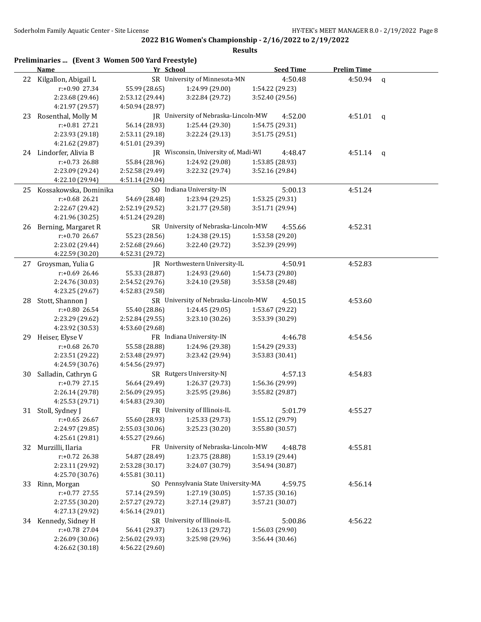| <b>Seed Time</b><br>SR University of Minnesota-MN<br>22 Kilgallon, Abigail L<br>4:50.48<br>4:50.94<br>r:+0.90 27.34<br>55.99 (28.65)<br>1:24.99 (29.00)<br>1:54.22 (29.23)<br>2:23.68 (29.46)<br>2:53.12 (29.44)<br>3:22.84 (29.72)<br>3:52.40 (29.56)<br>4:21.97 (29.57)<br>4:50.94 (28.97)<br>Rosenthal, Molly M<br>JR University of Nebraska-Lincoln-MW<br>4:52.00<br>4:51.01<br>23<br>r:+0.81 27.21<br>56.14 (28.93)<br>1:25.44 (29.30)<br>1:54.75 (29.31)<br>2:23.93 (29.18)<br>2:53.11 (29.18)<br>3:22.24 (29.13)<br>3:51.75 (29.51)<br>4:21.62 (29.87)<br>4:51.01 (29.39)<br>24 Lindorfer, Alivia B<br>JR Wisconsin, University of, Madi-WI<br>4:48.47<br>4:51.14<br>$r: +0.73$ 26.88<br>55.84 (28.96)<br>1:24.92 (29.08)<br>1:53.85 (28.93)<br>3:22.32 (29.74)<br>2:23.09 (29.24)<br>2:52.58 (29.49)<br>3:52.16 (29.84)<br>4:22.10 (29.94)<br>4:51.14 (29.04)<br>SO Indiana University-IN<br>25 Kossakowska, Dominika<br>5:00.13<br>4:51.24<br>$r: +0.68$ 26.21<br>54.69 (28.48)<br>1:23.94 (29.25)<br>1:53.25 (29.31)<br>2:22.67 (29.42)<br>2:52.19 (29.52)<br>3:21.77 (29.58)<br>3:51.71 (29.94)<br>4:21.96 (30.25)<br>4:51.24 (29.28)<br>SR University of Nebraska-Lincoln-MW<br>26 Berning, Margaret R<br>4:55.66<br>4:52.31<br>$r: +0.70$ 26.67<br>55.23 (28.56)<br>1:24.38 (29.15)<br>1:53.58 (29.20)<br>3:22.40 (29.72)<br>3:52.39 (29.99)<br>2:23.02 (29.44)<br>2:52.68 (29.66)<br>4:22.59 (30.20)<br>4:52.31 (29.72)<br>JR Northwestern University-IL<br>Groysman, Yulia G<br>4:50.91<br>27<br>4:52.83 | <b>Prelim Time</b> |
|-------------------------------------------------------------------------------------------------------------------------------------------------------------------------------------------------------------------------------------------------------------------------------------------------------------------------------------------------------------------------------------------------------------------------------------------------------------------------------------------------------------------------------------------------------------------------------------------------------------------------------------------------------------------------------------------------------------------------------------------------------------------------------------------------------------------------------------------------------------------------------------------------------------------------------------------------------------------------------------------------------------------------------------------------------------------------------------------------------------------------------------------------------------------------------------------------------------------------------------------------------------------------------------------------------------------------------------------------------------------------------------------------------------------------------------------------------------------------------------------------------------------------|--------------------|
|                                                                                                                                                                                                                                                                                                                                                                                                                                                                                                                                                                                                                                                                                                                                                                                                                                                                                                                                                                                                                                                                                                                                                                                                                                                                                                                                                                                                                                                                                                                         | $\mathbf q$        |
|                                                                                                                                                                                                                                                                                                                                                                                                                                                                                                                                                                                                                                                                                                                                                                                                                                                                                                                                                                                                                                                                                                                                                                                                                                                                                                                                                                                                                                                                                                                         |                    |
|                                                                                                                                                                                                                                                                                                                                                                                                                                                                                                                                                                                                                                                                                                                                                                                                                                                                                                                                                                                                                                                                                                                                                                                                                                                                                                                                                                                                                                                                                                                         |                    |
|                                                                                                                                                                                                                                                                                                                                                                                                                                                                                                                                                                                                                                                                                                                                                                                                                                                                                                                                                                                                                                                                                                                                                                                                                                                                                                                                                                                                                                                                                                                         |                    |
|                                                                                                                                                                                                                                                                                                                                                                                                                                                                                                                                                                                                                                                                                                                                                                                                                                                                                                                                                                                                                                                                                                                                                                                                                                                                                                                                                                                                                                                                                                                         | $\mathbf q$        |
|                                                                                                                                                                                                                                                                                                                                                                                                                                                                                                                                                                                                                                                                                                                                                                                                                                                                                                                                                                                                                                                                                                                                                                                                                                                                                                                                                                                                                                                                                                                         |                    |
|                                                                                                                                                                                                                                                                                                                                                                                                                                                                                                                                                                                                                                                                                                                                                                                                                                                                                                                                                                                                                                                                                                                                                                                                                                                                                                                                                                                                                                                                                                                         |                    |
|                                                                                                                                                                                                                                                                                                                                                                                                                                                                                                                                                                                                                                                                                                                                                                                                                                                                                                                                                                                                                                                                                                                                                                                                                                                                                                                                                                                                                                                                                                                         |                    |
|                                                                                                                                                                                                                                                                                                                                                                                                                                                                                                                                                                                                                                                                                                                                                                                                                                                                                                                                                                                                                                                                                                                                                                                                                                                                                                                                                                                                                                                                                                                         | $\mathbf{q}$       |
|                                                                                                                                                                                                                                                                                                                                                                                                                                                                                                                                                                                                                                                                                                                                                                                                                                                                                                                                                                                                                                                                                                                                                                                                                                                                                                                                                                                                                                                                                                                         |                    |
|                                                                                                                                                                                                                                                                                                                                                                                                                                                                                                                                                                                                                                                                                                                                                                                                                                                                                                                                                                                                                                                                                                                                                                                                                                                                                                                                                                                                                                                                                                                         |                    |
|                                                                                                                                                                                                                                                                                                                                                                                                                                                                                                                                                                                                                                                                                                                                                                                                                                                                                                                                                                                                                                                                                                                                                                                                                                                                                                                                                                                                                                                                                                                         |                    |
|                                                                                                                                                                                                                                                                                                                                                                                                                                                                                                                                                                                                                                                                                                                                                                                                                                                                                                                                                                                                                                                                                                                                                                                                                                                                                                                                                                                                                                                                                                                         |                    |
|                                                                                                                                                                                                                                                                                                                                                                                                                                                                                                                                                                                                                                                                                                                                                                                                                                                                                                                                                                                                                                                                                                                                                                                                                                                                                                                                                                                                                                                                                                                         |                    |
|                                                                                                                                                                                                                                                                                                                                                                                                                                                                                                                                                                                                                                                                                                                                                                                                                                                                                                                                                                                                                                                                                                                                                                                                                                                                                                                                                                                                                                                                                                                         |                    |
|                                                                                                                                                                                                                                                                                                                                                                                                                                                                                                                                                                                                                                                                                                                                                                                                                                                                                                                                                                                                                                                                                                                                                                                                                                                                                                                                                                                                                                                                                                                         |                    |
|                                                                                                                                                                                                                                                                                                                                                                                                                                                                                                                                                                                                                                                                                                                                                                                                                                                                                                                                                                                                                                                                                                                                                                                                                                                                                                                                                                                                                                                                                                                         |                    |
|                                                                                                                                                                                                                                                                                                                                                                                                                                                                                                                                                                                                                                                                                                                                                                                                                                                                                                                                                                                                                                                                                                                                                                                                                                                                                                                                                                                                                                                                                                                         |                    |
|                                                                                                                                                                                                                                                                                                                                                                                                                                                                                                                                                                                                                                                                                                                                                                                                                                                                                                                                                                                                                                                                                                                                                                                                                                                                                                                                                                                                                                                                                                                         |                    |
|                                                                                                                                                                                                                                                                                                                                                                                                                                                                                                                                                                                                                                                                                                                                                                                                                                                                                                                                                                                                                                                                                                                                                                                                                                                                                                                                                                                                                                                                                                                         |                    |
|                                                                                                                                                                                                                                                                                                                                                                                                                                                                                                                                                                                                                                                                                                                                                                                                                                                                                                                                                                                                                                                                                                                                                                                                                                                                                                                                                                                                                                                                                                                         |                    |
| $r: +0.69$ 26.46<br>55.33 (28.87)<br>1:24.93 (29.60)<br>1:54.73 (29.80)                                                                                                                                                                                                                                                                                                                                                                                                                                                                                                                                                                                                                                                                                                                                                                                                                                                                                                                                                                                                                                                                                                                                                                                                                                                                                                                                                                                                                                                 |                    |
| 3:24.10 (29.58)<br>3:53.58 (29.48)<br>2:24.76 (30.03)<br>2:54.52 (29.76)                                                                                                                                                                                                                                                                                                                                                                                                                                                                                                                                                                                                                                                                                                                                                                                                                                                                                                                                                                                                                                                                                                                                                                                                                                                                                                                                                                                                                                                |                    |
| 4:23.25 (29.67)<br>4:52.83 (29.58)                                                                                                                                                                                                                                                                                                                                                                                                                                                                                                                                                                                                                                                                                                                                                                                                                                                                                                                                                                                                                                                                                                                                                                                                                                                                                                                                                                                                                                                                                      |                    |
| SR University of Nebraska-Lincoln-MW<br>Stott, Shannon J<br>4:50.15<br>4:53.60<br>28                                                                                                                                                                                                                                                                                                                                                                                                                                                                                                                                                                                                                                                                                                                                                                                                                                                                                                                                                                                                                                                                                                                                                                                                                                                                                                                                                                                                                                    |                    |
| r:+0.80 26.54<br>55.40 (28.86)<br>1:24.45 (29.05)<br>1:53.67 (29.22)                                                                                                                                                                                                                                                                                                                                                                                                                                                                                                                                                                                                                                                                                                                                                                                                                                                                                                                                                                                                                                                                                                                                                                                                                                                                                                                                                                                                                                                    |                    |
| 2:23.29 (29.62)<br>2:52.84 (29.55)<br>3:23.10 (30.26)<br>3:53.39 (30.29)                                                                                                                                                                                                                                                                                                                                                                                                                                                                                                                                                                                                                                                                                                                                                                                                                                                                                                                                                                                                                                                                                                                                                                                                                                                                                                                                                                                                                                                |                    |
| 4:23.92 (30.53)<br>4:53.60 (29.68)                                                                                                                                                                                                                                                                                                                                                                                                                                                                                                                                                                                                                                                                                                                                                                                                                                                                                                                                                                                                                                                                                                                                                                                                                                                                                                                                                                                                                                                                                      |                    |
| Heiser, Elyse V<br>FR Indiana University-IN<br>4:46.78<br>29<br>4:54.56                                                                                                                                                                                                                                                                                                                                                                                                                                                                                                                                                                                                                                                                                                                                                                                                                                                                                                                                                                                                                                                                                                                                                                                                                                                                                                                                                                                                                                                 |                    |
| r:+0.68 26.70<br>1:54.29 (29.33)<br>55.58 (28.88)<br>1:24.96 (29.38)                                                                                                                                                                                                                                                                                                                                                                                                                                                                                                                                                                                                                                                                                                                                                                                                                                                                                                                                                                                                                                                                                                                                                                                                                                                                                                                                                                                                                                                    |                    |
| 3:23.42 (29.94)<br>3:53.83 (30.41)<br>2:23.51 (29.22)<br>2:53.48 (29.97)                                                                                                                                                                                                                                                                                                                                                                                                                                                                                                                                                                                                                                                                                                                                                                                                                                                                                                                                                                                                                                                                                                                                                                                                                                                                                                                                                                                                                                                |                    |
| 4:24.59 (30.76)<br>4:54.56 (29.97)                                                                                                                                                                                                                                                                                                                                                                                                                                                                                                                                                                                                                                                                                                                                                                                                                                                                                                                                                                                                                                                                                                                                                                                                                                                                                                                                                                                                                                                                                      |                    |
| SR Rutgers University-NJ<br>Salladin, Cathryn G<br>4:57.13<br>4:54.83<br>30                                                                                                                                                                                                                                                                                                                                                                                                                                                                                                                                                                                                                                                                                                                                                                                                                                                                                                                                                                                                                                                                                                                                                                                                                                                                                                                                                                                                                                             |                    |
| r:+0.79 27.15<br>56.64 (29.49)<br>1:26.37 (29.73)<br>1:56.36 (29.99)                                                                                                                                                                                                                                                                                                                                                                                                                                                                                                                                                                                                                                                                                                                                                                                                                                                                                                                                                                                                                                                                                                                                                                                                                                                                                                                                                                                                                                                    |                    |
| 2:26.14 (29.78)<br>2:56.09 (29.95)<br>3:25.95 (29.86)<br>3:55.82 (29.87)                                                                                                                                                                                                                                                                                                                                                                                                                                                                                                                                                                                                                                                                                                                                                                                                                                                                                                                                                                                                                                                                                                                                                                                                                                                                                                                                                                                                                                                |                    |
| 4:25.53 (29.71)<br>4:54.83 (29.30)                                                                                                                                                                                                                                                                                                                                                                                                                                                                                                                                                                                                                                                                                                                                                                                                                                                                                                                                                                                                                                                                                                                                                                                                                                                                                                                                                                                                                                                                                      |                    |
| Stoll, Sydney J<br>FR University of Illinois-IL<br>5:01.79<br>31<br>4:55.27                                                                                                                                                                                                                                                                                                                                                                                                                                                                                                                                                                                                                                                                                                                                                                                                                                                                                                                                                                                                                                                                                                                                                                                                                                                                                                                                                                                                                                             |                    |
| 1:25.33 (29.73)<br>$r: +0.65$ 26.67<br>55.60 (28.93)<br>1:55.12 (29.79)                                                                                                                                                                                                                                                                                                                                                                                                                                                                                                                                                                                                                                                                                                                                                                                                                                                                                                                                                                                                                                                                                                                                                                                                                                                                                                                                                                                                                                                 |                    |
| 3:25.23 (30.20)<br>3:55.80 (30.57)<br>2:24.97 (29.85)<br>2:55.03 (30.06)                                                                                                                                                                                                                                                                                                                                                                                                                                                                                                                                                                                                                                                                                                                                                                                                                                                                                                                                                                                                                                                                                                                                                                                                                                                                                                                                                                                                                                                |                    |
| 4:25.61 (29.81)<br>4:55.27 (29.66)                                                                                                                                                                                                                                                                                                                                                                                                                                                                                                                                                                                                                                                                                                                                                                                                                                                                                                                                                                                                                                                                                                                                                                                                                                                                                                                                                                                                                                                                                      |                    |
| FR University of Nebraska-Lincoln-MW<br>Murzilli, Ilaria<br>4:48.78<br>4:55.81<br>32                                                                                                                                                                                                                                                                                                                                                                                                                                                                                                                                                                                                                                                                                                                                                                                                                                                                                                                                                                                                                                                                                                                                                                                                                                                                                                                                                                                                                                    |                    |
| r:+0.72 26.38<br>1:23.75 (28.88)<br>54.87 (28.49)<br>1:53.19 (29.44)                                                                                                                                                                                                                                                                                                                                                                                                                                                                                                                                                                                                                                                                                                                                                                                                                                                                                                                                                                                                                                                                                                                                                                                                                                                                                                                                                                                                                                                    |                    |
| 3:24.07 (30.79)<br>2:23.11 (29.92)<br>2:53.28 (30.17)<br>3:54.94 (30.87)                                                                                                                                                                                                                                                                                                                                                                                                                                                                                                                                                                                                                                                                                                                                                                                                                                                                                                                                                                                                                                                                                                                                                                                                                                                                                                                                                                                                                                                |                    |
| 4:25.70 (30.76)<br>4:55.81 (30.11)                                                                                                                                                                                                                                                                                                                                                                                                                                                                                                                                                                                                                                                                                                                                                                                                                                                                                                                                                                                                                                                                                                                                                                                                                                                                                                                                                                                                                                                                                      |                    |
| SO Pennsylvania State University-MA<br>4:59.75<br>4:56.14<br>33<br>Rinn, Morgan                                                                                                                                                                                                                                                                                                                                                                                                                                                                                                                                                                                                                                                                                                                                                                                                                                                                                                                                                                                                                                                                                                                                                                                                                                                                                                                                                                                                                                         |                    |
| 1:27.19 (30.05)<br>$r: +0.77$ 27.55<br>57.14 (29.59)<br>1:57.35(30.16)                                                                                                                                                                                                                                                                                                                                                                                                                                                                                                                                                                                                                                                                                                                                                                                                                                                                                                                                                                                                                                                                                                                                                                                                                                                                                                                                                                                                                                                  |                    |
| 2:27.55 (30.20)<br>2:57.27 (29.72)<br>3:27.14 (29.87)<br>3:57.21 (30.07)                                                                                                                                                                                                                                                                                                                                                                                                                                                                                                                                                                                                                                                                                                                                                                                                                                                                                                                                                                                                                                                                                                                                                                                                                                                                                                                                                                                                                                                |                    |
| 4:27.13 (29.92)<br>4:56.14 (29.01)                                                                                                                                                                                                                                                                                                                                                                                                                                                                                                                                                                                                                                                                                                                                                                                                                                                                                                                                                                                                                                                                                                                                                                                                                                                                                                                                                                                                                                                                                      |                    |
| SR University of Illinois-IL<br>34 Kennedy, Sidney H<br>5:00.86<br>4:56.22                                                                                                                                                                                                                                                                                                                                                                                                                                                                                                                                                                                                                                                                                                                                                                                                                                                                                                                                                                                                                                                                                                                                                                                                                                                                                                                                                                                                                                              |                    |
| r:+0.78 27.04<br>1:26.13 (29.72)<br>1:56.03 (29.90)<br>56.41 (29.37)                                                                                                                                                                                                                                                                                                                                                                                                                                                                                                                                                                                                                                                                                                                                                                                                                                                                                                                                                                                                                                                                                                                                                                                                                                                                                                                                                                                                                                                    |                    |
| 2:26.09 (30.06)<br>2:56.02 (29.93)<br>3:25.98 (29.96)<br>3:56.44 (30.46)                                                                                                                                                                                                                                                                                                                                                                                                                                                                                                                                                                                                                                                                                                                                                                                                                                                                                                                                                                                                                                                                                                                                                                                                                                                                                                                                                                                                                                                |                    |
| 4:26.62 (30.18)<br>4:56.22 (29.60)                                                                                                                                                                                                                                                                                                                                                                                                                                                                                                                                                                                                                                                                                                                                                                                                                                                                                                                                                                                                                                                                                                                                                                                                                                                                                                                                                                                                                                                                                      |                    |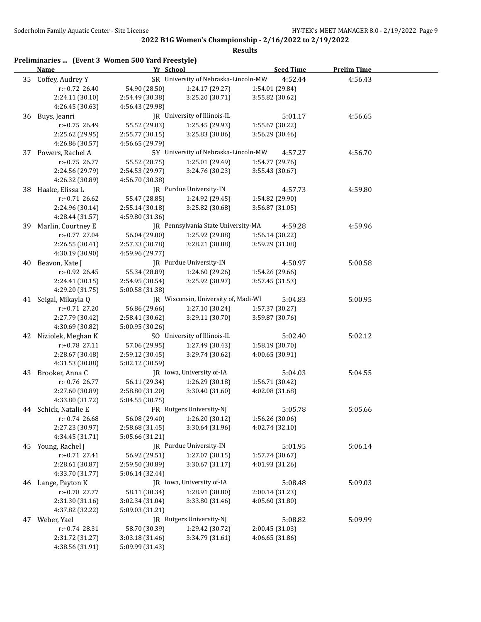|    | Preliminaries  (Event 3 Women 500 Yard Freestyle)<br><b>Name</b> | Yr School       |                                      | <b>Seed Time</b> | <b>Prelim Time</b> |
|----|------------------------------------------------------------------|-----------------|--------------------------------------|------------------|--------------------|
| 35 | Coffey, Audrey Y                                                 |                 | SR University of Nebraska-Lincoln-MW | 4:52.44          | 4:56.43            |
|    | $r: +0.72$ 26.40                                                 | 54.90 (28.50)   | 1:24.17 (29.27)                      | 1:54.01 (29.84)  |                    |
|    | 2:24.11 (30.10)                                                  | 2:54.49 (30.38) | 3:25.20 (30.71)                      | 3:55.82 (30.62)  |                    |
|    | 4:26.45 (30.63)                                                  | 4:56.43 (29.98) |                                      |                  |                    |
| 36 | Buys, Jeanri                                                     |                 | JR University of Illinois-IL         | 5:01.17          | 4:56.65            |
|    | r:+0.75 26.49                                                    | 55.52 (29.03)   | 1:25.45 (29.93)                      | 1:55.67 (30.22)  |                    |
|    | 2:25.62 (29.95)                                                  | 2:55.77 (30.15) | 3:25.83 (30.06)                      | 3:56.29 (30.46)  |                    |
|    | 4:26.86 (30.57)                                                  | 4:56.65 (29.79) |                                      |                  |                    |
| 37 | Powers, Rachel A                                                 |                 | 5Y University of Nebraska-Lincoln-MW | 4:57.27          | 4:56.70            |
|    | $r: +0.75$ 26.77                                                 | 55.52 (28.75)   | 1:25.01 (29.49)                      | 1:54.77 (29.76)  |                    |
|    | 2:24.56 (29.79)                                                  | 2:54.53 (29.97) | 3:24.76 (30.23)                      | 3:55.43 (30.67)  |                    |
|    | 4:26.32 (30.89)                                                  | 4:56.70 (30.38) |                                      |                  |                    |
| 38 | Haake, Elissa L                                                  |                 | JR Purdue University-IN              | 4:57.73          | 4:59.80            |
|    | $r: +0.71$ 26.62                                                 | 55.47 (28.85)   | 1:24.92 (29.45)                      | 1:54.82 (29.90)  |                    |
|    | 2:24.96 (30.14)                                                  | 2:55.14 (30.18) | 3:25.82 (30.68)                      | 3:56.87 (31.05)  |                    |
|    | 4:28.44 (31.57)                                                  | 4:59.80 (31.36) |                                      |                  |                    |
| 39 | Marlin, Courtney E                                               |                 | JR Pennsylvania State University-MA  | 4:59.28          | 4:59.96            |
|    | $r: +0.77$ 27.04                                                 | 56.04 (29.00)   | 1:25.92 (29.88)                      | 1:56.14 (30.22)  |                    |
|    | 2:26.55 (30.41)                                                  | 2:57.33 (30.78) | 3:28.21 (30.88)                      | 3:59.29 (31.08)  |                    |
|    |                                                                  |                 |                                      |                  |                    |
|    | 4:30.19 (30.90)<br>Beavon, Kate J                                | 4:59.96 (29.77) | JR Purdue University-IN              |                  |                    |
| 40 |                                                                  |                 |                                      | 4:50.97          | 5:00.58            |
|    | r:+0.92 26.45                                                    | 55.34 (28.89)   | 1:24.60 (29.26)                      | 1:54.26 (29.66)  |                    |
|    | 2:24.41 (30.15)                                                  | 2:54.95 (30.54) | 3:25.92 (30.97)                      | 3:57.45 (31.53)  |                    |
|    | 4:29.20 (31.75)                                                  | 5:00.58 (31.38) |                                      |                  |                    |
|    | 41 Seigal, Mikayla Q                                             |                 | JR Wisconsin, University of, Madi-WI | 5:04.83          | 5:00.95            |
|    | $r: +0.71$ 27.20                                                 | 56.86 (29.66)   | 1:27.10 (30.24)                      | 1:57.37 (30.27)  |                    |
|    | 2:27.79 (30.42)                                                  | 2:58.41 (30.62) | 3:29.11 (30.70)                      | 3:59.87 (30.76)  |                    |
|    | 4:30.69 (30.82)                                                  | 5:00.95 (30.26) |                                      |                  |                    |
|    | 42 Niziolek, Meghan K                                            |                 | SO University of Illinois-IL         | 5:02.40          | 5:02.12            |
|    | $r: +0.78$ 27.11                                                 | 57.06 (29.95)   | 1:27.49 (30.43)                      | 1:58.19 (30.70)  |                    |
|    | 2:28.67 (30.48)                                                  | 2:59.12 (30.45) | 3:29.74 (30.62)                      | 4:00.65 (30.91)  |                    |
|    | 4:31.53 (30.88)                                                  | 5:02.12 (30.59) |                                      |                  |                    |
| 43 | Brooker, Anna C                                                  |                 | JR Iowa, University of-IA            | 5:04.03          | 5:04.55            |
|    | r:+0.76 26.77                                                    | 56.11 (29.34)   | 1:26.29 (30.18)                      | 1:56.71 (30.42)  |                    |
|    | 2:27.60 (30.89)                                                  | 2:58.80 (31.20) | 3:30.40 (31.60)                      | 4:02.08 (31.68)  |                    |
|    | 4:33.80 (31.72)                                                  | 5:04.55 (30.75) |                                      |                  |                    |
| 44 | Schick, Natalie E                                                |                 | FR Rutgers University-NJ             | 5:05.78          | 5:05.66            |
|    | $r: +0.74$ 26.68                                                 | 56.08 (29.40)   | 1:26.20 (30.12)                      | 1:56.26 (30.06)  |                    |
|    | 2:27.23 (30.97)                                                  | 2:58.68 (31.45) | 3:30.64 (31.96)                      | 4:02.74 (32.10)  |                    |
|    | 4:34.45 (31.71)                                                  | 5:05.66 (31.21) |                                      |                  |                    |
|    | 45 Young, Rachel J                                               |                 | JR Purdue University-IN              | 5:01.95          | 5:06.14            |
|    | $r: +0.71$ 27.41                                                 | 56.92 (29.51)   | 1:27.07 (30.15)                      | 1:57.74 (30.67)  |                    |
|    | 2:28.61 (30.87)                                                  | 2:59.50 (30.89) | 3:30.67 (31.17)                      | 4:01.93 (31.26)  |                    |
|    | 4:33.70 (31.77)                                                  | 5:06.14 (32.44) |                                      |                  |                    |
| 46 | Lange, Payton K                                                  |                 | JR Iowa, University of-IA            | 5:08.48          | 5:09.03            |
|    | r:+0.78 27.77                                                    | 58.11 (30.34)   | 1:28.91 (30.80)                      | 2:00.14 (31.23)  |                    |
|    | 2:31.30 (31.16)                                                  | 3:02.34 (31.04) | 3:33.80 (31.46)                      | 4:05.60 (31.80)  |                    |
|    | 4:37.82 (32.22)                                                  | 5:09.03 (31.21) |                                      |                  |                    |
| 47 | Weber, Yael                                                      |                 | JR Rutgers University-NJ             | 5:08.82          | 5:09.99            |
|    | $r: +0.74$ 28.31                                                 | 58.70 (30.39)   | 1:29.42 (30.72)                      | 2:00.45 (31.03)  |                    |
|    | 2:31.72 (31.27)                                                  | 3:03.18 (31.46) | 3:34.79 (31.61)                      | 4:06.65 (31.86)  |                    |
|    | 4:38.56 (31.91)                                                  | 5:09.99 (31.43) |                                      |                  |                    |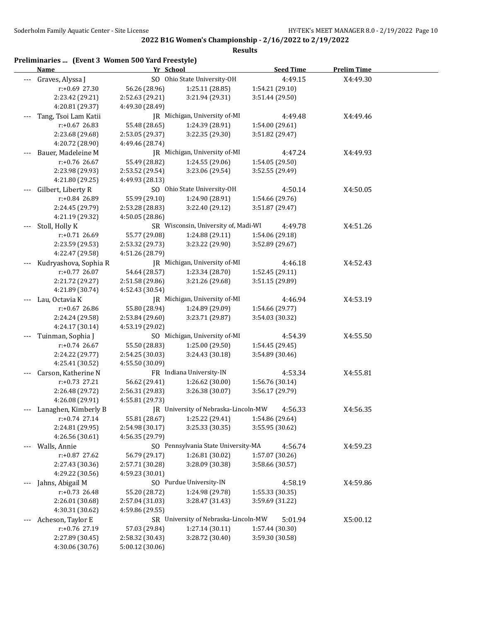|     | Preliminaries  (Event 3 Women 500 Yard Freestyle)<br>Name | Yr School       |                                      |                 | <b>Seed Time</b> | <b>Prelim Time</b> |  |
|-----|-----------------------------------------------------------|-----------------|--------------------------------------|-----------------|------------------|--------------------|--|
| --- | Graves, Alyssa J                                          |                 | SO Ohio State University-OH          |                 | 4:49.15          | X4:49.30           |  |
|     | r:+0.69 27.30                                             | 56.26 (28.96)   | 1:25.11 (28.85)                      | 1:54.21 (29.10) |                  |                    |  |
|     | 2:23.42 (29.21)                                           | 2:52.63 (29.21) | 3:21.94 (29.31)                      | 3:51.44 (29.50) |                  |                    |  |
|     | 4:20.81 (29.37)                                           | 4:49.30 (28.49) |                                      |                 |                  |                    |  |
|     | Tang, Tsoi Lam Katii                                      |                 | JR Michigan, University of-MI        |                 | 4:49.48          | X4:49.46           |  |
|     | $r: +0.67$ 26.83                                          | 55.48 (28.65)   | 1:24.39 (28.91)                      | 1:54.00 (29.61) |                  |                    |  |
|     | 2:23.68 (29.68)                                           | 2:53.05 (29.37) | 3:22.35 (29.30)                      | 3:51.82 (29.47) |                  |                    |  |
|     | 4:20.72 (28.90)                                           | 4:49.46 (28.74) |                                      |                 |                  |                    |  |
|     | Bauer, Madeleine M                                        |                 | JR Michigan, University of-MI        |                 | 4:47.24          | X4:49.93           |  |
|     | r:+0.76 26.67                                             | 55.49 (28.82)   | 1:24.55 (29.06)                      | 1:54.05 (29.50) |                  |                    |  |
|     | 2:23.98 (29.93)                                           | 2:53.52 (29.54) | 3:23.06 (29.54)                      | 3:52.55 (29.49) |                  |                    |  |
|     | 4:21.80 (29.25)                                           | 4:49.93 (28.13) |                                      |                 |                  |                    |  |
|     | Gilbert, Liberty R                                        |                 | SO Ohio State University-OH          |                 | 4:50.14          | X4:50.05           |  |
|     | r:+0.84 26.89                                             | 55.99 (29.10)   | 1:24.90 (28.91)                      | 1:54.66 (29.76) |                  |                    |  |
|     | 2:24.45 (29.79)                                           | 2:53.28 (28.83) | 3:22.40 (29.12)                      | 3:51.87 (29.47) |                  |                    |  |
|     | 4:21.19 (29.32)                                           | 4:50.05 (28.86) |                                      |                 |                  |                    |  |
|     | Stoll, Holly K                                            |                 | SR Wisconsin, University of, Madi-WI |                 | 4:49.78          | X4:51.26           |  |
|     | r:+0.71 26.69                                             | 55.77 (29.08)   | 1:24.88 (29.11)                      | 1:54.06 (29.18) |                  |                    |  |
|     | 2:23.59 (29.53)                                           | 2:53.32 (29.73) | 3:23.22 (29.90)                      | 3:52.89 (29.67) |                  |                    |  |
|     | 4:22.47 (29.58)                                           | 4:51.26 (28.79) |                                      |                 |                  |                    |  |
|     | Kudryashova, Sophia R                                     |                 | JR Michigan, University of-MI        |                 | 4:46.18          | X4:52.43           |  |
|     | r:+0.77 26.07                                             | 54.64 (28.57)   | 1:23.34 (28.70)                      | 1:52.45 (29.11) |                  |                    |  |
|     | 2:21.72 (29.27)                                           | 2:51.58 (29.86) | 3:21.26 (29.68)                      | 3:51.15 (29.89) |                  |                    |  |
|     | 4:21.89 (30.74)                                           | 4:52.43 (30.54) |                                      |                 |                  |                    |  |
|     | Lau, Octavia K                                            |                 | JR Michigan, University of-MI        |                 | 4:46.94          | X4:53.19           |  |
|     | r:+0.67 26.86                                             | 55.80 (28.94)   | 1:24.89 (29.09)                      | 1:54.66 (29.77) |                  |                    |  |
|     | 2:24.24 (29.58)                                           | 2:53.84 (29.60) | 3:23.71 (29.87)                      | 3:54.03 (30.32) |                  |                    |  |
|     | 4:24.17 (30.14)                                           | 4:53.19 (29.02) |                                      |                 |                  |                    |  |
| --- | Tuinman, Sophia J                                         |                 | SO Michigan, University of-MI        |                 | 4:54.39          | X4:55.50           |  |
|     | $r: +0.74$ 26.67                                          | 55.50 (28.83)   | 1:25.00 (29.50)                      | 1:54.45 (29.45) |                  |                    |  |
|     | 2:24.22 (29.77)                                           | 2:54.25 (30.03) | 3:24.43 (30.18)                      | 3:54.89 (30.46) |                  |                    |  |
|     | 4:25.41 (30.52)                                           | 4:55.50 (30.09) |                                      |                 |                  |                    |  |
|     | Carson, Katherine N                                       |                 | FR Indiana University-IN             |                 | 4:53.34          | X4:55.81           |  |
|     | $r: +0.73$ 27.21                                          | 56.62 (29.41)   | 1:26.62 (30.00)                      | 1:56.76 (30.14) |                  |                    |  |
|     | 2:26.48 (29.72)                                           | 2:56.31 (29.83) | 3:26.38 (30.07)                      | 3:56.17 (29.79) |                  |                    |  |
|     | 4:26.08 (29.91)                                           | 4:55.81 (29.73) |                                      |                 |                  |                    |  |
|     | Lanaghen, Kimberly B                                      |                 | JR University of Nebraska-Lincoln-MW |                 | 4:56.33          | X4:56.35           |  |
|     | $r: +0.74$ 27.14                                          | 55.81 (28.67)   | 1:25.22 (29.41)                      | 1:54.86 (29.64) |                  |                    |  |
|     | 2:24.81 (29.95)                                           | 2:54.98 (30.17) | 3:25.33 (30.35)                      | 3:55.95 (30.62) |                  |                    |  |
|     | 4:26.56 (30.61)                                           | 4:56.35 (29.79) |                                      |                 |                  |                    |  |
|     | Walls, Annie                                              |                 | SO Pennsylvania State University-MA  |                 | 4:56.74          | X4:59.23           |  |
|     | r:+0.87 27.62                                             | 56.79 (29.17)   | 1:26.81 (30.02)                      | 1:57.07 (30.26) |                  |                    |  |
|     | 2:27.43 (30.36)                                           | 2:57.71 (30.28) | 3:28.09 (30.38)                      | 3:58.66 (30.57) |                  |                    |  |
|     | 4:29.22 (30.56)                                           | 4:59.23 (30.01) |                                      |                 |                  |                    |  |
|     | Jahns, Abigail M                                          |                 | SO Purdue University-IN              |                 | 4:58.19          | X4:59.86           |  |
|     | r:+0.73 26.48                                             | 55.20 (28.72)   | 1:24.98 (29.78)                      | 1:55.33 (30.35) |                  |                    |  |
|     | 2:26.01 (30.68)                                           | 2:57.04 (31.03) | 3:28.47 (31.43)                      | 3:59.69 (31.22) |                  |                    |  |
|     | 4:30.31 (30.62)                                           | 4:59.86 (29.55) |                                      |                 |                  |                    |  |
|     | Acheson, Taylor E                                         |                 | SR University of Nebraska-Lincoln-MW |                 | 5:01.94          | X5:00.12           |  |
|     | r:+0.76 27.19                                             | 57.03 (29.84)   | 1:27.14 (30.11)                      | 1:57.44 (30.30) |                  |                    |  |
|     | 2:27.89 (30.45)                                           | 2:58.32 (30.43) | 3:28.72 (30.40)                      | 3:59.30 (30.58) |                  |                    |  |
|     | 4:30.06 (30.76)                                           | 5:00.12 (30.06) |                                      |                 |                  |                    |  |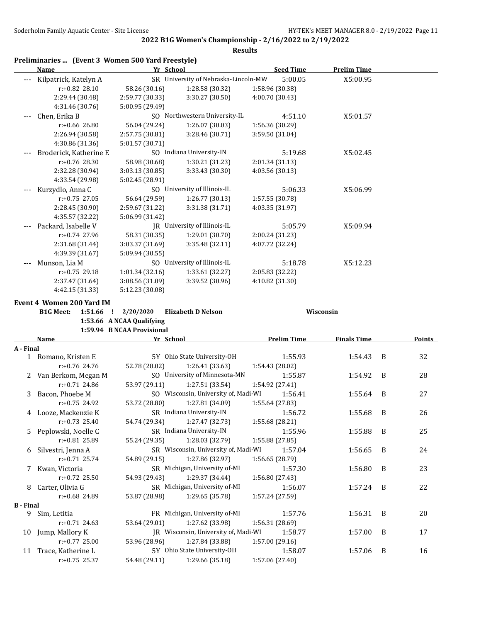|                  | Preliminaries  (Event 3 Women 500 Yard Freestyle)<br>Name | Yr School                  |                                      | <b>Seed Time</b>   | <b>Prelim Time</b> |   |        |
|------------------|-----------------------------------------------------------|----------------------------|--------------------------------------|--------------------|--------------------|---|--------|
|                  | Kilpatrick, Katelyn A                                     |                            | SR University of Nebraska-Lincoln-MW | 5:00.05            | X5:00.95           |   |        |
|                  | $r: +0.82$ 28.10                                          | 58.26 (30.16)              | 1:28.58 (30.32)                      | 1:58.96 (30.38)    |                    |   |        |
|                  | 2:29.44 (30.48)                                           | 2:59.77 (30.33)            | 3:30.27 (30.50)                      | 4:00.70 (30.43)    |                    |   |        |
|                  | 4:31.46 (30.76)                                           | 5:00.95 (29.49)            |                                      |                    |                    |   |        |
|                  | Chen, Erika B                                             |                            | SO Northwestern University-IL        | 4:51.10            | X5:01.57           |   |        |
|                  | r:+0.66 26.80                                             | 56.04 (29.24)              | 1:26.07 (30.03)                      | 1:56.36 (30.29)    |                    |   |        |
|                  | 2:26.94 (30.58)                                           | 2:57.75 (30.81)            | 3:28.46 (30.71)                      | 3:59.50 (31.04)    |                    |   |        |
|                  | 4:30.86 (31.36)                                           | 5:01.57 (30.71)            |                                      |                    |                    |   |        |
|                  | Broderick, Katherine E                                    |                            | SO Indiana University-IN             | 5:19.68            | X5:02.45           |   |        |
|                  | r:+0.76 28.30                                             | 58.98 (30.68)              | 1:30.21 (31.23)                      | 2:01.34 (31.13)    |                    |   |        |
|                  | 2:32.28 (30.94)                                           | 3:03.13 (30.85)            | 3:33.43 (30.30)                      | 4:03.56 (30.13)    |                    |   |        |
|                  | 4:33.54 (29.98)                                           | 5:02.45 (28.91)            |                                      |                    |                    |   |        |
|                  | Kurzydlo, Anna C                                          |                            | SO University of Illinois-IL         | 5:06.33            | X5:06.99           |   |        |
|                  | r:+0.75 27.05                                             | 56.64 (29.59)              | 1:26.77 (30.13)                      | 1:57.55 (30.78)    |                    |   |        |
|                  | 2:28.45 (30.90)                                           | 2:59.67 (31.22)            | 3:31.38 (31.71)                      | 4:03.35 (31.97)    |                    |   |        |
|                  | 4:35.57 (32.22)                                           | 5:06.99 (31.42)            |                                      |                    |                    |   |        |
|                  | Packard, Isabelle V                                       |                            | JR University of Illinois-IL         | 5:05.79            | X5:09.94           |   |        |
|                  | $r: +0.74$ 27.96                                          | 58.31 (30.35)              | 1:29.01 (30.70)                      | 2:00.24 (31.23)    |                    |   |        |
|                  | 2:31.68 (31.44)                                           | 3:03.37 (31.69)            | 3:35.48 (32.11)                      | 4:07.72 (32.24)    |                    |   |        |
|                  | 4:39.39 (31.67)                                           | 5:09.94 (30.55)            |                                      |                    |                    |   |        |
|                  | Munson, Lia M                                             |                            | SO University of Illinois-IL         | 5:18.78            | X5:12.23           |   |        |
|                  | r:+0.75 29.18                                             | 1:01.34 (32.16)            | 1:33.61 (32.27)                      | 2:05.83 (32.22)    |                    |   |        |
|                  | 2:37.47 (31.64)                                           | 3:08.56 (31.09)            | 3:39.52 (30.96)                      | 4:10.82 (31.30)    |                    |   |        |
|                  | 4:42.15 (31.33)                                           | 5:12.23 (30.08)            |                                      |                    |                    |   |        |
|                  | <b>Event 4 Women 200 Yard IM</b>                          |                            |                                      |                    |                    |   |        |
|                  | 1:51.66<br><b>B1G Meet:</b><br>-1                         | 2/20/2020                  | <b>Elizabeth D Nelson</b>            |                    | Wisconsin          |   |        |
|                  |                                                           | 1:53.66 A NCAA Qualifying  |                                      |                    |                    |   |        |
|                  |                                                           | 1:59.94 B NCAA Provisional |                                      |                    |                    |   |        |
|                  | Name                                                      | Yr School                  |                                      | <b>Prelim Time</b> | <b>Finals Time</b> |   | Points |
| A - Final        |                                                           |                            |                                      |                    |                    |   |        |
| 1                | Romano, Kristen E                                         |                            | 5Y Ohio State University-OH          | 1:55.93            | 1:54.43            | B | 32     |
|                  | $r: +0.76$ 24.76                                          | 52.78 (28.02)              | 1:26.41 (33.63)                      | 1:54.43 (28.02)    |                    |   |        |
|                  | 2 Van Berkom, Megan M                                     |                            | SO University of Minnesota-MN        | 1:55.87            | 1:54.92            | B | 28     |
|                  | $r: +0.71$ 24.86                                          | 53.97 (29.11)              | 1:27.51 (33.54)                      | 1:54.92 (27.41)    |                    |   |        |
| 3                | Bacon, Phoebe M                                           |                            | SO Wisconsin, University of, Madi-WI | 1:56.41            | 1:55.64            | B | 27     |
|                  | $r: +0.75$ 24.92                                          | 53.72 (28.80)              | 1:27.81 (34.09)                      | 1:55.64 (27.83)    |                    |   |        |
|                  | 4 Looze, Mackenzie K                                      |                            | SR Indiana University-IN             | 1:56.72            | 1:55.68            | B | 26     |
|                  | $r: +0.73$ 25.40                                          | 54.74 (29.34)              | 1:27.47 (32.73)                      | 1:55.68 (28.21)    |                    |   |        |
| 5                | Peplowski, Noelle C                                       |                            | SR Indiana University-IN             | 1:55.96            | 1:55.88            | B | 25     |
|                  | r:+0.81 25.89                                             | 55.24 (29.35)              | 1:28.03 (32.79)                      | 1:55.88 (27.85)    |                    |   |        |
| 6                | Silvestri, Jenna A                                        |                            | SR Wisconsin, University of, Madi-WI | 1:57.04            | 1:56.65            | B | 24     |
|                  | $r: +0.71$ 25.74                                          | 54.89 (29.15)              | 1:27.86 (32.97)                      | 1:56.65 (28.79)    |                    |   |        |
| 7                | Kwan, Victoria                                            |                            | SR Michigan, University of-MI        | 1:57.30            | 1:56.80            | B | 23     |
|                  | r:+0.72 25.50                                             | 54.93 (29.43)              | 1:29.37 (34.44)                      | 1:56.80 (27.43)    |                    |   |        |
| 8                | Carter, Olivia G                                          |                            | SR Michigan, University of-MI        | 1:56.07            | 1:57.24            | B | 22     |
|                  | r:+0.68 24.89                                             | 53.87 (28.98)              | 1:29.65 (35.78)                      | 1:57.24 (27.59)    |                    |   |        |
| <b>B</b> - Final |                                                           |                            |                                      |                    |                    |   |        |
| 9.               | Sim, Letitia                                              |                            | FR Michigan, University of-MI        | 1:57.76            | 1:56.31            | B | 20     |
|                  |                                                           |                            |                                      |                    |                    |   |        |
|                  | $r: +0.71$ 24.63                                          | 53.64 (29.01)              | 1:27.62 (33.98)                      | 1:56.31 (28.69)    |                    |   |        |

- r:+0.77 25.00 53.96 (28.96) 1:27.84 (33.88) 1:57.00 (29.16) 11 Trace, Katherine L 5Y Ohio State University-OH 1:58.07 1:57.06 B 16
- r:+0.75 25.37 54.48 (29.11) 1:29.66 (35.18) 1:57.06 (27.40)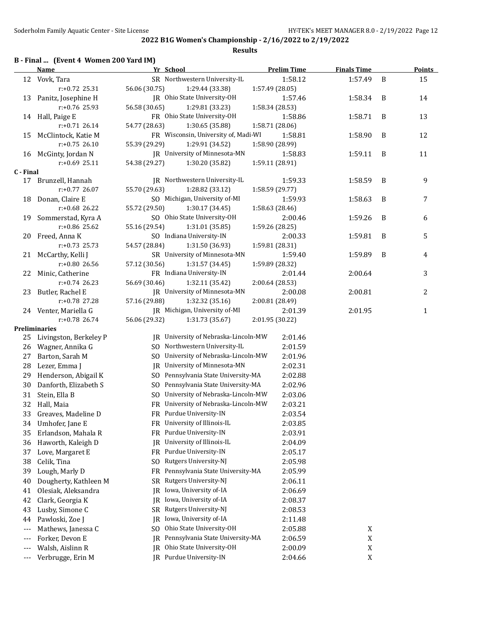| B - Final  (Event 4 Women 200 Yard IM) |  |  |  |  |  |
|----------------------------------------|--|--|--|--|--|
|----------------------------------------|--|--|--|--|--|

|           | <b>Name</b>            | Yr School                               | <b>Prelim Time</b> | <b>Finals Time</b> |   | <b>Points</b>  |
|-----------|------------------------|-----------------------------------------|--------------------|--------------------|---|----------------|
|           | 12 Vovk, Tara          | SR Northwestern University-IL           | 1:58.12            | 1:57.49            | B | 15             |
|           | r:+0.72 25.31          | 56.06 (30.75)<br>1:29.44 (33.38)        | 1:57.49 (28.05)    |                    |   |                |
| 13        | Panitz, Josephine H    | JR Ohio State University-OH             | 1:57.46            | 1:58.34            | B | 14             |
|           | $r: +0.76$ 25.93       | 56.58 (30.65)<br>1:29.81 (33.23)        | 1:58.34 (28.53)    |                    |   |                |
|           | 14 Hall, Paige E       | FR Ohio State University-OH             | 1:58.86            | 1:58.71            | B | 13             |
|           | $r: +0.71$ 26.14       | 54.77 (28.63)<br>1:30.65 (35.88)        | 1:58.71 (28.06)    |                    |   |                |
| 15        | McClintock, Katie M    | FR Wisconsin, University of, Madi-WI    | 1:58.81            | 1:58.90            | B | 12             |
|           | $r: +0.75$ 26.10       | 55.39 (29.29)<br>1:29.91 (34.52)        | 1:58.90 (28.99)    |                    |   |                |
|           | 16 McGinty, Jordan N   | JR University of Minnesota-MN           | 1:58.83            | 1:59.11            | B | 11             |
|           | $r: +0.69$ 25.11       | 54.38 (29.27)<br>1:30.20 (35.82)        | 1:59.11 (28.91)    |                    |   |                |
| C - Final |                        |                                         |                    |                    |   |                |
| 17        | Brunzell, Hannah       | JR Northwestern University-IL           | 1:59.33            | 1:58.59            | B | 9              |
|           | r:+0.77 26.07          | 55.70 (29.63)<br>1:28.82 (33.12)        | 1:58.59 (29.77)    |                    |   |                |
| 18        | Donan, Claire E        | SO Michigan, University of-MI           | 1:59.93            | 1:58.63            | B | $\overline{7}$ |
|           | r:+0.68 26.22          | 55.72 (29.50)<br>1:30.17 (34.45)        | 1:58.63 (28.46)    |                    |   |                |
| 19        | Sommerstad, Kyra A     | SO Ohio State University-OH             | 2:00.46            | 1:59.26            | B | 6              |
|           | r:+0.86 25.62          | 55.16 (29.54)<br>1:31.01 (35.85)        | 1:59.26 (28.25)    |                    |   |                |
| 20        | Freed, Anna K          | SO Indiana University-IN                | 2:00.33            | 1:59.81            | B | 5              |
|           | $r: +0.73$ 25.73       | 54.57 (28.84)<br>1:31.50 (36.93)        | 1:59.81 (28.31)    |                    |   |                |
|           | 21 McCarthy, Kelli J   | SR University of Minnesota-MN           | 1:59.40            | 1:59.89            | B | 4              |
|           | $r: +0.80$ 26.56       | 57.12 (30.56)<br>1:31.57 (34.45)        | 1:59.89 (28.32)    |                    |   |                |
| 22        | Minic, Catherine       | FR Indiana University-IN                | 2:01.44            | 2:00.64            |   | 3              |
|           | $r: +0.74$ 26.23       | 56.69 (30.46)<br>1:32.11 (35.42)        | 2:00.64 (28.53)    |                    |   |                |
| 23        | Butler, Rachel E       | JR University of Minnesota-MN           | 2:00.08            | 2:00.81            |   | 2              |
|           | r:+0.78 27.28          | 57.16 (29.88)<br>1:32.32 (35.16)        | 2:00.81 (28.49)    |                    |   |                |
|           | 24 Venter, Mariella G  | JR Michigan, University of-MI           | 2:01.39            | 2:01.95            |   | $\mathbf{1}$   |
|           | $r: +0.78$ 26.74       | 56.06 (29.32)<br>1:31.73 (35.67)        | 2:01.95 (30.22)    |                    |   |                |
|           | <b>Preliminaries</b>   |                                         |                    |                    |   |                |
| 25        | Livingston, Berkeley P | JR University of Nebraska-Lincoln-MW    | 2:01.46            |                    |   |                |
| 26        | Wagner, Annika G       | SO Northwestern University-IL           | 2:01.59            |                    |   |                |
| 27        | Barton, Sarah M        | SO University of Nebraska-Lincoln-MW    | 2:01.96            |                    |   |                |
| 28        | Lezer, Emma J          | JR University of Minnesota-MN           | 2:02.31            |                    |   |                |
| 29        | Henderson, Abigail K   | SO Pennsylvania State University-MA     | 2:02.88            |                    |   |                |
| 30        | Danforth, Elizabeth S  | SO Pennsylvania State University-MA     | 2:02.96            |                    |   |                |
| 31        | Stein, Ella B          | SO University of Nebraska-Lincoln-MW    | 2:03.06            |                    |   |                |
| 32        | Hall, Maia             | FR University of Nebraska-Lincoln-MW    | 2:03.21            |                    |   |                |
| 33        | Greaves, Madeline D    | FR Purdue University-IN                 | 2:03.54            |                    |   |                |
| 34        | Umhofer, Jane E        | FR University of Illinois-IL            | 2:03.85            |                    |   |                |
| 35        | Erlandson, Mahala R    | FR Purdue University-IN                 | 2:03.91            |                    |   |                |
| 36        | Haworth, Kaleigh D     | University of Illinois-IL<br>IR         | 2:04.09            |                    |   |                |
| 37        | Love, Margaret E       | Purdue University-IN<br>FR              | 2:05.17            |                    |   |                |
| 38        | Celik, Tina            | Rutgers University-NJ<br>S <sub>0</sub> | 2:05.98            |                    |   |                |
| 39        | Lough, Marly D         | Pennsylvania State University-MA<br>FR  | 2:05.99            |                    |   |                |
| 40        | Dougherty, Kathleen M  | Rutgers University-NJ<br>SR             | 2:06.11            |                    |   |                |
| 41        | Olesiak, Aleksandra    | Iowa, University of-IA<br>JR            | 2:06.69            |                    |   |                |
| 42        | Clark, Georgia K       | Iowa, University of-IA<br>IR.           | 2:08.37            |                    |   |                |
| 43        | Lusby, Simone C        | Rutgers University-NJ<br>SR             | 2:08.53            |                    |   |                |
| 44        | Pawloski, Zoe J        | Iowa, University of-IA<br>JR            | 2:11.48            |                    |   |                |
| $---$     | Mathews, Janessa C     | Ohio State University-OH<br>SO.         | 2:05.88            | X                  |   |                |
| ---       | Forker, Devon E        | Pennsylvania State University-MA<br>IR  | 2:06.59            | $\mathbf X$        |   |                |
| ---       | Walsh, Aislinn R       | Ohio State University-OH<br>IR          | 2:00.09            | $\mathbf X$        |   |                |
| $---$     | Verbrugge, Erin M      | Purdue University-IN<br>IR              | 2:04.66            | $\mathbf X$        |   |                |
|           |                        |                                         |                    |                    |   |                |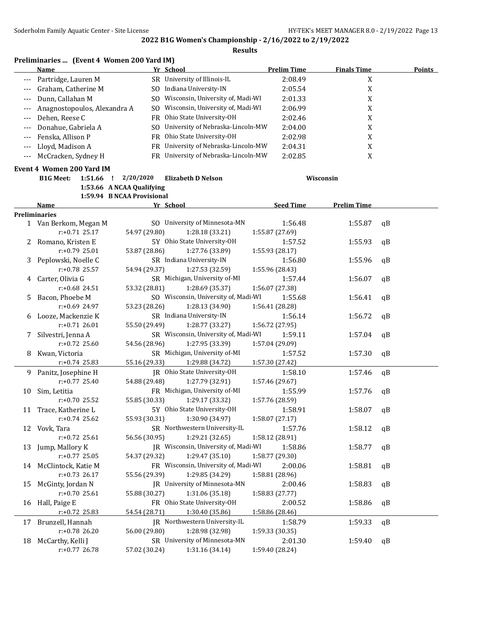|       | Preliminaries  (Event 4 Women 200 Yard IM)<br>Name |                            | Yr School                            | <b>Prelim Time</b> | <b>Finals Time</b> | <b>Points</b> |
|-------|----------------------------------------------------|----------------------------|--------------------------------------|--------------------|--------------------|---------------|
| ---   | Partridge, Lauren M                                |                            | SR University of Illinois-IL         | 2:08.49            | $\mathbf X$        |               |
| ---   | Graham, Catherine M                                |                            | SO Indiana University-IN             | 2:05.54            | $\mathbf X$        |               |
| ---   | Dunn, Callahan M                                   |                            | SO Wisconsin, University of, Madi-WI | 2:01.33            | X                  |               |
|       | Anagnostopoulos, Alexandra A                       |                            | SO Wisconsin, University of, Madi-WI | 2:06.99            | $\mathbf X$        |               |
| ---   |                                                    |                            | Ohio State University-OH             |                    |                    |               |
| $---$ | Dehen, Reese C                                     | FR.                        |                                      | 2:02.46            | X                  |               |
| $---$ | Donahue, Gabriela A                                | SO.                        | University of Nebraska-Lincoln-MW    | 2:04.00            | X                  |               |
| ---   | Fenska, Allison P                                  |                            | FR Ohio State University-OH          | 2:02.98            | X                  |               |
| ---   | Lloyd, Madison A                                   |                            | FR University of Nebraska-Lincoln-MW | 2:04.31            | X                  |               |
| $---$ | McCracken, Sydney H                                |                            | FR University of Nebraska-Lincoln-MW | 2:02.85            | X                  |               |
|       | Event 4 Women 200 Yard IM                          |                            |                                      |                    |                    |               |
|       | <b>B1G Meet:</b><br>1:51.66<br><u>!</u>            | 2/20/2020                  | <b>Elizabeth D Nelson</b>            |                    | Wisconsin          |               |
|       |                                                    | 1:53.66 A NCAA Qualifying  |                                      |                    |                    |               |
|       |                                                    | 1:59.94 B NCAA Provisional |                                      |                    |                    |               |
|       | Name                                               |                            | Yr School                            | <b>Seed Time</b>   | <b>Prelim Time</b> |               |
|       | <b>Preliminaries</b>                               |                            |                                      |                    |                    |               |
|       | 1 Van Berkom, Megan M                              |                            | SO University of Minnesota-MN        | 1:56.48            | 1:55.87            | qB            |
|       | $r: +0.71$ 25.17                                   | 54.97 (29.80)              | 1:28.18 (33.21)                      | 1:55.87 (27.69)    |                    |               |
| 2     | Romano, Kristen E                                  |                            | 5Y Ohio State University-OH          | 1:57.52            | 1:55.93            | qB            |
|       | $r: +0.79$ 25.01                                   | 53.87 (28.86)              | 1:27.76 (33.89)                      | 1:55.93 (28.17)    |                    |               |
| 3     | Peplowski, Noelle C                                |                            | SR Indiana University-IN             | 1:56.80            | 1:55.96            | qB            |
|       | $r: +0.78$ 25.57                                   | 54.94 (29.37)              | 1:27.53 (32.59)                      | 1:55.96 (28.43)    |                    |               |
| 4     | Carter, Olivia G                                   |                            | SR Michigan, University of-MI        | 1:57.44            | 1:56.07            | qB            |
|       | $r: +0.68$ 24.51                                   | 53.32 (28.81)              | 1:28.69 (35.37)                      | 1:56.07 (27.38)    |                    |               |
| 5     | Bacon, Phoebe M                                    |                            | SO Wisconsin, University of, Madi-WI | 1:55.68            | 1:56.41            | qB            |
|       | $r: +0.69$ 24.97                                   | 53.23 (28.26)              | 1:28.13 (34.90)                      | 1:56.41 (28.28)    |                    |               |
| 6     | Looze, Mackenzie K                                 |                            | SR Indiana University-IN             | 1:56.14            | 1:56.72            | qB            |
|       | $r: +0.71$ 26.01                                   | 55.50 (29.49)              | 1:28.77 (33.27)                      | 1:56.72 (27.95)    |                    |               |
| 7     | Silvestri, Jenna A                                 |                            | SR Wisconsin, University of, Madi-WI | 1:59.11            | 1:57.04            | qB            |
|       | $r: +0.72$ 25.60                                   | 54.56 (28.96)              | 1:27.95 (33.39)                      | 1:57.04 (29.09)    |                    |               |
| 8     | Kwan, Victoria                                     |                            | SR Michigan, University of-MI        | 1:57.52            | 1:57.30            | qB            |
|       | $r: +0.74$ 25.83                                   | 55.16 (29.33)              | 1:29.88 (34.72)                      | 1:57.30 (27.42)    |                    |               |
| 9     | Panitz, Josephine H                                |                            | JR Ohio State University-OH          | 1:58.10            | 1:57.46            | qB            |
|       | $r: +0.77$ 25.40                                   | 54.88 (29.48)              | 1:27.79 (32.91)                      | 1:57.46 (29.67)    |                    |               |
| 10    | Sim, Letitia                                       |                            | FR Michigan, University of-MI        | 1:55.99            | 1:57.76            | qВ            |
|       | $r: +0.70$ 25.52                                   | 55.85 (30.33)              | 1:29.17 (33.32)                      | 1:57.76 (28.59)    |                    |               |
| 11    | Trace, Katherine L                                 |                            | 5Y Ohio State University-OH          | 1:58.91            | 1:58.07            | qB            |
|       | $r: +0.74$ 25.62                                   | 55.93 (30.31)              | 1:30.90 (34.97)                      | 1:58.07(27.17)     |                    |               |
|       | 12 Vovk, Tara                                      |                            | SR Northwestern University-IL        | 1:57.76            | 1:58.12            | qB            |
|       | $r: +0.72$ 25.61                                   | 56.56 (30.95)              | 1:29.21 (32.65)                      | 1:58.12 (28.91)    |                    |               |
| 13    | Jump, Mallory K                                    |                            | JR Wisconsin, University of, Madi-WI | 1:58.86            | 1:58.77            | qB            |
|       | $r: +0.77$ 25.05                                   | 54.37 (29.32)              | 1:29.47 (35.10)                      | 1:58.77 (29.30)    |                    |               |
|       | 14 McClintock, Katie M                             |                            | FR Wisconsin, University of, Madi-WI | 2:00.06            | 1:58.81            | qB            |
|       | $r: +0.73$ 26.17                                   | 55.56 (29.39)              | 1:29.85 (34.29)                      | 1:58.81 (28.96)    |                    |               |
| 15    | McGinty, Jordan N                                  |                            | JR University of Minnesota-MN        | 2:00.46            | 1:58.83            | qB            |
|       | $r: +0.70$ 25.61                                   | 55.88 (30.27)              | 1:31.06 (35.18)                      | 1:58.83 (27.77)    |                    |               |
| 16    | Hall, Paige E                                      |                            | FR Ohio State University-OH          | 2:00.52            | 1:58.86            | qB            |
|       | r:+0.72 25.83                                      | 54.54 (28.71)              | 1:30.40 (35.86)                      | 1:58.86 (28.46)    |                    |               |
| 17    | Brunzell, Hannah                                   |                            | JR Northwestern University-IL        | 1:58.79            | 1:59.33            | qB            |
|       | r:+0.78 26.20                                      | 56.00 (29.80)              | 1:28.98 (32.98)                      | 1:59.33 (30.35)    |                    |               |
| 18    | McCarthy, Kelli J                                  |                            | SR University of Minnesota-MN        | 2:01.30            | 1:59.40            | qB            |
|       | r:+0.77 26.78                                      | 57.02 (30.24)              | 1:31.16 (34.14)                      | 1:59.40 (28.24)    |                    |               |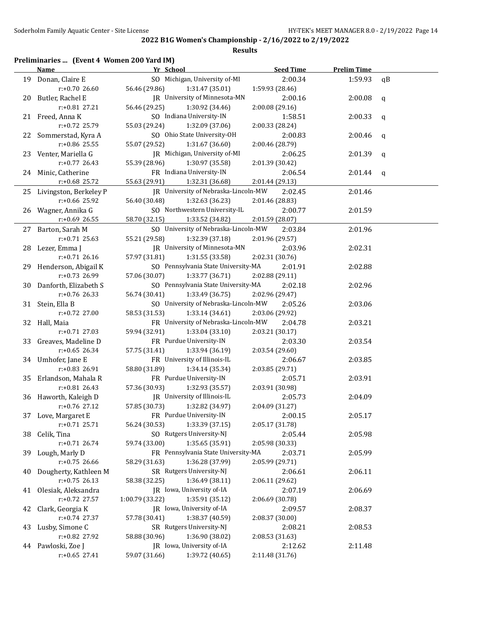| Preliminaries  (Event 4 Women 200 Yard IM) |  |  |  |  |
|--------------------------------------------|--|--|--|--|
|--------------------------------------------|--|--|--|--|

|    | <b>Name</b>                         | Yr School                                   | <b>Seed Time</b> | <b>Prelim Time</b> |              |
|----|-------------------------------------|---------------------------------------------|------------------|--------------------|--------------|
|    | 19 Donan, Claire E                  | SO Michigan, University of-MI               | 2:00.34          | 1:59.93            | qB           |
|    | $r: +0.70$ 26.60                    | 56.46 (29.86)<br>1:31.47 (35.01)            | 1:59.93 (28.46)  |                    |              |
|    | 20 Butler, Rachel E                 | JR University of Minnesota-MN               | 2:00.16          | 2:00.08            | $\mathbf q$  |
|    | r:+0.81 27.21                       | 56.46 (29.25)<br>1:30.92 (34.46)            | 2:00.08 (29.16)  |                    |              |
|    | 21 Freed, Anna K                    | SO Indiana University-IN                    | 1:58.51          | 2:00.33            | $\mathbf q$  |
|    | r:+0.72 25.79                       | 55.03 (29.24)<br>1:32.09 (37.06)            | 2:00.33 (28.24)  |                    |              |
|    | 22 Sommerstad, Kyra A               | SO Ohio State University-OH                 | 2:00.83          | 2:00.46            | q            |
|    | r:+0.86 25.55                       | 55.07 (29.52)<br>1:31.67 (36.60)            | 2:00.46 (28.79)  |                    |              |
|    | 23 Venter, Mariella G               | JR Michigan, University of-MI               | 2:06.25          | 2:01.39            | $\mathsf{q}$ |
|    | $r: +0.77$ 26.43                    | 55.39 (28.96)<br>1:30.97 (35.58)            | 2:01.39 (30.42)  |                    |              |
|    | 24 Minic, Catherine                 | FR Indiana University-IN                    | 2:06.54          | 2:01.44            | $\mathsf{q}$ |
|    | $r: +0.68$ 25.72                    | 55.63 (29.91)<br>1:32.31 (36.68)            | 2:01.44 (29.13)  |                    |              |
|    | 25 Livingston, Berkeley P           | JR University of Nebraska-Lincoln-MW        | 2:02.45          | 2:01.46            |              |
|    | r:+0.66 25.92                       | 56.40 (30.48)<br>1:32.63 (36.23)            | 2:01.46 (28.83)  |                    |              |
|    | 26 Wagner, Annika G                 | SO Northwestern University-IL               | 2:00.77          | 2:01.59            |              |
|    | $r+0.69$ 26.55                      | 58.70 (32.15)<br>1:33.52 (34.82)            | 2:01.59 (28.07)  |                    |              |
|    | 27 Barton, Sarah M                  | SO University of Nebraska-Lincoln-MW        | 2:03.84          | 2:01.96            |              |
|    | $r: +0.71$ 25.63                    | 55.21 (29.58)<br>1:32.39 (37.18)            | 2:01.96 (29.57)  |                    |              |
|    | 28 Lezer, Emma J                    | JR University of Minnesota-MN               | 2:03.96          | 2:02.31            |              |
|    | $r: +0.71$ 26.16                    | 57.97 (31.81)<br>1:31.55 (33.58)            | 2:02.31 (30.76)  |                    |              |
|    | 29 Henderson, Abigail K             | SO Pennsylvania State University-MA         | 2:01.91          | 2:02.88            |              |
|    | r:+0.73 26.99                       | 57.06 (30.07)<br>1:33.77 (36.71)            | 2:02.88 (29.11)  |                    |              |
|    | 30 Danforth, Elizabeth S            | SO Pennsylvania State University-MA         | 2:02.18          | 2:02.96            |              |
|    | $r: +0.76$ 26.33                    | 56.74 (30.41)<br>1:33.49 (36.75)            | 2:02.96 (29.47)  |                    |              |
|    | 31 Stein, Ella B                    | SO University of Nebraska-Lincoln-MW        | 2:05.26          | 2:03.06            |              |
|    | r:+0.72 27.00                       | 58.53 (31.53)<br>1:33.14 (34.61)            | 2:03.06 (29.92)  |                    |              |
|    | 32 Hall, Maia                       | FR University of Nebraska-Lincoln-MW        | 2:04.78          | 2:03.21            |              |
|    | $r: +0.71$ 27.03                    | 59.94 (32.91)<br>1:33.04(33.10)             | 2:03.21 (30.17)  |                    |              |
|    | 33 Greaves, Madeline D              | FR Purdue University-IN                     | 2:03.30          | 2:03.54            |              |
|    | $r: +0.65$ 26.34                    | 57.75 (31.41)<br>1:33.94 (36.19)            | 2:03.54 (29.60)  |                    |              |
|    | 34 Umhofer, Jane E                  | FR University of Illinois-IL                | 2:06.67          | 2:03.85            |              |
|    | r:+0.83 26.91                       | 58.80 (31.89)<br>1:34.14 (35.34)            | 2:03.85 (29.71)  |                    |              |
|    | 35 Erlandson, Mahala R              | FR Purdue University-IN                     | 2:05.71          | 2:03.91            |              |
|    | $r: +0.81$ 26.43                    | 1:32.93 (35.57)<br>57.36 (30.93)            | 2:03.91 (30.98)  |                    |              |
|    | 36 Haworth, Kaleigh D               | JR University of Illinois-IL                | 2:05.73          | 2:04.09            |              |
|    | $r: +0.76$ 27.12                    | 1:32.82 (34.97)<br>57.85 (30.73)            | 2:04.09 (31.27)  |                    |              |
|    | 37 Love, Margaret E                 | FR Purdue University-IN                     | 2:00.15          | 2:05.17            |              |
|    | $r: +0.71$ 25.71                    | 56.24 (30.53)<br>1:33.39 (37.15)            | 2:05.17 (31.78)  |                    |              |
| 38 | Celik, Tina                         | SO Rutgers University-NJ                    | 2:05.44          | 2:05.98            |              |
|    | $r: +0.71$ 26.74                    | 59.74 (33.00)<br>1:35.65 (35.91)            | 2:05.98 (30.33)  |                    |              |
| 39 | Lough, Marly D                      | FR Pennsylvania State University-MA         | 2:03.71          | 2:05.99            |              |
|    | $r: +0.75$ 26.66                    | 1:36.28 (37.99)<br>58.29 (31.63)            | 2:05.99 (29.71)  |                    |              |
| 40 | Dougherty, Kathleen M               | SR Rutgers University-NJ                    | 2:06.61          | 2:06.11            |              |
|    | $r: +0.75$ 26.13                    | 1:36.49 (38.11)<br>58.38 (32.25)            | 2:06.11 (29.62)  |                    |              |
| 41 | Olesiak, Aleksandra                 | JR Iowa, University of-IA                   | 2:07.19          | 2:06.69            |              |
|    | r:+0.72 27.57                       | 1:00.79 (33.22)<br>1:35.91 (35.12)          | 2:06.69 (30.78)  |                    |              |
| 42 | Clark, Georgia K                    | JR Iowa, University of-IA<br>57.78 (30.41)  | 2:09.57          | 2:08.37            |              |
|    | r:+0.74 27.37                       | 1:38.37 (40.59)<br>SR Rutgers University-NJ | 2:08.37 (30.00)  |                    |              |
| 43 | Lusby, Simone C<br>r:+0.82 27.92    | 1:36.90 (38.02)                             | 2:08.21          | 2:08.53            |              |
|    |                                     | 58.88 (30.96)<br>JR Iowa, University of-IA  | 2:08.53 (31.63)  |                    |              |
| 44 | Pawloski, Zoe J<br>$r: +0.65$ 27.41 | 59.07 (31.66)<br>1:39.72 (40.65)            | 2:12.62          | 2:11.48            |              |
|    |                                     |                                             | 2:11.48 (31.76)  |                    |              |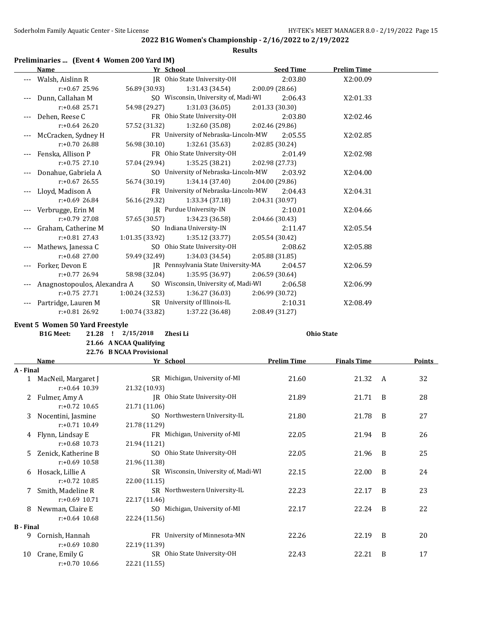| Preliminaries  (Event 4 Women 200 Yard IM) |  |  |  |  |  |
|--------------------------------------------|--|--|--|--|--|
|--------------------------------------------|--|--|--|--|--|

|                  | <b>Name</b>                            | Yr School                                    | <b>Seed Time</b>   | <b>Prelim Time</b> |   |               |
|------------------|----------------------------------------|----------------------------------------------|--------------------|--------------------|---|---------------|
|                  | --- Walsh, Aislinn R                   | JR Ohio State University-OH                  | 2:03.80            | X2:00.09           |   |               |
|                  | $r: +0.67$ 25.96                       | 56.89 (30.93)<br>1:31.43 (34.54)             | 2:00.09 (28.66)    |                    |   |               |
| ---              | Dunn, Callahan M                       | SO Wisconsin, University of, Madi-WI         | 2:06.43            | X2:01.33           |   |               |
|                  | $r: +0.68$ 25.71                       | 1:31.03 (36.05)<br>54.98 (29.27)             | 2:01.33 (30.30)    |                    |   |               |
| ---              | Dehen, Reese C                         | FR Ohio State University-OH                  | 2:03.80            | X2:02.46           |   |               |
|                  | $r: +0.64$ 26.20                       | 57.52 (31.32)<br>1:32.60 (35.08)             | 2:02.46 (29.86)    |                    |   |               |
|                  | McCracken, Sydney H                    | FR University of Nebraska-Lincoln-MW         | 2:05.55            | X2:02.85           |   |               |
|                  | r:+0.70 26.88                          | 56.98 (30.10)<br>1:32.61 (35.63)             | 2:02.85 (30.24)    |                    |   |               |
| ---              | Fenska, Allison P                      | FR Ohio State University-OH                  | 2:01.49            | X2:02.98           |   |               |
|                  | $r: +0.75$ 27.10                       | 57.04 (29.94)<br>1:35.25 (38.21)             | 2:02.98 (27.73)    |                    |   |               |
| ---              | Donahue, Gabriela A                    | SO University of Nebraska-Lincoln-MW         | 2:03.92            | X2:04.00           |   |               |
|                  | $r: +0.67$ 26.55                       | 56.74 (30.19)<br>1:34.14 (37.40)             | 2:04.00 (29.86)    |                    |   |               |
| ---              | Lloyd, Madison A                       | FR University of Nebraska-Lincoln-MW         | 2:04.43            | X2:04.31           |   |               |
|                  | $r: +0.69$ 26.84                       | 56.16 (29.32)<br>1:33.34 (37.18)             | 2:04.31 (30.97)    |                    |   |               |
|                  | Verbrugge, Erin M                      | JR Purdue University-IN                      | 2:10.01            | X2:04.66           |   |               |
|                  | r:+0.79 27.08                          | 57.65 (30.57)<br>1:34.23 (36.58)             | 2:04.66 (30.43)    |                    |   |               |
|                  | Graham, Catherine M                    | SO Indiana University-IN                     | 2:11.47            | X2:05.54           |   |               |
|                  | $r: +0.81$ 27.43                       | 1:35.12 (33.77)<br>1:01.35 (33.92)           | 2:05.54 (30.42)    |                    |   |               |
|                  | Mathews, Janessa C                     | SO Ohio State University-OH                  | 2:08.62            | X2:05.88           |   |               |
|                  | $r: +0.68$ 27.00                       | 59.49 (32.49)<br>1:34.03 (34.54)             | 2:05.88 (31.85)    |                    |   |               |
|                  | Forker, Devon E                        | IR Pennsylvania State University-MA          | 2:04.57            | X2:06.59           |   |               |
|                  | $r: +0.77$ 26.94                       | 58.98 (32.04)<br>1:35.95 (36.97)             | 2:06.59 (30.64)    |                    |   |               |
|                  | Anagnostopoulos, Alexandra A           | SO Wisconsin, University of, Madi-WI         | 2:06.58            | X2:06.99           |   |               |
|                  | $r: +0.75$ 27.71                       | 1:00.24 (32.53)<br>1:36.27 (36.03)           | 2:06.99 (30.72)    |                    |   |               |
|                  | Partridge, Lauren M                    | SR University of Illinois-IL                 | 2:10.31            | X2:08.49           |   |               |
|                  | $r: +0.81$ 26.92                       | 1:00.74 (33.82)<br>1:37.22 (36.48)           | 2:08.49 (31.27)    |                    |   |               |
|                  | <b>Event 5 Women 50 Yard Freestyle</b> |                                              |                    |                    |   |               |
|                  | <b>B1G Meet:</b>                       | 21.28 ! 2/15/2018<br>Zhesi Li                |                    | <b>Ohio State</b>  |   |               |
|                  |                                        | 21.66 A NCAA Qualifying                      |                    |                    |   |               |
|                  |                                        | 22.76 B NCAA Provisional                     |                    |                    |   |               |
|                  | Name                                   | Yr School                                    | <b>Prelim Time</b> | <b>Finals Time</b> |   | <b>Points</b> |
| A - Final        |                                        |                                              |                    |                    |   |               |
|                  | 1 MacNeil, Margaret J                  | SR Michigan, University of-MI                | 21.60              | 21.32              | A | 32            |
|                  | r:+0.64 10.39                          | 21.32 (10.93)                                |                    |                    |   |               |
|                  | 2 Fulmer, Amy A                        | JR Ohio State University-OH                  | 21.89              | 21.71              | B | 28            |
|                  | $r: +0.72$ 10.65                       | 21.71 (11.06)                                |                    |                    |   |               |
|                  | 3 Nocentini, Jasmine                   | SO Northwestern University-IL                | 21.80              | 21.78              | B | 27            |
|                  | $r: +0.71$ 10.49                       | 21.78 (11.29)                                |                    |                    |   |               |
| 4                | Flynn, Lindsay E                       | FR Michigan, University of-MI                | 22.05              | 21.94              | B | 26            |
|                  | r:+0.68 10.73                          | 21.94 (11.21)                                |                    |                    |   |               |
| 5                | Zenick, Katherine B                    | SO Ohio State University-OH                  | 22.05              | 21.96              | B | 25            |
|                  | $r: +0.69$ 10.58                       | 21.96 (11.38)                                |                    |                    |   |               |
| 6                | Hosack, Lillie A                       | SR Wisconsin, University of, Madi-WI         | 22.15              | 22.00              | B | 24            |
|                  | $r: +0.72$ 10.85                       | 22.00 (11.15)                                |                    |                    |   |               |
| 7                | Smith, Madeline R                      | SR Northwestern University-IL                | 22.23              | 22.17              | B | 23            |
|                  | $r: +0.69$ 10.71                       | 22.17 (11.46)                                |                    |                    |   |               |
| 8                |                                        |                                              |                    |                    |   |               |
|                  | Newman, Claire E                       | SO Michigan, University of-MI                | 22.17              | 22.24              | B | 22            |
|                  | $r: +0.64$ 10.68                       | 22.24 (11.56)                                |                    |                    |   |               |
| <b>B</b> - Final |                                        |                                              |                    |                    |   |               |
| 9                | Cornish, Hannah                        | FR University of Minnesota-MN                | 22.26              | 22.19              | B | 20            |
|                  | $r: +0.69$ 10.80                       | 22.19 (11.39)                                |                    |                    |   |               |
| 10               | Crane, Emily G<br>$r: +0.70$ 10.66     | SR Ohio State University-OH<br>22.21 (11.55) | 22.43              | 22.21              | B | 17            |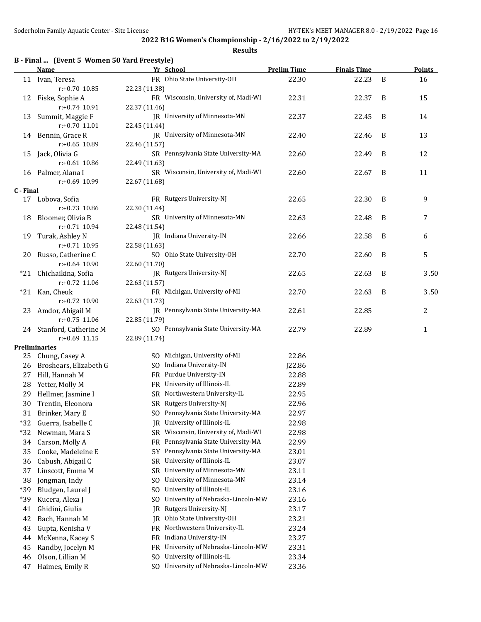|           | B - Final  (Event 5 Women 50 Yard Freestyle)<br>Name | Yr School                                    | <b>Prelim Time</b> | <b>Finals Time</b> |   | <b>Points</b> |
|-----------|------------------------------------------------------|----------------------------------------------|--------------------|--------------------|---|---------------|
|           | 11 Ivan, Teresa                                      | FR Ohio State University-OH                  | 22.30              | 22.23              | B | 16            |
|           | r:+0.70 10.85                                        | 22.23 (11.38)                                |                    |                    |   |               |
|           | 12 Fiske, Sophie A                                   | FR Wisconsin, University of, Madi-WI         | 22.31              | 22.37              | B | 15            |
|           | r:+0.74 10.91                                        | 22.37 (11.46)                                |                    |                    |   |               |
| 13        | Summit, Maggie F                                     | JR University of Minnesota-MN                | 22.37              | 22.45              | B | 14            |
|           | r:+0.70 11.01                                        | 22.45 (11.44)                                |                    |                    |   |               |
|           | 14 Bennin, Grace R                                   | JR University of Minnesota-MN                | 22.40              | 22.46              | B | 13            |
|           | r:+0.65 10.89                                        | 22.46 (11.57)                                |                    |                    |   |               |
| 15        | Jack, Olivia G                                       | SR Pennsylvania State University-MA          | 22.60              | 22.49              | B | 12            |
|           | $r: +0.61$ 10.86                                     | 22.49 (11.63)                                |                    |                    |   |               |
|           | 16 Palmer, Alana I                                   | SR Wisconsin, University of, Madi-WI         | 22.60              | 22.67              | B | 11            |
| C - Final | r:+0.69 10.99                                        | 22.67 (11.68)                                |                    |                    |   |               |
| 17        | Lobova, Sofia                                        | FR Rutgers University-NJ                     | 22.65              | 22.30              | B | 9             |
|           | $r: +0.73$ 10.86                                     | 22.30 (11.44)                                |                    |                    |   |               |
| 18        | Bloomer, Olivia B                                    | SR University of Minnesota-MN                | 22.63              | 22.48              | B | 7             |
|           | $r: +0.71$ 10.94                                     | 22.48 (11.54)                                |                    |                    |   |               |
| 19        | Turak, Ashley N                                      | JR Indiana University-IN                     | 22.66              | 22.58              | B | 6             |
|           | $r: +0.71$ 10.95                                     | 22.58 (11.63)                                |                    |                    |   |               |
| 20        | Russo, Catherine C                                   | SO Ohio State University-OH                  | 22.70              | 22.60              | B | 5             |
|           | $r: +0.64$ 10.90                                     | 22.60 (11.70)                                |                    |                    |   |               |
|           | *21 Chichaikina, Sofia                               | JR Rutgers University-NJ                     | 22.65              | 22.63              | B | 3.50          |
|           | $r: +0.72$ 11.06                                     | 22.63 (11.57)                                |                    |                    |   |               |
| $*21$     | Kan, Cheuk                                           | FR Michigan, University of-MI                | 22.70              | 22.63              | B | 3.50          |
|           | r:+0.72 10.90                                        | 22.63 (11.73)                                |                    |                    |   |               |
| 23        | Amdor, Abigail M                                     | JR Pennsylvania State University-MA          | 22.61              | 22.85              |   | 2             |
|           | $r: +0.75$ 11.06                                     | 22.85 (11.79)                                |                    |                    |   |               |
|           | 24 Stanford, Catherine M                             | SO Pennsylvania State University-MA          | 22.79              | 22.89              |   | $\mathbf{1}$  |
|           | $r: +0.69$ 11.15<br><b>Preliminaries</b>             | 22.89 (11.74)                                |                    |                    |   |               |
|           | 25 Chung, Casey A                                    | SO Michigan, University of-MI                | 22.86              |                    |   |               |
|           | 26 Broshears, Elizabeth G                            | SO Indiana University-IN                     | <b>J22.86</b>      |                    |   |               |
| 27        | Hill, Hannah M                                       | FR Purdue University-IN                      | 22.88              |                    |   |               |
| 28        | Yetter, Molly M                                      | FR University of Illinois-IL                 | 22.89              |                    |   |               |
| 29        | Hellmer, Jasmine I                                   | SR Northwestern University-IL                | 22.95              |                    |   |               |
| 30        | Trentin, Eleonora                                    | SR Rutgers University-NJ                     | 22.96              |                    |   |               |
|           | 31 Brinker, Mary E                                   | SO Pennsylvania State University-MA          | 22.97              |                    |   |               |
| $*32$     | Guerra, Isabelle C                                   | University of Illinois-IL<br>IR              | 22.98              |                    |   |               |
| $*32$     | Newman, Mara S                                       | Wisconsin, University of, Madi-WI<br>SR      | 22.98              |                    |   |               |
| 34        | Carson, Molly A                                      | Pennsylvania State University-MA<br>FR       | 22.99              |                    |   |               |
| 35        | Cooke, Madeleine E                                   | Pennsylvania State University-MA<br>5Y       | 23.01              |                    |   |               |
| 36        | Cabush, Abigail C                                    | University of Illinois-IL<br><b>SR</b>       | 23.07              |                    |   |               |
| 37        | Linscott, Emma M                                     | University of Minnesota-MN<br><b>SR</b>      | 23.11              |                    |   |               |
| 38        | Jongman, Indy                                        | University of Minnesota-MN<br>S <sub>0</sub> | 23.14              |                    |   |               |
| *39       | Bludgen, Laurel J                                    | University of Illinois-IL<br>S <sub>0</sub>  | 23.16              |                    |   |               |
| *39       | Kucera, Alexa J                                      | University of Nebraska-Lincoln-MW<br>SO.     | 23.16              |                    |   |               |
| 41        | Ghidini, Giulia                                      | Rutgers University-NJ<br>JR                  | 23.17              |                    |   |               |
| 42        | Bach, Hannah M                                       | Ohio State University-OH<br>IR               | 23.21              |                    |   |               |
| 43        | Gupta, Kenisha V                                     | Northwestern University-IL<br>FR             | 23.24              |                    |   |               |
| 44        | McKenna, Kacey S                                     | Indiana University-IN<br>FR                  | 23.27              |                    |   |               |
| 45        | Randby, Jocelyn M                                    | University of Nebraska-Lincoln-MW<br>FR      | 23.31              |                    |   |               |
| 46        | Olson, Lillian M                                     | University of Illinois-IL<br>S <sub>0</sub>  | 23.34              |                    |   |               |
| 47        | Haimes, Emily R                                      | University of Nebraska-Lincoln-MW<br>SO.     | 23.36              |                    |   |               |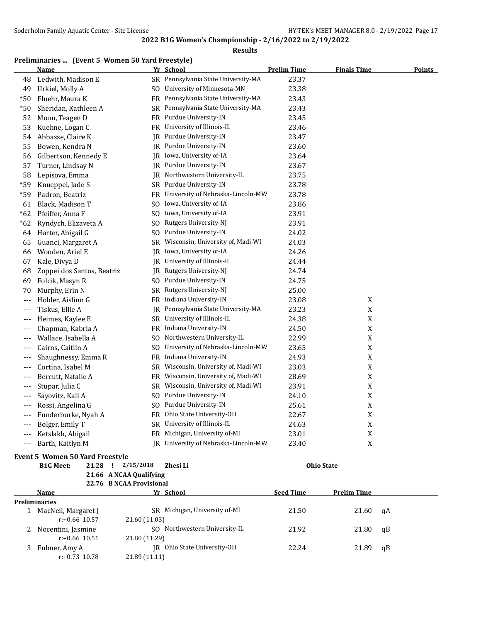#### **Results**

#### **Preliminaries ... (Event 5 Women 50 Yard Freestyle)**

|       | <b>Name</b>                |                | Yr School                                   | <b>Prelim Time</b> | <b>Finals Time</b> | <b>Points</b> |
|-------|----------------------------|----------------|---------------------------------------------|--------------------|--------------------|---------------|
| 48    | Ledwith, Madison E         |                | SR Pennsylvania State University-MA         | 23.37              |                    |               |
| 49    | Urkiel, Molly A            | SO.            | University of Minnesota-MN                  | 23.38              |                    |               |
| $*50$ | Fluehr, Maura K            |                | FR Pennsylvania State University-MA         | 23.43              |                    |               |
| $*50$ | Sheridan, Kathleen A       |                | SR Pennsylvania State University-MA         | 23.43              |                    |               |
| 52    | Moon, Teagen D             |                | FR Purdue University-IN                     | 23.45              |                    |               |
| 53    | Kuehne, Logan C            |                | FR University of Illinois-IL                | 23.46              |                    |               |
| 54    | Abbasse, Claire K          | IR             | Purdue University-IN                        | 23.47              |                    |               |
| 55    | Bowen, Kendra N            | IR             | Purdue University-IN                        | 23.60              |                    |               |
| 56    | Gilbertson, Kennedy E      | IR             | Iowa, University of-IA                      | 23.64              |                    |               |
| 57    | Turner, Lindsay N          | IR             | Purdue University-IN                        | 23.67              |                    |               |
| 58    | Lepisova, Emma             |                | JR Northwestern University-IL               | 23.75              |                    |               |
| *59   | Knueppel, Jade S           |                | SR Purdue University-IN                     | 23.78              |                    |               |
| *59   | Padron, Beatriz            |                | FR University of Nebraska-Lincoln-MW        | 23.78              |                    |               |
| 61    | Black, Madison T           | SO.            | Iowa, University of-IA                      | 23.86              |                    |               |
| $*62$ | Pfeiffer, Anna F           | S <sub>0</sub> | Iowa, University of-IA                      | 23.91              |                    |               |
| $*62$ | Ryndych, Elizaveta A       | SO.            | Rutgers University-NJ                       | 23.91              |                    |               |
| 64    | Harter, Abigail G          | SO.            | Purdue University-IN                        | 24.02              |                    |               |
| 65    | Guanci, Margaret A         | SR             | Wisconsin, University of, Madi-WI           | 24.03              |                    |               |
| 66    | Wooden, Ariel E            | IR             | Iowa, University of-IA                      | 24.26              |                    |               |
| 67    | Kale, Divya D              | IR             | University of Illinois-IL                   | 24.44              |                    |               |
| 68    | Zoppei dos Santos, Beatriz |                | JR Rutgers University-NJ                    | 24.74              |                    |               |
| 69    | Folcik, Masyn R            | SO.            | Purdue University-IN                        | 24.75              |                    |               |
| 70    | Murphy, Erin N             | SR             | Rutgers University-NJ                       | 25.00              |                    |               |
| $---$ | Holder, Aislinn G          |                | FR Indiana University-IN                    | 23.08              | X                  |               |
| $---$ | Tiskus, Ellie A            | IR             | Pennsylvania State University-MA            | 23.23              | $\mathbf X$        |               |
| $---$ | Heimes, Kaylee E           |                | SR University of Illinois-IL                | 24.38              | $\mathbf X$        |               |
| ---   | Chapman, Kabria A          |                | FR Indiana University-IN                    | 24.50              | X                  |               |
| ---   | Wallace, Isabella A        | SO.            | Northwestern University-IL                  | 22.99              | $\mathbf X$        |               |
| ---   | Cairns, Caitlin A          | SO.            | University of Nebraska-Lincoln-MW           | 23.65              | X                  |               |
| $---$ | Shaughnessy, Emma R        | FR.            | Indiana University-IN                       | 24.93              | $\mathbf X$        |               |
| $---$ | Cortina, Isabel M          | SR             | Wisconsin, University of, Madi-WI           | 23.03              | $\mathbf X$        |               |
| $---$ | Bercutt, Natalie A         | FR             | Wisconsin, University of, Madi-WI           | 28.69              | $\mathbf X$        |               |
| $---$ | Stupar, Julia C            | SR             | Wisconsin, University of, Madi-WI           | 23.91              | $\mathbf X$        |               |
| ---   | Sayovitz, Kali A           | SO.            | Purdue University-IN                        | 24.10              | $\mathbf X$        |               |
| $---$ | Rossi, Angelina G          | SO.            | Purdue University-IN                        | 25.61              | X                  |               |
| $---$ | Funderburke, Nyah A        |                | FR Ohio State University-OH                 | 22.67              | $\mathbf X$        |               |
| $---$ | Bolger, Emily T            |                | SR University of Illinois-IL                | 24.63              | X                  |               |
| ---   | Ketslakh, Abigail          |                | FR Michigan, University of-MI               | 23.01              | $\mathbf X$        |               |
| $---$ | Barth, Kaitlyn M           |                | <b>IR</b> University of Nebraska-Lincoln-MW | 23.40              | X                  |               |

#### **Event 5 Women 50 Yard Freestyle**

**B1G Meet: 21.28 ! 2/15/2018 Zhesi Li Ohio State 21.66 A NCAA Qualifying**

| $\mu$ nov Andrin Quamying |
|---------------------------|
| 22.76 B NCAA Provisional  |

**Name** *Yr* **School <b>Seed Time Prelim Time Preliminaries** 1 MacNeil, Margaret J SR Michigan, University of-MI 21.50 21.60 qA r:+0.66 10.57 21.60 (11.03) 2 Nocentini, Jasmine SO Northwestern University-IL 21.92 21.80 qB r:+0.66 10.51 21.80 (11.29) 3 Fulmer, Amy A JR Ohio State University-OH 22.24 21.89 qB r:+0.73 10.78 21.89 (11.11)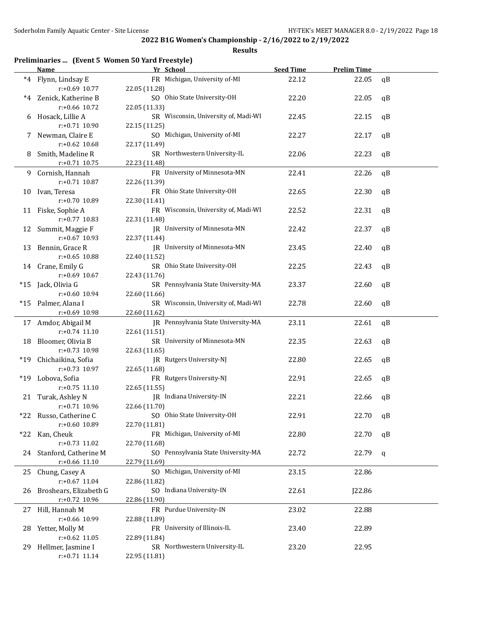| Preliminaries  (Event 5 Women 50 Yard Freestyle) |  |  |  |  |  |  |
|--------------------------------------------------|--|--|--|--|--|--|
|--------------------------------------------------|--|--|--|--|--|--|

|      | <b>Name</b>                         | Yr School                                             | <b>Seed Time</b> | <b>Prelim Time</b> |    |
|------|-------------------------------------|-------------------------------------------------------|------------------|--------------------|----|
|      | *4 Flynn, Lindsay E                 | FR Michigan, University of-MI                         | 22.12            | 22.05              | qB |
|      | $r: +0.69$ 10.77                    | 22.05 (11.28)                                         |                  |                    |    |
| $*4$ | Zenick, Katherine B                 | SO Ohio State University-OH                           | 22.20            | 22.05              | qB |
|      | r:+0.66 10.72                       | 22.05 (11.33)                                         |                  |                    |    |
| 6    | Hosack, Lillie A                    | SR Wisconsin, University of, Madi-WI                  | 22.45            | 22.15              | qB |
|      | r:+0.71 10.90                       | 22.15 (11.25)                                         |                  |                    |    |
| 7    | Newman, Claire E                    | SO Michigan, University of-MI                         | 22.27            | 22.17              | qB |
|      | $r: +0.62$ 10.68                    | 22.17 (11.49)                                         |                  |                    |    |
| 8    | Smith, Madeline R                   | SR Northwestern University-IL                         | 22.06            | 22.23              | qB |
|      | $r: +0.71$ 10.75                    | 22.23 (11.48)                                         |                  |                    |    |
| 9    | Cornish, Hannah                     | FR University of Minnesota-MN                         | 22.41            | 22.26              | qB |
|      | $r: +0.71$ 10.87                    | 22.26 (11.39)                                         |                  |                    |    |
| 10   | Ivan, Teresa                        | FR Ohio State University-OH                           | 22.65            | 22.30              | qB |
|      | r:+0.70 10.89                       | 22.30 (11.41)                                         |                  |                    |    |
|      | 11 Fiske, Sophie A                  | FR Wisconsin, University of, Madi-WI                  | 22.52            | 22.31              | qB |
|      | $r: +0.77$ 10.83                    | 22.31 (11.48)                                         |                  |                    |    |
|      | 12 Summit, Maggie F                 | JR University of Minnesota-MN                         | 22.42            | 22.37              | qB |
|      | r:+0.67 10.93                       | 22.37 (11.44)                                         |                  |                    |    |
| 13   | Bennin, Grace R                     | JR University of Minnesota-MN                         | 23.45            | 22.40              | qB |
|      | $r: +0.65$ 10.88                    | 22.40 (11.52)                                         |                  |                    |    |
|      | 14 Crane, Emily G                   | SR Ohio State University-OH                           | 22.25            | 22.43              | qB |
|      | $r: +0.69$ 10.67                    | 22.43 (11.76)<br>SR Pennsylvania State University-MA  |                  |                    |    |
|      | *15 Jack, Olivia G<br>r:+0.60 10.94 |                                                       | 23.37            | 22.60              | qB |
|      | *15 Palmer, Alana I                 | 22.60 (11.66)<br>SR Wisconsin, University of, Madi-WI | 22.78            | 22.60              | qB |
|      | r:+0.69 10.98                       | 22.60 (11.62)                                         |                  |                    |    |
|      | 17 Amdor, Abigail M                 | JR Pennsylvania State University-MA                   | 23.11            | 22.61              | qB |
|      | $r: +0.74$ 11.10                    | 22.61 (11.51)                                         |                  |                    |    |
| 18   | Bloomer, Olivia B                   | SR University of Minnesota-MN                         | 22.35            | 22.63              | qB |
|      | r:+0.73 10.98                       | 22.63 (11.65)                                         |                  |                    |    |
|      | *19 Chichaikina, Sofia              | JR Rutgers University-NJ                              | 22.80            | 22.65              | qB |
|      | r:+0.73 10.97                       | 22.65 (11.68)                                         |                  |                    |    |
|      | *19 Lobova, Sofia                   | FR Rutgers University-NJ                              | 22.91            | 22.65              | qB |
|      | $r: +0.75$ 11.10                    | 22.65 (11.55)                                         |                  |                    |    |
|      | 21 Turak, Ashley N                  | JR Indiana University-IN                              | 22.21            | 22.66              | qB |
|      | $r: +0.71$ 10.96                    | 22.66 (11.70)                                         |                  |                    |    |
|      | *22 Russo, Catherine C              | SO Ohio State University-OH                           | 22.91            | 22.70 qB           |    |
|      | r:+0.60 10.89                       | 22.70 (11.81)                                         |                  |                    |    |
| *22  | Kan, Cheuk                          | FR Michigan, University of-MI                         | 22.80            | 22.70              | qB |
|      | r:+0.73 11.02                       | 22.70 (11.68)                                         |                  |                    |    |
| 24   | Stanford, Catherine M               | SO Pennsylvania State University-MA                   | 22.72            | 22.79              | q  |
|      | $r$ :+0.66 11.10                    | 22.79 (11.69)                                         |                  |                    |    |
| 25   | Chung, Casey A                      | SO Michigan, University of-MI                         | 23.15            | 22.86              |    |
|      | $r: +0.67$ 11.04                    | 22.86 (11.82)                                         |                  |                    |    |
| 26   | Broshears, Elizabeth G              | SO Indiana University-IN                              | 22.61            | J22.86             |    |
|      | r:+0.72 10.96                       | 22.86 (11.90)                                         |                  |                    |    |
| 27   | Hill, Hannah M                      | FR Purdue University-IN                               | 23.02            | 22.88              |    |
|      | r:+0.66 10.99                       | 22.88 (11.89)                                         |                  |                    |    |
| 28   | Yetter, Molly M                     | FR University of Illinois-IL                          | 23.40            | 22.89              |    |
|      | $r: +0.62$ 11.05                    | 22.89 (11.84)                                         |                  |                    |    |
| 29.  | Hellmer, Jasmine I                  | SR Northwestern University-IL                         | 23.20            | 22.95              |    |
|      | $r: +0.71$ 11.14                    | 22.95 (11.81)                                         |                  |                    |    |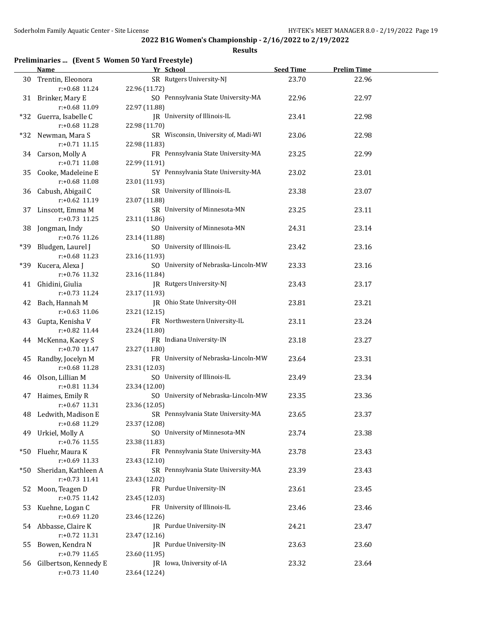**Results**

## **Preliminaries ... (Event 5 Women 50 Yard Freestyle)**

|       | Name                                   | Yr School                                     | <b>Seed Time</b> | <b>Prelim Time</b> |  |
|-------|----------------------------------------|-----------------------------------------------|------------------|--------------------|--|
|       | 30 Trentin, Eleonora                   | SR Rutgers University-NJ                      | 23.70            | 22.96              |  |
|       | r:+0.68 11.24                          | 22.96 (11.72)                                 |                  |                    |  |
|       | 31 Brinker, Mary E                     | SO Pennsylvania State University-MA           | 22.96            | 22.97              |  |
|       | r:+0.68 11.09                          | 22.97 (11.88)                                 |                  |                    |  |
|       | *32 Guerra, Isabelle C                 | JR University of Illinois-IL                  | 23.41            | 22.98              |  |
|       | r:+0.68 11.28                          | 22.98 (11.70)                                 |                  |                    |  |
|       | *32 Newman, Mara S                     | SR Wisconsin, University of, Madi-WI          | 23.06            | 22.98              |  |
|       | r:+0.71 11.15                          | 22.98 (11.83)                                 |                  |                    |  |
|       | 34 Carson, Molly A                     | FR Pennsylvania State University-MA           | 23.25            | 22.99              |  |
|       | $r: +0.71$ 11.08                       | 22.99 (11.91)                                 |                  |                    |  |
|       |                                        | 5Y Pennsylvania State University-MA           | 23.02            | 23.01              |  |
| 35    | Cooke, Madeleine E<br>$r: +0.68$ 11.08 |                                               |                  |                    |  |
|       |                                        | 23.01 (11.93)<br>SR University of Illinois-IL |                  |                    |  |
|       | 36 Cabush, Abigail C                   |                                               | 23.38            | 23.07              |  |
|       | $r: +0.62$ 11.19                       | 23.07 (11.88)                                 |                  |                    |  |
|       | 37 Linscott, Emma M                    | SR University of Minnesota-MN                 | 23.25            | 23.11              |  |
|       | r:+0.73 11.25                          | 23.11 (11.86)                                 |                  |                    |  |
|       | 38 Jongman, Indy                       | SO University of Minnesota-MN                 | 24.31            | 23.14              |  |
|       | r:+0.76 11.26                          | 23.14 (11.88)                                 |                  |                    |  |
| *39   | Bludgen, Laurel J                      | SO University of Illinois-IL                  | 23.42            | 23.16              |  |
|       | $r: +0.68$ 11.23                       | 23.16 (11.93)                                 |                  |                    |  |
|       | *39 Kucera, Alexa J                    | SO University of Nebraska-Lincoln-MW          | 23.33            | 23.16              |  |
|       | r:+0.76 11.32                          | 23.16 (11.84)                                 |                  |                    |  |
|       | 41 Ghidini, Giulia                     | JR Rutgers University-NJ                      | 23.43            | 23.17              |  |
|       | $r: +0.73$ 11.24                       | 23.17 (11.93)                                 |                  |                    |  |
|       | 42 Bach, Hannah M                      | JR Ohio State University-OH                   | 23.81            | 23.21              |  |
|       | $r: +0.63$ 11.06                       | 23.21 (12.15)                                 |                  |                    |  |
| 43    | Gupta, Kenisha V                       | FR Northwestern University-IL                 | 23.11            | 23.24              |  |
|       | r:+0.82 11.44                          | 23.24 (11.80)                                 |                  |                    |  |
|       | 44 McKenna, Kacey S                    | FR Indiana University-IN                      | 23.18            | 23.27              |  |
|       | $r: +0.70$ 11.47                       | 23.27 (11.80)                                 |                  |                    |  |
| 45    | Randby, Jocelyn M                      | FR University of Nebraska-Lincoln-MW          | 23.64            | 23.31              |  |
|       | r:+0.68 11.28                          | 23.31 (12.03)                                 |                  |                    |  |
|       | 46 Olson, Lillian M                    | SO University of Illinois-IL                  | 23.49            | 23.34              |  |
|       | $r: +0.81$ 11.34                       | 23.34 (12.00)                                 |                  |                    |  |
|       | 47 Haimes, Emily R                     | SO University of Nebraska-Lincoln-MW          | 23.35            | 23.36              |  |
|       | $r: +0.67$ 11.31                       | 23.36 (12.05)                                 |                  |                    |  |
|       | 48 Ledwith, Madison E                  | SR Pennsylvania State University-MA           | 23.65            | 23.37              |  |
|       | r:+0.68 11.29                          | 23.37 (12.08)                                 |                  |                    |  |
| 49    | Urkiel, Molly A                        | SO University of Minnesota-MN                 | 23.74            | 23.38              |  |
|       | r:+0.76 11.55                          | 23.38 (11.83)                                 |                  |                    |  |
| *50   | Fluehr, Maura K                        | FR Pennsylvania State University-MA           | 23.78            | 23.43              |  |
|       | r:+0.69 11.33                          | 23.43 (12.10)                                 |                  |                    |  |
| $*50$ | Sheridan, Kathleen A                   | SR Pennsylvania State University-MA           | 23.39            | 23.43              |  |
|       | $r: +0.73$ 11.41                       | 23.43 (12.02)                                 |                  |                    |  |
| 52    | Moon, Teagen D                         | FR Purdue University-IN                       | 23.61            | 23.45              |  |
|       | r:+0.75 11.42                          | 23.45 (12.03)                                 |                  |                    |  |
| 53    | Kuehne, Logan C                        | FR University of Illinois-IL                  | 23.46            | 23.46              |  |
|       | r:+0.69 11.20                          | 23.46 (12.26)                                 |                  |                    |  |
| 54    | Abbasse, Claire K                      | JR Purdue University-IN                       | 24.21            | 23.47              |  |
|       | r:+0.72 11.31                          | 23.47 (12.16)                                 |                  |                    |  |
| 55    | Bowen, Kendra N                        | JR Purdue University-IN                       | 23.63            | 23.60              |  |
|       | r:+0.79 11.65                          | 23.60 (11.95)                                 |                  |                    |  |
| 56    | Gilbertson, Kennedy E                  | JR Iowa, University of-IA                     | 23.32            | 23.64              |  |
|       | $r: +0.73$ 11.40                       | 23.64 (12.24)                                 |                  |                    |  |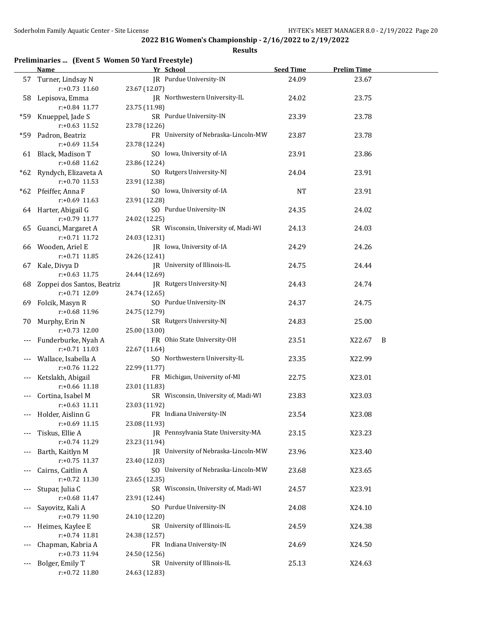**Results**

## **Preliminaries ... (Event 5 Women 50 Yard Freestyle)**

|       | <b>Name</b>                        | Yr School                                             | <b>Seed Time</b> | <b>Prelim Time</b> |   |
|-------|------------------------------------|-------------------------------------------------------|------------------|--------------------|---|
|       | 57 Turner, Lindsay N               | JR Purdue University-IN                               | 24.09            | 23.67              |   |
|       | $r: +0.73$ 11.60                   | 23.67 (12.07)                                         |                  |                    |   |
|       | 58 Lepisova, Emma                  | IR Northwestern University-IL                         | 24.02            | 23.75              |   |
|       | r:+0.84 11.77                      | 23.75 (11.98)                                         |                  |                    |   |
| *59.  | Knueppel, Jade S                   | SR Purdue University-IN                               | 23.39            | 23.78              |   |
|       | $r: +0.63$ 11.52                   | 23.78 (12.26)                                         |                  |                    |   |
| *59   | Padron, Beatriz<br>r:+0.69 11.54   | FR University of Nebraska-Lincoln-MW<br>23.78 (12.24) | 23.87            | 23.78              |   |
|       | 61 Black, Madison T                | SO Iowa, University of-IA                             | 23.91            | 23.86              |   |
|       | r:+0.68 11.62                      | 23.86 (12.24)                                         |                  |                    |   |
| *62   | Ryndych, Elizaveta A               | SO Rutgers University-NJ                              | 24.04            | 23.91              |   |
|       | $r: +0.70$ 11.53                   | 23.91 (12.38)                                         |                  |                    |   |
|       | *62 Pfeiffer, Anna F               | SO Iowa, University of-IA                             | <b>NT</b>        | 23.91              |   |
|       | $r: +0.69$ 11.63                   | 23.91 (12.28)                                         |                  |                    |   |
|       | 64 Harter, Abigail G               | SO Purdue University-IN                               | 24.35            | 24.02              |   |
|       | r:+0.79 11.77                      | 24.02 (12.25)                                         |                  |                    |   |
| 65    | Guanci, Margaret A                 | SR Wisconsin, University of, Madi-WI                  | 24.13            | 24.03              |   |
|       | $r: +0.71$ 11.72                   | 24.03 (12.31)                                         |                  |                    |   |
| 66    | Wooden, Ariel E                    | JR Iowa, University of-IA                             | 24.29            | 24.26              |   |
|       | $r: +0.71$ 11.85                   | 24.26 (12.41)                                         |                  |                    |   |
| 67    | Kale, Divya D                      | JR University of Illinois-IL                          | 24.75            | 24.44              |   |
|       | $r: +0.63$ 11.75                   | 24.44 (12.69)                                         |                  |                    |   |
| 68    | Zoppei dos Santos, Beatriz         | JR Rutgers University-NJ                              | 24.43            | 24.74              |   |
|       | $r: +0.71$ 12.09                   | 24.74 (12.65)                                         |                  |                    |   |
| 69    | Folcik, Masyn R                    | SO Purdue University-IN                               | 24.37            | 24.75              |   |
|       | r:+0.68 11.96                      | 24.75 (12.79)                                         |                  |                    |   |
| 70    | Murphy, Erin N<br>$r: +0.73$ 12.00 | SR Rutgers University-NJ                              | 24.83            | 25.00              |   |
| ---   | Funderburke, Nyah A                | 25.00 (13.00)<br>FR Ohio State University-OH          | 23.51            | X22.67             | B |
|       | $r: +0.71$ 11.03                   | 22.67 (11.64)                                         |                  |                    |   |
|       | Wallace, Isabella A                | SO Northwestern University-IL                         | 23.35            | X22.99             |   |
|       | r:+0.76 11.22                      | 22.99 (11.77)                                         |                  |                    |   |
|       | Ketslakh, Abigail                  | FR Michigan, University of-MI                         | 22.75            | X23.01             |   |
|       | $r: +0.66$ 11.18                   | 23.01 (11.83)                                         |                  |                    |   |
|       | Cortina, Isabel M                  | SR Wisconsin, University of, Madi-WI                  | 23.83            | X23.03             |   |
|       | $r: +0.63$ 11.11                   | 23.03 (11.92)                                         |                  |                    |   |
|       | --- Holder, Aislinn G              | FR Indiana University-IN                              | 23.54            | X23.08             |   |
|       | $r: +0.69$ 11.15                   | 23.08 (11.93)                                         |                  |                    |   |
|       | Tiskus, Ellie A                    | JR Pennsylvania State University-MA                   | 23.15            | X23.23             |   |
|       | r:+0.74 11.29                      | 23.23 (11.94)                                         |                  |                    |   |
|       | Barth, Kaitlyn M                   | JR University of Nebraska-Lincoln-MW                  | 23.96            | X23.40             |   |
|       | r:+0.75 11.37                      | 23.40 (12.03)                                         |                  |                    |   |
|       | Cairns, Caitlin A                  | SO University of Nebraska-Lincoln-MW                  | 23.68            | X23.65             |   |
|       | r:+0.72 11.30                      | 23.65 (12.35)                                         |                  |                    |   |
|       | Stupar, Julia C<br>r:+0.68 11.47   | SR Wisconsin, University of, Madi-WI<br>23.91 (12.44) | 24.57            | X23.91             |   |
| ---   | Sayovitz, Kali A                   | SO Purdue University-IN                               | 24.08            | X24.10             |   |
|       | r:+0.79 11.90                      | 24.10 (12.20)                                         |                  |                    |   |
| $---$ | Heimes, Kaylee E                   | SR University of Illinois-IL                          | 24.59            | X24.38             |   |
|       | $r: +0.74$ 11.81                   | 24.38 (12.57)                                         |                  |                    |   |
|       | Chapman, Kabria A                  | FR Indiana University-IN                              | 24.69            | X24.50             |   |
|       | r:+0.73 11.94                      | 24.50 (12.56)                                         |                  |                    |   |
|       | Bolger, Emily T                    | SR University of Illinois-IL                          | 25.13            | X24.63             |   |
|       | r:+0.72 11.80                      | 24.63 (12.83)                                         |                  |                    |   |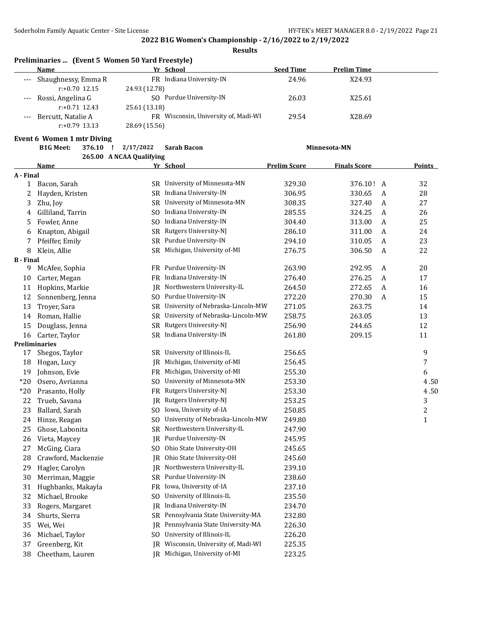**Results**

| Preliminaries  (Event 5 Women 50 Yard Freestyle) |  |  |  |
|--------------------------------------------------|--|--|--|
|--------------------------------------------------|--|--|--|

|       | <b>Name</b>             | Yr School                            | <b>Seed Time</b> | <b>Prelim Time</b> |  |
|-------|-------------------------|--------------------------------------|------------------|--------------------|--|
|       | --- Shaughnessy, Emma R | FR Indiana University-IN             | 24.96            | X24.93             |  |
|       | $r: +0.70$ 12.15        | 24.93 (12.78)                        |                  |                    |  |
|       | --- Rossi, Angelina G   | SO Purdue University-IN              | 26.03            | X25.61             |  |
|       | $r: +0.71$ 12.43        | 25.61 (13.18)                        |                  |                    |  |
| $---$ | Bercutt, Natalie A      | FR Wisconsin, University of, Madi-WI | 29.54            | X28.69             |  |
|       | $r: +0.79$ 13.13        | 28.69 (15.56)                        |                  |                    |  |

#### **Event 6 Women 1 mtr Diving**

|                  | <b>B1G Meet:</b>     | 376.10 | 2/17/2022<br>- 1         | <b>Sarah Bacon</b>                   |                     | Minnesota-MN        |   |                |
|------------------|----------------------|--------|--------------------------|--------------------------------------|---------------------|---------------------|---|----------------|
|                  | Name                 |        | 265.00 A NCAA Qualifying | <u>Yr School</u>                     | <b>Prelim Score</b> | <b>Finals Score</b> |   | <b>Points</b>  |
| A - Final        |                      |        |                          |                                      |                     |                     |   |                |
| $\mathbf{1}$     | Bacon, Sarah         |        |                          | SR University of Minnesota-MN        | 329.30              | 376.10! A           |   | 32             |
| 2                | Hayden, Kristen      |        |                          | SR Indiana University-IN             | 306.95              | 330.65              | A | 28             |
| 3                | Zhu, Joy             |        |                          | SR University of Minnesota-MN        | 308.35              | 327.40              | A | 27             |
| 4                | Gilliland, Tarrin    |        |                          | SO Indiana University-IN             | 285.55              | 324.25              | A | 26             |
| 5                | Fowler, Anne         |        |                          | SO Indiana University-IN             | 304.40              | 313.00              | A | 25             |
| 6                | Knapton, Abigail     |        |                          | SR Rutgers University-NJ             | 286.10              | 311.00              | A | 24             |
| 7                | Pfeiffer, Emily      |        |                          | SR Purdue University-IN              | 294.10              | 310.05              | A | 23             |
| 8                | Klein, Allie         |        |                          | SR Michigan, University of-MI        | 276.75              | 306.50              | A | 22             |
| <b>B</b> - Final |                      |        |                          |                                      |                     |                     |   |                |
| 9                | McAfee, Sophia       |        |                          | FR Purdue University-IN              | 263.90              | 292.95              | A | 20             |
| 10               | Carter, Megan        |        |                          | FR Indiana University-IN             | 276.40              | 276.25              | A | $17\,$         |
| 11               | Hopkins, Markie      |        |                          | IR Northwestern University-IL        | 264.50              | 272.65              | A | 16             |
| 12               | Sonnenberg, Jenna    |        |                          | SO Purdue University-IN              | 272.20              | 270.30              | A | 15             |
| 13               | Troyer, Sara         |        |                          | SR University of Nebraska-Lincoln-MW | 271.05              | 263.75              |   | 14             |
| 14               | Roman, Hallie        |        | SR.                      | University of Nebraska-Lincoln-MW    | 258.75              | 263.05              |   | 13             |
| 15               | Douglass, Jenna      |        |                          | SR Rutgers University-NJ             | 256.90              | 244.65              |   | 12             |
| 16               | Carter, Taylor       |        |                          | SR Indiana University-IN             | 261.80              | 209.15              |   | 11             |
|                  | <b>Preliminaries</b> |        |                          |                                      |                     |                     |   |                |
| 17               | Shegos, Taylor       |        |                          | SR University of Illinois-IL         | 256.65              |                     |   | 9              |
| 18               | Hogan, Lucy          |        |                          | JR Michigan, University of-MI        | 256.45              |                     |   | 7              |
| 19               | Johnson, Evie        |        |                          | FR Michigan, University of-MI        | 255.30              |                     |   | 6              |
| $*20$            | Osero, Avrianna      |        | SO.                      | University of Minnesota-MN           | 253.30              |                     |   | 4.50           |
| $*20$            | Prasanto, Holly      |        |                          | FR Rutgers University-NJ             | 253.30              |                     |   | 4.50           |
| 22               | Trueb, Savana        |        |                          | JR Rutgers University-NJ             | 253.25              |                     |   | 3              |
| 23               | Ballard, Sarah       |        |                          | SO Iowa, University of-IA            | 250.85              |                     |   | $\overline{c}$ |
| 24               | Hinze, Reagan        |        |                          | SO University of Nebraska-Lincoln-MW | 249.80              |                     |   | 1              |
| 25               | Ghose, Labonita      |        | SR.                      | Northwestern University-IL           | 247.90              |                     |   |                |
| 26               | Vieta, Maycey        |        |                          | JR Purdue University-IN              | 245.95              |                     |   |                |
| 27               | McGing, Ciara        |        |                          | SO Ohio State University-OH          | 245.65              |                     |   |                |
| 28               | Crawford, Mackenzie  |        | IR                       | Ohio State University-OH             | 245.60              |                     |   |                |
| 29               | Hagler, Carolyn      |        | IR                       | Northwestern University-IL           | 239.10              |                     |   |                |
| 30               | Merriman, Maggie     |        |                          | SR Purdue University-IN              | 238.60              |                     |   |                |
| 31               | Hughbanks, Makayla   |        |                          | FR Iowa, University of-IA            | 237.10              |                     |   |                |
| 32               | Michael, Brooke      |        |                          | SO University of Illinois-IL         | 235.50              |                     |   |                |
| 33               | Rogers, Margaret     |        | IR                       | Indiana University-IN                | 234.70              |                     |   |                |
| 34               | Shurts, Sierra       |        |                          | SR Pennsylvania State University-MA  | 232.80              |                     |   |                |
| 35               | Wei, Wei             |        | IR                       | Pennsylvania State University-MA     | 226.30              |                     |   |                |
| 36               | Michael, Taylor      |        |                          | SO University of Illinois-IL         | 226.20              |                     |   |                |
| 37               | Greenberg, Kit       |        |                          | IR Wisconsin, University of, Madi-WI | 225.35              |                     |   |                |

Cheetham, Lauren JR Michigan, University of-MI 223.25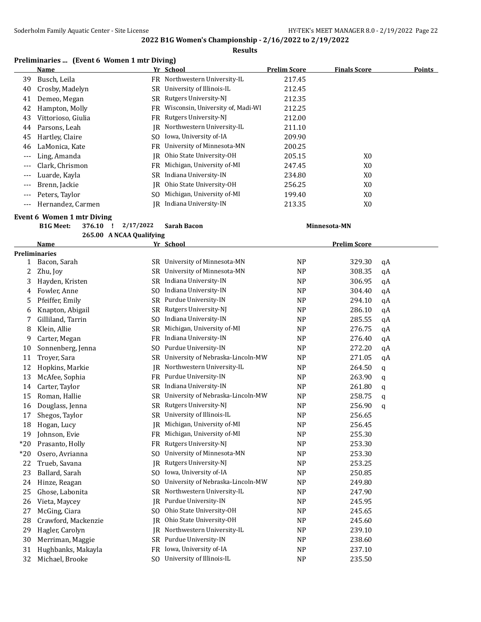## **2022 B1G Women's Championship - 2/16/2022 to 2/19/2022 Results**

## **Preliminaries ... (Event 6 Women 1 mtr Diving)**

|         | <b>Name</b>        |     | Yr School                         | <b>Prelim Score</b> | <b>Finals Score</b> | <b>Points</b> |
|---------|--------------------|-----|-----------------------------------|---------------------|---------------------|---------------|
| 39      | Busch, Leila       | FR. | Northwestern University-IL        | 217.45              |                     |               |
| 40      | Crosby, Madelyn    | SR  | University of Illinois-IL         | 212.45              |                     |               |
| 41      | Demeo, Megan       | SR  | Rutgers University-NJ             | 212.35              |                     |               |
| 42      | Hampton, Molly     | FR  | Wisconsin, University of, Madi-WI | 212.25              |                     |               |
| 43      | Vittorioso, Giulia | FR. | Rutgers University-NJ             | 212.00              |                     |               |
| 44      | Parsons, Leah      | IR  | Northwestern University-IL        | 211.10              |                     |               |
| 45      | Hartley, Claire    | SO. | Iowa, University of-IA            | 209.90              |                     |               |
| 46      | LaMonica, Kate     | FR. | University of Minnesota-MN        | 200.25              |                     |               |
|         | Ling, Amanda       | IR  | Ohio State University-OH          | 205.15              | X <sub>0</sub>      |               |
| ---     | Clark, Chrismon    | FR  | Michigan, University of-MI        | 247.45              | X <sub>0</sub>      |               |
| ---     | Luarde, Kayla      | SR  | Indiana University-IN             | 234.80              | X <sub>0</sub>      |               |
| $---$   | Brenn, Jackie      | IR  | Ohio State University-OH          | 256.25              | X0                  |               |
| $---$   | Peters, Taylor     | SO. | Michigan, University of-MI        | 199.40              | X0                  |               |
| $- - -$ | Hernandez, Carmen  | IR. | Indiana University-IN             | 213.35              | X <sub>0</sub>      |               |

#### **Event 6 Women 1 mtr Diving**

|  | B1G Meet: 376.10 ! 2/17/2022 Sarah Bacon | Minnesota-MN |
|--|------------------------------------------|--------------|
|  | 265.00 A NCAA Qualifying                 |              |

|              | <b>Name</b>         |                | Yr School                         |                | <b>Prelim Score</b> |             |  |
|--------------|---------------------|----------------|-----------------------------------|----------------|---------------------|-------------|--|
|              | Preliminaries       |                |                                   |                |                     |             |  |
| $\mathbf{1}$ | Bacon, Sarah        | SR.            | University of Minnesota-MN        | <b>NP</b>      | 329.30              | qA          |  |
| 2            | Zhu, Joy            | <b>SR</b>      | University of Minnesota-MN        | <b>NP</b>      | 308.35              | qA          |  |
| 3            | Hayden, Kristen     | <b>SR</b>      | Indiana University-IN             | <b>NP</b>      | 306.95              | qA          |  |
| 4            | Fowler, Anne        | S <sub>O</sub> | Indiana University-IN             | <b>NP</b>      | 304.40              | qA          |  |
| 5            | Pfeiffer, Emily     | <b>SR</b>      | Purdue University-IN              | N <sub>P</sub> | 294.10              | qA          |  |
| 6            | Knapton, Abigail    | <b>SR</b>      | Rutgers University-NJ             | <b>NP</b>      | 286.10              | qA          |  |
| 7            | Gilliland, Tarrin   | S <sub>0</sub> | Indiana University-IN             | <b>NP</b>      | 285.55              | qA          |  |
| 8            | Klein, Allie        | <b>SR</b>      | Michigan, University of-MI        | <b>NP</b>      | 276.75              | qA          |  |
| 9            | Carter, Megan       | <b>FR</b>      | Indiana University-IN             | <b>NP</b>      | 276.40              | qA          |  |
| 10           | Sonnenberg, Jenna   | S <sub>O</sub> | Purdue University-IN              | <b>NP</b>      | 272.20              | qA          |  |
| 11           | Troyer, Sara        | <b>SR</b>      | University of Nebraska-Lincoln-MW | <b>NP</b>      | 271.05              | qA          |  |
| 12           | Hopkins, Markie     | <b>IR</b>      | Northwestern University-IL        | <b>NP</b>      | 264.50              | $\mathbf q$ |  |
| 13           | McAfee, Sophia      | <b>FR</b>      | Purdue University-IN              | <b>NP</b>      | 263.90              | $\mathbf q$ |  |
| 14           | Carter, Taylor      | <b>SR</b>      | Indiana University-IN             | <b>NP</b>      | 261.80              | q           |  |
| 15           | Roman, Hallie       | <b>SR</b>      | University of Nebraska-Lincoln-MW | <b>NP</b>      | 258.75              | q           |  |
| 16           | Douglass, Jenna     | SR             | Rutgers University-NJ             | <b>NP</b>      | 256.90              | q           |  |
| 17           | Shegos, Taylor      | <b>SR</b>      | University of Illinois-IL         | <b>NP</b>      | 256.65              |             |  |
| 18           | Hogan, Lucy         | IR             | Michigan, University of-MI        | <b>NP</b>      | 256.45              |             |  |
| 19           | Johnson, Evie       | <b>FR</b>      | Michigan, University of-MI        | <b>NP</b>      | 255.30              |             |  |
| $*20$        | Prasanto, Holly     | <b>FR</b>      | Rutgers University-NJ             | <b>NP</b>      | 253.30              |             |  |
| $*20$        | Osero, Avrianna     | S <sub>O</sub> | University of Minnesota-MN        | <b>NP</b>      | 253.30              |             |  |
| 22           | Trueb, Savana       | IR.            | Rutgers University-NJ             | <b>NP</b>      | 253.25              |             |  |
| 23           | Ballard, Sarah      | S <sub>0</sub> | Iowa, University of-IA            | <b>NP</b>      | 250.85              |             |  |
| 24           | Hinze, Reagan       | S <sub>0</sub> | University of Nebraska-Lincoln-MW | <b>NP</b>      | 249.80              |             |  |
| 25           | Ghose, Labonita     | <b>SR</b>      | Northwestern University-IL        | <b>NP</b>      | 247.90              |             |  |
| 26           | Vieta, Maycey       | <b>IR</b>      | Purdue University-IN              | <b>NP</b>      | 245.95              |             |  |
| 27           | McGing, Ciara       | S <sub>O</sub> | Ohio State University-OH          | <b>NP</b>      | 245.65              |             |  |
| 28           | Crawford, Mackenzie | <b>IR</b>      | Ohio State University-OH          | <b>NP</b>      | 245.60              |             |  |
| 29           | Hagler, Carolyn     | IR             | Northwestern University-IL        | <b>NP</b>      | 239.10              |             |  |
| 30           | Merriman, Maggie    | <b>SR</b>      | Purdue University-IN              | <b>NP</b>      | 238.60              |             |  |
| 31           | Hughbanks, Makayla  | <b>FR</b>      | Iowa, University of-IA            | <b>NP</b>      | 237.10              |             |  |
| 32           | Michael, Brooke     | SO.            | University of Illinois-IL         | <b>NP</b>      | 235.50              |             |  |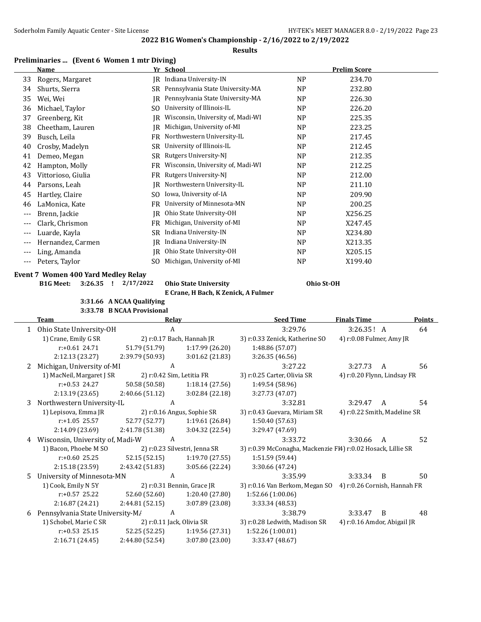#### **Results**

## **Preliminaries ... (Event 6 Women 1 mtr Diving)**

| Name               |           |                                   |                | <b>Prelim Score</b> |  |
|--------------------|-----------|-----------------------------------|----------------|---------------------|--|
| Rogers, Margaret   | IR        | Indiana University-IN             | <b>NP</b>      | 234.70              |  |
| Shurts, Sierra     | SR        | Pennsylvania State University-MA  | <b>NP</b>      | 232.80              |  |
| Wei, Wei           | IR        | Pennsylvania State University-MA  | <b>NP</b>      | 226.30              |  |
| Michael, Taylor    | SO.       | University of Illinois-IL         | N <sub>P</sub> | 226.20              |  |
| Greenberg, Kit     | IR        | Wisconsin, University of, Madi-WI | <b>NP</b>      | 225.35              |  |
| Cheetham, Lauren   | IR        | Michigan, University of-MI        | N <sub>P</sub> | 223.25              |  |
| Busch, Leila       | FR.       | Northwestern University-IL        | N <sub>P</sub> | 217.45              |  |
| Crosby, Madelyn    | SR        | University of Illinois-IL         | N <sub>P</sub> | 212.45              |  |
| Demeo, Megan       | SR        | Rutgers University-NJ             | N <sub>P</sub> | 212.35              |  |
| Hampton, Molly     | FR        | Wisconsin, University of, Madi-WI | N <sub>P</sub> | 212.25              |  |
| Vittorioso, Giulia | FR.       | Rutgers University-NJ             | N <sub>P</sub> | 212.00              |  |
| Parsons, Leah      | IR        | Northwestern University-IL        | <b>NP</b>      | 211.10              |  |
| Hartley, Claire    | SO.       | Iowa, University of-IA            | <b>NP</b>      | 209.90              |  |
| LaMonica, Kate     | FR        | University of Minnesota-MN        | NP             | 200.25              |  |
| Brenn, Jackie      | JR        | Ohio State University-OH          | N <sub>P</sub> | X256.25             |  |
| Clark, Chrismon    | FR        | Michigan, University of-MI        | <b>NP</b>      | X247.45             |  |
| Luarde, Kayla      | <b>SR</b> | Indiana University-IN             | N <sub>P</sub> | X234.80             |  |
| Hernandez, Carmen  | IR        | Indiana University-IN             | <b>NP</b>      | X213.35             |  |
| Ling, Amanda       | IR        | Ohio State University-OH          | N <sub>P</sub> | X205.15             |  |
| Peters, Taylor     | SO.       | Michigan, University of-MI        | N <sub>P</sub> | X199.40             |  |
|                    |           |                                   | Yr School      |                     |  |

#### **Event 7 Women 400 Yard Medley Relay**

**B1G Meet: 3:26.35 ! 2/17/2022 Ohio State University Ohio St-OH**

**E Crane, H Bach, K Zenick, A Fulmer**

**3:31.66 A NCAA Qualifying 3:33.78 B NCAA Provisional**

|    | Team                             | Relay           |                               | <b>Seed Time</b>                                             | <b>Finals Time</b>           |   | <b>Points</b> |
|----|----------------------------------|-----------------|-------------------------------|--------------------------------------------------------------|------------------------------|---|---------------|
| 1  | Ohio State University-OH         | A               |                               | 3:29.76                                                      | 3:26.35! A                   |   | 64            |
|    | 1) Crane, Emily G SR             |                 | 2) r:0.17 Bach, Hannah JR     | 3) r:0.33 Zenick, Katherine SO                               | 4) r:0.08 Fulmer, Amy JR     |   |               |
|    | $r: +0.61$ 24.71                 | 51.79 (51.79)   | 1:17.99(26.20)                | 1:48.86 (57.07)                                              |                              |   |               |
|    | 2:12.13 (23.27)                  | 2:39.79 (50.93) | 3:01.62(21.83)                | 3:26.35(46.56)                                               |                              |   |               |
| 2  | Michigan, University of-MI       | A               |                               | 3:27.22                                                      | 3:27.73                      | A | 56            |
|    | 1) MacNeil, Margaret J SR        |                 | 2) r:0.42 Sim, Letitia FR     | 3) r:0.25 Carter, Olivia SR                                  | 4) r:0.20 Flynn, Lindsay FR  |   |               |
|    | $r: +0.53$ 24.27                 | 50.58 (50.58)   | 1:18.14(27.56)                | 1:49.54 (58.96)                                              |                              |   |               |
|    | 2:13.19 (23.65)                  | 2:40.66(51.12)  | 3:02.84(22.18)                | 3:27.73 (47.07)                                              |                              |   |               |
| 3  | Northwestern University-IL       | A               |                               | 3:32.81                                                      | 3:29.47                      | A | 54            |
|    | 1) Lepisova, Emma JR             |                 | 2) r:0.16 Angus, Sophie SR    | 3) r:0.43 Guevara, Miriam SR                                 | 4) r:0.22 Smith, Madeline SR |   |               |
|    | $r: +1.05$ 25.57                 | 52.77 (52.77)   | 1:19.61 (26.84)               | 1:50.40 (57.63)                                              |                              |   |               |
|    | 2:14.09 (23.69)                  | 2:41.78 (51.38) | 3:04.32(22.54)                | 3:29.47 (47.69)                                              |                              |   |               |
|    | Wisconsin, University of, Madi-W | A               |                               | 3:33.72                                                      | 3:30.66                      | A | 52            |
|    | 1) Bacon, Phoebe M SO            |                 | 2) r:0.23 Silvestri, Jenna SR | 3) r:0.39 McConagha, Mackenzie Fl4) r:0.02 Hosack, Lillie SR |                              |   |               |
|    | $r: +0.60$ 25.25                 | 52.15 (52.15)   | 1:19.70(27.55)                | 1:51.59 (59.44)                                              |                              |   |               |
|    | 2:15.18(23.59)                   | 2:43.42 (51.83) | 3:05.66 (22.24)               | 3:30.66 (47.24)                                              |                              |   |               |
| 5. | University of Minnesota-MN       | A               |                               | 3:35.99                                                      | 3:33.34                      | B | 50            |
|    | 1) Cook, Emily N 5Y              |                 | 2) r:0.31 Bennin, Grace JR    | 3) r:0.16 Van Berkom, Megan SO 4) r:0.26 Cornish, Hannah FR  |                              |   |               |
|    | $r: +0.57$ 25.22                 | 52.60 (52.60)   | 1:20.40 (27.80)               | 1:52.66(1:00.06)                                             |                              |   |               |
|    | 2:16.87 (24.21)                  | 2:44.81(52.15)  | 3:07.89 (23.08)               | 3:33.34 (48.53)                                              |                              |   |               |
| 6  | Pennsylvania State University-M/ | A               |                               | 3:38.79                                                      | 3:33.47                      | B | 48            |
|    | 1) Schobel, Marie C SR           |                 | 2) r:0.11 Jack, Olivia SR     | 3) r:0.28 Ledwith, Madison SR                                | 4) r:0.16 Amdor, Abigail JR  |   |               |
|    | $r: +0.53$ 25.15                 | 52.25 (52.25)   | 1:19.56(27.31)                | 1:52.26 (1:00.01)                                            |                              |   |               |
|    | 2:16.71 (24.45)                  | 2:44.80 (52.54) | 3:07.80 (23.00)               | 3:33.47 (48.67)                                              |                              |   |               |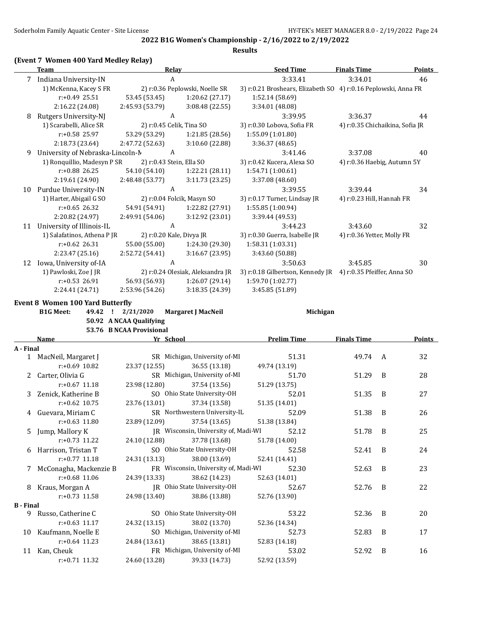**2022 B1G Women's Championship - 2/16/2022 to 2/19/2022 Results**

## **(Event 7 Women 400 Yard Medley Relay)**

| <b>Team</b>               |                 |                                                                                                | <b>Seed Time</b>                                                                                                                                                                                                            | <b>Finals Time</b>              | <b>Points</b>                                                                                      |
|---------------------------|-----------------|------------------------------------------------------------------------------------------------|-----------------------------------------------------------------------------------------------------------------------------------------------------------------------------------------------------------------------------|---------------------------------|----------------------------------------------------------------------------------------------------|
| Indiana University-IN     |                 |                                                                                                | 3:33.41                                                                                                                                                                                                                     | 3:34.01                         | 46                                                                                                 |
| 1) McKenna, Kacey S FR    |                 |                                                                                                |                                                                                                                                                                                                                             |                                 |                                                                                                    |
| $r: +0.49$ 25.51          | 53.45 (53.45)   | 1:20.62(27.17)                                                                                 | 1:52.14 (58.69)                                                                                                                                                                                                             |                                 |                                                                                                    |
| 2:16.22 (24.08)           | 2:45.93 (53.79) | 3:08.48(22.55)                                                                                 | 3:34.01 (48.08)                                                                                                                                                                                                             |                                 |                                                                                                    |
| Rutgers University-NJ     |                 |                                                                                                | 3:39.95                                                                                                                                                                                                                     | 3:36.37                         | 44                                                                                                 |
| 1) Scarabelli, Alice SR   |                 |                                                                                                | 3) r:0.30 Lobova, Sofia FR                                                                                                                                                                                                  | 4) r:0.35 Chichaikina, Sofia JR |                                                                                                    |
| $r: +0.58$ 25.97          | 53.29 (53.29)   | 1:21.85(28.56)                                                                                 | 1:55.09(1:01.80)                                                                                                                                                                                                            |                                 |                                                                                                    |
| 2:18.73 (23.64)           | 2:47.72 (52.63) | 3:10.60(22.88)                                                                                 | 3:36.37(48.65)                                                                                                                                                                                                              |                                 |                                                                                                    |
|                           |                 |                                                                                                | 3:41.46                                                                                                                                                                                                                     | 3:37.08                         | 40                                                                                                 |
|                           |                 |                                                                                                | 3) r:0.42 Kucera, Alexa SO                                                                                                                                                                                                  | 4) r:0.36 Haebig, Autumn 5Y     |                                                                                                    |
| $r: +0.88$ 26.25          | 54.10 (54.10)   | 1:22.21(28.11)                                                                                 | 1:54.71 (1:00.61)                                                                                                                                                                                                           |                                 |                                                                                                    |
| 2:19.61 (24.90)           | 2:48.48 (53.77) | 3:11.73(23.25)                                                                                 | 3:37.08 (48.60)                                                                                                                                                                                                             |                                 |                                                                                                    |
| Purdue University-IN      |                 |                                                                                                | 3:39.55                                                                                                                                                                                                                     | 3:39.44                         | 34                                                                                                 |
| 1) Harter, Abigail G SO   |                 |                                                                                                | 3) r:0.17 Turner, Lindsay JR                                                                                                                                                                                                | 4) r:0.23 Hill, Hannah FR       |                                                                                                    |
| $r: +0.65$ 26.32          | 54.91 (54.91)   | 1:22.82 (27.91)                                                                                | 1:55.85 (1:00.94)                                                                                                                                                                                                           |                                 |                                                                                                    |
| 2:20.82 (24.97)           | 2:49.91 (54.06) | 3:12.92 (23.01)                                                                                | 3:39.44 (49.53)                                                                                                                                                                                                             |                                 |                                                                                                    |
| University of Illinois-IL |                 |                                                                                                | 3:44.23                                                                                                                                                                                                                     | 3:43.60                         | 32                                                                                                 |
|                           |                 |                                                                                                | 3) r:0.30 Guerra, Isabelle JR                                                                                                                                                                                               | 4) r:0.36 Yetter, Molly FR      |                                                                                                    |
| $r: +0.62$ 26.31          | 55.00 (55.00)   | 1:24.30 (29.30)                                                                                | 1:58.31 (1:03.31)                                                                                                                                                                                                           |                                 |                                                                                                    |
| 2:23.47 (25.16)           | 2:52.72 (54.41) | 3:16.67(23.95)                                                                                 | 3:43.60 (50.88)                                                                                                                                                                                                             |                                 |                                                                                                    |
| Iowa, University of-IA    |                 |                                                                                                | 3:50.63                                                                                                                                                                                                                     | 3:45.85                         | 30                                                                                                 |
| 1) Pawloski, Zoe J JR     |                 |                                                                                                |                                                                                                                                                                                                                             | 4) r:0.35 Pfeiffer, Anna SO     |                                                                                                    |
| $r: +0.53$ 26.91          | 56.93 (56.93)   | 1:26.07(29.14)                                                                                 | 1:59.70 (1:02.77)                                                                                                                                                                                                           |                                 |                                                                                                    |
| 2:24.41 (24.71)           | 2:53.96 (54.26) | 3:18.35 (24.39)                                                                                | 3:45.85 (51.89)                                                                                                                                                                                                             |                                 |                                                                                                    |
|                           |                 | University of Nebraska-Lincoln-M<br>1) Ronquillio, Madesyn P SR<br>1) Salafatinos, Athena P JR | Relay<br>A<br>2) r:0.36 Peplowski, Noelle SR<br>A<br>2) r:0.45 Celik, Tina SO<br>A<br>2) r:0.43 Stein, Ella SO<br>A<br>2) r:0.04 Folcik, Masyn SO<br>A<br>2) r:0.20 Kale, Divya JR<br>A<br>2) r:0.24 Olesiak, Aleksandra JR |                                 | 3) r:0.21 Broshears, Elizabeth SO 4) r:0.16 Peplowski, Anna FR<br>3) r:0.18 Gilbertson, Kennedy JR |

**Event 8 Women 100 Yard Butterfly**

| <b>B1G Meet:</b> |  | 49.42 ! 2/21/2020        | Margaret J MacNeil | Michigan |  |
|------------------|--|--------------------------|--------------------|----------|--|
|                  |  | 50.92 A NCAA Qualifying  |                    |          |  |
|                  |  | 53.76 B NCAA Provisional |                    |          |  |

|                  | Name                     | Yr School     |                                      | <b>Prelim Time</b> | <b>Finals Time</b> |                | <b>Points</b> |
|------------------|--------------------------|---------------|--------------------------------------|--------------------|--------------------|----------------|---------------|
| A - Final        |                          |               |                                      |                    |                    |                |               |
|                  | 1 MacNeil, Margaret J    |               | SR Michigan, University of-MI        | 51.31              | 49.74              | A              | 32            |
|                  | $r: +0.69$ 10.82         | 23.37 (12.55) | 36.55 (13.18)                        | 49.74 (13.19)      |                    |                |               |
|                  | 2 Carter, Olivia G       |               | SR Michigan, University of-MI        | 51.70              | 51.29              | B              | 28            |
|                  | $r: +0.67$ 11.18         | 23.98 (12.80) | 37.54 (13.56)                        | 51.29 (13.75)      |                    |                |               |
|                  | 3 Zenick, Katherine B    |               | SO Ohio State University-OH          | 52.01              | 51.35              | B              | 27            |
|                  | $r: +0.62$ 10.75         | 23.76 (13.01) | 37.34 (13.58)                        | 51.35 (14.01)      |                    |                |               |
|                  | 4 Guevara, Miriam C      |               | SR Northwestern University-IL        | 52.09              | 51.38              | B              | 26            |
|                  | $r: +0.63$ 11.80         | 23.89 (12.09) | 37.54 (13.65)                        | 51.38 (13.84)      |                    |                |               |
|                  | 5 Jump, Mallory K        |               | IR Wisconsin, University of, Madi-WI | 52.12              | 51.78              | B              | 25            |
|                  | r:+0.73 11.22            | 24.10 (12.88) | 37.78 (13.68)                        | 51.78 (14.00)      |                    |                |               |
|                  | 6 Harrison, Tristan T    |               | SO Ohio State University-OH          | 52.58              | 52.41              | B              | 24            |
|                  | $r: +0.77$ 11.18         | 24.31 (13.13) | 38.00 (13.69)                        | 52.41 (14.41)      |                    |                |               |
|                  | 7 McConagha, Mackenzie B |               | FR Wisconsin, University of, Madi-WI | 52.30              | 52.63              | B              | 23            |
|                  | $r: +0.68$ 11.06         | 24.39 (13.33) | 38.62 (14.23)                        | 52.63 (14.01)      |                    |                |               |
|                  | 8 Kraus, Morgan A        |               | JR Ohio State University-OH          | 52.67              | 52.76              | B              | 22            |
|                  | $r: +0.73$ 11.58         | 24.98 (13.40) | 38.86 (13.88)                        | 52.76 (13.90)      |                    |                |               |
| <b>B</b> - Final |                          |               |                                      |                    |                    |                |               |
| 9                | Russo, Catherine C       |               | SO Ohio State University-OH          | 53.22              | 52.36              | $\overline{B}$ | 20            |
|                  | $r: +0.63$ 11.17         | 24.32 (13.15) | 38.02 (13.70)                        | 52.36 (14.34)      |                    |                |               |
|                  | 10 Kaufmann, Noelle E    |               | SO Michigan, University of-MI        | 52.73              | 52.83              | B              | 17            |
|                  | $r: +0.64$ 11.23         | 24.84 (13.61) | 38.65 (13.81)                        | 52.83 (14.18)      |                    |                |               |
|                  | 11 Kan, Cheuk            |               | FR Michigan, University of-MI        | 53.02              | 52.92              | B              | 16            |
|                  | $r: +0.71$ 11.32         | 24.60 (13.28) | 39.33 (14.73)                        | 52.92 (13.59)      |                    |                |               |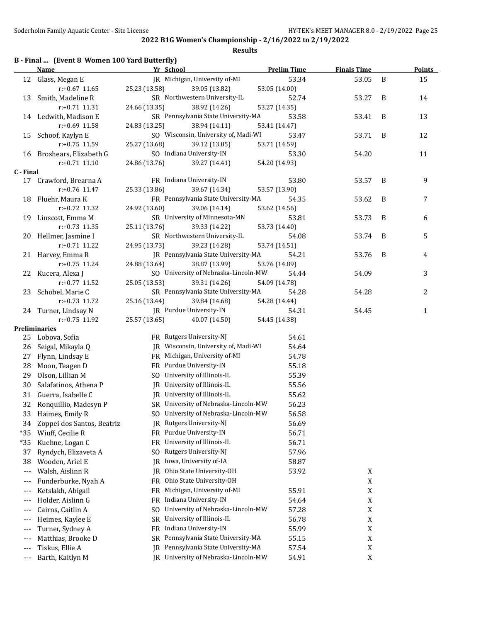|  |  |  | B - Final  (Event 8 Women 100 Yard Butterfly) |
|--|--|--|-----------------------------------------------|
|--|--|--|-----------------------------------------------|

|           | <b>Name</b>                              | Yr School     |                                                         | <b>Prelim Time</b> | <b>Finals Time</b> |   | <b>Points</b> |
|-----------|------------------------------------------|---------------|---------------------------------------------------------|--------------------|--------------------|---|---------------|
|           | 12 Glass, Megan E                        |               | JR Michigan, University of-MI                           | 53.34              | 53.05              | B | 15            |
|           | $r: +0.67$ 11.65                         | 25.23 (13.58) | 39.05 (13.82)                                           | 53.05 (14.00)      |                    |   |               |
|           | 13 Smith, Madeline R                     |               | SR Northwestern University-IL                           | 52.74              | 53.27              | B | 14            |
|           | r:+0.71 11.31                            | 24.66 (13.35) | 38.92 (14.26)                                           | 53.27 (14.35)      |                    |   |               |
|           | 14 Ledwith, Madison E                    |               | SR Pennsylvania State University-MA                     | 53.58              | 53.41              | B | 13            |
|           | r:+0.69 11.58                            | 24.83 (13.25) | 38.94 (14.11)                                           | 53.41 (14.47)      |                    |   |               |
|           | 15 Schoof, Kaylyn E                      |               | SO Wisconsin, University of, Madi-WI                    | 53.47              | 53.71              | B | 12            |
|           | r:+0.75 11.59                            | 25.27 (13.68) | 39.12 (13.85)                                           | 53.71 (14.59)      |                    |   |               |
|           | 16 Broshears, Elizabeth G                |               | SO Indiana University-IN                                | 53.30              | 54.20              |   | 11            |
|           | $r: +0.71$ 11.10                         | 24.86 (13.76) | 39.27 (14.41)                                           | 54.20 (14.93)      |                    |   |               |
| C - Final |                                          |               |                                                         |                    |                    |   |               |
| 17        | Crawford, Brearna A                      |               | FR Indiana University-IN                                | 53.80              | 53.57              | B | 9             |
|           | $r: +0.76$ 11.47                         | 25.33 (13.86) | 39.67 (14.34)                                           | 53.57 (13.90)      |                    |   |               |
|           | 18 Fluehr, Maura K                       |               | FR Pennsylvania State University-MA                     | 54.35              | 53.62              | B | 7             |
|           | r:+0.72 11.32                            | 24.92 (13.60) | 39.06 (14.14)                                           | 53.62 (14.56)      |                    |   |               |
|           | 19 Linscott, Emma M                      |               | SR University of Minnesota-MN                           | 53.81              | 53.73              | B | 6             |
|           | r:+0.73 11.35                            | 25.11 (13.76) | 39.33 (14.22)                                           | 53.73 (14.40)      |                    |   |               |
|           | 20 Hellmer, Jasmine I                    |               | SR Northwestern University-IL                           | 54.08              | 53.74              | B | 5             |
|           | $r: +0.71$ 11.22                         | 24.95 (13.73) | 39.23 (14.28)                                           | 53.74 (14.51)      |                    |   |               |
|           | 21 Harvey, Emma R                        |               | JR Pennsylvania State University-MA                     | 54.21              | 53.76              | B | 4             |
|           | $r: +0.75$ 11.24                         | 24.88 (13.64) | 38.87 (13.99)                                           | 53.76 (14.89)      |                    |   |               |
|           | 22 Kucera, Alexa J                       |               | SO University of Nebraska-Lincoln-MW                    | 54.44              | 54.09              |   | 3             |
|           | $r: +0.77$ 11.52                         | 25.05 (13.53) | 39.31 (14.26)                                           | 54.09 (14.78)      |                    |   |               |
|           | 23 Schobel, Marie C                      |               | SR Pennsylvania State University-MA                     | 54.28              | 54.28              |   | 2             |
|           | $r: +0.73$ 11.72                         | 25.16 (13.44) | 39.84 (14.68)                                           | 54.28 (14.44)      |                    |   |               |
|           | 24 Turner, Lindsay N                     |               | JR Purdue University-IN                                 | 54.31              | 54.45              |   | $\mathbf{1}$  |
|           | r:+0.75 11.92                            | 25.57 (13.65) | 40.07 (14.50)                                           | 54.45 (14.38)      |                    |   |               |
|           | <b>Preliminaries</b><br>25 Lobova, Sofia |               | FR Rutgers University-NJ                                | 54.61              |                    |   |               |
| 26        | Seigal, Mikayla Q                        |               | JR Wisconsin, University of, Madi-WI                    | 54.64              |                    |   |               |
| 27        |                                          |               | FR Michigan, University of-MI                           | 54.78              |                    |   |               |
|           | Flynn, Lindsay E                         |               |                                                         |                    |                    |   |               |
| 28        | Moon, Teagen D                           |               | FR Purdue University-IN<br>SO University of Illinois-IL | 55.18              |                    |   |               |
| 29        | Olson, Lillian M                         |               | JR University of Illinois-IL                            | 55.39              |                    |   |               |
| 30        | Salafatinos, Athena P                    |               |                                                         | 55.56              |                    |   |               |
| 31        | Guerra, Isabelle C                       |               | JR University of Illinois-IL                            | 55.62              |                    |   |               |
| 32        | Ronquillio, Madesyn P                    |               | SR University of Nebraska-Lincoln-MW                    | 56.23              |                    |   |               |
| 33        | Haimes, Emily R                          |               | SO University of Nebraska-Lincoln-MW                    | 56.58              |                    |   |               |
| 34        | Zoppei dos Santos, Beatriz               | IR            | Rutgers University-NJ                                   | 56.69              |                    |   |               |
| $*35$     | Wiuff, Cecilie R                         | FR.           | Purdue University-IN                                    | 56.71              |                    |   |               |
| $*35$     | Kuehne, Logan C                          | FR            | University of Illinois-IL                               | 56.71              |                    |   |               |
| 37        | Ryndych, Elizaveta A                     | SO.           | Rutgers University-NJ                                   | 57.96              |                    |   |               |
| 38        | Wooden, Ariel E                          | IR            | Iowa, University of-IA                                  | 58.87              |                    |   |               |
| $---$     | Walsh, Aislinn R                         | JR.           | Ohio State University-OH                                | 53.92              | X                  |   |               |
| $--$      | Funderburke, Nyah A                      | FR            | Ohio State University-OH                                |                    | $\mathbf X$        |   |               |
| $---$     | Ketslakh, Abigail                        | FR            | Michigan, University of-MI                              | 55.91              | $\mathbf X$        |   |               |
| $---$     | Holder, Aislinn G                        | FR            | Indiana University-IN                                   | 54.64              | $\mathbf X$        |   |               |
| $---$     | Cairns, Caitlin A                        | SO.           | University of Nebraska-Lincoln-MW                       | 57.28              | $\mathbf X$        |   |               |
| $---$     | Heimes, Kaylee E                         | <b>SR</b>     | University of Illinois-IL                               | 56.78              | $\mathbf X$        |   |               |
| $---$     | Turner, Sydney A                         | FR            | Indiana University-IN                                   | 55.99              | $\mathbf X$        |   |               |
| $--$      | Matthias, Brooke D                       | SR            | Pennsylvania State University-MA                        | 55.15              | $\mathbf X$        |   |               |
| ---       | Tiskus, Ellie A                          | IR            | Pennsylvania State University-MA                        | 57.54              | $\boldsymbol{X}$   |   |               |
| $---$     | Barth, Kaitlyn M                         |               | JR University of Nebraska-Lincoln-MW                    | 54.91              | $\mathbf X$        |   |               |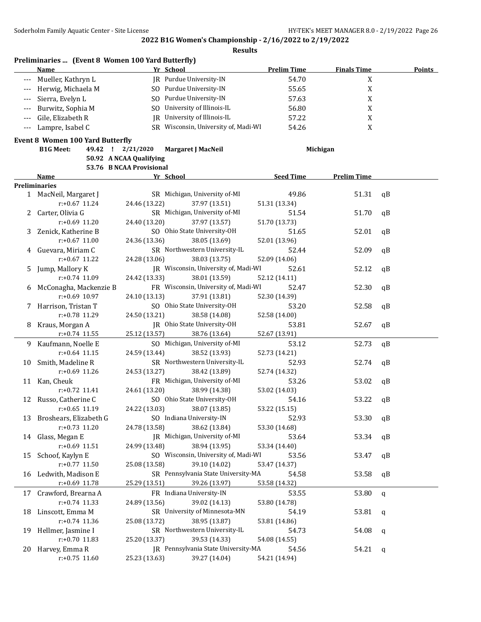|       | Preliminaries  (Event 8 Women 100 Yard Butterfly)<br>Name |                          | Yr School                                      | <b>Prelim Time</b>     | <b>Finals Time</b> | <b>Points</b> |
|-------|-----------------------------------------------------------|--------------------------|------------------------------------------------|------------------------|--------------------|---------------|
|       | Mueller, Kathryn L                                        |                          | JR Purdue University-IN                        | 54.70                  | X                  |               |
|       | Herwig, Michaela M                                        |                          | SO Purdue University-IN                        | 55.65                  | $\mathbf X$        |               |
| ---   | Sierra, Evelyn L                                          |                          | SO Purdue University-IN                        | 57.63                  | $\mathbf X$        |               |
| ---   | Burwitz, Sophia M                                         |                          | SO University of Illinois-IL                   | 56.80                  | $\mathbf X$        |               |
| $---$ | Gile, Elizabeth R                                         |                          | JR University of Illinois-IL                   | 57.22                  | X                  |               |
| $---$ | Lampre, Isabel C                                          |                          | SR Wisconsin, University of, Madi-WI           | 54.26                  | X                  |               |
|       |                                                           |                          |                                                |                        |                    |               |
|       | <b>Event 8 Women 100 Yard Butterfly</b>                   |                          |                                                |                        |                    |               |
|       | <b>B1G Meet:</b>                                          | 49.42 ! 2/21/2020        | Margaret J MacNeil                             |                        | Michigan           |               |
|       |                                                           | 50.92 A NCAA Qualifying  |                                                |                        |                    |               |
|       | Name                                                      | 53.76 B NCAA Provisional |                                                | <b>Seed Time</b>       | <b>Prelim Time</b> |               |
|       | <b>Preliminaries</b>                                      |                          | Yr School                                      |                        |                    |               |
|       | 1 MacNeil, Margaret J                                     |                          | SR Michigan, University of-MI                  | 49.86                  | 51.31              | qB            |
|       | $r: +0.67$ 11.24                                          | 24.46 (13.22)            | 37.97 (13.51)                                  | 51.31 (13.34)          |                    |               |
|       | Carter, Olivia G                                          |                          | SR Michigan, University of-MI                  | 51.54                  | 51.70              | qB            |
| 2     | $r: +0.69$ 11.20                                          |                          |                                                | 51.70 (13.73)          |                    |               |
|       |                                                           | 24.40 (13.20)            | 37.97 (13.57)<br>SO Ohio State University-OH   | 51.65                  |                    |               |
| 3     | Zenick, Katherine B<br>$r: +0.67$ 11.00                   |                          |                                                |                        | 52.01              | qB            |
|       |                                                           | 24.36 (13.36)            | 38.05 (13.69)<br>SR Northwestern University-IL | 52.01 (13.96)<br>52.44 |                    |               |
| 4     | Guevara, Miriam C<br>$r: +0.67$ 11.22                     |                          |                                                |                        | 52.09              | qB            |
|       |                                                           | 24.28 (13.06)            | 38.03 (13.75)                                  | 52.09 (14.06)          |                    |               |
| 5     | Jump, Mallory K<br>r:+0.74 11.09                          |                          | JR Wisconsin, University of, Madi-WI           | 52.61                  | 52.12              | qB            |
|       |                                                           | 24.42 (13.33)            | 38.01 (13.59)                                  | 52.12 (14.11)          |                    |               |
|       | McConagha, Mackenzie B                                    |                          | FR Wisconsin, University of, Madi-WI           | 52.47                  | 52.30              | qB            |
|       | r:+0.69 10.97                                             | 24.10 (13.13)            | 37.91 (13.81)                                  | 52.30 (14.39)          |                    |               |
|       | Harrison, Tristan T                                       |                          | SO Ohio State University-OH                    | 53.20                  | 52.58              | qB            |
|       | r:+0.78 11.29                                             | 24.50 (13.21)            | 38.58 (14.08)                                  | 52.58 (14.00)          |                    |               |
| 8     | Kraus, Morgan A                                           |                          | JR Ohio State University-OH                    | 53.81                  | 52.67              | qB            |
|       | $r+0.74$ 11.55                                            | 25.12 (13.57)            | 38.76 (13.64)                                  | 52.67 (13.91)          |                    |               |
| 9.    | Kaufmann, Noelle E                                        |                          | SO Michigan, University of-MI                  | 53.12                  | 52.73              | qB            |
|       | $r: +0.64$ 11.15                                          | 24.59 (13.44)            | 38.52 (13.93)                                  | 52.73 (14.21)          |                    |               |
| 10    | Smith, Madeline R                                         |                          | SR Northwestern University-IL                  | 52.93                  | 52.74              | qB            |
|       | r:+0.69 11.26                                             | 24.53 (13.27)            | 38.42 (13.89)                                  | 52.74 (14.32)          |                    |               |
| 11    | Kan, Cheuk                                                |                          | FR Michigan, University of-MI                  | 53.26                  | 53.02              | qB            |
|       | $r: +0.72$ 11.41                                          | 24.61 (13.20)            | 38.99 (14.38)                                  | 53.02 (14.03)          |                    |               |
|       | 12 Russo, Catherine C                                     |                          | SO Ohio State University-OH                    | 54.16                  | 53.22              | qB            |
|       | r:+0.65 11.19                                             | 24.22 (13.03)            | 38.07 (13.85)                                  | 53.22 (15.15)          |                    |               |
| 13    | Broshears, Elizabeth G                                    |                          | SO Indiana University-IN                       | 52.93                  | 53.30              | qB            |
|       | $r: +0.73$ 11.20                                          | 24.78 (13.58)            | 38.62 (13.84)                                  | 53.30 (14.68)          |                    |               |
| 14    | Glass, Megan E                                            |                          | JR Michigan, University of-MI                  | 53.64                  | 53.34              | qB            |
|       | r:+0.69 11.51                                             | 24.99 (13.48)            | 38.94 (13.95)                                  | 53.34 (14.40)          |                    |               |
| 15    | Schoof, Kaylyn E                                          |                          | SO Wisconsin, University of, Madi-WI           | 53.56                  | 53.47              | qB            |
|       | r:+0.77 11.50                                             | 25.08 (13.58)            | 39.10 (14.02)                                  | 53.47 (14.37)          |                    |               |
| 16    | Ledwith, Madison E                                        |                          | SR Pennsylvania State University-MA            | 54.58                  | 53.58              | qB            |
|       | r:+0.69 11.78                                             | 25.29 (13.51)            | 39.26 (13.97)                                  | 53.58 (14.32)          |                    |               |
| 17    | Crawford, Brearna A                                       |                          | FR Indiana University-IN                       | 53.55                  | 53.80              | q             |
|       | r:+0.74 11.33                                             | 24.89 (13.56)            | 39.02 (14.13)                                  | 53.80 (14.78)          |                    |               |
| 18    | Linscott, Emma M                                          |                          | SR University of Minnesota-MN                  | 54.19                  | 53.81              | q             |
|       | r:+0.74 11.36                                             | 25.08 (13.72)            | 38.95 (13.87)                                  | 53.81 (14.86)          |                    |               |
| 19    | Hellmer, Jasmine I                                        |                          | SR Northwestern University-IL                  | 54.73                  | 54.08              | q             |
|       | r:+0.70 11.83                                             | 25.20 (13.37)            | 39.53 (14.33)                                  | 54.08 (14.55)          |                    |               |
| 20    | Harvey, Emma R                                            |                          | JR Pennsylvania State University-MA            | 54.56                  | 54.21              | q             |
|       | $r: +0.75$ 11.60                                          | 25.23 (13.63)            | 39.27 (14.04)                                  | 54.21 (14.94)          |                    |               |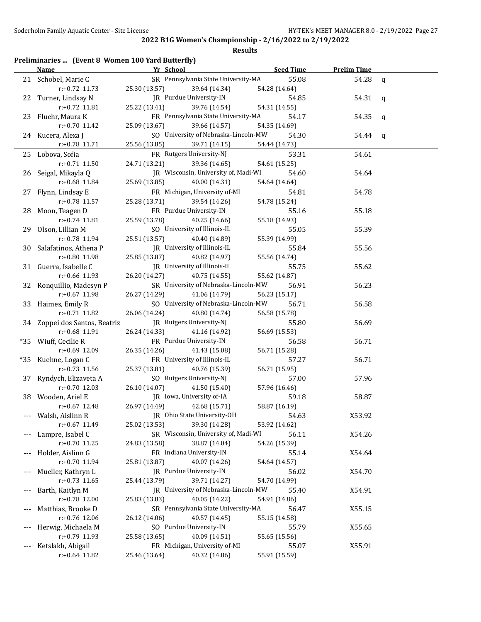|       | Preliminaries  (Event 8 Women 100 Yard Butterfly)<br><b>Name</b> | Yr School                                  |                                                       | <b>Seed Time</b>       | <b>Prelim Time</b> |              |
|-------|------------------------------------------------------------------|--------------------------------------------|-------------------------------------------------------|------------------------|--------------------|--------------|
|       | 21 Schobel, Marie C                                              |                                            | SR Pennsylvania State University-MA                   | 55.08                  | 54.28              | $\mathbf{q}$ |
|       | r:+0.72 11.73                                                    | 25.30 (13.57)                              | 39.64 (14.34)                                         | 54.28 (14.64)          |                    |              |
|       | 22 Turner, Lindsay N                                             | JR Purdue University-IN                    |                                                       | 54.85                  | 54.31              | q            |
|       | r:+0.72 11.81                                                    | 25.22 (13.41)                              | 39.76 (14.54)                                         | 54.31 (14.55)          |                    |              |
|       | 23 Fluehr, Maura K                                               |                                            | FR Pennsylvania State University-MA                   | 54.17                  | 54.35              | q            |
|       | r:+0.70 11.42                                                    | 25.09 (13.67)                              | 39.66 (14.57)                                         | 54.35 (14.69)          |                    |              |
|       | 24 Kucera, Alexa J                                               |                                            | SO University of Nebraska-Lincoln-MW                  | 54.30                  | 54.44              | q            |
|       | r:+0.78 11.71                                                    | 25.56 (13.85)                              | 39.71 (14.15)                                         | 54.44 (14.73)          |                    |              |
|       | 25 Lobova, Sofia                                                 | FR Rutgers University-NJ                   |                                                       | 53.31                  | 54.61              |              |
|       | $r: +0.71$ 11.50                                                 | 24.71 (13.21)                              | 39.36 (14.65)                                         | 54.61 (15.25)          |                    |              |
|       | 26 Seigal, Mikayla Q                                             |                                            | JR Wisconsin, University of, Madi-WI                  | 54.60                  | 54.64              |              |
|       | r:+0.68 11.84                                                    | 25.69 (13.85)                              | 40.00 (14.31)                                         | 54.64 (14.64)          |                    |              |
|       | 27 Flynn, Lindsay E                                              |                                            | FR Michigan, University of-MI                         | 54.81                  | 54.78              |              |
|       | r:+0.78 11.57                                                    | 25.28 (13.71)                              | 39.54 (14.26)                                         | 54.78 (15.24)          |                    |              |
|       | 28 Moon, Teagen D                                                | FR Purdue University-IN                    |                                                       | 55.16                  | 55.18              |              |
|       | r:+0.74 11.81                                                    | 25.59 (13.78)                              | 40.25 (14.66)                                         | 55.18 (14.93)          |                    |              |
|       | 29 Olson, Lillian M                                              | SO University of Illinois-IL               |                                                       | 55.05                  | 55.39              |              |
|       | r:+0.78 11.94                                                    | 25.51 (13.57)                              | 40.40 (14.89)                                         | 55.39 (14.99)          |                    |              |
|       | 30 Salafatinos, Athena P                                         | JR University of Illinois-IL               |                                                       | 55.84                  | 55.56              |              |
|       | r:+0.80 11.98                                                    | 25.85 (13.87)                              | 40.82 (14.97)                                         | 55.56 (14.74)          |                    |              |
|       | 31 Guerra, Isabelle C                                            | JR University of Illinois-IL               |                                                       | 55.75                  | 55.62              |              |
|       | r:+0.66 11.93                                                    | 26.20 (14.27)                              | 40.75 (14.55)                                         | 55.62 (14.87)          |                    |              |
|       |                                                                  |                                            | SR University of Nebraska-Lincoln-MW                  |                        |                    |              |
|       | 32 Ronquillio, Madesyn P                                         |                                            |                                                       | 56.91                  | 56.23              |              |
|       | r:+0.67 11.98                                                    | 26.27 (14.29)                              | 41.06 (14.79)<br>SO University of Nebraska-Lincoln-MW | 56.23 (15.17)          |                    |              |
|       | 33 Haimes, Emily R                                               |                                            |                                                       | 56.71                  | 56.58              |              |
|       | r:+0.71 11.82                                                    | 26.06 (14.24)                              | 40.80 (14.74)                                         | 56.58 (15.78)          |                    |              |
|       | 34 Zoppei dos Santos, Beatriz                                    | JR Rutgers University-NJ                   |                                                       | 55.80                  | 56.69              |              |
|       | r:+0.68 11.91                                                    | 26.24 (14.33)                              | 41.16 (14.92)                                         | 56.69 (15.53)          |                    |              |
|       | *35 Wiuff, Cecilie R                                             | FR Purdue University-IN                    |                                                       | 56.58                  | 56.71              |              |
|       | r:+0.69 12.09                                                    | 26.35 (14.26)                              | 41.43 (15.08)                                         | 56.71 (15.28)          |                    |              |
|       | *35 Kuehne, Logan C                                              | FR University of Illinois-IL               |                                                       | 57.27                  | 56.71              |              |
|       | r:+0.73 11.56                                                    | 25.37 (13.81)                              | 40.76 (15.39)                                         | 56.71 (15.95)          |                    |              |
|       | 37 Ryndych, Elizaveta A<br>$r: +0.70$ 12.03                      | SO Rutgers University-NJ                   |                                                       | 57.00                  | 57.96              |              |
|       |                                                                  | 26.10 (14.07)<br>IR Iowa, University of-IA | 41.50 (15.40)                                         | 57.96 (16.46)<br>59.18 |                    |              |
|       | 38 Wooden, Ariel E                                               |                                            |                                                       |                        | 58.87              |              |
|       | $r.+0.67$ 12.48                                                  | 26.97 (14.49)                              | 42.68 (15.71)                                         | 58.87 (16.19)          |                    |              |
|       | Walsh, Aislinn R<br>r:+0.67 11.49                                | 25.02 (13.53)                              | JR Ohio State University-OH                           | 54.63                  | X53.92             |              |
|       |                                                                  |                                            | 39.30 (14.28)                                         | 53.92 (14.62)          |                    |              |
| ---   | Lampre, Isabel C                                                 |                                            | SR Wisconsin, University of, Madi-WI                  | 56.11                  | X54.26             |              |
|       | r:+0.70 11.25                                                    | 24.83 (13.58)<br>FR Indiana University-IN  | 38.87 (14.04)                                         | 54.26 (15.39)          |                    |              |
| ---   | Holder, Aislinn G                                                |                                            |                                                       | 55.14                  | X54.64             |              |
|       | r:+0.70 11.94                                                    | 25.81 (13.87)<br>JR Purdue University-IN   | 40.07 (14.26)                                         | 54.64 (14.57)          |                    |              |
|       | Mueller, Kathryn L                                               |                                            |                                                       | 56.02                  | X54.70             |              |
|       | $r: +0.73$ 11.65                                                 | 25.44 (13.79)                              | 39.71 (14.27)                                         | 54.70 (14.99)          |                    |              |
| ---   | Barth, Kaitlyn M                                                 |                                            | JR University of Nebraska-Lincoln-MW                  | 55.40                  | X54.91             |              |
|       | r:+0.78 12.00                                                    | 25.83 (13.83)                              | 40.05 (14.22)                                         | 54.91 (14.86)          |                    |              |
| $---$ | Matthias, Brooke D                                               |                                            | SR Pennsylvania State University-MA                   | 56.47                  | X55.15             |              |
|       | r:+0.76 12.06                                                    | 26.12 (14.06)                              | 40.57 (14.45)                                         | 55.15 (14.58)          |                    |              |
|       | Herwig, Michaela M                                               | SO Purdue University-IN                    |                                                       | 55.79                  | X55.65             |              |
|       | r:+0.79 11.93                                                    | 25.58 (13.65)                              | 40.09 (14.51)                                         | 55.65 (15.56)          |                    |              |
|       | Ketslakh, Abigail                                                |                                            | FR Michigan, University of-MI                         | 55.07                  | X55.91             |              |
|       | r:+0.64 11.82                                                    | 25.46 (13.64)                              | 40.32 (14.86)                                         | 55.91 (15.59)          |                    |              |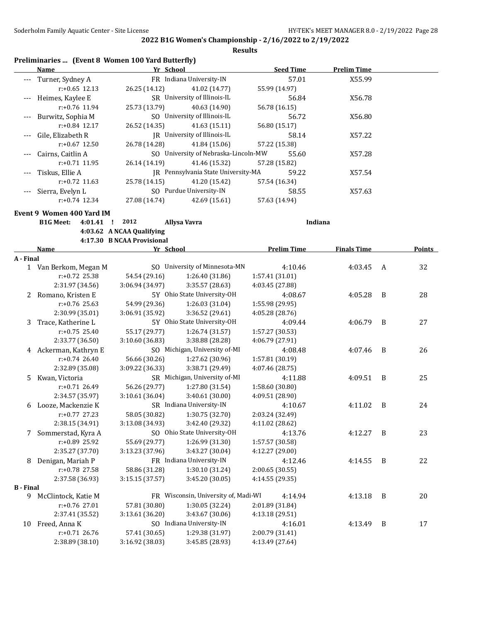|                  |                           |                  | Preliminaries  (Event 8 Women 100 Yard Butterfly) |                                      |                    |                    |                |        |
|------------------|---------------------------|------------------|---------------------------------------------------|--------------------------------------|--------------------|--------------------|----------------|--------|
|                  | Name                      |                  |                                                   | Yr School                            | <b>Seed Time</b>   | <b>Prelim Time</b> |                |        |
|                  | Turner, Sydney A          |                  |                                                   | FR Indiana University-IN             | 57.01              | X55.99             |                |        |
|                  |                           | $r: +0.65$ 12.13 | 26.25 (14.12)                                     | 41.02 (14.77)                        | 55.99 (14.97)      |                    |                |        |
| $---$            | Heimes, Kaylee E          |                  |                                                   | SR University of Illinois-IL         | 56.84              | X56.78             |                |        |
|                  |                           | $r: +0.76$ 11.94 | 25.73 (13.79)                                     | 40.63 (14.90)                        | 56.78 (16.15)      |                    |                |        |
|                  | Burwitz, Sophia M         |                  |                                                   | SO University of Illinois-IL         | 56.72              | X56.80             |                |        |
|                  |                           | r:+0.84 12.17    | 26.52 (14.35)                                     | 41.63 (15.11)                        | 56.80 (15.17)      |                    |                |        |
|                  | Gile, Elizabeth R         |                  |                                                   | JR University of Illinois-IL         | 58.14              | X57.22             |                |        |
|                  |                           | $r: +0.67$ 12.50 | 26.78 (14.28)                                     | 41.84 (15.06)                        | 57.22 (15.38)      |                    |                |        |
|                  | Cairns, Caitlin A         |                  |                                                   | SO University of Nebraska-Lincoln-MW | 55.60              | X57.28             |                |        |
|                  |                           | r:+0.71 11.95    | 26.14 (14.19)                                     | 41.46 (15.32)                        | 57.28 (15.82)      |                    |                |        |
|                  | Tiskus, Ellie A           |                  |                                                   | JR Pennsylvania State University-MA  | 59.22              | X57.54             |                |        |
|                  |                           | $r: +0.72$ 11.63 | 25.78 (14.15)                                     | 41.20 (15.42)                        | 57.54 (16.34)      |                    |                |        |
|                  | Sierra, Evelyn L          |                  |                                                   | SO Purdue University-IN              | 58.55              | X57.63             |                |        |
|                  |                           | $r: +0.74$ 12.34 | 27.08 (14.74)                                     | 42.69 (15.61)                        | 57.63 (14.94)      |                    |                |        |
|                  | Event 9 Women 400 Yard IM |                  |                                                   |                                      |                    |                    |                |        |
|                  | <b>B1G Meet:</b>          | 4:01.41 !        | 2012                                              | Allysa Vavra                         |                    | Indiana            |                |        |
|                  |                           |                  | 4:03.62 A NCAA Qualifying                         |                                      |                    |                    |                |        |
|                  |                           |                  | 4:17.30 B NCAA Provisional                        |                                      |                    |                    |                |        |
|                  | Name                      |                  |                                                   | Yr School                            | <b>Prelim Time</b> | <b>Finals Time</b> |                | Points |
| A - Final        |                           |                  |                                                   |                                      |                    |                    |                |        |
|                  | 1 Van Berkom, Megan M     |                  |                                                   | SO University of Minnesota-MN        | 4:10.46            | 4:03.45            | A              | 32     |
|                  |                           | r:+0.72 25.38    | 54.54 (29.16)                                     | 1:26.40 (31.86)                      | 1:57.41 (31.01)    |                    |                |        |
|                  |                           | 2:31.97 (34.56)  | 3:06.94 (34.97)                                   | 3:35.57 (28.63)                      | 4:03.45 (27.88)    |                    |                |        |
|                  | 2 Romano, Kristen E       |                  |                                                   | 5Y Ohio State University-OH          | 4:08.67            | 4:05.28            | B              | 28     |
|                  |                           | r:+0.76 25.63    | 54.99 (29.36)                                     | 1:26.03 (31.04)                      | 1:55.98 (29.95)    |                    |                |        |
|                  |                           | 2:30.99 (35.01)  | 3:06.91 (35.92)                                   | 3:36.52 (29.61)                      | 4:05.28 (28.76)    |                    |                |        |
| 3                | Trace, Katherine L        |                  |                                                   | 5Y Ohio State University-OH          | 4:09.44            | 4:06.79            | B              | 27     |
|                  |                           | r:+0.75 25.40    | 55.17 (29.77)                                     | 1:26.74 (31.57)                      | 1:57.27 (30.53)    |                    |                |        |
|                  |                           | 2:33.77 (36.50)  | 3:10.60 (36.83)                                   | 3:38.88 (28.28)                      | 4:06.79 (27.91)    |                    |                |        |
| 4                | Ackerman, Kathryn E       |                  |                                                   | SO Michigan, University of-MI        | 4:08.48            | 4:07.46            | B              | 26     |
|                  |                           | $r: +0.74$ 26.40 | 56.66 (30.26)                                     | 1:27.62 (30.96)                      | 1:57.81 (30.19)    |                    |                |        |
|                  |                           | 2:32.89 (35.08)  | 3:09.22 (36.33)                                   | 3:38.71 (29.49)                      | 4:07.46 (28.75)    |                    |                |        |
| 5.               | Kwan, Victoria            |                  |                                                   | SR Michigan, University of-MI        | 4:11.88            | 4:09.51            | B              | 25     |
|                  |                           | $r: +0.71$ 26.49 | 56.26 (29.77)                                     | 1:27.80 (31.54)                      | 1:58.60 (30.80)    |                    |                |        |
|                  |                           | 2:34.57 (35.97)  | 3:10.61(36.04)                                    | 3:40.61 (30.00)                      | 4:09.51 (28.90)    |                    |                |        |
|                  | 6 Looze, Mackenzie K      |                  |                                                   | SR) Indiana University-IN            | 4:10.67            | 4:11.02 B          |                | 24     |
|                  |                           | r:+0.77 27.23    | 58.05 (30.82)                                     | 1:30.75 (32.70)                      | 2:03.24 (32.49)    |                    |                |        |
|                  |                           | 2:38.15 (34.91)  | 3:13.08 (34.93)                                   | 3:42.40 (29.32)                      | 4:11.02 (28.62)    |                    |                |        |
| 7                | Sommerstad, Kyra A        |                  |                                                   | SO Ohio State University-OH          | 4:13.76            | 4:12.27 B          |                | 23     |
|                  |                           | r:+0.89 25.92    | 55.69 (29.77)                                     | 1:26.99 (31.30)                      | 1:57.57 (30.58)    |                    |                |        |
|                  |                           | 2:35.27 (37.70)  | 3:13.23 (37.96)                                   | 3:43.27 (30.04)                      | 4:12.27 (29.00)    |                    |                |        |
| 8                | Denigan, Mariah P         |                  |                                                   | FR Indiana University-IN             | 4:12.46            | 4:14.55            | $\overline{B}$ | 22     |
|                  |                           | r:+0.78 27.58    | 58.86 (31.28)                                     | 1:30.10 (31.24)                      | 2:00.65 (30.55)    |                    |                |        |
|                  |                           | 2:37.58 (36.93)  | 3:15.15 (37.57)                                   | 3:45.20 (30.05)                      | 4:14.55 (29.35)    |                    |                |        |
| <b>B</b> - Final |                           |                  |                                                   |                                      |                    |                    |                |        |
|                  | 9 McClintock, Katie M     |                  |                                                   | FR Wisconsin, University of, Madi-WI | 4:14.94            | 4:13.18            | $\overline{B}$ | 20     |
|                  |                           | r:+0.76 27.01    | 57.81 (30.80)                                     | 1:30.05 (32.24)                      | 2:01.89 (31.84)    |                    |                |        |
|                  |                           | 2:37.41 (35.52)  | 3:13.61 (36.20)                                   | 3:43.67 (30.06)                      | 4:13.18 (29.51)    |                    |                |        |
| 10               | Freed, Anna K             |                  |                                                   | SO Indiana University-IN             | 4:16.01            | 4:13.49 B          |                | 17     |
|                  |                           | r:+0.71 26.76    | 57.41 (30.65)                                     | 1:29.38 (31.97)                      | 2:00.79 (31.41)    |                    |                |        |
|                  |                           | 2:38.89 (38.10)  | 3:16.92 (38.03)                                   | 3:45.85 (28.93)                      | 4:13.49 (27.64)    |                    |                |        |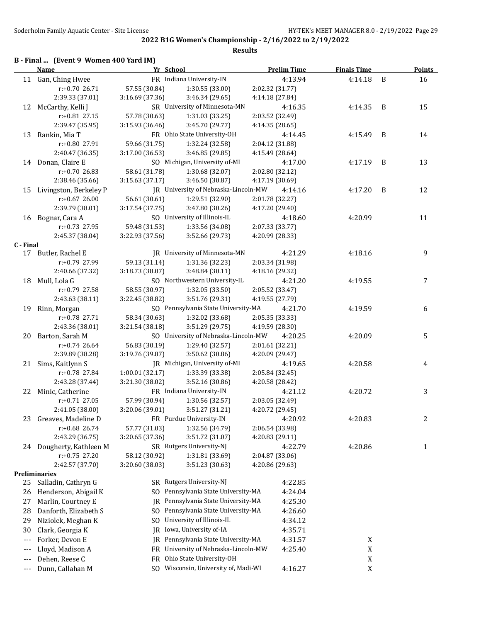| B - Final  (Event 9 Women 400 Yard IM) |  |  |  |  |
|----------------------------------------|--|--|--|--|
|----------------------------------------|--|--|--|--|

|           | <b>Name</b>              | Yr School       |                                      | <b>Prelim Time</b> | <b>Finals Time</b> |   | <b>Points</b> |
|-----------|--------------------------|-----------------|--------------------------------------|--------------------|--------------------|---|---------------|
|           | 11 Gan, Ching Hwee       |                 | FR Indiana University-IN             | 4:13.94            | 4:14.18            | B | 16            |
|           | r:+0.70 26.71            | 57.55 (30.84)   | 1:30.55 (33.00)                      | 2:02.32 (31.77)    |                    |   |               |
|           | 2:39.33 (37.01)          | 3:16.69 (37.36) | 3:46.34 (29.65)                      | 4:14.18 (27.84)    |                    |   |               |
|           | 12 McCarthy, Kelli J     |                 | SR University of Minnesota-MN        | 4:16.35            | 4:14.35            | B | 15            |
|           | r:+0.81 27.15            | 57.78 (30.63)   | 1:31.03 (33.25)                      | 2:03.52 (32.49)    |                    |   |               |
|           | 2:39.47 (35.95)          | 3:15.93(36.46)  | 3:45.70 (29.77)                      | 4:14.35 (28.65)    |                    |   |               |
| 13        | Rankin, Mia T            |                 | FR Ohio State University-OH          | 4:14.45            | 4:15.49            | B | 14            |
|           | r:+0.80 27.91            | 59.66 (31.75)   | 1:32.24 (32.58)                      | 2:04.12 (31.88)    |                    |   |               |
|           | 2:40.47 (36.35)          | 3:17.00 (36.53) | 3:46.85 (29.85)                      | 4:15.49 (28.64)    |                    |   |               |
|           | 14 Donan, Claire E       |                 | SO Michigan, University of-MI        | 4:17.00            | 4:17.19            | B | 13            |
|           | r:+0.70 26.83            | 58.61 (31.78)   | 1:30.68 (32.07)                      | 2:02.80 (32.12)    |                    |   |               |
|           | 2:38.46 (35.66)          | 3:15.63 (37.17) | 3:46.50 (30.87)                      | 4:17.19 (30.69)    |                    |   |               |
| 15        | Livingston, Berkeley P   |                 | JR University of Nebraska-Lincoln-MW | 4:14.16            | 4:17.20            | B | 12            |
|           | r:+0.67 26.00            | 56.61 (30.61)   | 1:29.51 (32.90)                      | 2:01.78 (32.27)    |                    |   |               |
|           | 2:39.79 (38.01)          | 3:17.54 (37.75) | 3:47.80 (30.26)                      | 4:17.20 (29.40)    |                    |   |               |
| 16        | Bognar, Cara A           |                 | SO University of Illinois-IL         | 4:18.60            | 4:20.99            |   | 11            |
|           | r:+0.73 27.95            | 59.48 (31.53)   | 1:33.56 (34.08)                      | 2:07.33 (33.77)    |                    |   |               |
|           | 2:45.37 (38.04)          | 3:22.93 (37.56) | 3:52.66 (29.73)                      | 4:20.99 (28.33)    |                    |   |               |
| C - Final |                          |                 |                                      |                    |                    |   |               |
|           | 17 Butler, Rachel E      |                 | JR University of Minnesota-MN        | 4:21.29            | 4:18.16            |   | 9             |
|           | r:+0.79 27.99            | 59.13 (31.14)   | 1:31.36 (32.23)                      | 2:03.34 (31.98)    |                    |   |               |
|           | 2:40.66 (37.32)          | 3:18.73 (38.07) | 3:48.84 (30.11)                      | 4:18.16 (29.32)    |                    |   |               |
| 18        | Mull, Lola G             |                 | SO Northwestern University-IL        | 4:21.20            | 4:19.55            |   | 7             |
|           | r:+0.79 27.58            | 58.55 (30.97)   | 1:32.05 (33.50)                      | 2:05.52 (33.47)    |                    |   |               |
|           | 2:43.63 (38.11)          | 3:22.45 (38.82) | 3:51.76 (29.31)                      | 4:19.55 (27.79)    |                    |   |               |
| 19        | Rinn, Morgan             |                 | SO Pennsylvania State University-MA  | 4:21.70            | 4:19.59            |   | 6             |
|           | $r: +0.78$ 27.71         | 58.34 (30.63)   | 1:32.02 (33.68)                      | 2:05.35 (33.33)    |                    |   |               |
|           | 2:43.36 (38.01)          | 3:21.54 (38.18) | 3:51.29 (29.75)                      | 4:19.59 (28.30)    |                    |   |               |
| 20        | Barton, Sarah M          |                 | SO University of Nebraska-Lincoln-MW | 4:20.25            | 4:20.09            |   | 5             |
|           | r:+0.74 26.64            | 56.83 (30.19)   | 1:29.40 (32.57)                      | 2:01.61 (32.21)    |                    |   |               |
|           | 2:39.89 (38.28)          | 3:19.76 (39.87) | 3:50.62 (30.86)                      | 4:20.09 (29.47)    |                    |   |               |
|           | 21 Sims, Kaitlynn S      |                 | JR Michigan, University of-MI        | 4:19.65            | 4:20.58            |   | 4             |
|           | r:+0.78 27.84            | 1:00.01 (32.17) | 1:33.39 (33.38)                      | 2:05.84 (32.45)    |                    |   |               |
|           | 2:43.28 (37.44)          | 3:21.30 (38.02) | 3:52.16 (30.86)                      | 4:20.58 (28.42)    |                    |   |               |
|           | 22 Minic, Catherine      |                 | FR Indiana University-IN             | 4:21.12            | 4:20.72            |   | 3             |
|           | r:+0.71 27.05            | 57.99 (30.94)   | 1:30.56 (32.57)                      | 2:03.05 (32.49)    |                    |   |               |
|           | 2:41.05 (38.00)          | 3:20.06 (39.01) | 3:51.27 (31.21)                      | 4:20.72 (29.45)    |                    |   |               |
|           | 23 Greaves, Madeline D   |                 | FR Purdue University-IN              | 4:20.92            | 4:20.83            |   | 2             |
|           | r:+0.68 26.74            | 57.77 (31.03)   | 1:32.56 (34.79)                      | 2:06.54 (33.98)    |                    |   |               |
|           | 2:43.29 (36.75)          | 3:20.65 (37.36) | 3:51.72 (31.07)                      | 4:20.83 (29.11)    |                    |   |               |
|           | 24 Dougherty, Kathleen M |                 | SR Rutgers University-NJ             | 4:22.79            | 4:20.86            |   | 1             |
|           | $r: +0.75$ 27.20         | 58.12 (30.92)   | 1:31.81 (33.69)                      | 2:04.87 (33.06)    |                    |   |               |
|           | 2:42.57 (37.70)          | 3:20.60 (38.03) | 3:51.23 (30.63)                      | 4:20.86 (29.63)    |                    |   |               |
|           | Preliminaries            |                 |                                      |                    |                    |   |               |
| 25        | Salladin, Cathryn G      |                 | SR Rutgers University-NJ             | 4:22.85            |                    |   |               |
| 26        | Henderson, Abigail K     | SO.             | Pennsylvania State University-MA     | 4:24.04            |                    |   |               |
| 27        | Marlin, Courtney E       | IR              | Pennsylvania State University-MA     | 4:25.30            |                    |   |               |
| 28        | Danforth, Elizabeth S    | SO.             | Pennsylvania State University-MA     | 4:26.60            |                    |   |               |
| 29        | Niziolek, Meghan K       | SO.             | University of Illinois-IL            | 4:34.12            |                    |   |               |
| 30        | Clark, Georgia K         | IR              | Iowa, University of-IA               | 4:35.71            |                    |   |               |
| $---$     | Forker, Devon E          | IR              | Pennsylvania State University-MA     | 4:31.57            | X                  |   |               |
| $---$     | Lloyd, Madison A         | FR.             | University of Nebraska-Lincoln-MW    |                    | X                  |   |               |
|           |                          |                 | Ohio State University-OH             | 4:25.40            |                    |   |               |
| $---$     | Dehen, Reese C           | FR.             | SO Wisconsin, University of, Madi-WI |                    | X                  |   |               |
| $---$     | Dunn, Callahan M         |                 |                                      | 4:16.27            | X                  |   |               |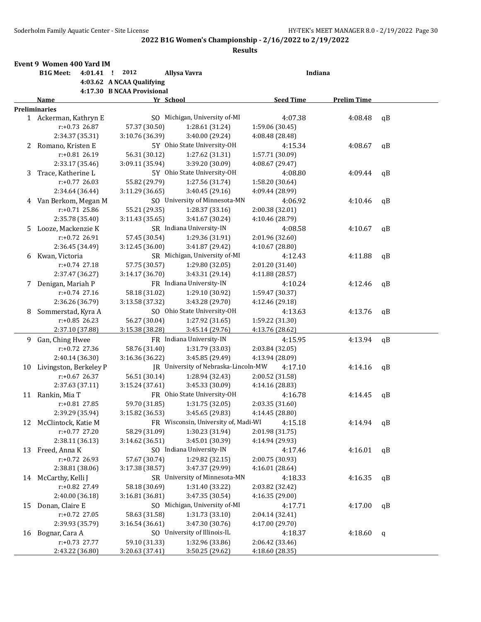|    | Event 9 Women 400 Yard IM   |                            |                                      |                  |                    |              |
|----|-----------------------------|----------------------------|--------------------------------------|------------------|--------------------|--------------|
|    | <b>B1G Meet:</b><br>4:01.41 | 2012<br>- 1                | Allysa Vavra                         | Indiana          |                    |              |
|    |                             | 4:03.62 A NCAA Qualifying  |                                      |                  |                    |              |
|    |                             | 4:17.30 B NCAA Provisional |                                      |                  |                    |              |
|    | Name                        | Yr School                  |                                      | <b>Seed Time</b> | <b>Prelim Time</b> |              |
|    | <b>Preliminaries</b>        |                            |                                      |                  |                    |              |
|    | 1 Ackerman, Kathryn E       |                            | SO Michigan, University of-MI        | 4:07.38          | 4:08.48            | $\mathsf{q}$ |
|    | r:+0.73 26.87               | 57.37 (30.50)              | 1:28.61 (31.24)                      | 1:59.06 (30.45)  |                    |              |
|    | 2:34.37 (35.31)             | 3:10.76 (36.39)            | 3:40.00 (29.24)                      | 4:08.48 (28.48)  |                    |              |
| 2  | Romano, Kristen E           |                            | 5Y Ohio State University-OH          | 4:15.34          | 4:08.67            | $\mathsf{q}$ |
|    | $r: +0.81$ 26.19            | 56.31 (30.12)              | 1:27.62 (31.31)                      | 1:57.71 (30.09)  |                    |              |
|    | 2:33.17 (35.46)             | 3:09.11 (35.94)            | 3:39.20 (30.09)                      | 4:08.67 (29.47)  |                    |              |
| 3  | Trace, Katherine L          |                            | 5Y Ohio State University-OH          | 4:08.80          | 4:09.44            | $\mathsf{q}$ |
|    | $r: +0.77$ 26.03            | 55.82 (29.79)              | 1:27.56 (31.74)                      | 1:58.20 (30.64)  |                    |              |
|    | 2:34.64 (36.44)             | 3:11.29 (36.65)            | 3:40.45 (29.16)                      | 4:09.44 (28.99)  |                    |              |
| 4  | Van Berkom, Megan M         |                            | SO University of Minnesota-MN        | 4:06.92          | 4:10.46            | qB           |
|    | $r: +0.71$ 25.86            | 55.21 (29.35)              | 1:28.37 (33.16)                      | 2:00.38 (32.01)  |                    |              |
|    | 2:35.78 (35.40)             | 3:11.43(35.65)             | 3:41.67 (30.24)                      | 4:10.46 (28.79)  |                    |              |
| 5. | Looze, Mackenzie K          |                            | SR Indiana University-IN             | 4:08.58          | 4:10.67            | qB           |
|    | $r: +0.72$ 26.91            | 57.45 (30.54)              | 1:29.36 (31.91)                      | 2:01.96 (32.60)  |                    |              |
|    | 2:36.45 (34.49)             | 3:12.45 (36.00)            | 3:41.87 (29.42)                      | 4:10.67 (28.80)  |                    |              |
| 6  | Kwan, Victoria              |                            | SR Michigan, University of-MI        | 4:12.43          | 4:11.88            | $\mathsf{q}$ |
|    | r:+0.74 27.18               | 57.75 (30.57)              | 1:29.80 (32.05)                      | 2:01.20 (31.40)  |                    |              |
|    | 2:37.47 (36.27)             | 3:14.17 (36.70)            | 3:43.31 (29.14)                      | 4:11.88 (28.57)  |                    |              |
| 7  | Denigan, Mariah P           |                            | FR Indiana University-IN             | 4:10.24          | 4:12.46            | qB           |
|    | r:+0.74 27.16               | 58.18 (31.02)              | 1:29.10 (30.92)                      | 1:59.47 (30.37)  |                    |              |
|    | 2:36.26 (36.79)             | 3:13.58 (37.32)            | 3:43.28 (29.70)                      | 4:12.46 (29.18)  |                    |              |
| 8  | Sommerstad, Kyra A          |                            | SO Ohio State University-OH          | 4:13.63          | 4:13.76            | qB           |
|    | $r: +0.85$ 26.23            | 56.27 (30.04)              | 1:27.92 (31.65)                      | 1:59.22 (31.30)  |                    |              |
|    | 2:37.10 (37.88)             | 3:15.38 (38.28)            | 3:45.14 (29.76)                      | 4:13.76 (28.62)  |                    |              |
|    | 9 Gan, Ching Hwee           |                            | FR Indiana University-IN             | 4:15.95          | 4:13.94            | qB           |
|    | $r: +0.72$ 27.36            | 58.76 (31.40)              | 1:31.79 (33.03)                      | 2:03.84 (32.05)  |                    |              |
|    | 2:40.14 (36.30)             | 3:16.36 (36.22)            | 3:45.85 (29.49)                      | 4:13.94 (28.09)  |                    |              |
| 10 | Livingston, Berkeley P      |                            | JR University of Nebraska-Lincoln-MW | 4:17.10          | 4:14.16            | qB           |
|    | $r: +0.67$ 26.37            | 56.51 (30.14)              | 1:28.94 (32.43)                      | 2:00.52 (31.58)  |                    |              |
|    | 2:37.63 (37.11)             | 3:15.24(37.61)             | 3:45.33 (30.09)                      | 4:14.16 (28.83)  |                    |              |
| 11 | Rankin, Mia T               |                            | FR Ohio State University-OH          | 4:16.78          | 4:14.45            | qB           |
|    | r:+0.81 27.85               | 59.70 (31.85)              | 1:31.75 (32.05)                      | 2:03.35 (31.60)  |                    |              |
|    | 2:39.29 (35.94)             | 3:15.82 (36.53)            | 3:45.65 (29.83)                      | 4:14.45 (28.80)  |                    |              |
| 12 | McClintock, Katie M         |                            | FR Wisconsin, University of, Madi-WI | 4:15.18          | 4:14.94            | qB           |
|    | $r: +0.77$ 27.20            | 58.29 (31.09)              | 1:30.23 (31.94)                      | 2:01.98 (31.75)  |                    |              |
|    | 2:38.11 (36.13)             | 3:14.62 (36.51)            | 3:45.01 (30.39)                      | 4:14.94 (29.93)  |                    |              |
| 13 | Freed, Anna K               |                            | SO Indiana University-IN             | 4:17.46          | 4:16.01            | qB           |
|    | r:+0.72 26.93               | 57.67 (30.74)              | 1:29.82 (32.15)                      | 2:00.75 (30.93)  |                    |              |
|    | 2:38.81 (38.06)             | 3:17.38 (38.57)            | 3:47.37 (29.99)                      | 4:16.01 (28.64)  |                    |              |
| 14 | McCarthy, Kelli J           |                            | SR University of Minnesota-MN        | 4:18.33          | 4:16.35            | qB           |
|    | r:+0.82 27.49               | 58.18 (30.69)              | 1:31.40 (33.22)                      | 2:03.82 (32.42)  |                    |              |
|    | 2:40.00 (36.18)             | 3:16.81(36.81)             | 3:47.35 (30.54)                      | 4:16.35 (29.00)  |                    |              |
| 15 | Donan, Claire E             |                            | SO Michigan, University of-MI        | 4:17.71          | 4:17.00            | qB           |
|    | r:+0.72 27.05               | 58.63 (31.58)              | 1:31.73 (33.10)                      | 2:04.14 (32.41)  |                    |              |
|    | 2:39.93 (35.79)             | 3:16.54 (36.61)            | 3:47.30 (30.76)                      | 4:17.00 (29.70)  |                    |              |
| 16 | Bognar, Cara A              |                            | SO University of Illinois-IL         | 4:18.37          | 4:18.60            | q            |
|    | r:+0.73 27.77               | 59.10 (31.33)              | 1:32.96 (33.86)                      | 2:06.42 (33.46)  |                    |              |
|    | 2:43.22 (36.80)             | 3:20.63 (37.41)            | 3:50.25 (29.62)                      | 4:18.60 (28.35)  |                    |              |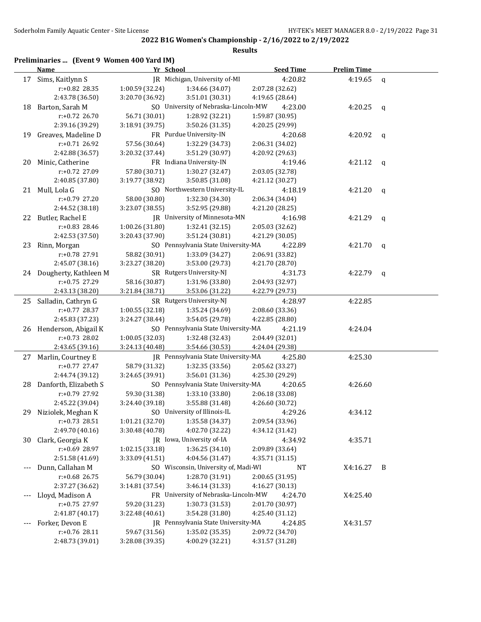| Preliminaries  (Event 9 Women 400 Yard IM) |  |  |  |  |  |
|--------------------------------------------|--|--|--|--|--|
|--------------------------------------------|--|--|--|--|--|

|       | <b>Name</b>              | Yr School       |                                      | <b>Seed Time</b> | <b>Prelim Time</b> |              |
|-------|--------------------------|-----------------|--------------------------------------|------------------|--------------------|--------------|
|       | 17 Sims, Kaitlynn S      |                 | JR Michigan, University of-MI        | 4:20.82          | 4:19.65            | $\mathsf{q}$ |
|       | r:+0.82 28.35            | 1:00.59 (32.24) | 1:34.66 (34.07)                      | 2:07.28 (32.62)  |                    |              |
|       | 2:43.78 (36.50)          | 3:20.70 (36.92) | 3:51.01 (30.31)                      | 4:19.65 (28.64)  |                    |              |
|       | 18 Barton, Sarah M       |                 | SO University of Nebraska-Lincoln-MW | 4:23.00          | 4:20.25            | q            |
|       | $r: +0.72$ 26.70         | 56.71 (30.01)   | 1:28.92 (32.21)                      | 1:59.87 (30.95)  |                    |              |
|       | 2:39.16 (39.29)          | 3:18.91 (39.75) | 3:50.26 (31.35)                      | 4:20.25 (29.99)  |                    |              |
| 19    | Greaves, Madeline D      |                 | FR Purdue University-IN              | 4:20.68          | 4:20.92            | q            |
|       | $r: +0.71$ 26.92         | 57.56 (30.64)   | 1:32.29 (34.73)                      | 2:06.31 (34.02)  |                    |              |
|       | 2:42.88 (36.57)          | 3:20.32 (37.44) | 3:51.29 (30.97)                      | 4:20.92 (29.63)  |                    |              |
| 20    | Minic, Catherine         |                 | FR Indiana University-IN             | 4:19.46          | 4:21.12            | q            |
|       | r:+0.72 27.09            | 57.80 (30.71)   | 1:30.27 (32.47)                      | 2:03.05 (32.78)  |                    |              |
|       | 2:40.85 (37.80)          | 3:19.77 (38.92) | 3:50.85 (31.08)                      | 4:21.12 (30.27)  |                    |              |
| 21    | Mull, Lola G             |                 | SO Northwestern University-IL        | 4:18.19          | 4:21.20            | $\mathbf q$  |
|       | r:+0.79 27.20            | 58.00 (30.80)   | 1:32.30 (34.30)                      | 2:06.34 (34.04)  |                    |              |
|       | 2:44.52 (38.18)          | 3:23.07 (38.55) | 3:52.95 (29.88)                      | 4:21.20 (28.25)  |                    |              |
| 22    | Butler, Rachel E         |                 | JR University of Minnesota-MN        | 4:16.98          | 4:21.29            | q            |
|       | r:+0.83 28.46            | 1:00.26 (31.80) | 1:32.41 (32.15)                      | 2:05.03 (32.62)  |                    |              |
|       | 2:42.53 (37.50)          | 3:20.43 (37.90) | 3:51.24 (30.81)                      | 4:21.29 (30.05)  |                    |              |
|       | 23 Rinn, Morgan          |                 | SO Pennsylvania State University-MA  | 4:22.89          | 4:21.70            | q            |
|       | r:+0.78 27.91            | 58.82 (30.91)   | 1:33.09 (34.27)                      | 2:06.91 (33.82)  |                    |              |
|       | 2:45.07 (38.16)          | 3:23.27 (38.20) | 3:53.00 (29.73)                      | 4:21.70 (28.70)  |                    |              |
|       | 24 Dougherty, Kathleen M |                 | SR Rutgers University-NJ             | 4:31.73          | 4:22.79            | q            |
|       | r:+0.75 27.29            | 58.16 (30.87)   | 1:31.96 (33.80)                      | 2:04.93 (32.97)  |                    |              |
|       | 2:43.13 (38.20)          | 3:21.84 (38.71) | 3:53.06 (31.22)                      | 4:22.79 (29.73)  |                    |              |
|       | 25 Salladin, Cathryn G   |                 | SR Rutgers University-NJ             | 4:28.97          | 4:22.85            |              |
|       | $r: +0.77$ 28.37         | 1:00.55 (32.18) | 1:35.24 (34.69)                      | 2:08.60 (33.36)  |                    |              |
|       | 2:45.83 (37.23)          | 3:24.27 (38.44) | 3:54.05 (29.78)                      | 4:22.85 (28.80)  |                    |              |
|       | 26 Henderson, Abigail K  |                 | SO Pennsylvania State University-MA  | 4:21.19          | 4:24.04            |              |
|       | r:+0.73 28.02            | 1:00.05 (32.03) | 1:32.48 (32.43)                      | 2:04.49 (32.01)  |                    |              |
|       | 2:43.65 (39.16)          | 3:24.13 (40.48) | 3:54.66 (30.53)                      | 4:24.04 (29.38)  |                    |              |
| 27    | Marlin, Courtney E       |                 | JR Pennsylvania State University-MA  | 4:25.80          | 4:25.30            |              |
|       | $r+0.77$ 27.47           | 58.79 (31.32)   | 1:32.35 (33.56)                      | 2:05.62 (33.27)  |                    |              |
|       | 2:44.74 (39.12)          | 3:24.65 (39.91) | 3:56.01 (31.36)                      | 4:25.30 (29.29)  |                    |              |
|       | 28 Danforth, Elizabeth S |                 | SO Pennsylvania State University-MA  | 4:20.65          | 4:26.60            |              |
|       | r:+0.79 27.92            | 59.30 (31.38)   | 1:33.10 (33.80)                      | 2:06.18 (33.08)  |                    |              |
|       | 2:45.22 (39.04)          | 3:24.40 (39.18) | 3:55.88 (31.48)                      | 4:26.60 (30.72)  |                    |              |
| 29    | Niziolek, Meghan K       |                 | SO University of Illinois-IL         | 4:29.26          | 4:34.12            |              |
|       | $r.+0.73$ 28.51          | 1:01.21 (32.70) | 1:35.58 (34.37)                      | 2:09.54 (33.96)  |                    |              |
|       | 2:49.70 (40.16)          | 3:30.48 (40.78) | 4:02.70 (32.22)                      | 4:34.12 (31.42)  |                    |              |
| 30    | Clark, Georgia K         |                 | JR Iowa, University of-IA            | 4:34.92          | 4:35.71            |              |
|       | r:+0.69 28.97            | 1:02.15 (33.18) | 1:36.25(34.10)                       | 2:09.89 (33.64)  |                    |              |
|       | 2:51.58 (41.69)          | 3:33.09 (41.51) | 4:04.56 (31.47)                      | 4:35.71 (31.15)  |                    |              |
| $---$ | Dunn, Callahan M         |                 | SO Wisconsin, University of, Madi-WI | <b>NT</b>        | X4:16.27           | B            |
|       | r:+0.68 26.75            | 56.79 (30.04)   | 1:28.70 (31.91)                      | 2:00.65 (31.95)  |                    |              |
|       | 2:37.27 (36.62)          | 3:14.81 (37.54) | 3:46.14 (31.33)                      | 4:16.27 (30.13)  |                    |              |
|       | Lloyd, Madison A         |                 | FR University of Nebraska-Lincoln-MW | 4:24.70          | X4:25.40           |              |
|       | r:+0.75 27.97            | 59.20 (31.23)   | 1:30.73 (31.53)                      | 2:01.70 (30.97)  |                    |              |
|       | 2:41.87 (40.17)          | 3:22.48 (40.61) | 3:54.28 (31.80)                      | 4:25.40 (31.12)  |                    |              |
|       | Forker, Devon E          |                 | JR Pennsylvania State University-MA  | 4:24.85          | X4:31.57           |              |
|       | r:+0.76 28.11            | 59.67 (31.56)   | 1:35.02 (35.35)                      | 2:09.72 (34.70)  |                    |              |
|       | 2:48.73 (39.01)          | 3:28.08 (39.35) | 4:00.29 (32.21)                      | 4:31.57 (31.28)  |                    |              |
|       |                          |                 |                                      |                  |                    |              |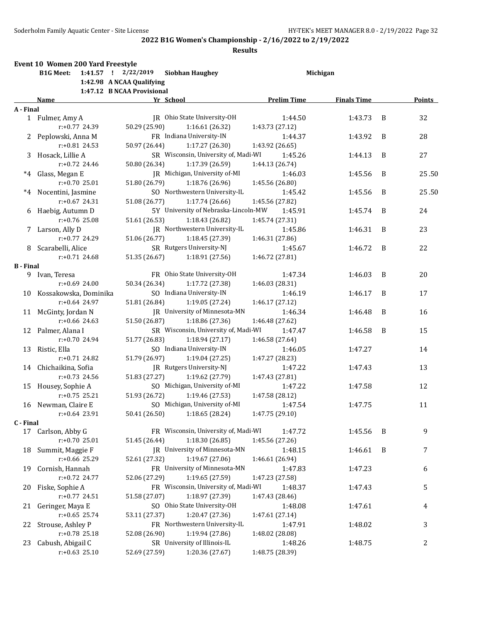|                  | Event 10 Women 200 Yard Freestyle |                            |                                      |                    |                    |   |        |
|------------------|-----------------------------------|----------------------------|--------------------------------------|--------------------|--------------------|---|--------|
|                  | <b>B1G Meet:</b>                  | $1:41.57$ ! $2/22/2019$    | <b>Siobhan Haughey</b>               |                    | Michigan           |   |        |
|                  |                                   | 1:42.98 A NCAA Qualifying  |                                      |                    |                    |   |        |
|                  |                                   | 1:47.12 B NCAA Provisional |                                      |                    |                    |   |        |
|                  | Name                              | Yr School                  |                                      | <b>Prelim Time</b> | <b>Finals Time</b> |   | Points |
| A - Final        |                                   |                            |                                      |                    |                    |   |        |
|                  | 1 Fulmer, Amy A                   |                            | JR Ohio State University-OH          | 1:44.50            | 1:43.73            | B | 32     |
|                  | r:+0.77 24.39                     | 50.29 (25.90)              | 1:16.61(26.32)                       | 1:43.73 (27.12)    |                    |   |        |
|                  | 2 Peplowski, Anna M               |                            | FR Indiana University-IN             | 1:44.37            | 1:43.92            | B | 28     |
|                  | $r: +0.81$ 24.53                  | 50.97 (26.44)              | 1:17.27(26.30)                       | 1:43.92 (26.65)    |                    |   |        |
|                  | 3 Hosack, Lillie A                |                            | SR Wisconsin, University of, Madi-WI | 1:45.26            | 1:44.13            | B | 27     |
|                  | $r: +0.72$ 24.46                  | 50.80 (26.34)              | 1:17.39 (26.59)                      | 1:44.13 (26.74)    |                    |   |        |
| $^*4$            | Glass, Megan E                    |                            | JR Michigan, University of-MI        | 1:46.03            | 1:45.56            | B | 25.50  |
|                  | $r: +0.7025.01$                   | 51.80 (26.79)              | 1:18.76 (26.96)                      | 1:45.56 (26.80)    |                    |   |        |
|                  | *4 Nocentini, Jasmine             |                            | SO Northwestern University-IL        | 1:45.42            | 1:45.56            | B | 25.50  |
|                  | $r: +0.67$ 24.31                  | 51.08 (26.77)              | 1:17.74 (26.66)                      | 1:45.56 (27.82)    |                    |   |        |
|                  | 6 Haebig, Autumn D                |                            | 5Y University of Nebraska-Lincoln-MW | 1:45.91            | 1:45.74            | B | 24     |
|                  | $r: +0.76$ 25.08                  | 51.61 (26.53)              | 1:18.43 (26.82)                      | 1:45.74 (27.31)    |                    |   |        |
|                  | 7 Larson, Ally D                  |                            | JR Northwestern University-IL        | 1:45.86            | 1:46.31            | B | 23     |
|                  | $r: +0.77$ 24.29                  | 51.06 (26.77)              | 1:18.45 (27.39)                      | 1:46.31 (27.86)    |                    |   |        |
|                  | 8 Scarabelli, Alice               |                            | SR Rutgers University-NJ             | 1:45.67            | 1:46.72            | B | 22     |
|                  | $r: +0.71$ 24.68                  | 51.35 (26.67)              | 1:18.91 (27.56)                      | 1:46.72 (27.81)    |                    |   |        |
| <b>B</b> - Final |                                   |                            |                                      |                    |                    |   |        |
|                  | 9 Ivan, Teresa                    |                            | FR Ohio State University-OH          | 1:47.34            | 1:46.03            | B | 20     |
|                  | $r: +0.69$ 24.00                  | 50.34 (26.34)              | 1:17.72 (27.38)                      | 1:46.03 (28.31)    |                    |   |        |
|                  | 10 Kossakowska, Dominika          |                            | SO Indiana University-IN             | 1:46.19            | 1:46.17            | B | 17     |
|                  | $r: +0.64$ 24.97                  | 51.81 (26.84)              | 1:19.05 (27.24)                      | 1:46.17 (27.12)    |                    |   |        |
| 11               | McGinty, Jordan N                 |                            | JR University of Minnesota-MN        | 1:46.34            | 1:46.48            | B | 16     |
|                  | $r: +0.66$ 24.63                  | 51.50 (26.87)              | 1:18.86(27.36)                       | 1:46.48 (27.62)    |                    |   |        |
| 12               | Palmer, Alana I                   |                            | SR Wisconsin, University of, Madi-WI | 1:47.47            | 1:46.58            | B | 15     |
|                  | r:+0.70 24.94                     | 51.77 (26.83)              | 1:18.94(27.17)                       | 1:46.58 (27.64)    |                    |   |        |
| 13               | Ristic, Ella                      |                            | SO Indiana University-IN             | 1:46.05            | 1:47.27            |   | 14     |
|                  | $r: +0.71$ 24.82                  | 51.79 (26.97)              | 1:19.04(27.25)                       | 1:47.27 (28.23)    |                    |   |        |
|                  | 14 Chichaikina, Sofia             |                            | [R Rutgers University-N]             | 1:47.22            | 1:47.43            |   | 13     |
|                  | $r: +0.73$ 24.56                  | 51.83 (27.27)              | 1:19.62 (27.79)                      | 1:47.43 (27.81)    |                    |   |        |
|                  | 15 Housey, Sophie A               |                            | SO Michigan, University of-MI        | 1:47.22            | 1:47.58            |   | 12     |
|                  | $r: +0.75$ 25.21                  | 51.93 (26.72)              | 1:19.46 (27.53)                      | 1:47.58 (28.12)    |                    |   |        |
|                  |                                   |                            | SO Michigan, University of-MI        |                    |                    |   |        |
|                  | 16 Newman, Claire E               |                            |                                      | 1:47.54            | 1:47.75            |   | 11     |
|                  | r:+0.64 23.91                     |                            | 50.41 (26.50) 1:18.65 (28.24)        | 1:47.75 (29.10)    |                    |   |        |
| C - Final        |                                   |                            | FR Wisconsin, University of, Madi-WI |                    |                    |   |        |
|                  | 17 Carlson, Abby G                |                            |                                      | 1:47.72            | 1:45.56            | B | 9      |
|                  | $r: +0.70$ 25.01                  | 51.45 (26.44)              | 1:18.30 (26.85)                      | 1:45.56 (27.26)    |                    |   |        |
| 18               | Summit, Maggie F                  |                            | JR University of Minnesota-MN        | 1:48.15            | 1:46.61            | B | 7      |
|                  | r:+0.66 25.29                     | 52.61 (27.32)              | 1:19.67 (27.06)                      | 1:46.61 (26.94)    |                    |   |        |
| 19               | Cornish, Hannah                   |                            | FR University of Minnesota-MN        | 1:47.83            | 1:47.23            |   | 6      |
|                  | r:+0.72 24.77                     | 52.06 (27.29)              | 1:19.65 (27.59)                      | 1:47.23 (27.58)    |                    |   |        |
| 20               | Fiske, Sophie A                   |                            | FR Wisconsin, University of, Madi-WI | 1:48.37            | 1:47.43            |   | 5      |
|                  | r:+0.77 24.51                     | 51.58 (27.07)              | 1:18.97 (27.39)                      | 1:47.43 (28.46)    |                    |   |        |
| 21               | Geringer, Maya E                  |                            | SO Ohio State University-OH          | 1:48.08            | 1:47.61            |   | 4      |
|                  | $r: +0.65$ 25.74                  | 53.11 (27.37)              | 1:20.47 (27.36)                      | 1:47.61 (27.14)    |                    |   |        |
| 22               | Strouse, Ashley P                 |                            | FR Northwestern University-IL        | 1:47.91            | 1:48.02            |   | 3      |
|                  | r:+0.78 25.18                     | 52.08 (26.90)              | 1:19.94 (27.86)                      | 1:48.02 (28.08)    |                    |   |        |
| 23               | Cabush, Abigail C                 |                            | SR University of Illinois-IL         | 1:48.26            | 1:48.75            |   | 2      |
|                  | $r: +0.63$ 25.10                  | 52.69 (27.59)              | 1:20.36 (27.67)                      | 1:48.75 (28.39)    |                    |   |        |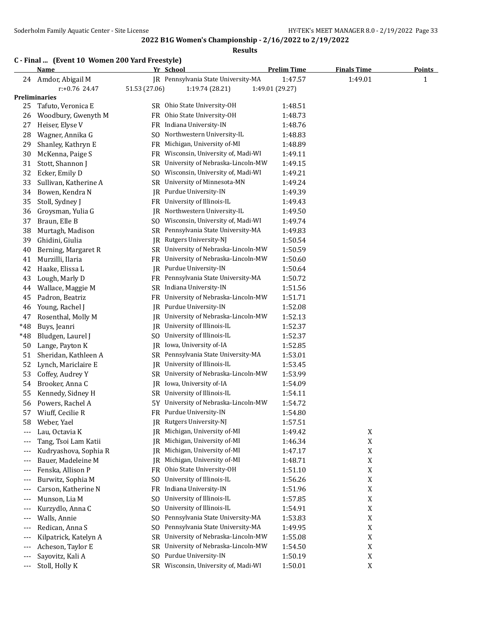## **2022 B1G Women's Championship - 2/16/2022 to 2/19/2022 Results**

#### **C - Final ... (Event 10 Women 200 Yard Freestyle)**

|       | Name                  | <u>Yr School</u> |                                      | <b>Prelim Time</b> | <b>Finals Time</b> | <u>Points</u> |
|-------|-----------------------|------------------|--------------------------------------|--------------------|--------------------|---------------|
|       | 24 Amdor, Abigail M   |                  | JR Pennsylvania State University-MA  | 1:47.57            | 1:49.01            | 1             |
|       | r:+0.76 24.47         | 51.53 (27.06)    | 1:19.74 (28.21)                      | 1:49.01 (29.27)    |                    |               |
|       | Preliminaries         |                  |                                      |                    |                    |               |
| 25    | Tafuto, Veronica E    |                  | SR Ohio State University-OH          | 1:48.51            |                    |               |
| 26    | Woodbury, Gwenyth M   |                  | FR Ohio State University-OH          | 1:48.73            |                    |               |
| 27    | Heiser, Elyse V       | FR               | Indiana University-IN                | 1:48.76            |                    |               |
| 28    | Wagner, Annika G      | SO               | Northwestern University-IL           | 1:48.83            |                    |               |
| 29    | Shanley, Kathryn E    | FR               | Michigan, University of-MI           | 1:48.89            |                    |               |
| 30    | McKenna, Paige S      | FR               | Wisconsin, University of, Madi-WI    | 1:49.11            |                    |               |
| 31    | Stott, Shannon J      | SR               | University of Nebraska-Lincoln-MW    | 1:49.15            |                    |               |
| 32    | Ecker, Emily D        |                  | SO Wisconsin, University of, Madi-WI | 1:49.21            |                    |               |
| 33    | Sullivan, Katherine A |                  | SR University of Minnesota-MN        | 1:49.24            |                    |               |
| 34    | Bowen, Kendra N       | JR               | Purdue University-IN                 | 1:49.39            |                    |               |
| 35    | Stoll, Sydney J       |                  | FR University of Illinois-IL         | 1:49.43            |                    |               |
| 36    | Groysman, Yulia G     | JR.              | Northwestern University-IL           | 1:49.50            |                    |               |
| 37    | Braun, Elle B         | SO               | Wisconsin, University of, Madi-WI    | 1:49.74            |                    |               |
| 38    | Murtagh, Madison      |                  | SR Pennsylvania State University-MA  | 1:49.83            |                    |               |
| 39    | Ghidini, Giulia       | JR.              | Rutgers University-NJ                | 1:50.54            |                    |               |
| 40    | Berning, Margaret R   |                  | SR University of Nebraska-Lincoln-MW | 1:50.59            |                    |               |
| 41    | Murzilli, Ilaria      | FR               | University of Nebraska-Lincoln-MW    | 1:50.60            |                    |               |
| 42    | Haake, Elissa L       | JR               | Purdue University-IN                 | 1:50.64            |                    |               |
| 43    | Lough, Marly D        |                  | FR Pennsylvania State University-MA  | 1:50.72            |                    |               |
| 44    | Wallace, Maggie M     | SR               | Indiana University-IN                | 1:51.56            |                    |               |
| 45    | Padron, Beatriz       |                  | FR University of Nebraska-Lincoln-MW | 1:51.71            |                    |               |
| 46    | Young, Rachel J       | IR               | Purdue University-IN                 | 1:52.08            |                    |               |
| 47    | Rosenthal, Molly M    | IR               | University of Nebraska-Lincoln-MW    | 1:52.13            |                    |               |
| *48   | Buys, Jeanri          |                  | JR University of Illinois-IL         | 1:52.37            |                    |               |
| *48   | Bludgen, Laurel J     | SO               | University of Illinois-IL            | 1:52.37            |                    |               |
| 50    | Lange, Payton K       | JR               | Iowa, University of-IA               | 1:52.85            |                    |               |
| 51    | Sheridan, Kathleen A  |                  | SR Pennsylvania State University-MA  | 1:53.01            |                    |               |
| 52    | Lynch, Mariclaire E   | JR               | University of Illinois-IL            | 1:53.45            |                    |               |
| 53    | Coffey, Audrey Y      | SR               | University of Nebraska-Lincoln-MW    | 1:53.99            |                    |               |
| 54    | Brooker, Anna C       | JR               | Iowa, University of-IA               | 1:54.09            |                    |               |
| 55    | Kennedy, Sidney H     | SR               | University of Illinois-IL            | 1:54.11            |                    |               |
| 56    | Powers, Rachel A      | 5Υ               | University of Nebraska-Lincoln-MW    | 1:54.72            |                    |               |
| 57    | Wiuff, Cecilie R      | FR               | Purdue University-IN                 | 1:54.80            |                    |               |
| 58    | Weber, Yael           |                  | JR Rutgers University-NJ             | 1:57.51            |                    |               |
| $---$ | Lau, Octavia K        | 1R               | Michigan, University of-MI           | 1:49.42            | X                  |               |
| ---   | Tang, Tsoi Lam Katii  | JR               | Michigan, University of-MI           | 1:46.34            | $\mathbf X$        |               |
| ---   | Kudryashova, Sophia R | JR               | Michigan, University of-MI           | 1:47.17            | X                  |               |
| $---$ | Bauer, Madeleine M    | JR               | Michigan, University of-MI           | 1:48.71            | X                  |               |
| ---   | Fenska, Allison P     | FR               | Ohio State University-OH             | 1:51.10            | X                  |               |
| ---   | Burwitz, Sophia M     | SO               | University of Illinois-IL            | 1:56.26            | X                  |               |
| ---   | Carson, Katherine N   | FR               | Indiana University-IN                | 1:51.96            | X                  |               |
| ---   | Munson, Lia M         | SO               | University of Illinois-IL            | 1:57.85            | X                  |               |
| ---   | Kurzydlo, Anna C      | SO.              | University of Illinois-IL            | 1:54.91            | X                  |               |
| $---$ | Walls, Annie          | SO.              | Pennsylvania State University-MA     | 1:53.83            | X                  |               |
| ---   | Redican, Anna S       | S <sub>O</sub>   | Pennsylvania State University-MA     | 1:49.95            | X                  |               |
| ---   | Kilpatrick, Katelyn A | SR               | University of Nebraska-Lincoln-MW    | 1:55.08            | $\mathbf X$        |               |
| ---   | Acheson, Taylor E     | SR.              | University of Nebraska-Lincoln-MW    | 1:54.50            | $\mathbf X$        |               |
| $---$ | Sayovitz, Kali A      | SO               | Purdue University-IN                 | 1:50.19            | $\mathbf X$        |               |
| ---   | Stoll, Holly K        | SR               | Wisconsin, University of, Madi-WI    | 1:50.01            | $\mathbf X$        |               |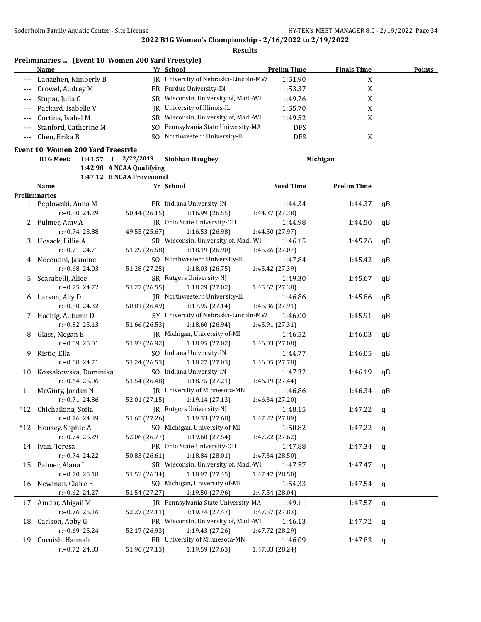**Results**

| Name                      |     | Yr School                            | <b>Prelim Time</b> | <b>Finals Time</b> | <b>Points</b> |
|---------------------------|-----|--------------------------------------|--------------------|--------------------|---------------|
| --- Lanaghen, Kimberly B  |     | IR University of Nebraska-Lincoln-MW | 1:51.90            |                    |               |
| --- Crowel, Audrey M      |     | FR Purdue University-IN              | 1:53.37            | л                  |               |
| --- Stupar, Julia C       |     | SR Wisconsin, University of, Madi-WI | 1:49.76            | л                  |               |
| --- Packard, Isabelle V   |     | IR University of Illinois-IL         | 1:55.70            |                    |               |
| --- Cortina, Isabel M     |     | SR Wisconsin, University of, Madi-WI | 1:49.52            |                    |               |
| --- Stanford, Catherine M |     | SO Pennsylvania State University-MA  | <b>DFS</b>         |                    |               |
| --- Chen, Erika B         | SO. | Northwestern University-IL           | DFS                |                    |               |

#### **Event 10 Women 200 Yard Freestyle**

**B1G Meet: 1:41.57 ! 2/22/2019 Siobhan Haughey Michigan**

**1:42.98 A NCAA Qualifying 1:47.12 B NCAA Provisional**

|    |                          | 1.77.12 DRUANTIOVISION               |                  |                    |              |
|----|--------------------------|--------------------------------------|------------------|--------------------|--------------|
|    | <b>Name</b>              | Yr School                            | <b>Seed Time</b> | <b>Prelim Time</b> |              |
|    | <b>Preliminaries</b>     |                                      |                  |                    |              |
|    | 1 Peplowski, Anna M      | FR Indiana University-IN             | 1:44.34          | 1:44.37            | qB           |
|    | r:+0.80 24.29            | 50.44 (26.15)<br>1:16.99(26.55)      | 1:44.37 (27.38)  |                    |              |
|    | 2 Fulmer, Amy A          | JR Ohio State University-OH          | 1:44.98          | 1:44.50            | qB           |
|    | r:+0.74 23.88            | 49.55 (25.67)<br>1:16.53 (26.98)     | 1:44.50 (27.97)  |                    |              |
|    | 3 Hosack, Lillie A       | SR Wisconsin, University of, Madi-WI | 1:46.15          | 1:45.26            | qB           |
|    | $r: +0.71$ 24.71         | 51.29 (26.58)<br>1:18.19 (26.90)     | 1:45.26 (27.07)  |                    |              |
|    | 4 Nocentini, Jasmine     | SO Northwestern University-IL        | 1:47.84          | 1:45.42            | qB           |
|    | r:+0.68 24.03            | 51.28 (27.25)<br>1:18.03 (26.75)     | 1:45.42 (27.39)  |                    |              |
| 5. | Scarabelli, Alice        | SR Rutgers University-NJ             | 1:49.30          | 1:45.67            | qB           |
|    | $r: +0.75$ 24.72         | 51.27 (26.55)<br>1:18.29 (27.02)     | 1:45.67 (27.38)  |                    |              |
| 6  | Larson, Ally D           | JR Northwestern University-IL        | 1:46.86          | 1:45.86            | qВ           |
|    | r:+0.80 24.32            | 50.81 (26.49)<br>1:17.95(27.14)      | 1:45.86 (27.91)  |                    |              |
| 7  | Haebig, Autumn D         | 5Y University of Nebraska-Lincoln-MW | 1:46.00          | 1:45.91            | qB           |
|    | $r: +0.82$ 25.13         | 51.66 (26.53)<br>1:18.60 (26.94)     | 1:45.91 (27.31)  |                    |              |
| 8  | Glass, Megan E           | JR Michigan, University of-MI        | 1:46.52          | 1:46.03            | qB           |
|    | r:+0.69 25.01            | 51.93 (26.92)<br>1:18.95 (27.02)     | 1:46.03 (27.08)  |                    |              |
|    | 9 Ristic, Ella           | SO Indiana University-IN             | 1:44.77          | 1:46.05            | qB           |
|    | r:+0.68 24.71            | 51.24 (26.53)<br>1:18.27 (27.03)     | 1:46.05 (27.78)  |                    |              |
|    | 10 Kossakowska, Dominika | SO Indiana University-IN             | 1:47.32          | 1:46.19            | qВ           |
|    | $r: +0.64$ 25.06         | 51.54 (26.48)<br>1:18.75 (27.21)     | 1:46.19 (27.44)  |                    |              |
|    | 11 McGinty, Jordan N     | JR University of Minnesota-MN        | 1:46.86          | 1:46.34            | qB           |
|    | $r: +0.71$ 24.86         | 52.01 (27.15)<br>1:19.14(27.13)      | 1:46.34 (27.20)  |                    |              |
|    | *12 Chichaikina, Sofia   | JR Rutgers University-NJ             | 1:48.15          | 1:47.22            | $\mathbf q$  |
|    | $r: +0.76$ 24.39         | 51.65 (27.26)<br>1:19.33 (27.68)     | 1:47.22 (27.89)  |                    |              |
|    | *12 Housey, Sophie A     | SO Michigan, University of-MI        | 1:50.82          | 1:47.22            | q            |
|    | $r: +0.74$ 25.29         | 52.06 (26.77)<br>1:19.60 (27.54)     | 1:47.22 (27.62)  |                    |              |
|    | 14 Ivan, Teresa          | FR Ohio State University-OH          | 1:47.88          | 1:47.34            | $\mathbf{q}$ |
|    | $r: +0.74$ 24.22         | 50.83 (26.61)<br>1:18.84 (28.01)     | 1:47.34 (28.50)  |                    |              |
|    | 15 Palmer, Alana I       | SR Wisconsin, University of, Madi-WI | 1:47.57          | 1:47.47            | $\mathbf{q}$ |
|    | r:+0.70 25.18            | 51.52 (26.34)<br>1:18.97 (27.45)     | 1:47.47 (28.50)  |                    |              |
|    | 16 Newman, Claire E      | SO Michigan, University of-MI        | 1:54.33          | 1:47.54            | q            |
|    | r:+0.62 24.27            | 51.54 (27.27)<br>1:19.50 (27.96)     | 1:47.54 (28.04)  |                    |              |
|    | 17 Amdor, Abigail M      | JR Pennsylvania State University-MA  | 1:49.11          | 1:47.57            | $\mathbf{q}$ |
|    | r:+0.76 25.16            | 52.27 (27.11)<br>1:19.74(27.47)      | 1:47.57 (27.83)  |                    |              |
| 18 | Carlson, Abby G          | FR Wisconsin, University of, Madi-WI | 1:46.13          | 1:47.72            | $\mathbf q$  |
|    | $r: +0.69$ 25.24         | 52.17 (26.93)<br>1:19.43 (27.26)     | 1:47.72 (28.29)  |                    |              |
| 19 | Cornish, Hannah          | FR University of Minnesota-MN        | 1:46.09          | 1:47.83            | $\mathbf q$  |
|    | r:+0.72 24.83            | 51.96 (27.13)<br>1:19.59 (27.63)     | 1:47.83 (28.24)  |                    |              |
|    |                          |                                      |                  |                    |              |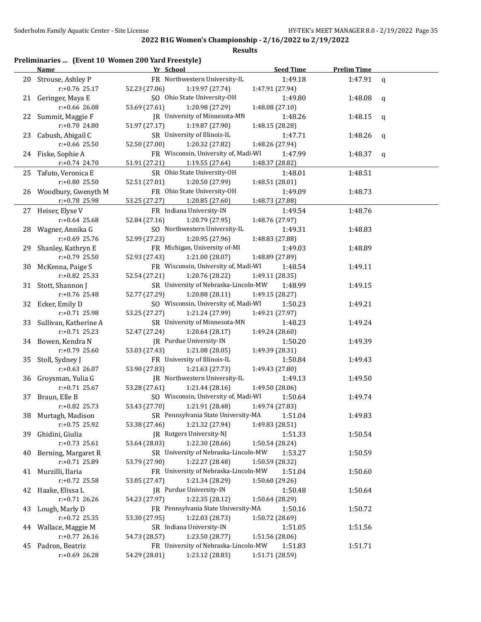|                         |          | Preliminaries  (Event 10 Women 200 Yard Freestyle) |                                                                  |  |
|-------------------------|----------|----------------------------------------------------|------------------------------------------------------------------|--|
| Name                    |          |                                                    | Yr School                                                        |  |
| $\mathbf{a} \mathbf{a}$ | $\cdots$ |                                                    | $\mathbf{m}$ $\mathbf{M}$ $\mathbf{H}$ $\mathbf{I}$ $\mathbf{I}$ |  |

|    | <b>Name</b>              | Yr School                                   | <b>Seed Time</b> | <b>Prelim Time</b> |             |
|----|--------------------------|---------------------------------------------|------------------|--------------------|-------------|
|    | 20 Strouse, Ashley P     | FR Northwestern University-IL               | 1:49.18          | 1:47.91            | $\mathbf q$ |
|    | r:+0.76 25.17            | 52.23 (27.06)<br>1:19.97 (27.74)            | 1:47.91 (27.94)  |                    |             |
|    | 21 Geringer, Maya E      | SO Ohio State University-OH                 | 1:49.80          | 1:48.08            | q           |
|    | r:+0.66 26.08            | 53.69 (27.61)<br>1:20.98 (27.29)            | 1:48.08 (27.10)  |                    |             |
|    | 22 Summit, Maggie F      | JR University of Minnesota-MN               | 1:48.26          | 1:48.15            | q           |
|    | r:+0.70 24.80            | 51.97 (27.17)<br>1:19.87 (27.90)            | 1:48.15 (28.28)  |                    |             |
| 23 | Cabush, Abigail C        | SR University of Illinois-IL                | 1:47.71          | 1:48.26            | q           |
|    | r:+0.66 25.50            | 52.50 (27.00)<br>1:20.32 (27.82)            | 1:48.26 (27.94)  |                    |             |
|    | 24 Fiske, Sophie A       | FR Wisconsin, University of, Madi-WI        | 1:47.99          | 1:48.37            | q           |
|    | r:+0.74 24.70            | 51.91 (27.21)<br>1:19.55 (27.64)            | 1:48.37 (28.82)  |                    |             |
| 25 | Tafuto, Veronica E       | SR Ohio State University-OH                 | 1:48.01          | 1:48.51            |             |
|    | r:+0.80 25.50            | 52.51 (27.01)<br>1:20.50 (27.99)            | 1:48.51 (28.01)  |                    |             |
| 26 | Woodbury, Gwenyth M      | FR Ohio State University-OH                 | 1:49.09          | 1:48.73            |             |
|    | r:+0.78 25.98            | 53.25 (27.27)<br>1:20.85 (27.60)            | 1:48.73 (27.88)  |                    |             |
|    | 27 Heiser, Elyse V       | FR Indiana University-IN                    | 1:49.54          | 1:48.76            |             |
|    | $r: +0.64$ 25.68         | 52.84 (27.16)<br>1:20.79 (27.95)            | 1:48.76 (27.97)  |                    |             |
| 28 | Wagner, Annika G         | SO Northwestern University-IL               | 1:49.31          | 1:48.83            |             |
|    | r:+0.69 25.76            | 52.99 (27.23)<br>1:20.95 (27.96)            | 1:48.83 (27.88)  |                    |             |
| 29 | Shanley, Kathryn E       | FR Michigan, University of-MI               | 1:49.03          | 1:48.89            |             |
|    | $r: +0.79$ 25.50         | 52.93 (27.43)<br>1:21.00 (28.07)            | 1:48.89 (27.89)  |                    |             |
| 30 | McKenna, Paige S         | FR Wisconsin, University of, Madi-WI        | 1:48.54          | 1:49.11            |             |
|    | r:+0.82 25.33            | 52.54 (27.21)<br>1:20.76 (28.22)            | 1:49.11 (28.35)  |                    |             |
|    | 31 Stott, Shannon J      | SR University of Nebraska-Lincoln-MW        | 1:48.99          | 1:49.15            |             |
|    | r:+0.76 25.48            | 52.77 (27.29)<br>1:20.88 (28.11)            | 1:49.15 (28.27)  |                    |             |
| 32 | Ecker, Emily D           | SO Wisconsin, University of, Madi-WI        | 1:50.23          | 1:49.21            |             |
|    | r:+0.71 25.98            | 53.25 (27.27)<br>1:21.24 (27.99)            | 1:49.21 (27.97)  |                    |             |
|    | 33 Sullivan, Katherine A | SR University of Minnesota-MN               | 1:48.23          | 1:49.24            |             |
|    | $r: +0.71$ 25.23         | 52.47 (27.24)<br>1:20.64 (28.17)            | 1:49.24 (28.60)  |                    |             |
|    | 34 Bowen, Kendra N       | JR Purdue University-IN                     | 1:50.20          | 1:49.39            |             |
|    | $r: +0.79$ 25.60         | 53.03 (27.43)<br>1:21.08 (28.05)            | 1:49.39 (28.31)  |                    |             |
|    | 35 Stoll, Sydney J       | FR University of Illinois-IL                | 1:50.84          | 1:49.43            |             |
|    | $r: +0.63$ 26.07         | 1:21.63 (27.73)<br>53.90 (27.83)            | 1:49.43 (27.80)  |                    |             |
|    | 36 Groysman, Yulia G     | JR Northwestern University-IL               | 1:49.13          | 1:49.50            |             |
|    | $r: +0.71$ 25.67         | 53.28 (27.61)<br>1:21.44 (28.16)            | 1:49.50 (28.06)  |                    |             |
| 37 | Braun, Elle B            | SO Wisconsin, University of, Madi-WI        | 1:50.64          | 1:49.74            |             |
|    | $r: +0.82$ 25.73         | 53.43 (27.70)<br>1:21.91 (28.48)            | 1:49.74 (27.83)  |                    |             |
|    | 38 Murtagh, Madison      | SR Pennsylvania State University-MA 1:51.04 |                  | 1:49.83            |             |
|    | $r: +0.75$ 25.92         | 1:21.32 (27.94)<br>53.38 (27.46)            | 1:49.83 (28.51)  |                    |             |
| 39 | Ghidini, Giulia          | JR Rutgers University-NJ                    | 1:51.33          | 1:50.54            |             |
|    | $r: +0.73$ 25.61         | 53.64 (28.03)<br>1:22.30 (28.66)            | 1:50.54 (28.24)  |                    |             |
| 40 | Berning, Margaret R      | SR University of Nebraska-Lincoln-MW        | 1:53.27          | 1:50.59            |             |
|    | r:+0.71 25.89            | 1:22.27 (28.48)<br>53.79 (27.90)            | 1:50.59 (28.32)  |                    |             |
| 41 | Murzilli, Ilaria         | FR University of Nebraska-Lincoln-MW        | 1:51.04          | 1:50.60            |             |
|    | r:+0.72 25.58            | 1:21.34 (28.29)<br>53.05 (27.47)            | 1:50.60 (29.26)  |                    |             |
| 42 | Haake, Elissa L          | JR Purdue University-IN                     | 1:50.48          | 1:50.64            |             |
|    | $r: +0.71$ 26.26         | 54.23 (27.97)<br>1:22.35 (28.12)            | 1:50.64 (28.29)  |                    |             |
| 43 | Lough, Marly D           | FR Pennsylvania State University-MA         | 1:50.16          | 1:50.72            |             |
|    | $r: +0.72$ 25.35         | 53.30 (27.95)<br>1:22.03 (28.73)            | 1:50.72 (28.69)  |                    |             |
| 44 | Wallace, Maggie M        | SR Indiana University-IN                    | 1:51.05          | 1:51.56            |             |
|    | $r: +0.77$ 26.16         | 1:23.50 (28.77)<br>54.73 (28.57)            | 1:51.56 (28.06)  |                    |             |
| 45 | Padron, Beatriz          | FR University of Nebraska-Lincoln-MW        | 1:51.83          | 1:51.71            |             |
|    | r:+0.69 26.28            | 1:23.12 (28.83)<br>54.29 (28.01)            | 1:51.71 (28.59)  |                    |             |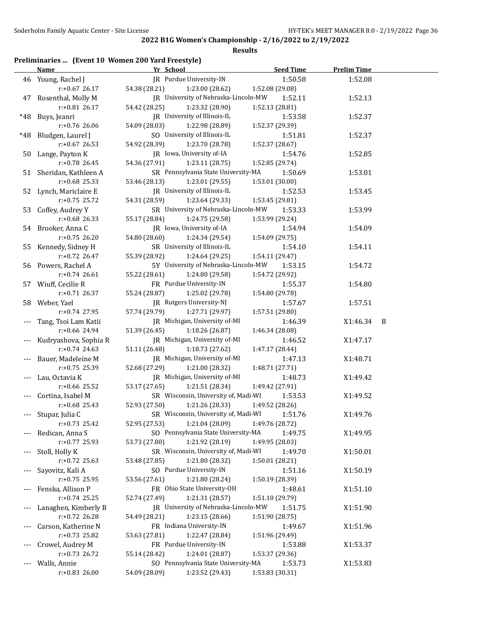#### **Results**

## **Preliminaries ... (Event 10 Women 200 Yard Freestyle)**

|       | <b>Name</b>             | Yr School                            | <b>Seed Time</b> | <b>Prelim Time</b> |     |
|-------|-------------------------|--------------------------------------|------------------|--------------------|-----|
|       | 46 Young, Rachel J      | JR Purdue University-IN              | 1:50.58          | 1:52.08            |     |
|       | $r: +0.67$ 26.17        | 54.38 (28.21)<br>1:23.00 (28.62)     | 1:52.08 (29.08)  |                    |     |
|       | 47 Rosenthal, Molly M   | JR University of Nebraska-Lincoln-MW | 1:52.11          | 1:52.13            |     |
|       | $r: +0.81$ 26.17        | 54.42 (28.25)<br>1:23.32 (28.90)     | 1:52.13 (28.81)  |                    |     |
| *48   | Buys, Jeanri            | JR University of Illinois-IL         | 1:53.58          | 1:52.37            |     |
|       | $r: +0.76$ 26.06        | 54.09 (28.03)<br>1:22.98 (28.89)     | 1:52.37 (29.39)  |                    |     |
| *48   | Bludgen, Laurel J       | SO University of Illinois-IL         | 1:51.81          | 1:52.37            |     |
|       | $r: +0.67$ 26.53        | 54.92 (28.39)<br>1:23.70 (28.78)     | 1:52.37 (28.67)  |                    |     |
|       | 50 Lange, Payton K      | JR Iowa, University of-IA            | 1:54.76          | 1:52.85            |     |
|       | $r: +0.78$ 26.45        | 54.36 (27.91)<br>1:23.11 (28.75)     | 1:52.85 (29.74)  |                    |     |
|       | 51 Sheridan, Kathleen A | SR Pennsylvania State University-MA  | 1:50.69          | 1:53.01            |     |
|       | $r: +0.68$ 25.33        | 53.46 (28.13)<br>1:23.01 (29.55)     | 1:53.01 (30.00)  |                    |     |
|       | 52 Lynch, Mariclaire E  | JR University of Illinois-IL         | 1:52.53          | 1:53.45            |     |
|       | $r: +0.75$ 25.72        | 54.31 (28.59)<br>1:23.64 (29.33)     | 1:53.45 (29.81)  |                    |     |
|       | 53 Coffey, Audrey Y     | SR University of Nebraska-Lincoln-MW | 1:53.33          | 1:53.99            |     |
|       | $r: +0.68$ 26.33        | 55.17 (28.84)<br>1:24.75 (29.58)     | 1:53.99 (29.24)  |                    |     |
|       | 54 Brooker, Anna C      | JR Iowa, University of-IA            | 1:54.94          | 1:54.09            |     |
|       | $r: +0.75$ 26.20        | 54.80 (28.60)<br>1:24.34 (29.54)     | 1:54.09(29.75)   |                    |     |
|       | 55 Kennedy, Sidney H    | SR University of Illinois-IL         | 1:54.10          | 1:54.11            |     |
|       | $r: +0.72$ 26.47        | 55.39 (28.92)<br>1:24.64 (29.25)     | 1:54.11 (29.47)  |                    |     |
|       |                         | 5Y University of Nebraska-Lincoln-MW |                  |                    |     |
|       | 56 Powers, Rachel A     |                                      | 1:53.15          | 1:54.72            |     |
|       | $r: +0.74$ 26.61        | 55.22 (28.61)<br>1:24.80 (29.58)     | 1:54.72 (29.92)  |                    |     |
|       | 57 Wiuff, Cecilie R     | FR Purdue University-IN              | 1:55.37          | 1:54.80            |     |
|       | $r: +0.71$ 26.37        | 55.24 (28.87)<br>1:25.02 (29.78)     | 1:54.80 (29.78)  |                    |     |
|       | 58 Weber, Yael          | JR Rutgers University-NJ             | 1:57.67          | 1:57.51            |     |
|       | $r.+0.74$ 27.95         | 57.74 (29.79)<br>1:27.71 (29.97)     | 1:57.51 (29.80)  |                    |     |
|       | Tang, Tsoi Lam Katii    | JR Michigan, University of-MI        | 1:46.39          | X1:46.34           | - B |
|       | r:+0.66 24.94           | 51.39 (26.45)<br>1:18.26 (26.87)     | 1:46.34 (28.08)  |                    |     |
|       | Kudryashova, Sophia R   | JR Michigan, University of-MI        | 1:46.52          | X1:47.17           |     |
|       | $r: +0.74$ 24.63        | 51.11 (26.48)<br>1:18.73 (27.62)     | 1:47.17 (28.44)  |                    |     |
|       | Bauer, Madeleine M      | JR Michigan, University of-MI        | 1:47.13          | X1:48.71           |     |
|       | r:+0.75 25.39           | 52.68 (27.29)<br>1:21.00 (28.32)     | 1:48.71 (27.71)  |                    |     |
|       | Lau, Octavia K          | JR Michigan, University of-MI        | 1:48.73          | X1:49.42           |     |
|       | $r: +0.66$ 25.52        | 53.17 (27.65)<br>1:21.51 (28.34)     | 1:49.42 (27.91)  |                    |     |
|       | Cortina, Isabel M       | SR Wisconsin, University of, Madi-WI | 1:53.53          | X1:49.52           |     |
|       | $r: +0.68$ 25.43        | 52.93 (27.50)<br>1:21.26(28.33)      | 1:49.52 (28.26)  |                    |     |
|       | Stupar, Julia C         | SR Wisconsin, University of, Madi-WI | 1:51.76          | X1:49.76           |     |
|       | $r: +0.73$ 25.42        | 52.95 (27.53)<br>1:21.04 (28.09)     | 1:49.76 (28.72)  |                    |     |
|       | Redican, Anna S         | SO Pennsylvania State University-MA  | 1:49.75          | X1:49.95           |     |
|       | r:+0.77 25.93           | 53.73 (27.80)<br>1:21.92 (28.19)     | 1:49.95 (28.03)  |                    |     |
| $---$ | Stoll, Holly K          | SR Wisconsin, University of, Madi-WI | 1:49.70          | X1:50.01           |     |
|       | $r: +0.72$ 25.63        | 1:21.80 (28.32)<br>53.48 (27.85)     | 1:50.01 (28.21)  |                    |     |
| $---$ | Sayovitz, Kali A        | SO Purdue University-IN              | 1:51.16          | X1:50.19           |     |
|       | $r: +0.75$ 25.95        | 1:21.80 (28.24)<br>53.56 (27.61)     | 1:50.19 (28.39)  |                    |     |
|       | Fenska, Allison P       | FR Ohio State University-OH          | 1:48.61          | X1:51.10           |     |
|       | $r: +0.74$ 25.25        | 1:21.31 (28.57)<br>52.74 (27.49)     | 1:51.10 (29.79)  |                    |     |
|       | Lanaghen, Kimberly B    | JR University of Nebraska-Lincoln-MW | 1:51.75          | X1:51.90           |     |
|       | r:+0.72 26.28           | 54.49 (28.21)<br>1:23.15(28.66)      | 1:51.90 (28.75)  |                    |     |
| $---$ | Carson, Katherine N     | FR Indiana University-IN             | 1:49.67          | X1:51.96           |     |
|       | r:+0.73 25.82           | 53.63 (27.81)<br>1:22.47 (28.84)     | 1:51.96 (29.49)  |                    |     |
| $---$ | Crowel, Audrey M        | FR Purdue University-IN              | 1:53.88          | X1:53.37           |     |
|       | $r: +0.73$ 26.72        | 1:24.01 (28.87)<br>55.14 (28.42)     | 1:53.37 (29.36)  |                    |     |
|       | Walls, Annie            | SO Pennsylvania State University-MA  | 1:53.73          | X1:53.83           |     |
|       | $r: +0.83$ 26.00        | 54.09 (28.09)<br>1:23.52 (29.43)     | 1:53.83 (30.31)  |                    |     |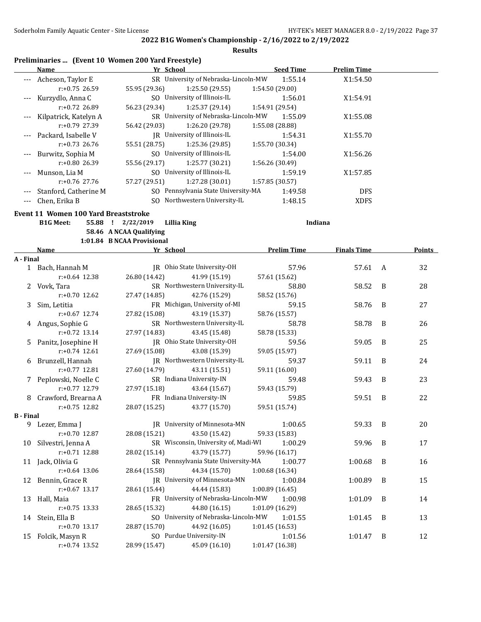|                  | Name                                 | Preliminaries  (Event 10 Women 200 Yard Freestyle)<br>Yr School | <b>Seed Time</b>   | <b>Prelim Time</b> |   |        |
|------------------|--------------------------------------|-----------------------------------------------------------------|--------------------|--------------------|---|--------|
|                  | Acheson, Taylor E                    | SR University of Nebraska-Lincoln-MW                            | 1:55.14            | X1:54.50           |   |        |
|                  | $r: +0.75$ 26.59                     | 55.95 (29.36)<br>1:25.50 (29.55)                                | 1:54.50 (29.00)    |                    |   |        |
| $---$            | Kurzydlo, Anna C                     | SO University of Illinois-IL                                    | 1:56.01            | X1:54.91           |   |        |
|                  | $r: +0.72$ 26.89                     | 56.23 (29.34)<br>1:25.37 (29.14)                                | 1:54.91 (29.54)    |                    |   |        |
|                  | Kilpatrick, Katelyn A                | SR University of Nebraska-Lincoln-MW                            | 1:55.09            | X1:55.08           |   |        |
|                  | $r: +0.79$ 27.39                     | 56.42 (29.03)<br>1:26.20 (29.78)                                | 1:55.08 (28.88)    |                    |   |        |
| $---$            | Packard, Isabelle V                  | JR University of Illinois-IL                                    | 1:54.31            | X1:55.70           |   |        |
|                  | $r: +0.73$ 26.76                     | 55.51 (28.75)<br>1:25.36 (29.85)                                | 1:55.70 (30.34)    |                    |   |        |
| $---$            | Burwitz, Sophia M                    | SO University of Illinois-IL                                    | 1:54.00            | X1:56.26           |   |        |
|                  | r:+0.80 26.39                        | 1:25.77 (30.21)<br>55.56 (29.17)                                | 1:56.26 (30.49)    |                    |   |        |
| $---$            | Munson, Lia M                        | SO University of Illinois-IL                                    | 1:59.19            | X1:57.85           |   |        |
|                  | $r: +0.76$ 27.76                     | 57.27 (29.51)<br>1:27.28 (30.01)                                | 1:57.85 (30.57)    |                    |   |        |
|                  | Stanford, Catherine M                | SO Pennsylvania State University-MA                             | 1:49.58            | <b>DFS</b>         |   |        |
| ---              | Chen, Erika B                        | SO Northwestern University-IL                                   | 1:48.15            | <b>XDFS</b>        |   |        |
|                  |                                      |                                                                 |                    |                    |   |        |
|                  | Event 11 Women 100 Yard Breaststroke |                                                                 |                    |                    |   |        |
|                  | <b>B1G Meet:</b>                     | 55.88 ! 2/22/2019<br><b>Lillia King</b>                         |                    | Indiana            |   |        |
|                  |                                      | 58.46 A NCAA Qualifying<br>1:01.84 B NCAA Provisional           |                    |                    |   |        |
|                  | <b>Name</b>                          | <b>Example 18 Yr School</b>                                     | <b>Prelim Time</b> | <b>Finals Time</b> |   | Points |
| A - Final        |                                      |                                                                 |                    |                    |   |        |
|                  | 1 Bach, Hannah M                     | JR Ohio State University-OH                                     | 57.96              | 57.61              | A | 32     |
|                  | $r: +0.64$ 12.38                     | 26.80 (14.42)<br>41.99 (15.19)                                  | 57.61 (15.62)      |                    |   |        |
|                  | 2 Vovk, Tara                         | SR Northwestern University-IL                                   | 58.80              | 58.52              | B | 28     |
|                  | $r: +0.70$ 12.62                     | 27.47 (14.85)<br>42.76 (15.29)                                  | 58.52 (15.76)      |                    |   |        |
| 3                | Sim, Letitia                         | FR Michigan, University of-MI                                   | 59.15              | 58.76              | B | 27     |
|                  | $r: +0.67$ 12.74                     | 27.82 (15.08)<br>43.19 (15.37)                                  | 58.76 (15.57)      |                    |   |        |
|                  | 4 Angus, Sophie G                    | SR Northwestern University-IL                                   | 58.78              | 58.78              | B | 26     |
|                  | $r: +0.72$ 13.14                     | 27.97 (14.83)<br>43.45 (15.48)                                  | 58.78 (15.33)      |                    |   |        |
| 5.               | Panitz, Josephine H                  | JR Ohio State University-OH                                     | 59.56              | 59.05              | B | 25     |
|                  | $r: +0.74$ 12.61                     | 27.69 (15.08)<br>43.08 (15.39)                                  | 59.05 (15.97)      |                    |   |        |
|                  | 6 Brunzell, Hannah                   | JR Northwestern University-IL                                   | 59.37              | 59.11              | B | 24     |
|                  | $r: +0.77$ 12.81                     | 27.60 (14.79)<br>43.11 (15.51)                                  | 59.11 (16.00)      |                    |   |        |
| 7                | Peplowski, Noelle C                  | SR Indiana University-IN                                        | 59.48              | 59.43              | B | 23     |
|                  | $r: +0.77$ 12.79                     | 27.97 (15.18)<br>43.64 (15.67)                                  | 59.43 (15.79)      |                    |   |        |
| 8                | Crawford, Brearna A                  | FR Indiana University-IN                                        | 59.85              | 59.51              | B | 22     |
|                  | $r: +0.75$ 12.82                     | 28.07 (15.25)<br>43.77 (15.70)                                  | 59.51 (15.74)      |                    |   |        |
| <b>B</b> - Final |                                      |                                                                 |                    |                    |   |        |
|                  | 9 Lezer, Emma J                      | JR University of Minnesota-MN                                   | 1:00.65            | 59.33              | B | 20     |
|                  | r:+0.70 12.87                        | 43.50 (15.42)<br>28.08 (15.21)                                  | 59.33 (15.83)      |                    |   |        |
|                  | 10 Silvestri, Jenna A                | SR Wisconsin, University of, Madi-WI                            | 1:00.29            | 59.96              | B | 17     |
|                  | r:+0.71 12.88                        | 43.79 (15.77)<br>28.02 (15.14)                                  | 59.96 (16.17)      |                    |   |        |
|                  | 11 Jack, Olivia G                    | SR Pennsylvania State University-MA                             | 1:00.77            | 1:00.68            | B | 16     |
|                  | $r: +0.64$ 13.06                     | 44.34 (15.70)<br>28.64 (15.58)                                  | 1:00.68 (16.34)    |                    |   |        |
| 12               | Bennin, Grace R                      | JR University of Minnesota-MN                                   | 1:00.84            | 1:00.89            | B | 15     |
|                  | $r: +0.67$ 13.17                     | 28.61 (15.44)<br>44.44 (15.83)                                  | 1:00.89(16.45)     |                    |   |        |
| 13               | Hall, Maia                           | FR University of Nebraska-Lincoln-MW                            | 1:00.98            | 1:01.09            | B | 14     |
|                  | $r: +0.75$ 13.33                     | 44.80 (16.15)<br>28.65 (15.32)                                  | 1:01.09 (16.29)    |                    |   |        |
|                  | 14 Stein, Ella B                     | SO University of Nebraska-Lincoln-MW                            | 1:01.55            | 1:01.45            | B | 13     |
|                  | $r: +0.70$ 13.17                     | 44.92 (16.05)<br>28.87 (15.70)                                  | 1:01.45(16.53)     |                    |   |        |
| 15               | Folcik, Masyn R                      | SO Purdue University-IN                                         | 1:01.56            | 1:01.47            | B | 12     |
|                  | $r: +0.74$ 13.52                     | 28.99 (15.47)<br>45.09 (16.10)                                  | 1:01.47 (16.38)    |                    |   |        |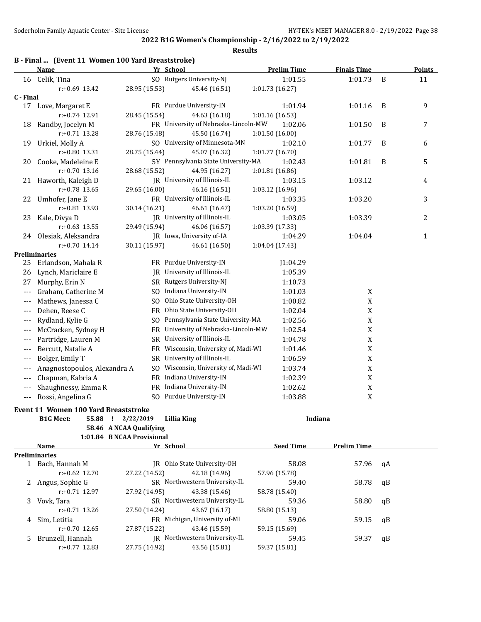|  |  | B - Final  (Event 11 Women 100 Yard Breaststroke) |
|--|--|---------------------------------------------------|
|--|--|---------------------------------------------------|

|                      | Name                                 | Yr School                                                       | <b>Prelim Time</b> | <b>Finals Time</b> |    | <b>Points</b> |
|----------------------|--------------------------------------|-----------------------------------------------------------------|--------------------|--------------------|----|---------------|
|                      | 16 Celik, Tina                       | SO Rutgers University-NJ                                        | 1:01.55            | 1:01.73            | B  | 11            |
|                      | $r: +0.69$ 13.42                     | 28.95 (15.53)<br>45.46 (16.51)                                  | 1:01.73 (16.27)    |                    |    |               |
| C - Final            |                                      |                                                                 |                    |                    |    |               |
| 17                   | Love, Margaret E                     | FR Purdue University-IN                                         | 1:01.94            | 1:01.16            | B  | 9             |
|                      | $r: +0.74$ 12.91                     | 28.45 (15.54)<br>44.63 (16.18)                                  | 1:01.16 (16.53)    |                    |    |               |
| 18                   | Randby, Jocelyn M                    | FR University of Nebraska-Lincoln-MW                            | 1:02.06            | 1:01.50            | B  | 7             |
|                      | $r: +0.71$ 13.28                     | 28.76 (15.48)<br>45.50 (16.74)                                  | 1:01.50 (16.00)    |                    |    |               |
|                      | 19 Urkiel, Molly A                   | SO University of Minnesota-MN                                   | 1:02.10            | 1:01.77            | B  | 6             |
|                      | r:+0.80 13.31                        | 28.75 (15.44)<br>45.07 (16.32)                                  | 1:01.77 (16.70)    |                    |    |               |
| 20                   | Cooke, Madeleine E                   | 5Y Pennsylvania State University-MA                             | 1:02.43            | 1:01.81            | B  | 5             |
|                      | $r: +0.70$ 13.16                     | 28.68 (15.52)<br>44.95 (16.27)                                  | 1:01.81 (16.86)    |                    |    |               |
|                      | 21 Haworth, Kaleigh D                | JR University of Illinois-IL                                    | 1:03.15            | 1:03.12            |    | 4             |
|                      | $r: +0.78$ 13.65                     | 29.65 (16.00)<br>46.16 (16.51)                                  | 1:03.12 (16.96)    |                    |    |               |
|                      | 22 Umhofer, Jane E                   | FR University of Illinois-IL                                    | 1:03.35            | 1:03.20            |    | 3             |
|                      | r:+0.81 13.93                        | 30.14 (16.21)<br>46.61 (16.47)                                  | 1:03.20 (16.59)    |                    |    |               |
| 23                   | Kale, Divya D                        | JR University of Illinois-IL                                    | 1:03.05            | 1:03.39            |    | 2             |
|                      | $r: +0.63$ 13.55                     | 29.49 (15.94)<br>46.06 (16.57)                                  | 1:03.39 (17.33)    |                    |    |               |
|                      | 24 Olesiak, Aleksandra               | JR Iowa, University of-IA                                       | 1:04.29            | 1:04.04            |    | $\mathbf{1}$  |
|                      | $r: +0.70$ 14.14                     | 30.11 (15.97)<br>46.61 (16.50)                                  | 1:04.04 (17.43)    |                    |    |               |
|                      | <b>Preliminaries</b>                 |                                                                 |                    |                    |    |               |
| 25                   | Erlandson, Mahala R                  | FR Purdue University-IN                                         | 1:04.29            |                    |    |               |
| 26                   | Lynch, Mariclaire E                  | JR University of Illinois-IL                                    | 1:05.39            |                    |    |               |
| 27                   | Murphy, Erin N                       | SR Rutgers University-NJ                                        | 1:10.73            |                    |    |               |
| $\scriptstyle\cdots$ | Graham, Catherine M                  | SO Indiana University-IN                                        | 1:01.03            | X                  |    |               |
| $---$                | Mathews, Janessa C                   | SO Ohio State University-OH                                     | 1:00.82            | $\mathbf X$        |    |               |
| $---$                | Dehen, Reese C                       | FR Ohio State University-OH                                     | 1:02.04            | $\mathbf X$        |    |               |
| $---$                | Rydland, Kylie G                     | SO Pennsylvania State University-MA                             | 1:02.56            | $\mathbf X$        |    |               |
| $---$                | McCracken, Sydney H                  | FR University of Nebraska-Lincoln-MW                            | 1:02.54            | $\mathbf X$        |    |               |
| $---$                | Partridge, Lauren M                  | SR University of Illinois-IL                                    | 1:04.78            | $\mathbf X$        |    |               |
| $---$                | Bercutt, Natalie A                   | FR Wisconsin, University of, Madi-WI                            | 1:01.46            | $\mathbf X$        |    |               |
| $\scriptstyle\cdots$ | Bolger, Emily T                      | SR University of Illinois-IL                                    | 1:06.59            | X                  |    |               |
| $---$                | Anagnostopoulos, Alexandra A         | SO Wisconsin, University of, Madi-WI                            | 1:03.74            | X                  |    |               |
| $\qquad \qquad - -$  | Chapman, Kabria A                    | FR Indiana University-IN                                        | 1:02.39            | X                  |    |               |
| $---$                | Shaughnessy, Emma R                  | FR Indiana University-IN                                        | 1:02.62            | $\mathbf X$        |    |               |
| $---$                | Rossi, Angelina G                    | SO Purdue University-IN                                         | 1:03.88            | X                  |    |               |
|                      |                                      |                                                                 |                    |                    |    |               |
|                      | Event 11 Women 100 Yard Breaststroke |                                                                 |                    |                    |    |               |
|                      | <b>B1G Meet:</b>                     | 55.88 ! 2/22/2019<br>Lillia King                                |                    | Indiana            |    |               |
|                      |                                      | 58.46 A NCAA Qualifying                                         |                    |                    |    |               |
|                      |                                      | 1:01.84 B NCAA Provisional                                      |                    |                    |    |               |
|                      | Name                                 | Yr School                                                       | <b>Seed Time</b>   | <b>Prelim Time</b> |    |               |
|                      | <b>Preliminaries</b>                 | JR Ohio State University-OH                                     | 58.08              |                    |    |               |
|                      | 1 Bach, Hannah M<br>r:+0.62 12.70    | 42.18 (14.96)<br>27.22 (14.52)                                  | 57.96 (15.78)      | 57.96              | qA |               |
|                      |                                      | SR Northwestern University-IL                                   |                    |                    |    |               |
| 2                    | Angus, Sophie G<br>r:+0.71 12.97     | 27.92 (14.95)<br>43.38 (15.46)                                  | 59.40              | 58.78              | qB |               |
|                      |                                      |                                                                 | 58.78 (15.40)      |                    |    |               |
| 3                    | Vovk, Tara<br>$r: +0.71$ 13.26       | SR Northwestern University-IL<br>27.50 (14.24)<br>43.67 (16.17) | 59.36              | 58.80              | qB |               |
|                      |                                      | FR Michigan, University of-MI                                   | 58.80 (15.13)      |                    |    |               |
| 4                    | Sim, Letitia                         |                                                                 | 59.06              | 59.15              | qB |               |
|                      | r:+0.70 12.65                        | 27.87 (15.22)<br>43.46 (15.59)<br>JR Northwestern University-IL | 59.15 (15.69)      |                    |    |               |
| 5.                   | Brunzell, Hannah                     |                                                                 | 59.45              | 59.37              | qB |               |
|                      | $r: +0.77$ 12.83                     | 27.75 (14.92)<br>43.56 (15.81)                                  | 59.37 (15.81)      |                    |    |               |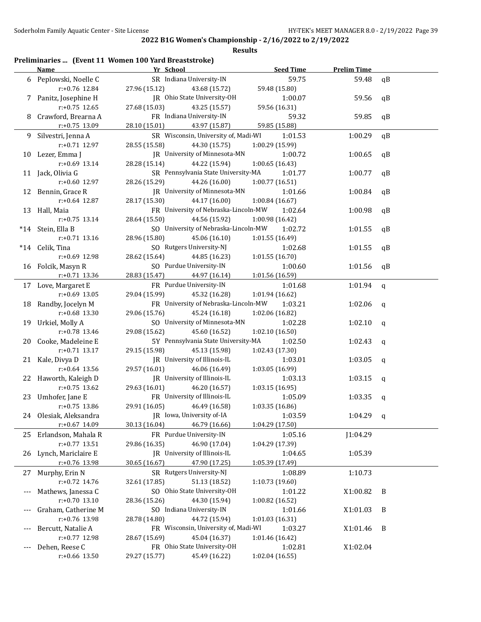|     |                        | Preliminaries  (Event 11 Women 100 Yard Breaststroke) |                  |                    |              |
|-----|------------------------|-------------------------------------------------------|------------------|--------------------|--------------|
|     | Name                   | Yr School                                             | <b>Seed Time</b> | <b>Prelim Time</b> |              |
| 6   | Peplowski, Noelle C    | SR Indiana University-IN                              | 59.75            | 59.48              | qB           |
|     | r:+0.76 12.84          | 27.96 (15.12)<br>43.68 (15.72)                        | 59.48 (15.80)    |                    |              |
|     | Panitz, Josephine H    | JR Ohio State University-OH                           | 1:00.07          | 59.56              | qB           |
|     | $r: +0.75$ 12.65       | 27.68 (15.03)<br>43.25 (15.57)                        | 59.56 (16.31)    |                    |              |
| 8   | Crawford, Brearna A    | FR Indiana University-IN                              | 59.32            | 59.85              | qB           |
|     | r:+0.75 13.09          | 28.10 (15.01)<br>43.97 (15.87)                        | 59.85 (15.88)    |                    |              |
| 9.  | Silvestri, Jenna A     | SR Wisconsin, University of, Madi-WI                  | 1:01.53          | 1:00.29            | qB           |
|     | $r: +0.71$ 12.97       | 28.55 (15.58)<br>44.30 (15.75)                        | 1:00.29 (15.99)  |                    |              |
| 10  | Lezer, Emma J          | JR University of Minnesota-MN                         | 1:00.72          | 1:00.65            | qB           |
|     | r:+0.69 13.14          | 28.28 (15.14)<br>44.22 (15.94)                        | 1:00.65(16.43)   |                    |              |
|     | 11 Jack, Olivia G      | SR Pennsylvania State University-MA                   | 1:01.77          | 1:00.77            | qB           |
|     | r:+0.60 12.97          | 28.26 (15.29)<br>44.26 (16.00)                        | 1:00.77 (16.51)  |                    |              |
|     | 12 Bennin, Grace R     | JR University of Minnesota-MN                         | 1:01.66          | 1:00.84            | qB           |
|     | r:+0.64 12.87          | 28.17 (15.30)<br>44.17 (16.00)                        | 1:00.84(16.67)   |                    |              |
|     | 13 Hall, Maia          | FR University of Nebraska-Lincoln-MW                  | 1:02.64          | 1:00.98            | qB           |
|     | $r: +0.75$ 13.14       | 28.64 (15.50)<br>44.56 (15.92)                        | 1:00.98 (16.42)  |                    |              |
|     | *14 Stein, Ella B      | SO University of Nebraska-Lincoln-MW                  | 1:02.72          | 1:01.55            | qB           |
|     | $r: +0.71$ 13.16       | 28.96 (15.80)<br>45.06 (16.10)                        | 1:01.55 (16.49)  |                    |              |
|     | *14 Celik, Tina        | SO Rutgers University-NJ                              | 1:02.68          | 1:01.55            | qB           |
|     | r:+0.69 12.98          | 28.62 (15.64)<br>44.85 (16.23)                        | 1:01.55(16.70)   |                    |              |
|     | 16 Folcik, Masyn R     | SO Purdue University-IN                               | 1:00.60          | 1:01.56            | qB           |
|     | r:+0.71 13.36          | 28.83 (15.47)<br>44.97 (16.14)                        | 1:01.56 (16.59)  |                    |              |
|     | 17 Love, Margaret E    | FR Purdue University-IN                               | 1:01.68          | 1:01.94            | $\mathsf{q}$ |
|     | $r: +0.69$ 13.05       | 29.04 (15.99)<br>45.32 (16.28)                        | 1:01.94 (16.62)  |                    |              |
| 18  | Randby, Jocelyn M      | FR University of Nebraska-Lincoln-MW                  | 1:03.21          | 1:02.06            | q            |
|     | r:+0.68 13.30          | 29.06 (15.76)<br>45.24 (16.18)                        | 1:02.06 (16.82)  |                    |              |
|     | 19 Urkiel, Molly A     | SO University of Minnesota-MN                         | 1:02.28          | 1:02.10            | q            |
|     | r:+0.78 13.46          | 29.08 (15.62)<br>45.60 (16.52)                        | 1:02.10 (16.50)  |                    |              |
| 20  | Cooke, Madeleine E     | 5Y Pennsylvania State University-MA                   | 1:02.50          | 1:02.43            | q            |
|     | $r: +0.71$ 13.17       | 29.15 (15.98)<br>45.13 (15.98)                        | 1:02.43 (17.30)  |                    |              |
|     | 21 Kale, Divya D       | JR University of Illinois-IL                          | 1:03.01          | 1:03.05            | $\mathbf q$  |
|     | $r: +0.64$ 13.56       | 29.57 (16.01)<br>46.06 (16.49)                        | 1:03.05 (16.99)  |                    |              |
| 22  | Haworth, Kaleigh D     | JR University of Illinois-IL                          | 1:03.13          | 1:03.15            | $\mathbf q$  |
|     | $r: +0.75$ 13.62       | 29.63 (16.01)<br>46.20 (16.57)                        | 1:03.15(16.95)   |                    |              |
| 23  | Umhofer, Jane E        | FR University of Illinois-IL                          | 1:05.09          | 1:03.35            | q            |
|     | $r: +0.75$ 13.86       | 29.91 (16.05) 46.49 (16.58)                           | 1:03.35 (16.86)  |                    |              |
|     | 24 Olesiak, Aleksandra | JR Iowa, University of-IA                             | 1:03.59          | 1:04.29            | q            |
|     | r:+0.67 14.09          | 30.13 (16.04)<br>46.79 (16.66)                        | 1:04.29 (17.50)  |                    |              |
|     | 25 Erlandson, Mahala R | FR Purdue University-IN                               | 1:05.16          | J1:04.29           |              |
|     | $r: +0.77$ 13.51       | 46.90 (17.04)<br>29.86 (16.35)                        | 1:04.29 (17.39)  |                    |              |
| 26  | Lynch, Mariclaire E    | JR University of Illinois-IL                          | 1:04.65          | 1:05.39            |              |
|     | r:+0.76 13.98          | 30.65 (16.67)<br>47.90 (17.25)                        | 1:05.39 (17.49)  |                    |              |
| 27  | Murphy, Erin N         | SR Rutgers University-NJ                              | 1:08.89          | 1:10.73            |              |
|     | r:+0.72 14.76          | 51.13 (18.52)<br>32.61 (17.85)                        | 1:10.73 (19.60)  |                    |              |
|     | Mathews, Janessa C     | SO Ohio State University-OH                           | 1:01.22          | X1:00.82           | B            |
|     | r:+0.70 13.10          | 28.36 (15.26)<br>44.30 (15.94)                        | 1:00.82 (16.52)  |                    |              |
|     | Graham, Catherine M    | SO Indiana University-IN                              | 1:01.66          | X1:01.03           | B            |
|     | r:+0.76 13.98          | 28.78 (14.80)<br>44.72 (15.94)                        | 1:01.03 (16.31)  |                    |              |
| --- | Bercutt, Natalie A     | FR Wisconsin, University of, Madi-WI                  | 1:03.27          | X1:01.46           | B            |
|     | r:+0.77 12.98          | 28.67 (15.69)<br>45.04 (16.37)                        | 1:01.46 (16.42)  |                    |              |
| --- | Dehen, Reese C         | FR Ohio State University-OH                           | 1:02.81          | X1:02.04           |              |
|     | r:+0.66 13.50          | 29.27 (15.77)<br>45.49 (16.22)                        | 1:02.04 (16.55)  |                    |              |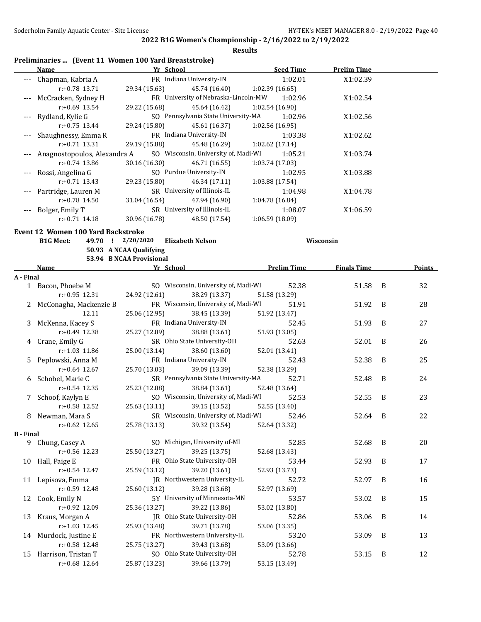**Finals Time Points** 

**2022 B1G Women's Championship - 2/16/2022 to 2/19/2022**

|           |                                                                   |                                            |                                             | <b>Results</b>  |                    |                    |
|-----------|-------------------------------------------------------------------|--------------------------------------------|---------------------------------------------|-----------------|--------------------|--------------------|
|           | Preliminaries  (Event 11 Women 100 Yard Breaststroke)<br>Name     | <b>Example 21 School</b> Press, 2016, 2017 | <u>Seed Time</u>                            |                 |                    | <b>Prelim Time</b> |
|           | --- Chapman, Kabria A FR Indiana University-IN                    |                                            |                                             |                 | 1:02.01            | X1:02.39           |
|           | $r: +0.78$ 13.71                                                  |                                            | 29.34 (15.63) 45.74 (16.40) 1:02.39 (16.65) |                 |                    |                    |
|           | McCracken, Sydney H                                               |                                            | FR University of Nebraska-Lincoln-MW        |                 | 1:02.96            | X1:02.54           |
|           | $r: +0.69$ 13.54                                                  |                                            | 29.22 (15.68) 45.64 (16.42) 1:02.54 (16.90) |                 |                    |                    |
|           | Rydland, Kylie G                                                  |                                            | SO Pennsylvania State University-MA         |                 | 1:02.96            | X1:02.56           |
|           | $r: +0.75$ 13.44                                                  |                                            | 29.24 (15.80) 45.61 (16.37) 1:02.56 (16.95) |                 |                    |                    |
|           | Shaughnessy, Emma R                                               |                                            | FR Indiana University-IN                    |                 | 1:03.38            | X1:02.62           |
|           | $r: +0.71$ 13.31                                                  |                                            | 29.19 (15.88) 45.48 (16.29) 1:02.62 (17.14) |                 |                    |                    |
|           | Anagnostopoulos, Alexandra A SO Wisconsin, University of, Madi-WI |                                            |                                             |                 | 1:05.21            | X1:03.74           |
|           | $r: +0.74$ 13.86                                                  |                                            | $30.16(16.30)$ $46.71(16.55)$               | 1:03.74(17.03)  |                    |                    |
|           | Rossi, Angelina G                                                 |                                            | SO Purdue University-IN                     |                 | 1:02.95            | X1:03.88           |
|           | $r: +0.71$ 13.43                                                  |                                            | 29.23 (15.80) 46.34 (17.11)                 | 1:03.88(17.54)  |                    |                    |
|           | Partridge, Lauren M                                               |                                            | SR University of Illinois-IL                |                 | 1:04.98            | X1:04.78           |
|           | $r: +0.78$ 14.50                                                  |                                            | 31.04 (16.54) 47.94 (16.90)                 | 1:04.78 (16.84) |                    |                    |
| ---       | Bolger, Emily T                                                   |                                            | SR University of Illinois-IL                |                 | 1:08.07            | X1:06.59           |
|           | $r: +0.71$ 14.18                                                  |                                            | 30.96 (16.78) 48.50 (17.54)                 | 1:06.59 (18.09) |                    |                    |
|           | <b>Event 12 Women 100 Yard Backstroke</b>                         |                                            |                                             |                 |                    |                    |
|           | <b>B1G Meet:</b>                                                  | 49.70 ! 2/20/2020                          | <b>Elizabeth Nelson</b>                     |                 |                    | Wisconsin          |
|           |                                                                   | 50.93 A NCAA Qualifying                    |                                             |                 |                    |                    |
|           |                                                                   | 53.94 B NCAA Provisional                   |                                             |                 |                    |                    |
|           | <b>Name</b>                                                       | <b>Example 21 Yr School</b>                |                                             |                 | <b>Prelim Time</b> | <b>Finals Time</b> |
| A - Final |                                                                   |                                            |                                             |                 |                    |                    |
|           | 1 Bacon, Phoebe M                                                 |                                            | SO Wisconsin, University of, Madi-WI        |                 | 52.38              | 51.58              |
|           | $r: +0.95$ 12.31                                                  |                                            | 24.92 (12.61) 38.29 (13.37) 51.58 (13.29)   |                 |                    |                    |

| a - гшаг         |                          |               |                                            |               |         |                |    |
|------------------|--------------------------|---------------|--------------------------------------------|---------------|---------|----------------|----|
|                  | 1 Bacon, Phoebe M        |               | SO Wisconsin, University of, Madi-WI 52.38 |               | 51.58 B |                | 32 |
|                  | $r: +0.95$ 12.31         | 24.92 (12.61) | 38.29 (13.37)                              | 51.58 (13.29) |         |                |    |
|                  | 2 McConagha, Mackenzie B |               | FR Wisconsin, University of, Madi-WI 51.91 |               | 51.92   | $\overline{B}$ | 28 |
|                  | 12.11                    | 25.06 (12.95) | 38.45 (13.39)                              | 51.92 (13.47) |         |                |    |
|                  | 3 McKenna, Kacey S       |               | FR Indiana University-IN                   | 52.45         | 51.93 B |                | 27 |
|                  | r:+0.49 12.38            |               | 25.27 (12.89) 38.88 (13.61)                | 51.93 (13.05) |         |                |    |
|                  | 4 Crane, Emily G         |               | SR Ohio State University-OH 52.63          |               | 52.01   | B              | 26 |
|                  | $r: +1.03$ 11.86         |               | 25.00 (13.14) 38.60 (13.60) 52.01 (13.41)  |               |         |                |    |
|                  | 5 Peplowski, Anna M      |               | FR Indiana University-IN                   | 52.43         | 52.38 B |                | 25 |
|                  | $r: +0.64$ 12.67         |               | 25.70 (13.03) 39.09 (13.39)                | 52.38 (13.29) |         |                |    |
|                  | 6 Schobel, Marie C       |               | SR Pennsylvania State University-MA        | 52.71         | 52.48   | $\overline{B}$ | 24 |
|                  | $r: +0.54$ 12.35         |               | 25.23 (12.88) 38.84 (13.61)                | 52.48 (13.64) |         |                |    |
|                  | 7 Schoof, Kaylyn E       |               | SO Wisconsin, University of, Madi-WI 52.53 |               | 52.55   | $\overline{B}$ | 23 |
|                  | $r: +0.58$ 12.52         | 25.63 (13.11) | 39.15 (13.52)                              | 52.55 (13.40) |         |                |    |
|                  | 8 Newman, Mara S         |               | SR Wisconsin, University of, Madi-WI 52.46 |               | 52.64 B |                | 22 |
|                  | r:+0.62 12.65            |               | 25.78 (13.13) 39.32 (13.54)                | 52.64 (13.32) |         |                |    |
| <b>B</b> - Final |                          |               |                                            |               |         |                |    |
|                  | 9 Chung, Casey A         |               | SO Michigan, University of-MI              | 52.85         | 52.68 B |                | 20 |
|                  | $r: +0.56$ 12.23         |               | 25.50 (13.27) 39.25 (13.75)                | 52.68 (13.43) |         |                |    |
|                  | 10 Hall, Paige E         |               | FR Ohio State University-OH                | 53.44         | 52.93 B |                | 17 |
|                  | r:+0.54 12.47            |               | 25.59 (13.12) 39.20 (13.61)                | 52.93 (13.73) |         |                |    |
|                  | 11 Lepisova, Emma        |               | JR Northwestern University-IL              | 52.72         | 52.97   | B              | 16 |
|                  | $r: +0.59$ 12.48         | 25.60 (13.12) | 39.28 (13.68)                              | 52.97 (13.69) |         |                |    |
|                  | 12 Cook, Emily N         |               | 5Y University of Minnesota-MN              | 53.57         | 53.02   | B              | 15 |
|                  | r:+0.92 12.09            |               | 25.36 (13.27) 39.22 (13.86)                | 53.02 (13.80) |         |                |    |
|                  | 13 Kraus, Morgan A       |               | JR Ohio State University-OH                | 52.86         | 53.06   | $\overline{B}$ | 14 |
|                  | $r: +1.03$ 12.45         |               | 25.93 (13.48) 39.71 (13.78)                | 53.06 (13.35) |         |                |    |
|                  | 14 Murdock, Justine E    |               | FR Northwestern University-IL              | 53.20         | 53.09   | $\overline{B}$ | 13 |
|                  | $r: +0.58$ 12.48         | 25.75 (13.27) | 39.43 (13.68)                              | 53.09 (13.66) |         |                |    |
|                  | 15 Harrison, Tristan T   |               | SO Ohio State University-OH                | 52.78         | 53.15   | B              | 12 |
|                  | $r: +0.68$ 12.64         | 25.87 (13.23) | 39.66 (13.79)                              | 53.15 (13.49) |         |                |    |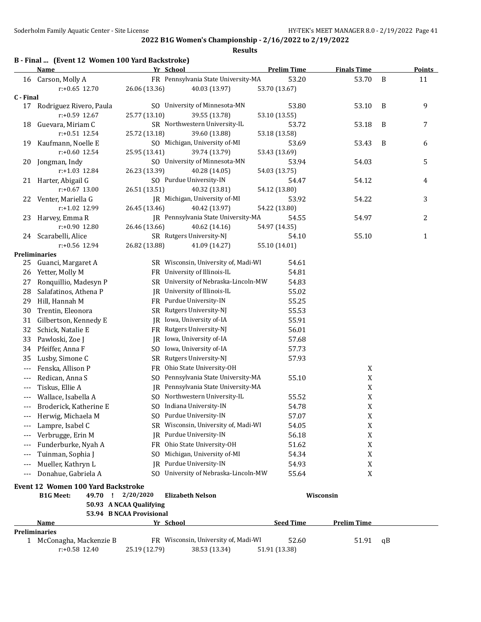| FR Pennsylvania State University-MA<br>53.20<br>16 Carson, Molly A<br>53.70<br>B<br>11<br>$r: +0.65$ 12.70<br>26.06 (13.36)<br>53.70 (13.67)<br>40.03 (13.97)<br>C - Final<br>SO University of Minnesota-MN<br>53.10<br>B<br>9<br>17 Rodriguez Rivero, Paula<br>53.80<br>r:+0.59 12.67<br>39.55 (13.78)<br>25.77 (13.10)<br>53.10 (13.55)<br>SR Northwestern University-IL<br>53.18<br>$\, {\bf B}$<br>7<br>Guevara, Miriam C<br>53.72<br>18<br>$r: +0.51$ 12.54<br>25.72 (13.18)<br>39.60 (13.88)<br>53.18 (13.58)<br>SO Michigan, University of-MI<br>19 Kaufmann, Noelle E<br>53.69<br>53.43<br>B<br>6<br>$r: +0.60$ 12.54<br>25.95 (13.41)<br>39.74 (13.79)<br>53.43 (13.69)<br>SO University of Minnesota-MN<br>54.03<br>5<br>Jongman, Indy<br>53.94<br>20<br>$r: +1.03$ 12.84<br>26.23 (13.39)<br>40.28 (14.05)<br>54.03 (13.75)<br>SO Purdue University-IN<br>21 Harter, Abigail G<br>54.47<br>54.12<br>4<br>$r: +0.67$ 13.00<br>26.51 (13.51)<br>40.32 (13.81)<br>54.12 (13.80)<br>JR Michigan, University of-MI<br>3<br>22 Venter, Mariella G<br>53.92<br>54.22<br>40.42 (13.97)<br>r:+1.02 12.99<br>26.45 (13.46)<br>54.22 (13.80)<br>JR Pennsylvania State University-MA<br>54.97<br>2<br>23<br>Harvey, Emma R<br>54.55<br>40.62 (14.16)<br>r:+0.90 12.80<br>26.46 (13.66)<br>54.97 (14.35)<br>24 Scarabelli, Alice<br>SR Rutgers University-NJ<br>54.10<br>55.10<br>1<br>26.82 (13.88)<br>r:+0.56 12.94<br>41.09 (14.27)<br>55.10 (14.01)<br><b>Preliminaries</b><br>SR Wisconsin, University of, Madi-WI<br>54.61<br>25<br>Guanci, Margaret A<br>FR University of Illinois-IL<br>54.81<br>26<br>Yetter, Molly M<br>SR University of Nebraska-Lincoln-MW<br>54.83<br>Ronquillio, Madesyn P<br>27<br>JR University of Illinois-IL<br>Salafatinos, Athena P<br>55.02<br>28<br>Hill, Hannah M<br>FR Purdue University-IN<br>55.25<br>29<br>SR Rutgers University-NJ<br>Trentin, Eleonora<br>55.53<br>30<br>31<br>Gilbertson, Kennedy E<br>JR Iowa, University of-IA<br>55.91<br>FR Rutgers University-NJ<br>32<br>Schick, Natalie E<br>56.01<br>33<br>JR Iowa, University of-IA<br>57.68<br>Pawloski, Zoe J<br>SO Iowa, University of-IA<br>Pfeiffer, Anna F<br>57.73<br>34<br>35<br>Lusby, Simone C<br>SR Rutgers University-NJ<br>57.93<br>Fenska, Allison P<br>FR Ohio State University-OH<br>X<br>---<br>Redican, Anna S<br>SO Pennsylvania State University-MA<br>55.10<br>X<br>$---$<br>JR Pennsylvania State University-MA<br>Tiskus, Ellie A<br>X<br>---<br>SO Northwestern University-IL<br>$\mathbf X$<br>Wallace, Isabella A<br>55.52<br>$---$<br>SO Indiana University-IN<br>$\mathbf X$<br>54.78<br>Broderick, Katherine E<br>$\mathbf X$<br>SO Purdue University-IN<br>57.07<br>Herwig, Michaela M<br>---<br>SR Wisconsin, University of, Madi-WI<br>54.05<br>X<br>Lampre, Isabel C<br>IR Purdue University-IN<br>Verbrugge, Erin M<br>56.18<br>X<br>FR Ohio State University-OH<br>Funderburke, Nyah A<br>51.62<br>X<br>$---$<br>SO Michigan, University of-MI<br>Tuinman, Sophia J<br>54.34<br>X<br>---<br>JR Purdue University-IN<br>Mueller, Kathryn L<br>54.93<br>X<br>---<br>SO University of Nebraska-Lincoln-MW<br>Donahue, Gabriela A<br>X<br>55.64<br>---<br><b>Event 12 Women 100 Yard Backstroke</b><br>49.70<br>2/20/2020<br>Wisconsin<br><b>B1G Meet:</b><br>÷.<br><b>Elizabeth Nelson</b><br>50.93 A NCAA Qualifying<br>53.94 B NCAA Provisional<br><b>Seed Time</b><br><b>Prelim Time</b><br>Name<br>Yr School<br><b>Preliminaries</b><br>FR Wisconsin, University of, Madi-WI<br>52.60<br>1 McConagha, Mackenzie B<br>51.91<br>qB | <b>Name</b> | Yr School | <b>Prelim Time</b> | <b>Finals Time</b> | <b>Points</b> |
|---------------------------------------------------------------------------------------------------------------------------------------------------------------------------------------------------------------------------------------------------------------------------------------------------------------------------------------------------------------------------------------------------------------------------------------------------------------------------------------------------------------------------------------------------------------------------------------------------------------------------------------------------------------------------------------------------------------------------------------------------------------------------------------------------------------------------------------------------------------------------------------------------------------------------------------------------------------------------------------------------------------------------------------------------------------------------------------------------------------------------------------------------------------------------------------------------------------------------------------------------------------------------------------------------------------------------------------------------------------------------------------------------------------------------------------------------------------------------------------------------------------------------------------------------------------------------------------------------------------------------------------------------------------------------------------------------------------------------------------------------------------------------------------------------------------------------------------------------------------------------------------------------------------------------------------------------------------------------------------------------------------------------------------------------------------------------------------------------------------------------------------------------------------------------------------------------------------------------------------------------------------------------------------------------------------------------------------------------------------------------------------------------------------------------------------------------------------------------------------------------------------------------------------------------------------------------------------------------------------------------------------------------------------------------------------------------------------------------------------------------------------------------------------------------------------------------------------------------------------------------------------------------------------------------------------------------------------------------------------------------------------------------------------------------------------------------------------------------------------------------------------------------------------------------------------------------------------------------------------------------------------------------------------------------------------------------------------------------------------------------------------------------------------------------------------------------------------------------------------------------------------------------------------------------------------------------|-------------|-----------|--------------------|--------------------|---------------|
|                                                                                                                                                                                                                                                                                                                                                                                                                                                                                                                                                                                                                                                                                                                                                                                                                                                                                                                                                                                                                                                                                                                                                                                                                                                                                                                                                                                                                                                                                                                                                                                                                                                                                                                                                                                                                                                                                                                                                                                                                                                                                                                                                                                                                                                                                                                                                                                                                                                                                                                                                                                                                                                                                                                                                                                                                                                                                                                                                                                                                                                                                                                                                                                                                                                                                                                                                                                                                                                                                                                                                                           |             |           |                    |                    |               |
|                                                                                                                                                                                                                                                                                                                                                                                                                                                                                                                                                                                                                                                                                                                                                                                                                                                                                                                                                                                                                                                                                                                                                                                                                                                                                                                                                                                                                                                                                                                                                                                                                                                                                                                                                                                                                                                                                                                                                                                                                                                                                                                                                                                                                                                                                                                                                                                                                                                                                                                                                                                                                                                                                                                                                                                                                                                                                                                                                                                                                                                                                                                                                                                                                                                                                                                                                                                                                                                                                                                                                                           |             |           |                    |                    |               |
|                                                                                                                                                                                                                                                                                                                                                                                                                                                                                                                                                                                                                                                                                                                                                                                                                                                                                                                                                                                                                                                                                                                                                                                                                                                                                                                                                                                                                                                                                                                                                                                                                                                                                                                                                                                                                                                                                                                                                                                                                                                                                                                                                                                                                                                                                                                                                                                                                                                                                                                                                                                                                                                                                                                                                                                                                                                                                                                                                                                                                                                                                                                                                                                                                                                                                                                                                                                                                                                                                                                                                                           |             |           |                    |                    |               |
|                                                                                                                                                                                                                                                                                                                                                                                                                                                                                                                                                                                                                                                                                                                                                                                                                                                                                                                                                                                                                                                                                                                                                                                                                                                                                                                                                                                                                                                                                                                                                                                                                                                                                                                                                                                                                                                                                                                                                                                                                                                                                                                                                                                                                                                                                                                                                                                                                                                                                                                                                                                                                                                                                                                                                                                                                                                                                                                                                                                                                                                                                                                                                                                                                                                                                                                                                                                                                                                                                                                                                                           |             |           |                    |                    |               |
|                                                                                                                                                                                                                                                                                                                                                                                                                                                                                                                                                                                                                                                                                                                                                                                                                                                                                                                                                                                                                                                                                                                                                                                                                                                                                                                                                                                                                                                                                                                                                                                                                                                                                                                                                                                                                                                                                                                                                                                                                                                                                                                                                                                                                                                                                                                                                                                                                                                                                                                                                                                                                                                                                                                                                                                                                                                                                                                                                                                                                                                                                                                                                                                                                                                                                                                                                                                                                                                                                                                                                                           |             |           |                    |                    |               |
|                                                                                                                                                                                                                                                                                                                                                                                                                                                                                                                                                                                                                                                                                                                                                                                                                                                                                                                                                                                                                                                                                                                                                                                                                                                                                                                                                                                                                                                                                                                                                                                                                                                                                                                                                                                                                                                                                                                                                                                                                                                                                                                                                                                                                                                                                                                                                                                                                                                                                                                                                                                                                                                                                                                                                                                                                                                                                                                                                                                                                                                                                                                                                                                                                                                                                                                                                                                                                                                                                                                                                                           |             |           |                    |                    |               |
|                                                                                                                                                                                                                                                                                                                                                                                                                                                                                                                                                                                                                                                                                                                                                                                                                                                                                                                                                                                                                                                                                                                                                                                                                                                                                                                                                                                                                                                                                                                                                                                                                                                                                                                                                                                                                                                                                                                                                                                                                                                                                                                                                                                                                                                                                                                                                                                                                                                                                                                                                                                                                                                                                                                                                                                                                                                                                                                                                                                                                                                                                                                                                                                                                                                                                                                                                                                                                                                                                                                                                                           |             |           |                    |                    |               |
|                                                                                                                                                                                                                                                                                                                                                                                                                                                                                                                                                                                                                                                                                                                                                                                                                                                                                                                                                                                                                                                                                                                                                                                                                                                                                                                                                                                                                                                                                                                                                                                                                                                                                                                                                                                                                                                                                                                                                                                                                                                                                                                                                                                                                                                                                                                                                                                                                                                                                                                                                                                                                                                                                                                                                                                                                                                                                                                                                                                                                                                                                                                                                                                                                                                                                                                                                                                                                                                                                                                                                                           |             |           |                    |                    |               |
|                                                                                                                                                                                                                                                                                                                                                                                                                                                                                                                                                                                                                                                                                                                                                                                                                                                                                                                                                                                                                                                                                                                                                                                                                                                                                                                                                                                                                                                                                                                                                                                                                                                                                                                                                                                                                                                                                                                                                                                                                                                                                                                                                                                                                                                                                                                                                                                                                                                                                                                                                                                                                                                                                                                                                                                                                                                                                                                                                                                                                                                                                                                                                                                                                                                                                                                                                                                                                                                                                                                                                                           |             |           |                    |                    |               |
|                                                                                                                                                                                                                                                                                                                                                                                                                                                                                                                                                                                                                                                                                                                                                                                                                                                                                                                                                                                                                                                                                                                                                                                                                                                                                                                                                                                                                                                                                                                                                                                                                                                                                                                                                                                                                                                                                                                                                                                                                                                                                                                                                                                                                                                                                                                                                                                                                                                                                                                                                                                                                                                                                                                                                                                                                                                                                                                                                                                                                                                                                                                                                                                                                                                                                                                                                                                                                                                                                                                                                                           |             |           |                    |                    |               |
|                                                                                                                                                                                                                                                                                                                                                                                                                                                                                                                                                                                                                                                                                                                                                                                                                                                                                                                                                                                                                                                                                                                                                                                                                                                                                                                                                                                                                                                                                                                                                                                                                                                                                                                                                                                                                                                                                                                                                                                                                                                                                                                                                                                                                                                                                                                                                                                                                                                                                                                                                                                                                                                                                                                                                                                                                                                                                                                                                                                                                                                                                                                                                                                                                                                                                                                                                                                                                                                                                                                                                                           |             |           |                    |                    |               |
|                                                                                                                                                                                                                                                                                                                                                                                                                                                                                                                                                                                                                                                                                                                                                                                                                                                                                                                                                                                                                                                                                                                                                                                                                                                                                                                                                                                                                                                                                                                                                                                                                                                                                                                                                                                                                                                                                                                                                                                                                                                                                                                                                                                                                                                                                                                                                                                                                                                                                                                                                                                                                                                                                                                                                                                                                                                                                                                                                                                                                                                                                                                                                                                                                                                                                                                                                                                                                                                                                                                                                                           |             |           |                    |                    |               |
|                                                                                                                                                                                                                                                                                                                                                                                                                                                                                                                                                                                                                                                                                                                                                                                                                                                                                                                                                                                                                                                                                                                                                                                                                                                                                                                                                                                                                                                                                                                                                                                                                                                                                                                                                                                                                                                                                                                                                                                                                                                                                                                                                                                                                                                                                                                                                                                                                                                                                                                                                                                                                                                                                                                                                                                                                                                                                                                                                                                                                                                                                                                                                                                                                                                                                                                                                                                                                                                                                                                                                                           |             |           |                    |                    |               |
|                                                                                                                                                                                                                                                                                                                                                                                                                                                                                                                                                                                                                                                                                                                                                                                                                                                                                                                                                                                                                                                                                                                                                                                                                                                                                                                                                                                                                                                                                                                                                                                                                                                                                                                                                                                                                                                                                                                                                                                                                                                                                                                                                                                                                                                                                                                                                                                                                                                                                                                                                                                                                                                                                                                                                                                                                                                                                                                                                                                                                                                                                                                                                                                                                                                                                                                                                                                                                                                                                                                                                                           |             |           |                    |                    |               |
|                                                                                                                                                                                                                                                                                                                                                                                                                                                                                                                                                                                                                                                                                                                                                                                                                                                                                                                                                                                                                                                                                                                                                                                                                                                                                                                                                                                                                                                                                                                                                                                                                                                                                                                                                                                                                                                                                                                                                                                                                                                                                                                                                                                                                                                                                                                                                                                                                                                                                                                                                                                                                                                                                                                                                                                                                                                                                                                                                                                                                                                                                                                                                                                                                                                                                                                                                                                                                                                                                                                                                                           |             |           |                    |                    |               |
|                                                                                                                                                                                                                                                                                                                                                                                                                                                                                                                                                                                                                                                                                                                                                                                                                                                                                                                                                                                                                                                                                                                                                                                                                                                                                                                                                                                                                                                                                                                                                                                                                                                                                                                                                                                                                                                                                                                                                                                                                                                                                                                                                                                                                                                                                                                                                                                                                                                                                                                                                                                                                                                                                                                                                                                                                                                                                                                                                                                                                                                                                                                                                                                                                                                                                                                                                                                                                                                                                                                                                                           |             |           |                    |                    |               |
|                                                                                                                                                                                                                                                                                                                                                                                                                                                                                                                                                                                                                                                                                                                                                                                                                                                                                                                                                                                                                                                                                                                                                                                                                                                                                                                                                                                                                                                                                                                                                                                                                                                                                                                                                                                                                                                                                                                                                                                                                                                                                                                                                                                                                                                                                                                                                                                                                                                                                                                                                                                                                                                                                                                                                                                                                                                                                                                                                                                                                                                                                                                                                                                                                                                                                                                                                                                                                                                                                                                                                                           |             |           |                    |                    |               |
|                                                                                                                                                                                                                                                                                                                                                                                                                                                                                                                                                                                                                                                                                                                                                                                                                                                                                                                                                                                                                                                                                                                                                                                                                                                                                                                                                                                                                                                                                                                                                                                                                                                                                                                                                                                                                                                                                                                                                                                                                                                                                                                                                                                                                                                                                                                                                                                                                                                                                                                                                                                                                                                                                                                                                                                                                                                                                                                                                                                                                                                                                                                                                                                                                                                                                                                                                                                                                                                                                                                                                                           |             |           |                    |                    |               |
|                                                                                                                                                                                                                                                                                                                                                                                                                                                                                                                                                                                                                                                                                                                                                                                                                                                                                                                                                                                                                                                                                                                                                                                                                                                                                                                                                                                                                                                                                                                                                                                                                                                                                                                                                                                                                                                                                                                                                                                                                                                                                                                                                                                                                                                                                                                                                                                                                                                                                                                                                                                                                                                                                                                                                                                                                                                                                                                                                                                                                                                                                                                                                                                                                                                                                                                                                                                                                                                                                                                                                                           |             |           |                    |                    |               |
|                                                                                                                                                                                                                                                                                                                                                                                                                                                                                                                                                                                                                                                                                                                                                                                                                                                                                                                                                                                                                                                                                                                                                                                                                                                                                                                                                                                                                                                                                                                                                                                                                                                                                                                                                                                                                                                                                                                                                                                                                                                                                                                                                                                                                                                                                                                                                                                                                                                                                                                                                                                                                                                                                                                                                                                                                                                                                                                                                                                                                                                                                                                                                                                                                                                                                                                                                                                                                                                                                                                                                                           |             |           |                    |                    |               |
|                                                                                                                                                                                                                                                                                                                                                                                                                                                                                                                                                                                                                                                                                                                                                                                                                                                                                                                                                                                                                                                                                                                                                                                                                                                                                                                                                                                                                                                                                                                                                                                                                                                                                                                                                                                                                                                                                                                                                                                                                                                                                                                                                                                                                                                                                                                                                                                                                                                                                                                                                                                                                                                                                                                                                                                                                                                                                                                                                                                                                                                                                                                                                                                                                                                                                                                                                                                                                                                                                                                                                                           |             |           |                    |                    |               |
|                                                                                                                                                                                                                                                                                                                                                                                                                                                                                                                                                                                                                                                                                                                                                                                                                                                                                                                                                                                                                                                                                                                                                                                                                                                                                                                                                                                                                                                                                                                                                                                                                                                                                                                                                                                                                                                                                                                                                                                                                                                                                                                                                                                                                                                                                                                                                                                                                                                                                                                                                                                                                                                                                                                                                                                                                                                                                                                                                                                                                                                                                                                                                                                                                                                                                                                                                                                                                                                                                                                                                                           |             |           |                    |                    |               |
|                                                                                                                                                                                                                                                                                                                                                                                                                                                                                                                                                                                                                                                                                                                                                                                                                                                                                                                                                                                                                                                                                                                                                                                                                                                                                                                                                                                                                                                                                                                                                                                                                                                                                                                                                                                                                                                                                                                                                                                                                                                                                                                                                                                                                                                                                                                                                                                                                                                                                                                                                                                                                                                                                                                                                                                                                                                                                                                                                                                                                                                                                                                                                                                                                                                                                                                                                                                                                                                                                                                                                                           |             |           |                    |                    |               |
|                                                                                                                                                                                                                                                                                                                                                                                                                                                                                                                                                                                                                                                                                                                                                                                                                                                                                                                                                                                                                                                                                                                                                                                                                                                                                                                                                                                                                                                                                                                                                                                                                                                                                                                                                                                                                                                                                                                                                                                                                                                                                                                                                                                                                                                                                                                                                                                                                                                                                                                                                                                                                                                                                                                                                                                                                                                                                                                                                                                                                                                                                                                                                                                                                                                                                                                                                                                                                                                                                                                                                                           |             |           |                    |                    |               |
|                                                                                                                                                                                                                                                                                                                                                                                                                                                                                                                                                                                                                                                                                                                                                                                                                                                                                                                                                                                                                                                                                                                                                                                                                                                                                                                                                                                                                                                                                                                                                                                                                                                                                                                                                                                                                                                                                                                                                                                                                                                                                                                                                                                                                                                                                                                                                                                                                                                                                                                                                                                                                                                                                                                                                                                                                                                                                                                                                                                                                                                                                                                                                                                                                                                                                                                                                                                                                                                                                                                                                                           |             |           |                    |                    |               |
|                                                                                                                                                                                                                                                                                                                                                                                                                                                                                                                                                                                                                                                                                                                                                                                                                                                                                                                                                                                                                                                                                                                                                                                                                                                                                                                                                                                                                                                                                                                                                                                                                                                                                                                                                                                                                                                                                                                                                                                                                                                                                                                                                                                                                                                                                                                                                                                                                                                                                                                                                                                                                                                                                                                                                                                                                                                                                                                                                                                                                                                                                                                                                                                                                                                                                                                                                                                                                                                                                                                                                                           |             |           |                    |                    |               |
|                                                                                                                                                                                                                                                                                                                                                                                                                                                                                                                                                                                                                                                                                                                                                                                                                                                                                                                                                                                                                                                                                                                                                                                                                                                                                                                                                                                                                                                                                                                                                                                                                                                                                                                                                                                                                                                                                                                                                                                                                                                                                                                                                                                                                                                                                                                                                                                                                                                                                                                                                                                                                                                                                                                                                                                                                                                                                                                                                                                                                                                                                                                                                                                                                                                                                                                                                                                                                                                                                                                                                                           |             |           |                    |                    |               |
|                                                                                                                                                                                                                                                                                                                                                                                                                                                                                                                                                                                                                                                                                                                                                                                                                                                                                                                                                                                                                                                                                                                                                                                                                                                                                                                                                                                                                                                                                                                                                                                                                                                                                                                                                                                                                                                                                                                                                                                                                                                                                                                                                                                                                                                                                                                                                                                                                                                                                                                                                                                                                                                                                                                                                                                                                                                                                                                                                                                                                                                                                                                                                                                                                                                                                                                                                                                                                                                                                                                                                                           |             |           |                    |                    |               |
|                                                                                                                                                                                                                                                                                                                                                                                                                                                                                                                                                                                                                                                                                                                                                                                                                                                                                                                                                                                                                                                                                                                                                                                                                                                                                                                                                                                                                                                                                                                                                                                                                                                                                                                                                                                                                                                                                                                                                                                                                                                                                                                                                                                                                                                                                                                                                                                                                                                                                                                                                                                                                                                                                                                                                                                                                                                                                                                                                                                                                                                                                                                                                                                                                                                                                                                                                                                                                                                                                                                                                                           |             |           |                    |                    |               |
|                                                                                                                                                                                                                                                                                                                                                                                                                                                                                                                                                                                                                                                                                                                                                                                                                                                                                                                                                                                                                                                                                                                                                                                                                                                                                                                                                                                                                                                                                                                                                                                                                                                                                                                                                                                                                                                                                                                                                                                                                                                                                                                                                                                                                                                                                                                                                                                                                                                                                                                                                                                                                                                                                                                                                                                                                                                                                                                                                                                                                                                                                                                                                                                                                                                                                                                                                                                                                                                                                                                                                                           |             |           |                    |                    |               |
|                                                                                                                                                                                                                                                                                                                                                                                                                                                                                                                                                                                                                                                                                                                                                                                                                                                                                                                                                                                                                                                                                                                                                                                                                                                                                                                                                                                                                                                                                                                                                                                                                                                                                                                                                                                                                                                                                                                                                                                                                                                                                                                                                                                                                                                                                                                                                                                                                                                                                                                                                                                                                                                                                                                                                                                                                                                                                                                                                                                                                                                                                                                                                                                                                                                                                                                                                                                                                                                                                                                                                                           |             |           |                    |                    |               |
|                                                                                                                                                                                                                                                                                                                                                                                                                                                                                                                                                                                                                                                                                                                                                                                                                                                                                                                                                                                                                                                                                                                                                                                                                                                                                                                                                                                                                                                                                                                                                                                                                                                                                                                                                                                                                                                                                                                                                                                                                                                                                                                                                                                                                                                                                                                                                                                                                                                                                                                                                                                                                                                                                                                                                                                                                                                                                                                                                                                                                                                                                                                                                                                                                                                                                                                                                                                                                                                                                                                                                                           |             |           |                    |                    |               |
|                                                                                                                                                                                                                                                                                                                                                                                                                                                                                                                                                                                                                                                                                                                                                                                                                                                                                                                                                                                                                                                                                                                                                                                                                                                                                                                                                                                                                                                                                                                                                                                                                                                                                                                                                                                                                                                                                                                                                                                                                                                                                                                                                                                                                                                                                                                                                                                                                                                                                                                                                                                                                                                                                                                                                                                                                                                                                                                                                                                                                                                                                                                                                                                                                                                                                                                                                                                                                                                                                                                                                                           |             |           |                    |                    |               |
|                                                                                                                                                                                                                                                                                                                                                                                                                                                                                                                                                                                                                                                                                                                                                                                                                                                                                                                                                                                                                                                                                                                                                                                                                                                                                                                                                                                                                                                                                                                                                                                                                                                                                                                                                                                                                                                                                                                                                                                                                                                                                                                                                                                                                                                                                                                                                                                                                                                                                                                                                                                                                                                                                                                                                                                                                                                                                                                                                                                                                                                                                                                                                                                                                                                                                                                                                                                                                                                                                                                                                                           |             |           |                    |                    |               |
|                                                                                                                                                                                                                                                                                                                                                                                                                                                                                                                                                                                                                                                                                                                                                                                                                                                                                                                                                                                                                                                                                                                                                                                                                                                                                                                                                                                                                                                                                                                                                                                                                                                                                                                                                                                                                                                                                                                                                                                                                                                                                                                                                                                                                                                                                                                                                                                                                                                                                                                                                                                                                                                                                                                                                                                                                                                                                                                                                                                                                                                                                                                                                                                                                                                                                                                                                                                                                                                                                                                                                                           |             |           |                    |                    |               |
|                                                                                                                                                                                                                                                                                                                                                                                                                                                                                                                                                                                                                                                                                                                                                                                                                                                                                                                                                                                                                                                                                                                                                                                                                                                                                                                                                                                                                                                                                                                                                                                                                                                                                                                                                                                                                                                                                                                                                                                                                                                                                                                                                                                                                                                                                                                                                                                                                                                                                                                                                                                                                                                                                                                                                                                                                                                                                                                                                                                                                                                                                                                                                                                                                                                                                                                                                                                                                                                                                                                                                                           |             |           |                    |                    |               |
|                                                                                                                                                                                                                                                                                                                                                                                                                                                                                                                                                                                                                                                                                                                                                                                                                                                                                                                                                                                                                                                                                                                                                                                                                                                                                                                                                                                                                                                                                                                                                                                                                                                                                                                                                                                                                                                                                                                                                                                                                                                                                                                                                                                                                                                                                                                                                                                                                                                                                                                                                                                                                                                                                                                                                                                                                                                                                                                                                                                                                                                                                                                                                                                                                                                                                                                                                                                                                                                                                                                                                                           |             |           |                    |                    |               |
|                                                                                                                                                                                                                                                                                                                                                                                                                                                                                                                                                                                                                                                                                                                                                                                                                                                                                                                                                                                                                                                                                                                                                                                                                                                                                                                                                                                                                                                                                                                                                                                                                                                                                                                                                                                                                                                                                                                                                                                                                                                                                                                                                                                                                                                                                                                                                                                                                                                                                                                                                                                                                                                                                                                                                                                                                                                                                                                                                                                                                                                                                                                                                                                                                                                                                                                                                                                                                                                                                                                                                                           |             |           |                    |                    |               |
|                                                                                                                                                                                                                                                                                                                                                                                                                                                                                                                                                                                                                                                                                                                                                                                                                                                                                                                                                                                                                                                                                                                                                                                                                                                                                                                                                                                                                                                                                                                                                                                                                                                                                                                                                                                                                                                                                                                                                                                                                                                                                                                                                                                                                                                                                                                                                                                                                                                                                                                                                                                                                                                                                                                                                                                                                                                                                                                                                                                                                                                                                                                                                                                                                                                                                                                                                                                                                                                                                                                                                                           |             |           |                    |                    |               |
|                                                                                                                                                                                                                                                                                                                                                                                                                                                                                                                                                                                                                                                                                                                                                                                                                                                                                                                                                                                                                                                                                                                                                                                                                                                                                                                                                                                                                                                                                                                                                                                                                                                                                                                                                                                                                                                                                                                                                                                                                                                                                                                                                                                                                                                                                                                                                                                                                                                                                                                                                                                                                                                                                                                                                                                                                                                                                                                                                                                                                                                                                                                                                                                                                                                                                                                                                                                                                                                                                                                                                                           |             |           |                    |                    |               |
|                                                                                                                                                                                                                                                                                                                                                                                                                                                                                                                                                                                                                                                                                                                                                                                                                                                                                                                                                                                                                                                                                                                                                                                                                                                                                                                                                                                                                                                                                                                                                                                                                                                                                                                                                                                                                                                                                                                                                                                                                                                                                                                                                                                                                                                                                                                                                                                                                                                                                                                                                                                                                                                                                                                                                                                                                                                                                                                                                                                                                                                                                                                                                                                                                                                                                                                                                                                                                                                                                                                                                                           |             |           |                    |                    |               |
|                                                                                                                                                                                                                                                                                                                                                                                                                                                                                                                                                                                                                                                                                                                                                                                                                                                                                                                                                                                                                                                                                                                                                                                                                                                                                                                                                                                                                                                                                                                                                                                                                                                                                                                                                                                                                                                                                                                                                                                                                                                                                                                                                                                                                                                                                                                                                                                                                                                                                                                                                                                                                                                                                                                                                                                                                                                                                                                                                                                                                                                                                                                                                                                                                                                                                                                                                                                                                                                                                                                                                                           |             |           |                    |                    |               |
|                                                                                                                                                                                                                                                                                                                                                                                                                                                                                                                                                                                                                                                                                                                                                                                                                                                                                                                                                                                                                                                                                                                                                                                                                                                                                                                                                                                                                                                                                                                                                                                                                                                                                                                                                                                                                                                                                                                                                                                                                                                                                                                                                                                                                                                                                                                                                                                                                                                                                                                                                                                                                                                                                                                                                                                                                                                                                                                                                                                                                                                                                                                                                                                                                                                                                                                                                                                                                                                                                                                                                                           |             |           |                    |                    |               |
|                                                                                                                                                                                                                                                                                                                                                                                                                                                                                                                                                                                                                                                                                                                                                                                                                                                                                                                                                                                                                                                                                                                                                                                                                                                                                                                                                                                                                                                                                                                                                                                                                                                                                                                                                                                                                                                                                                                                                                                                                                                                                                                                                                                                                                                                                                                                                                                                                                                                                                                                                                                                                                                                                                                                                                                                                                                                                                                                                                                                                                                                                                                                                                                                                                                                                                                                                                                                                                                                                                                                                                           |             |           |                    |                    |               |
|                                                                                                                                                                                                                                                                                                                                                                                                                                                                                                                                                                                                                                                                                                                                                                                                                                                                                                                                                                                                                                                                                                                                                                                                                                                                                                                                                                                                                                                                                                                                                                                                                                                                                                                                                                                                                                                                                                                                                                                                                                                                                                                                                                                                                                                                                                                                                                                                                                                                                                                                                                                                                                                                                                                                                                                                                                                                                                                                                                                                                                                                                                                                                                                                                                                                                                                                                                                                                                                                                                                                                                           |             |           |                    |                    |               |
|                                                                                                                                                                                                                                                                                                                                                                                                                                                                                                                                                                                                                                                                                                                                                                                                                                                                                                                                                                                                                                                                                                                                                                                                                                                                                                                                                                                                                                                                                                                                                                                                                                                                                                                                                                                                                                                                                                                                                                                                                                                                                                                                                                                                                                                                                                                                                                                                                                                                                                                                                                                                                                                                                                                                                                                                                                                                                                                                                                                                                                                                                                                                                                                                                                                                                                                                                                                                                                                                                                                                                                           |             |           |                    |                    |               |
|                                                                                                                                                                                                                                                                                                                                                                                                                                                                                                                                                                                                                                                                                                                                                                                                                                                                                                                                                                                                                                                                                                                                                                                                                                                                                                                                                                                                                                                                                                                                                                                                                                                                                                                                                                                                                                                                                                                                                                                                                                                                                                                                                                                                                                                                                                                                                                                                                                                                                                                                                                                                                                                                                                                                                                                                                                                                                                                                                                                                                                                                                                                                                                                                                                                                                                                                                                                                                                                                                                                                                                           |             |           |                    |                    |               |
|                                                                                                                                                                                                                                                                                                                                                                                                                                                                                                                                                                                                                                                                                                                                                                                                                                                                                                                                                                                                                                                                                                                                                                                                                                                                                                                                                                                                                                                                                                                                                                                                                                                                                                                                                                                                                                                                                                                                                                                                                                                                                                                                                                                                                                                                                                                                                                                                                                                                                                                                                                                                                                                                                                                                                                                                                                                                                                                                                                                                                                                                                                                                                                                                                                                                                                                                                                                                                                                                                                                                                                           |             |           |                    |                    |               |
|                                                                                                                                                                                                                                                                                                                                                                                                                                                                                                                                                                                                                                                                                                                                                                                                                                                                                                                                                                                                                                                                                                                                                                                                                                                                                                                                                                                                                                                                                                                                                                                                                                                                                                                                                                                                                                                                                                                                                                                                                                                                                                                                                                                                                                                                                                                                                                                                                                                                                                                                                                                                                                                                                                                                                                                                                                                                                                                                                                                                                                                                                                                                                                                                                                                                                                                                                                                                                                                                                                                                                                           |             |           |                    |                    |               |
|                                                                                                                                                                                                                                                                                                                                                                                                                                                                                                                                                                                                                                                                                                                                                                                                                                                                                                                                                                                                                                                                                                                                                                                                                                                                                                                                                                                                                                                                                                                                                                                                                                                                                                                                                                                                                                                                                                                                                                                                                                                                                                                                                                                                                                                                                                                                                                                                                                                                                                                                                                                                                                                                                                                                                                                                                                                                                                                                                                                                                                                                                                                                                                                                                                                                                                                                                                                                                                                                                                                                                                           |             |           |                    |                    |               |
| r:+0.58 12.40<br>38.53 (13.34)<br>25.19 (12.79)<br>51.91 (13.38)                                                                                                                                                                                                                                                                                                                                                                                                                                                                                                                                                                                                                                                                                                                                                                                                                                                                                                                                                                                                                                                                                                                                                                                                                                                                                                                                                                                                                                                                                                                                                                                                                                                                                                                                                                                                                                                                                                                                                                                                                                                                                                                                                                                                                                                                                                                                                                                                                                                                                                                                                                                                                                                                                                                                                                                                                                                                                                                                                                                                                                                                                                                                                                                                                                                                                                                                                                                                                                                                                                          |             |           |                    |                    |               |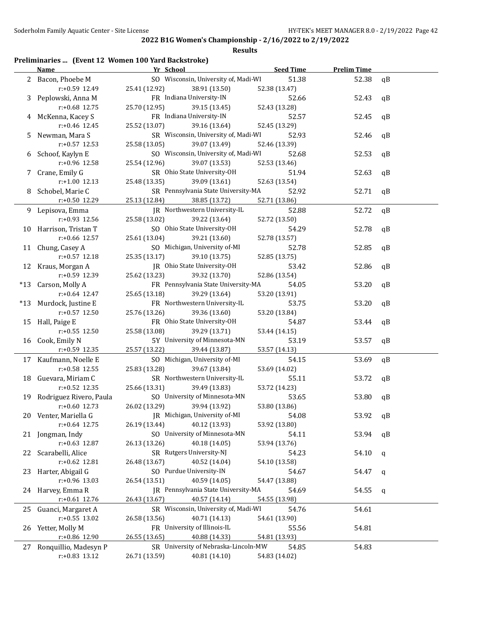### **Results**

# **Preliminaries ... (Event 12 Women 100 Yard Backstroke)**

|    | <b>Name</b>                | Yr School                            | <b>Seed Time</b> | <b>Prelim Time</b> |    |
|----|----------------------------|--------------------------------------|------------------|--------------------|----|
|    | 2 Bacon, Phoebe M          | SO Wisconsin, University of, Madi-WI | 51.38            | 52.38              | qB |
|    | r:+0.59 12.49              | 25.41 (12.92)<br>38.91 (13.50)       | 52.38 (13.47)    |                    |    |
|    | 3 Peplowski, Anna M        | FR Indiana University-IN             | 52.66            | 52.43              | qB |
|    | r:+0.68 12.75              | 25.70 (12.95)<br>39.15 (13.45)       | 52.43 (13.28)    |                    |    |
|    | 4 McKenna, Kacey S         | FR Indiana University-IN             | 52.57            | 52.45              | qB |
|    | r:+0.46 12.45              | 25.52 (13.07)<br>39.16 (13.64)       | 52.45 (13.29)    |                    |    |
|    | 5 Newman, Mara S           | SR Wisconsin, University of, Madi-WI | 52.93            | 52.46              | qB |
|    | $r: +0.57$ 12.53           | 25.58 (13.05)<br>39.07 (13.49)       | 52.46 (13.39)    |                    |    |
|    |                            | SO Wisconsin, University of, Madi-WI | 52.68            | 52.53              |    |
|    | 6 Schoof, Kaylyn E         |                                      |                  |                    | qB |
|    | r:+0.96 12.58              | 25.54 (12.96)<br>39.07 (13.53)       | 52.53 (13.46)    |                    |    |
|    | 7 Crane, Emily G           | SR Ohio State University-OH          | 51.94            | 52.63              | qB |
|    | $r: +1.00$ 12.13           | 39.09 (13.61)<br>25.48 (13.35)       | 52.63 (13.54)    |                    |    |
|    | 8 Schobel, Marie C         | SR Pennsylvania State University-MA  | 52.92            | 52.71              | qB |
|    | r:+0.50 12.29              | 25.13 (12.84)<br>38.85 (13.72)       | 52.71 (13.86)    |                    |    |
|    | 9 Lepisova, Emma           | JR Northwestern University-IL        | 52.88            | 52.72              | qB |
|    | r:+0.93 12.56              | 25.58 (13.02)<br>39.22 (13.64)       | 52.72 (13.50)    |                    |    |
|    | 10 Harrison, Tristan T     | SO Ohio State University-OH          | 54.29            | 52.78              | qB |
|    | r:+0.66 12.57              | 25.61 (13.04)<br>39.21 (13.60)       | 52.78 (13.57)    |                    |    |
|    | 11 Chung, Casey A          | SO Michigan, University of-MI        | 52.78            | 52.85              | qB |
|    | $r: +0.57$ 12.18           | 39.10 (13.75)<br>25.35 (13.17)       | 52.85 (13.75)    |                    |    |
|    | 12 Kraus, Morgan A         | JR Ohio State University-OH          | 53.42            | 52.86              | qB |
|    | r:+0.59 12.39              | 25.62 (13.23)<br>39.32 (13.70)       | 52.86 (13.54)    |                    |    |
|    | *13 Carson, Molly A        | FR Pennsylvania State University-MA  | 54.05            | 53.20              | qB |
|    | $r: +0.64$ 12.47           | 25.65 (13.18)<br>39.29 (13.64)       | 53.20 (13.91)    |                    |    |
|    | *13 Murdock, Justine E     | FR Northwestern University-IL        | 53.75            | 53.20              | qB |
|    | $r: +0.57$ 12.50           | 25.76 (13.26)<br>39.36 (13.60)       | 53.20 (13.84)    |                    |    |
|    | 15 Hall, Paige E           | FR Ohio State University-OH          | 54.87            | 53.44              | qB |
|    | $r: +0.55$ 12.50           | 25.58 (13.08)<br>39.29 (13.71)       |                  |                    |    |
|    |                            |                                      | 53.44 (14.15)    |                    |    |
|    | 16 Cook, Emily N           | 5Y University of Minnesota-MN        | 53.19            | 53.57              | qB |
|    | r:+0.59 12.35              | 25.57 (13.22)<br>39.44 (13.87)       | 53.57 (14.13)    |                    |    |
|    | 17 Kaufmann, Noelle E      | SO Michigan, University of-MI        | 54.15            | 53.69              | qB |
|    | r:+0.58 12.55              | 25.83 (13.28)<br>39.67 (13.84)       | 53.69 (14.02)    |                    |    |
|    | 18 Guevara, Miriam C       | SR Northwestern University-IL        | 55.11            | 53.72              | qB |
|    | $r: +0.52$ 12.35           | 25.66 (13.31)<br>39.49 (13.83)       | 53.72 (14.23)    |                    |    |
|    | 19 Rodriguez Rivero, Paula | SO University of Minnesota-MN        | 53.65            | 53.80              | qB |
|    | $r: +0.60$ 12.73           | 39.94 (13.92)<br>26.02 (13.29)       | 53.80 (13.86)    |                    |    |
|    | 20 Venter, Mariella G      | JR Michigan, University of-MI        | 54.08            | 53.92              | qB |
|    | $r: +0.64$ 12.75           | 26.19 (13.44)<br>40.12 (13.93)       | 53.92 (13.80)    |                    |    |
|    | 21 Jongman, Indy           | SO University of Minnesota-MN        | 54.11            | 53.94              | qB |
|    | $r: +0.63$ 12.87           | 40.18 (14.05)<br>26.13 (13.26)       | 53.94 (13.76)    |                    |    |
| 22 | Scarabelli, Alice          | SR Rutgers University-NJ             | 54.23            | 54.10              | q  |
|    | r:+0.62 12.81              | 40.52 (14.04)<br>26.48 (13.67)       | 54.10 (13.58)    |                    |    |
| 23 | Harter, Abigail G          | SO Purdue University-IN              | 54.67            | 54.47              | q  |
|    | r:+0.96 13.03              | 26.54 (13.51)<br>40.59 (14.05)       | 54.47 (13.88)    |                    |    |
|    |                            | JR Pennsylvania State University-MA  | 54.69            |                    |    |
|    | 24 Harvey, Emma R          |                                      |                  | 54.55              | q  |
|    | r:+0.61 12.76              | 26.43 (13.67)<br>40.57 (14.14)       | 54.55 (13.98)    |                    |    |
| 25 | Guanci, Margaret A         | SR Wisconsin, University of, Madi-WI | 54.76            | 54.61              |    |
|    | $r: +0.55$ 13.02           | 40.71 (14.13)<br>26.58 (13.56)       | 54.61 (13.90)    |                    |    |
| 26 | Yetter, Molly M            | FR University of Illinois-IL         | 55.56            | 54.81              |    |
|    | r:+0.86 12.90              | 26.55 (13.65)<br>40.88 (14.33)       | 54.81 (13.93)    |                    |    |
| 27 | Ronquillio, Madesyn P      | SR University of Nebraska-Lincoln-MW | 54.85            | 54.83              |    |
|    | r:+0.83 13.12              | 40.81 (14.10)<br>26.71 (13.59)       | 54.83 (14.02)    |                    |    |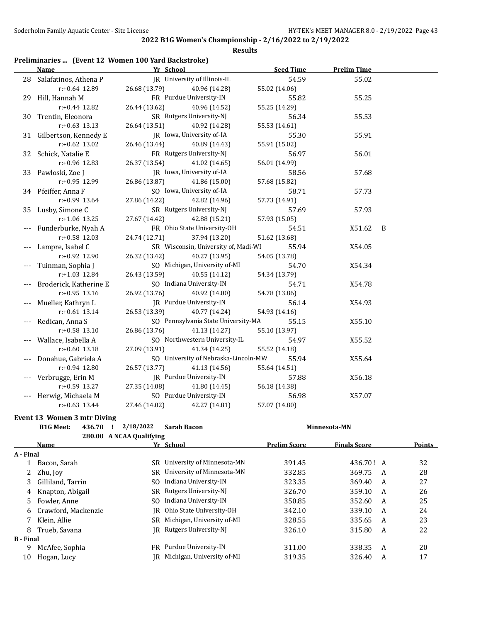### **Results**

# **Preliminaries ... (Event 12 Women 100 Yard Backstroke)**

| <b>Name</b>              | Yr School     |                                      | <b>Seed Time</b> | <b>Prelim Time</b> |   |
|--------------------------|---------------|--------------------------------------|------------------|--------------------|---|
| 28 Salafatinos, Athena P |               | JR University of Illinois-IL         | 54.59            | 55.02              |   |
| r:+0.64 12.89            | 26.68 (13.79) | 40.96 (14.28)                        | 55.02 (14.06)    |                    |   |
| 29 Hill, Hannah M        |               | FR Purdue University-IN              | 55.82            | 55.25              |   |
| $r: +0.44$ 12.82         | 26.44 (13.62) | 40.96 (14.52)                        | 55.25 (14.29)    |                    |   |
| 30 Trentin, Eleonora     |               | SR Rutgers University-NJ             | 56.34            | 55.53              |   |
| $r: +0.63$ 13.13         | 26.64 (13.51) | 40.92 (14.28)                        | 55.53 (14.61)    |                    |   |
| 31 Gilbertson, Kennedy E |               | JR Iowa, University of-IA            | 55.30            | 55.91              |   |
| $r: +0.62$ 13.02         | 26.46 (13.44) | 40.89 (14.43)                        | 55.91 (15.02)    |                    |   |
| 32 Schick, Natalie E     |               | FR Rutgers University-NJ             | 56.97            | 56.01              |   |
| r:+0.96 12.83            | 26.37 (13.54) | 41.02 (14.65)                        | 56.01 (14.99)    |                    |   |
| 33 Pawloski, Zoe J       |               | JR Iowa, University of-IA            | 58.56            | 57.68              |   |
| r:+0.95 12.99            | 26.86 (13.87) | 41.86 (15.00)                        | 57.68 (15.82)    |                    |   |
| 34 Pfeiffer, Anna F      |               | SO Iowa, University of-IA            | 58.71            | 57.73              |   |
| $r: +0.99$ 13.64         | 27.86 (14.22) | 42.82 (14.96)                        | 57.73 (14.91)    |                    |   |
| 35 Lusby, Simone C       |               | SR Rutgers University-NJ             | 57.69            | 57.93              |   |
| r:+1.06 13.25            | 27.67 (14.42) | 42.88 (15.21)                        | 57.93 (15.05)    |                    |   |
| Funderburke, Nyah A      |               | FR Ohio State University-OH          | 54.51            | X51.62             | B |
| r:+0.58 12.03            | 24.74 (12.71) | 37.94 (13.20)                        | 51.62 (13.68)    |                    |   |
| Lampre, Isabel C         |               | SR Wisconsin, University of, Madi-WI | 55.94            | X54.05             |   |
| r:+0.92 12.90            | 26.32 (13.42) | 40.27 (13.95)                        | 54.05 (13.78)    |                    |   |
| Tuinman, Sophia J        |               | SO Michigan, University of-MI        | 54.70            | X54.34             |   |
| r:+1.03 12.84            | 26.43 (13.59) | 40.55 (14.12)                        | 54.34 (13.79)    |                    |   |
| Broderick, Katherine E   |               | SO Indiana University-IN             | 54.71            | X54.78             |   |
| $r: +0.95$ 13.16         | 26.92 (13.76) | 40.92 (14.00)                        | 54.78 (13.86)    |                    |   |
| Mueller, Kathryn L       |               | JR Purdue University-IN              | 56.14            | X54.93             |   |
| $r: +0.61$ 13.14         | 26.53 (13.39) | 40.77 (14.24)                        | 54.93 (14.16)    |                    |   |
| Redican, Anna S          |               | SO Pennsylvania State University-MA  | 55.15            | X55.10             |   |
| $r: +0.58$ 13.10         | 26.86 (13.76) | 41.13 (14.27)                        | 55.10 (13.97)    |                    |   |
| Wallace, Isabella A      |               | SO Northwestern University-IL        | 54.97            | X55.52             |   |
| $r: +0.60$ 13.18         | 27.09 (13.91) | 41.34 (14.25)                        | 55.52 (14.18)    |                    |   |
| Donahue, Gabriela A      |               | SO University of Nebraska-Lincoln-MW | 55.94            | X55.64             |   |
| r:+0.94 12.80            | 26.57 (13.77) | 41.13 (14.56)                        | 55.64 (14.51)    |                    |   |
| Verbrugge, Erin M        |               | JR Purdue University-IN              | 57.88            | X56.18             |   |
| r:+0.59 13.27            | 27.35 (14.08) | 41.80 (14.45)                        | 56.18 (14.38)    |                    |   |
| Herwig, Michaela M       |               | SO Purdue University-IN              | 56.98            | X57.07             |   |
| $r: +0.63$ 13.44         | 27.46 (14.02) | 42.27 (14.81)                        | 57.07 (14.80)    |                    |   |

#### **Event 13 Women 3 mtr Diving**

|                  | <b>B1G Meet:</b><br>436.70 | 2/18/2022                | <b>Sarah Bacon</b>         |                     | Minnesota-MN        |   |               |
|------------------|----------------------------|--------------------------|----------------------------|---------------------|---------------------|---|---------------|
|                  |                            | 280.00 A NCAA Qualifying |                            |                     |                     |   |               |
|                  | <b>Name</b>                |                          | Yr School                  | <b>Prelim Score</b> | <b>Finals Score</b> |   | <b>Points</b> |
| A - Final        |                            |                          |                            |                     |                     |   |               |
|                  | Bacon, Sarah               | SR.                      | University of Minnesota-MN | 391.45              | 436.70! A           |   | 32            |
|                  | Zhu, Joy                   | SR.                      | University of Minnesota-MN | 332.85              | 369.75              | A | 28            |
| 3                | Gilliland, Tarrin          | SO.                      | Indiana University-IN      | 323.35              | 369.40              | A | 27            |
| 4                | Knapton, Abigail           | SR.                      | Rutgers University-NJ      | 326.70              | 359.10              | A | 26            |
| 5.               | Fowler, Anne               | SO.                      | Indiana University-IN      | 350.85              | 352.60              | A | 25            |
| 6                | Crawford, Mackenzie        | IR                       | Ohio State University-OH   | 342.10              | 339.10              | A | 24            |
|                  | Klein. Allie               | SR.                      | Michigan, University of-MI | 328.55              | 335.65              | A | 23            |
| 8                | Trueb, Savana              | IR                       | Rutgers University-NJ      | 326.10              | 315.80              | A | 22            |
| <b>B</b> - Final |                            |                          |                            |                     |                     |   |               |
| 9                | McAfee, Sophia             | FR.                      | Purdue University-IN       | 311.00              | 338.35              | A | 20            |
| 10               | Hogan, Lucy                | IR.                      | Michigan, University of-MI | 319.35              | 326.40              | A | 17            |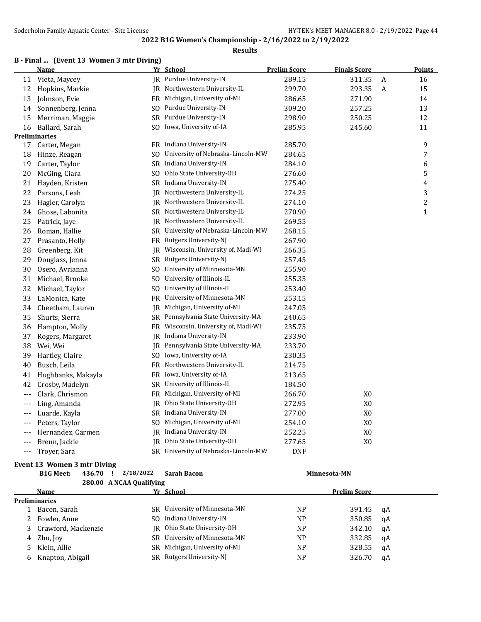# **2022 B1G Women's Championship - 2/16/2022 to 2/19/2022 Results**

# **B - Final ... (Event 13 Women 3 mtr Diving)**

|       | <b>Name</b>        |     | Yr School                            | <b>Prelim Score</b> | <b>Finals Score</b> |                  | <b>Points</b>  |
|-------|--------------------|-----|--------------------------------------|---------------------|---------------------|------------------|----------------|
| 11    | Vieta, Maycey      |     | JR Purdue University-IN              | 289.15              | 311.35              | $\boldsymbol{A}$ | 16             |
| 12    | Hopkins, Markie    |     | IR Northwestern University-IL        | 299.70              | 293.35              | $\boldsymbol{A}$ | 15             |
| 13    | Johnson, Evie      |     | FR Michigan, University of-MI        | 286.65              | 271.90              |                  | 14             |
| 14    | Sonnenberg, Jenna  |     | SO Purdue University-IN              | 309.20              | 257.25              |                  | 13             |
| 15    | Merriman, Maggie   | SR  | Purdue University-IN                 | 298.90              | 250.25              |                  | 12             |
| 16    | Ballard, Sarah     | SO. | Iowa, University of-IA               | 285.95              | 245.60              |                  | 11             |
|       | Preliminaries      |     |                                      |                     |                     |                  |                |
| 17    | Carter, Megan      |     | FR Indiana University-IN             | 285.70              |                     |                  | 9              |
| 18    | Hinze, Reagan      | SO. | University of Nebraska-Lincoln-MW    | 284.65              |                     |                  | 7              |
| 19    | Carter, Taylor     | SR  | Indiana University-IN                | 284.10              |                     |                  | 6              |
| 20    | McGing, Ciara      | SO. | Ohio State University-OH             | 276.60              |                     |                  | 5              |
| 21    | Hayden, Kristen    | SR  | Indiana University-IN                | 275.40              |                     |                  | 4              |
| 22    | Parsons, Leah      |     | JR Northwestern University-IL        | 274.25              |                     |                  | 3              |
| 23    | Hagler, Carolyn    | IR  | Northwestern University-IL           | 274.10              |                     |                  | $\overline{c}$ |
| 24    | Ghose, Labonita    |     | SR Northwestern University-IL        | 270.90              |                     |                  | $\mathbf{1}$   |
| 25    | Patrick, Jaye      | JR  | Northwestern University-IL           | 269.55              |                     |                  |                |
| 26    | Roman, Hallie      |     | SR University of Nebraska-Lincoln-MW | 268.15              |                     |                  |                |
| 27    | Prasanto, Holly    | FR  | Rutgers University-NJ                | 267.90              |                     |                  |                |
| 28    | Greenberg, Kit     |     | JR Wisconsin, University of, Madi-WI | 266.35              |                     |                  |                |
| 29    | Douglass, Jenna    | SR  | Rutgers University-NJ                | 257.45              |                     |                  |                |
| 30    | Osero, Avrianna    | SO. | University of Minnesota-MN           | 255.90              |                     |                  |                |
| 31    | Michael, Brooke    | SO. | University of Illinois-IL            | 255.35              |                     |                  |                |
| 32    | Michael, Taylor    | SO. | University of Illinois-IL            | 253.40              |                     |                  |                |
| 33    | LaMonica, Kate     | FR. | University of Minnesota-MN           | 253.15              |                     |                  |                |
| 34    | Cheetham, Lauren   | JR  | Michigan, University of-MI           | 247.05              |                     |                  |                |
| 35    | Shurts, Sierra     |     | SR Pennsylvania State University-MA  | 240.65              |                     |                  |                |
| 36    | Hampton, Molly     | FR  | Wisconsin, University of, Madi-WI    | 235.75              |                     |                  |                |
| 37    | Rogers, Margaret   | IR  | Indiana University-IN                | 233.90              |                     |                  |                |
| 38    | Wei, Wei           | IR  | Pennsylvania State University-MA     | 233.70              |                     |                  |                |
| 39    | Hartley, Claire    | SO. | Iowa, University of-IA               | 230.35              |                     |                  |                |
| 40    | Busch, Leila       | FR  | Northwestern University-IL           | 214.75              |                     |                  |                |
| 41    | Hughbanks, Makayla |     | FR Iowa, University of-IA            | 213.65              |                     |                  |                |
| 42    | Crosby, Madelyn    | SR  | University of Illinois-IL            | 184.50              |                     |                  |                |
| ---   | Clark, Chrismon    | FR  | Michigan, University of-MI           | 266.70              | X <sub>0</sub>      |                  |                |
| ---   | Ling, Amanda       | JR  | Ohio State University-OH             | 272.95              | X <sub>0</sub>      |                  |                |
| ---   | Luarde, Kayla      |     | SR Indiana University-IN             | 277.00              | X <sub>0</sub>      |                  |                |
| $---$ | Peters, Taylor     | SO. | Michigan, University of-MI           | 254.10              | X <sub>0</sub>      |                  |                |
| ---   | Hernandez, Carmen  | IR  | Indiana University-IN                | 252.25              | X <sub>0</sub>      |                  |                |
| ---   | Brenn, Jackie      |     | JR Ohio State University-OH          | 277.65              | X <sub>0</sub>      |                  |                |
| $---$ | Troyer, Sara       |     | SR University of Nebraska-Lincoln-MW | <b>DNF</b>          |                     |                  |                |

# **Event 13 Women 3 mtr Diving**

|    | <b>B1G Meet:</b><br>436.70 | 2/18/2022                | Sarah Bacon                   | Minnesota-MN   |                     |    |
|----|----------------------------|--------------------------|-------------------------------|----------------|---------------------|----|
|    |                            | 280.00 A NCAA Qualifying |                               |                |                     |    |
|    | Name                       |                          | Yr School                     |                | <b>Prelim Score</b> |    |
|    | <b>Preliminaries</b>       |                          |                               |                |                     |    |
|    | Bacon, Sarah               | SR.                      | University of Minnesota-MN    | <b>NP</b>      | 391.45              | qA |
|    | Fowler, Anne               |                          | SO Indiana University-IN      | N <sub>P</sub> | 350.85              | qA |
| 3  | Crawford, Mackenzie        |                          | IR Ohio State University-OH   | N <sub>P</sub> | 342.10              | qA |
| 4  | Zhu, Joy                   |                          | SR University of Minnesota-MN | N <sub>P</sub> | 332.85              | qA |
| 5. | Klein, Allie               |                          | SR Michigan, University of-MI | <b>NP</b>      | 328.55              | qA |
| 6  | Knapton, Abigail           |                          | SR Rutgers University-NJ      | <b>NP</b>      | 326.70              | αA |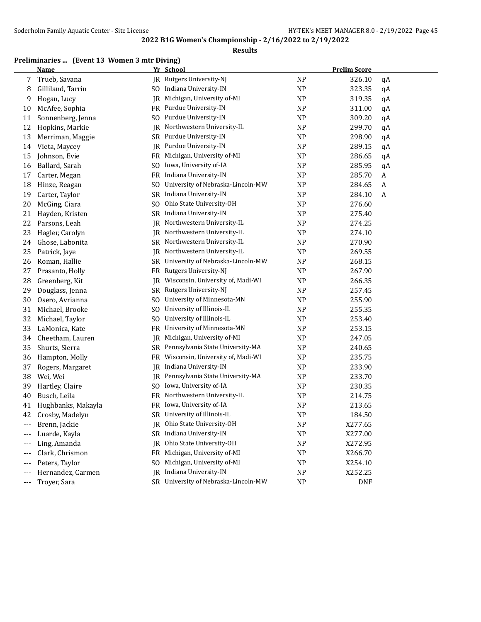### **Results**

# **Preliminaries ... (Event 13 Women 3 mtr Diving)**

|       | <b>Name</b>        |                | Yr School                            |                | <b>Prelim Score</b> |    |
|-------|--------------------|----------------|--------------------------------------|----------------|---------------------|----|
| 7     | Trueb, Savana      | IR             | Rutgers University-NJ                | <b>NP</b>      | 326.10              | qA |
| 8     | Gilliland, Tarrin  |                | SO Indiana University-IN             | <b>NP</b>      | 323.35              | qA |
| 9     | Hogan, Lucy        | JR             | Michigan, University of-MI           | <b>NP</b>      | 319.35              | qA |
| 10    | McAfee, Sophia     | FR             | Purdue University-IN                 | <b>NP</b>      | 311.00              | qA |
| 11    | Sonnenberg, Jenna  | SO             | Purdue University-IN                 | <b>NP</b>      | 309.20              | qA |
| 12    | Hopkins, Markie    | JR             | Northwestern University-IL           | <b>NP</b>      | 299.70              | qA |
| 13    | Merriman, Maggie   | <b>SR</b>      | Purdue University-IN                 | <b>NP</b>      | 298.90              | qA |
| 14    | Vieta, Maycey      | JR.            | Purdue University-IN                 | <b>NP</b>      | 289.15              | qA |
| 15    | Johnson, Evie      | FR             | Michigan, University of-MI           | <b>NP</b>      | 286.65              | qA |
| 16    | Ballard, Sarah     | S <sub>0</sub> | Iowa, University of-IA               | <b>NP</b>      | 285.95              | qA |
| 17    | Carter, Megan      | FR             | Indiana University-IN                | <b>NP</b>      | 285.70              | A  |
| 18    | Hinze, Reagan      | S <sub>0</sub> | University of Nebraska-Lincoln-MW    | <b>NP</b>      | 284.65              | A  |
| 19    | Carter, Taylor     | <b>SR</b>      | Indiana University-IN                | <b>NP</b>      | 284.10              | A  |
| 20    | McGing, Ciara      | S <sub>O</sub> | Ohio State University-OH             | <b>NP</b>      | 276.60              |    |
| 21    | Hayden, Kristen    | <b>SR</b>      | Indiana University-IN                | <b>NP</b>      | 275.40              |    |
| 22    | Parsons, Leah      | JR             | Northwestern University-IL           | <b>NP</b>      | 274.25              |    |
| 23    | Hagler, Carolyn    | JR             | Northwestern University-IL           | <b>NP</b>      | 274.10              |    |
| 24    | Ghose, Labonita    | SR             | Northwestern University-IL           | <b>NP</b>      | 270.90              |    |
| 25    | Patrick, Jaye      | JR             | Northwestern University-IL           | <b>NP</b>      | 269.55              |    |
| 26    | Roman, Hallie      | <b>SR</b>      | University of Nebraska-Lincoln-MW    | <b>NP</b>      | 268.15              |    |
| 27    | Prasanto, Holly    | FR             | Rutgers University-NJ                | <b>NP</b>      | 267.90              |    |
| 28    | Greenberg, Kit     | IR             | Wisconsin, University of, Madi-WI    | <b>NP</b>      | 266.35              |    |
| 29    | Douglass, Jenna    | SR             | Rutgers University-NJ                | <b>NP</b>      | 257.45              |    |
| 30    | Osero, Avrianna    | S <sub>0</sub> | University of Minnesota-MN           | <b>NP</b>      | 255.90              |    |
| 31    | Michael, Brooke    | S <sub>0</sub> | University of Illinois-IL            | <b>NP</b>      | 255.35              |    |
| 32    | Michael, Taylor    | S <sub>0</sub> | University of Illinois-IL            | <b>NP</b>      | 253.40              |    |
| 33    | LaMonica, Kate     | FR             | University of Minnesota-MN           | <b>NP</b>      | 253.15              |    |
| 34    | Cheetham, Lauren   | JR             | Michigan, University of-MI           | <b>NP</b>      | 247.05              |    |
| 35    | Shurts, Sierra     | SR             | Pennsylvania State University-MA     | <b>NP</b>      | 240.65              |    |
| 36    | Hampton, Molly     | FR             | Wisconsin, University of, Madi-WI    | <b>NP</b>      | 235.75              |    |
| 37    | Rogers, Margaret   | JR             | Indiana University-IN                | <b>NP</b>      | 233.90              |    |
| 38    | Wei, Wei           | JR.            | Pennsylvania State University-MA     | <b>NP</b>      | 233.70              |    |
| 39    | Hartley, Claire    | S <sub>0</sub> | Iowa, University of-IA               | <b>NP</b>      | 230.35              |    |
| 40    | Busch, Leila       | FR             | Northwestern University-IL           | <b>NP</b>      | 214.75              |    |
| 41    | Hughbanks, Makayla | FR             | Iowa, University of-IA               | <b>NP</b>      | 213.65              |    |
| 42    | Crosby, Madelyn    |                | SR University of Illinois-IL         | <b>NP</b>      | 184.50              |    |
|       | Brenn, Jackie      |                | IR Ohio State University-OH          | <b>NP</b>      | X277.65             |    |
|       | Luarde, Kayla      |                | SR Indiana University-IN             | N <sub>P</sub> | X277.00             |    |
| $---$ | Ling, Amanda       | IR             | Ohio State University-OH             | N <sub>P</sub> | X272.95             |    |
|       | Clark, Chrismon    | FR             | Michigan, University of-MI           | N <sub>P</sub> | X266.70             |    |
|       | Peters, Taylor     | S <sub>0</sub> | Michigan, University of-MI           | <b>NP</b>      | X254.10             |    |
|       | Hernandez, Carmen  |                | JR Indiana University-IN             | <b>NP</b>      | X252.25             |    |
| $---$ | Troyer, Sara       |                | SR University of Nebraska-Lincoln-MW | <b>NP</b>      | <b>DNF</b>          |    |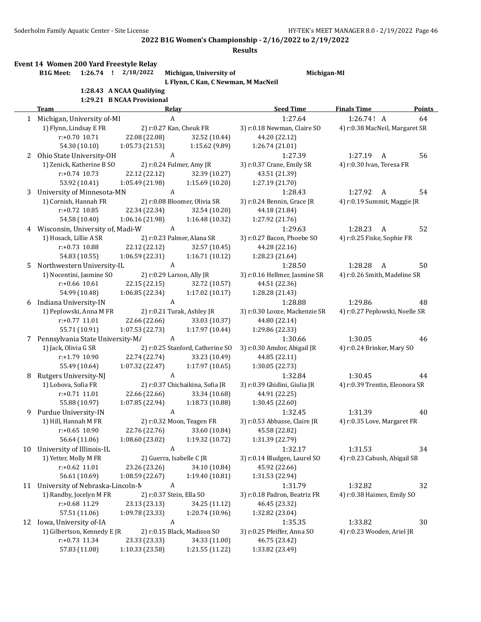|    | Soderholm Family Aquatic Center - Site License |                                                                    |                   |                                          | 2022 B1G Women's Championship - 2/16/2022 to 2/19/2022<br><b>Results</b> | HY-TEK's MEET MANAGER 8.0 - 2/19/2022 Page 46 |               |
|----|------------------------------------------------|--------------------------------------------------------------------|-------------------|------------------------------------------|--------------------------------------------------------------------------|-----------------------------------------------|---------------|
|    | <b>B1G Meet:</b>                               | Event 14 Women 200 Yard Freestyle Relay<br>$1:26.74$ ! $2/18/2022$ |                   | Michigan, University of                  |                                                                          | Michigan-MI                                   |               |
|    |                                                |                                                                    |                   | L Flynn, C Kan, C Newman, M MacNeil      |                                                                          |                                               |               |
|    |                                                | 1:28.43 A NCAA Qualifying                                          |                   |                                          |                                                                          |                                               |               |
|    |                                                | 1:29.21 B NCAA Provisional                                         |                   |                                          |                                                                          |                                               |               |
|    | Team                                           |                                                                    | <b>Relay</b><br>A |                                          | <b>Seed Time</b>                                                         | <b>Finals Time</b>                            | <b>Points</b> |
|    | 1 Michigan, University of-MI                   |                                                                    |                   |                                          | 1:27.64                                                                  | 1:26.74! A                                    | 64            |
|    | 1) Flynn, Lindsay E FR<br>$r: +0.70$ 10.71     | 22.08 (22.08)                                                      |                   | 2) r:0.27 Kan, Cheuk FR<br>32.52 (10.44) | 3) r:0.18 Newman, Claire SO<br>44.20 (22.12)                             | 4) r:0.38 MacNeil, Margaret SR                |               |
|    | 54.30 (10.10)                                  | 1:05.73(21.53)                                                     |                   | 1:15.62 (9.89)                           | 1:26.74 (21.01)                                                          |                                               |               |
|    | 2 Ohio State University-OH                     |                                                                    | A                 |                                          | 1:27.39                                                                  | 1:27.19<br>A                                  | 56            |
|    | 1) Zenick, Katherine B SO                      |                                                                    |                   | 2) r:0.24 Fulmer, Amy JR                 | 3) r:0.37 Crane, Emily SR                                                | 4) r:0.30 Ivan, Teresa FR                     |               |
|    | $r: +0.74$ 10.73                               | 22.12 (22.12)                                                      |                   | 32.39 (10.27)                            | 43.51 (21.39)                                                            |                                               |               |
|    | 53.92 (10.41)                                  | 1:05.49 (21.98)                                                    |                   | 1:15.69 (10.20)                          | 1:27.19 (21.70)                                                          |                                               |               |
|    | 3 University of Minnesota-MN                   |                                                                    | $\boldsymbol{A}$  |                                          | 1:28.43                                                                  | 1:27.92<br>A                                  | 54            |
|    | 1) Cornish, Hannah FR                          |                                                                    |                   | 2) r:0.08 Bloomer, Olivia SR             | 3) r:0.24 Bennin, Grace JR                                               | 4) r:0.19 Summit, Maggie JR                   |               |
|    | $r: +0.72$ 10.85                               | 22.34 (22.34)                                                      |                   | 32.54 (10.20)                            | 44.18 (21.84)                                                            |                                               |               |
|    | 54.58 (10.40)                                  | 1:06.16 (21.98)                                                    |                   | 1:16.48 (10.32)                          | 1:27.92 (21.76)                                                          |                                               |               |
| 4  | Wisconsin, University of, Madi-W               |                                                                    | A                 |                                          | 1:29.63                                                                  | 1:28.23<br>A                                  | 52            |
|    | 1) Hosack, Lillie A SR                         |                                                                    |                   | 2) r:0.23 Palmer, Alana SR               | 3) r:0.27 Bacon, Phoebe SO                                               | 4) r:0.25 Fiske, Sophie FR                    |               |
|    | $r: +0.73$ 10.88                               | 22.12 (22.12)                                                      |                   | 32.57 (10.45)                            | 44.28 (22.16)                                                            |                                               |               |
|    | 54.83 (10.55)                                  | 1:06.59 (22.31)                                                    |                   | 1:16.71(10.12)                           | 1:28.23 (21.64)                                                          |                                               |               |
| 5. | Northwestern University-IL                     |                                                                    | A                 |                                          | 1:28.50                                                                  | 1:28.28<br>A                                  | 50            |
|    | 1) Nocentini, Jasmine SO                       |                                                                    |                   | 2) r:0.29 Larson, Ally JR                | 3) r:0.16 Hellmer, Jasmine SR                                            | 4) r:0.26 Smith, Madeline SR                  |               |
|    | $r: +0.66$ 10.61                               | 22.15 (22.15)                                                      |                   | 32.72 (10.57)                            | 44.51 (22.36)                                                            |                                               |               |
|    | 54.99 (10.48)                                  | 1:06.85 (22.34)                                                    |                   | 1:17.02 (10.17)                          | 1:28.28 (21.43)                                                          |                                               |               |
| 6  | Indiana University-IN                          |                                                                    | A                 |                                          | 1:28.88                                                                  | 1:29.86                                       | 48            |
|    | 1) Peplowski, Anna M FR                        |                                                                    |                   | 2) r:0.21 Turak, Ashley JR               | 3) r:0.30 Looze, Mackenzie SR                                            | 4) r:0.27 Peplowski, Noelle SR                |               |
|    | $r: +0.77$ 11.01                               | 22.66 (22.66)                                                      |                   | 33.03 (10.37)                            | 44.80 (22.14)                                                            |                                               |               |
|    | 55.71 (10.91)                                  | 1:07.53 (22.73)                                                    |                   | 1:17.97 (10.44)                          | 1:29.86 (22.33)                                                          |                                               |               |
|    | 7 Pennsylvania State University-M/             |                                                                    | A                 |                                          | 1:30.66                                                                  | 1:30.05                                       | 46            |
|    | 1) Jack, Olivia G SR                           |                                                                    |                   | 2) r:0.25 Stanford, Catherine SO         | 3) r:0.30 Amdor, Abigail JR                                              | 4) r:0.24 Brinker, Mary SO                    |               |
|    | r:+1.79 10.90                                  | 22.74 (22.74)                                                      |                   | 33.23 (10.49)                            | 44.85 (22.11)                                                            |                                               |               |
|    | 55.49 (10.64)                                  | 1:07.32 (22.47)                                                    |                   | 1:17.97(10.65)                           | 1:30.05 (22.73)                                                          |                                               |               |
|    | 8 Rutgers University-NJ                        | $\overline{A}$                                                     |                   |                                          | 1:32.84                                                                  | 1:30.45                                       | 44            |
|    | 1) Lobova, Sofia FR                            |                                                                    |                   | 2) r:0.37 Chichaikina, Sofia JR          | 3) r:0.39 Ghidini, Giulia JR                                             | 4) r:0.39 Trentin, Eleonora SR                |               |
|    | r:+0.71 11.01                                  | 22.66 (22.66)                                                      |                   | 33.34 (10.68)                            | 44.91 (22.25)                                                            |                                               |               |
|    | 55.88 (10.97)                                  | 1:07.85 (22.94)                                                    |                   | 1:18.73 (10.88)                          | 1:30.45 (22.60)                                                          |                                               |               |
| 9  | Purdue University-IN                           |                                                                    | $\boldsymbol{A}$  |                                          | 1:32.45                                                                  | 1:31.39                                       | 40            |
|    | 1) Hill, Hannah M FR                           |                                                                    |                   | 2) r:0.32 Moon, Teagen FR                | 3) r:0.53 Abbasse, Claire JR                                             | 4) r:0.35 Love, Margaret FR                   |               |
|    | $r: +0.65$ 10.90                               | 22.76 (22.76)                                                      |                   | 33.60 (10.84)                            | 45.58 (22.82)                                                            |                                               |               |
|    | 56.64 (11.06)                                  | 1:08.60 (23.02)                                                    |                   | 1:19.32 (10.72)                          | 1:31.39 (22.79)                                                          |                                               |               |
| 10 | University of Illinois-IL                      |                                                                    | A                 |                                          | 1:32.17                                                                  | 1:31.53                                       | 34            |
|    | 1) Yetter, Molly M FR                          |                                                                    |                   | 2) Guerra, Isabelle C JR                 | 3) r:0.14 Bludgen, Laurel SO                                             | 4) r:0.23 Cabush, Abigail SR                  |               |
|    | $r.+0.62$ 11.01                                | 23.26 (23.26)                                                      |                   | 34.10 (10.84)                            | 45.92 (22.66)                                                            |                                               |               |
|    | 56.61 (10.69)                                  | 1:08.59 (22.67)                                                    |                   | 1:19.40 (10.81)                          | 1:31.53 (22.94)                                                          |                                               |               |
|    | 11 University of Nebraska-Lincoln-M            |                                                                    | A                 |                                          | 1:31.79                                                                  | 1:32.82                                       | 32            |
|    | 1) Randby, Jocelyn M FR                        |                                                                    |                   | 2) r:0.37 Stein, Ella SO                 | 3) r:0.18 Padron, Beatriz FR                                             | 4) r:0.38 Haimes, Emily SO                    |               |
|    | r:+0.68 11.29                                  | 23.13 (23.13)                                                      |                   | 34.25 (11.12)                            | 46.45 (23.32)                                                            |                                               |               |
|    | 57.51 (11.06)                                  | 1:09.78 (23.33)                                                    |                   | 1:20.74 (10.96)                          | 1:32.82 (23.04)                                                          |                                               |               |
|    | 12 Iowa, University of-IA                      |                                                                    | A                 |                                          | 1:35.35                                                                  | 1:33.82                                       | 30            |
|    | 1) Gilbertson, Kennedy E JR                    |                                                                    |                   | 2) r:0.15 Black, Madison SO              | 3) r:0.25 Pfeiffer, Anna SO                                              | 4) r:0.23 Wooden, Ariel JR                    |               |
|    | $r: +0.73$ 11.34                               | 23.33 (23.33)<br>1:10.33 (23.58)                                   |                   | 34.33 (11.00)<br>1:21.55 (11.22)         | 46.75 (23.42)<br>1:33.82 (23.49)                                         |                                               |               |
|    | 57.83 (11.08)                                  |                                                                    |                   |                                          |                                                                          |                                               |               |

| an, Claire SO<br>.12) | 4) r:0.38 MacNeil, Margaret SR              |
|-----------------------|---------------------------------------------|
| .01)                  |                                             |
| :27.39                | $1:27.19$ A<br>56                           |
| Emily SR<br>.39)      | 4) r:0.30 Ivan, Teresa FR                   |
| .70)                  |                                             |
| :28.43                |                                             |
| ı, Grace JR           | 54<br>1:27.92 A                             |
| .84)                  | 4) r:0.19 Summit, Maggie JR                 |
| .76)                  |                                             |
| :29.63                | 1:28.23 A<br>52                             |
| Phoebe SO             | 4) r:0.25 Fiske, Sophie FR                  |
| .16)                  |                                             |
| .64)                  |                                             |
| :28.50                | 1:28.28 A<br>50                             |
| er, Jasmine SR        | 4) r:0.26 Smith, Madeline SR                |
| .36)                  |                                             |
| .43)                  |                                             |
| :28.88                | 1:29.86<br>48                               |
| Mackenzie SR          | 4) r:0.27 Peplowski, Noelle SR              |
| .14)                  |                                             |
| .33)                  |                                             |
| :30.66                | 1:30.05<br>46                               |
| ; Abigail JR          | 4) r:0.24 Brinker, Mary SO                  |
| .11)                  |                                             |
| .73)                  |                                             |
| :32.84                | 1:30.45<br>44                               |
| i, Giulia JR          | 4) r:0.39 Trentin, Eleonora SR              |
| .25)                  |                                             |
| .60)                  |                                             |
| :32.45                | 1:31.39<br>40                               |
| se, Claire JR         | 4) r:0.35 Love, Margaret FR                 |
| .82)                  |                                             |
| .79)                  |                                             |
| :32.17                | 1:31.53<br>34                               |
| n, Laurel SO          | 4) r:0.23 Cabush, Abigail SR                |
| .66)                  |                                             |
| .94)                  |                                             |
| :31.79                | 1:32.82<br>32<br>4) r:0.38 Haimes, Emily SO |
| ı, Beatriz FR<br>.32) |                                             |
| .04)                  |                                             |
| :35.35                | 1:33.82<br>30                               |
| r, Anna SO            | 4) r:0.23 Wooden, Ariel JR                  |
| .42)                  |                                             |
| .49)                  |                                             |
|                       |                                             |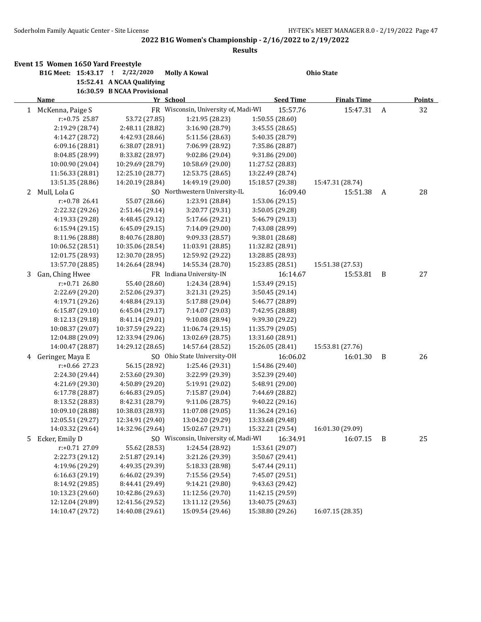|   | Event 15 Women 1650 Yard Freestyle |                             |                                      |                  |                    |   |               |
|---|------------------------------------|-----------------------------|--------------------------------------|------------------|--------------------|---|---------------|
|   | B1G Meet: 15:43.17 ! 2/22/2020     |                             | <b>Molly A Kowal</b>                 |                  | <b>Ohio State</b>  |   |               |
|   |                                    | 15:52.41 A NCAA Qualifying  |                                      |                  |                    |   |               |
|   |                                    | 16:30.59 B NCAA Provisional |                                      |                  |                    |   |               |
|   | Name                               |                             | Yr School                            | <b>Seed Time</b> | <b>Finals Time</b> |   | <b>Points</b> |
|   | 1 McKenna, Paige S                 |                             | FR Wisconsin, University of, Madi-WI | 15:57.76         | 15:47.31           | A | 32            |
|   | r:+0.75 25.87                      | 53.72 (27.85)               | 1:21.95 (28.23)                      | 1:50.55 (28.60)  |                    |   |               |
|   | 2:19.29 (28.74)                    | 2:48.11 (28.82)             | 3:16.90 (28.79)                      | 3:45.55 (28.65)  |                    |   |               |
|   | 4:14.27 (28.72)                    | 4:42.93 (28.66)             | 5:11.56 (28.63)                      | 5:40.35 (28.79)  |                    |   |               |
|   | 6:09.16 (28.81)                    | 6:38.07 (28.91)             | 7:06.99 (28.92)                      | 7:35.86 (28.87)  |                    |   |               |
|   | 8:04.85 (28.99)                    | 8:33.82 (28.97)             | 9:02.86 (29.04)                      | 9:31.86 (29.00)  |                    |   |               |
|   | 10:00.90 (29.04)                   | 10:29.69 (28.79)            | 10:58.69 (29.00)                     | 11:27.52 (28.83) |                    |   |               |
|   | 11:56.33 (28.81)                   | 12:25.10 (28.77)            | 12:53.75 (28.65)                     | 13:22.49 (28.74) |                    |   |               |
|   | 13:51.35 (28.86)                   | 14:20.19 (28.84)            | 14:49.19 (29.00)                     | 15:18.57 (29.38) | 15:47.31 (28.74)   |   |               |
| 2 | Mull, Lola G                       |                             | SO Northwestern University-IL        | 16:09.40         | 15:51.38           | A | 28            |
|   | $r: +0.78$ 26.41                   | 55.07 (28.66)               | 1:23.91 (28.84)                      | 1:53.06 (29.15)  |                    |   |               |
|   | 2:22.32 (29.26)                    | 2:51.46 (29.14)             | 3:20.77 (29.31)                      | 3:50.05 (29.28)  |                    |   |               |
|   | 4:19.33 (29.28)                    | 4:48.45 (29.12)             | 5:17.66 (29.21)                      | 5:46.79 (29.13)  |                    |   |               |
|   | 6:15.94(29.15)                     | 6:45.09 (29.15)             | 7:14.09 (29.00)                      | 7:43.08 (28.99)  |                    |   |               |
|   | 8:11.96 (28.88)                    | 8:40.76 (28.80)             | 9:09.33 (28.57)                      | 9:38.01 (28.68)  |                    |   |               |
|   | 10:06.52 (28.51)                   | 10:35.06 (28.54)            | 11:03.91 (28.85)                     | 11:32.82 (28.91) |                    |   |               |
|   | 12:01.75 (28.93)                   | 12:30.70 (28.95)            | 12:59.92 (29.22)                     | 13:28.85 (28.93) |                    |   |               |
|   | 13:57.70 (28.85)                   | 14:26.64 (28.94)            | 14:55.34 (28.70)                     | 15:23.85 (28.51) | 15:51.38 (27.53)   |   |               |
| 3 | Gan, Ching Hwee                    |                             | FR Indiana University-IN             | 16:14.67         | 15:53.81           | B | 27            |
|   | $r: +0.71$ 26.80                   | 55.40 (28.60)               | 1:24.34 (28.94)                      | 1:53.49 (29.15)  |                    |   |               |
|   | 2:22.69 (29.20)                    | 2:52.06 (29.37)             | 3:21.31 (29.25)                      | 3:50.45 (29.14)  |                    |   |               |
|   | 4:19.71 (29.26)                    | 4:48.84 (29.13)             | 5:17.88 (29.04)                      | 5:46.77 (28.89)  |                    |   |               |
|   | 6:15.87 (29.10)                    | 6:45.04 (29.17)             | 7:14.07 (29.03)                      | 7:42.95 (28.88)  |                    |   |               |
|   | 8:12.13 (29.18)                    | 8:41.14 (29.01)             | 9:10.08 (28.94)                      | 9:39.30 (29.22)  |                    |   |               |
|   | 10:08.37 (29.07)                   | 10:37.59 (29.22)            | 11:06.74 (29.15)                     | 11:35.79 (29.05) |                    |   |               |
|   | 12:04.88 (29.09)                   | 12:33.94 (29.06)            | 13:02.69 (28.75)                     | 13:31.60 (28.91) |                    |   |               |
|   | 14:00.47 (28.87)                   | 14:29.12 (28.65)            | 14:57.64 (28.52)                     | 15:26.05 (28.41) | 15:53.81 (27.76)   |   |               |
|   | 4 Geringer, Maya E                 |                             | SO Ohio State University-OH          | 16:06.02         | 16:01.30           | B | 26            |
|   | $r: +0.66$ 27.23                   | 56.15 (28.92)               | 1:25.46 (29.31)                      | 1:54.86 (29.40)  |                    |   |               |
|   | 2:24.30 (29.44)                    | 2:53.60 (29.30)             | 3:22.99 (29.39)                      | 3:52.39 (29.40)  |                    |   |               |
|   | 4:21.69 (29.30)                    | 4:50.89 (29.20)             | 5:19.91 (29.02)                      | 5:48.91 (29.00)  |                    |   |               |
|   | 6:17.78 (28.87)                    | 6:46.83 (29.05)             | 7:15.87 (29.04)                      | 7:44.69 (28.82)  |                    |   |               |
|   | 8:13.52 (28.83)                    | 8:42.31 (28.79)             | 9:11.06 (28.75)                      | 9:40.22 (29.16)  |                    |   |               |
|   | 10:09.10 (28.88)                   | 10:38.03 (28.93)            | 11:07.08 (29.05)                     | 11:36.24 (29.16) |                    |   |               |
|   | 12:05.51 (29.27)                   | 12:34.91 (29.40)            | 13:04.20 (29.29)                     | 13:33.68 (29.48) |                    |   |               |
|   | 14:03.32 (29.64)                   | 14:32.96 (29.64)            | 15:02.67 (29.71)                     | 15:32.21 (29.54) | 16:01.30 (29.09)   |   |               |
| 5 | Ecker, Emily D                     |                             | SO Wisconsin, University of, Madi-WI | 16:34.91         | 16:07.15           | B | 25            |
|   | r:+0.71 27.09                      | 55.62 (28.53)               | 1:24.54 (28.92)                      | 1:53.61 (29.07)  |                    |   |               |
|   | 2:22.73 (29.12)                    | 2:51.87 (29.14)             | 3:21.26 (29.39)                      | 3:50.67 (29.41)  |                    |   |               |
|   | 4:19.96 (29.29)                    | 4:49.35 (29.39)             | 5:18.33 (28.98)                      | 5:47.44 (29.11)  |                    |   |               |
|   | 6:16.63 (29.19)                    | 6:46.02 (29.39)             | 7:15.56 (29.54)                      | 7:45.07 (29.51)  |                    |   |               |
|   | 8:14.92 (29.85)                    | 8:44.41 (29.49)             | 9:14.21 (29.80)                      | 9:43.63 (29.42)  |                    |   |               |
|   | 10:13.23 (29.60)                   | 10:42.86 (29.63)            | 11:12.56 (29.70)                     | 11:42.15 (29.59) |                    |   |               |
|   | 12:12.04 (29.89)                   | 12:41.56 (29.52)            | 13:11.12 (29.56)                     | 13:40.75 (29.63) |                    |   |               |
|   | 14:10.47 (29.72)                   | 14:40.08 (29.61)            | 15:09.54 (29.46)                     | 15:38.80 (29.26) | 16:07.15 (28.35)   |   |               |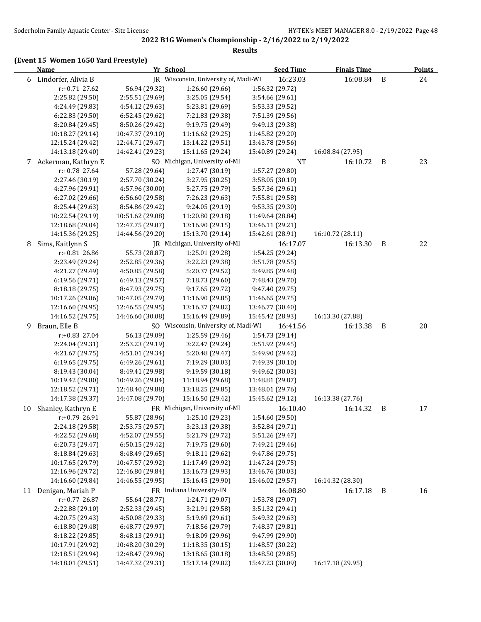# **(Event 15 Women 1650 Yard Freestyle)**

|    | <b>Name</b>           |                  | Yr School                            | <b>Seed Time</b> | <b>Finals Time</b> |   | <b>Points</b> |
|----|-----------------------|------------------|--------------------------------------|------------------|--------------------|---|---------------|
|    | 6 Lindorfer, Alivia B |                  | JR Wisconsin, University of, Madi-WI | 16:23.03         | 16:08.84           | B | 24            |
|    | r:+0.71 27.62         | 56.94 (29.32)    | 1:26.60 (29.66)                      | 1:56.32 (29.72)  |                    |   |               |
|    | 2:25.82 (29.50)       | 2:55.51 (29.69)  | 3:25.05 (29.54)                      | 3:54.66 (29.61)  |                    |   |               |
|    | 4:24.49 (29.83)       | 4:54.12 (29.63)  | 5:23.81 (29.69)                      | 5:53.33 (29.52)  |                    |   |               |
|    | 6:22.83(29.50)        | 6:52.45 (29.62)  | 7:21.83 (29.38)                      | 7:51.39 (29.56)  |                    |   |               |
|    | 8:20.84 (29.45)       | 8:50.26 (29.42)  | 9:19.75 (29.49)                      | 9:49.13 (29.38)  |                    |   |               |
|    | 10:18.27 (29.14)      | 10:47.37 (29.10) | 11:16.62 (29.25)                     | 11:45.82 (29.20) |                    |   |               |
|    | 12:15.24 (29.42)      | 12:44.71 (29.47) | 13:14.22 (29.51)                     | 13:43.78 (29.56) |                    |   |               |
|    | 14:13.18 (29.40)      | 14:42.41 (29.23) | 15:11.65 (29.24)                     | 15:40.89 (29.24) | 16:08.84 (27.95)   |   |               |
|    | 7 Ackerman, Kathryn E |                  | SO Michigan, University of-MI        | <b>NT</b>        | 16:10.72           | B | 23            |
|    | r:+0.78 27.64         | 57.28 (29.64)    | 1:27.47 (30.19)                      | 1:57.27 (29.80)  |                    |   |               |
|    | 2:27.46 (30.19)       | 2:57.70 (30.24)  | 3:27.95 (30.25)                      | 3:58.05 (30.10)  |                    |   |               |
|    | 4:27.96 (29.91)       | 4:57.96 (30.00)  | 5:27.75 (29.79)                      | 5:57.36 (29.61)  |                    |   |               |
|    | 6:27.02 (29.66)       | 6:56.60 (29.58)  | 7:26.23 (29.63)                      | 7:55.81 (29.58)  |                    |   |               |
|    | 8:25.44 (29.63)       | 8:54.86 (29.42)  | 9:24.05 (29.19)                      | 9:53.35 (29.30)  |                    |   |               |
|    | 10:22.54 (29.19)      | 10:51.62 (29.08) | 11:20.80 (29.18)                     | 11:49.64 (28.84) |                    |   |               |
|    | 12:18.68 (29.04)      | 12:47.75 (29.07) | 13:16.90 (29.15)                     | 13:46.11 (29.21) |                    |   |               |
|    | 14:15.36 (29.25)      | 14:44.56 (29.20) | 15:13.70 (29.14)                     | 15:42.61 (28.91) | 16:10.72 (28.11)   |   |               |
| 8  | Sims, Kaitlynn S      |                  | IR Michigan, University of-MI        | 16:17.07         | 16:13.30           | B | 22            |
|    | r:+0.81 26.86         | 55.73 (28.87)    | 1:25.01 (29.28)                      | 1:54.25 (29.24)  |                    |   |               |
|    | 2:23.49 (29.24)       | 2:52.85 (29.36)  | 3:22.23 (29.38)                      | 3:51.78 (29.55)  |                    |   |               |
|    | 4:21.27 (29.49)       | 4:50.85 (29.58)  | 5:20.37 (29.52)                      | 5:49.85 (29.48)  |                    |   |               |
|    | 6:19.56 (29.71)       | 6:49.13 (29.57)  | 7:18.73 (29.60)                      | 7:48.43 (29.70)  |                    |   |               |
|    | 8:18.18 (29.75)       | 8:47.93 (29.75)  | 9:17.65 (29.72)                      | 9:47.40 (29.75)  |                    |   |               |
|    | 10:17.26 (29.86)      | 10:47.05 (29.79) | 11:16.90 (29.85)                     | 11:46.65 (29.75) |                    |   |               |
|    | 12:16.60 (29.95)      | 12:46.55 (29.95) | 13:16.37 (29.82)                     | 13:46.77 (30.40) |                    |   |               |
|    | 14:16.52 (29.75)      | 14:46.60 (30.08) | 15:16.49 (29.89)                     | 15:45.42 (28.93) | 16:13.30 (27.88)   |   |               |
| 9  | Braun, Elle B         |                  | SO Wisconsin, University of, Madi-WI | 16:41.56         | 16:13.38           | B | 20            |
|    | r:+0.83 27.04         | 56.13 (29.09)    | 1:25.59 (29.46)                      | 1:54.73 (29.14)  |                    |   |               |
|    | 2:24.04 (29.31)       | 2:53.23 (29.19)  | 3:22.47 (29.24)                      | 3:51.92 (29.45)  |                    |   |               |
|    | 4:21.67 (29.75)       | 4:51.01 (29.34)  | 5:20.48 (29.47)                      | 5:49.90 (29.42)  |                    |   |               |
|    | 6:19.65 (29.75)       | 6:49.26 (29.61)  | 7:19.29 (30.03)                      | 7:49.39 (30.10)  |                    |   |               |
|    | 8:19.43 (30.04)       | 8:49.41 (29.98)  | 9:19.59 (30.18)                      | 9:49.62 (30.03)  |                    |   |               |
|    | 10:19.42 (29.80)      | 10:49.26 (29.84) | 11:18.94 (29.68)                     | 11:48.81 (29.87) |                    |   |               |
|    | 12:18.52 (29.71)      | 12:48.40 (29.88) | 13:18.25 (29.85)                     | 13:48.01 (29.76) |                    |   |               |
|    | 14:17.38 (29.37)      | 14:47.08 (29.70) | 15:16.50 (29.42)                     | 15:45.62 (29.12) | 16:13.38 (27.76)   |   |               |
| 10 | Shanley, Kathryn E    |                  | FR Michigan, University of-MI        | 16:10.40         | 16:14.32           | B | 17            |
|    | r:+0.79 26.91         | 55.87 (28.96)    | 1:25.10 (29.23)                      | 1:54.60 (29.50)  |                    |   |               |
|    | 2:24.18 (29.58)       | 2:53.75 (29.57)  | 3:23.13 (29.38)                      | 3:52.84 (29.71)  |                    |   |               |
|    | 4:22.52 (29.68)       | 4:52.07 (29.55)  | 5:21.79 (29.72)                      | 5:51.26 (29.47)  |                    |   |               |
|    | 6:20.73 (29.47)       | 6:50.15 (29.42)  | 7:19.75 (29.60)                      | 7:49.21 (29.46)  |                    |   |               |
|    | 8:18.84 (29.63)       | 8:48.49 (29.65)  | 9:18.11 (29.62)                      | 9:47.86 (29.75)  |                    |   |               |
|    | 10:17.65 (29.79)      | 10:47.57 (29.92) | 11:17.49 (29.92)                     | 11:47.24 (29.75) |                    |   |               |
|    | 12:16.96 (29.72)      | 12:46.80 (29.84) | 13:16.73 (29.93)                     | 13:46.76 (30.03) |                    |   |               |
|    | 14:16.60 (29.84)      | 14:46.55 (29.95) | 15:16.45 (29.90)                     | 15:46.02 (29.57) | 16:14.32 (28.30)   |   |               |
|    | 11 Denigan, Mariah P  |                  | FR Indiana University-IN             | 16:08.80         | 16:17.18           | B | 16            |
|    | $r: +0.77$ 26.87      | 55.64 (28.77)    | 1:24.71 (29.07)                      | 1:53.78 (29.07)  |                    |   |               |
|    | 2:22.88 (29.10)       | 2:52.33 (29.45)  | 3:21.91 (29.58)                      | 3:51.32 (29.41)  |                    |   |               |
|    | 4:20.75 (29.43)       | 4:50.08 (29.33)  | 5:19.69 (29.61)                      | 5:49.32 (29.63)  |                    |   |               |
|    | 6:18.80 (29.48)       | 6:48.77 (29.97)  | 7:18.56 (29.79)                      | 7:48.37 (29.81)  |                    |   |               |
|    | 8:18.22 (29.85)       | 8:48.13 (29.91)  | 9:18.09 (29.96)                      | 9:47.99 (29.90)  |                    |   |               |
|    | 10:17.91 (29.92)      | 10:48.20 (30.29) | 11:18.35 (30.15)                     | 11:48.57 (30.22) |                    |   |               |
|    | 12:18.51 (29.94)      | 12:48.47 (29.96) | 13:18.65 (30.18)                     | 13:48.50 (29.85) |                    |   |               |
|    | 14:18.01 (29.51)      | 14:47.32 (29.31) | 15:17.14 (29.82)                     | 15:47.23 (30.09) | 16:17.18 (29.95)   |   |               |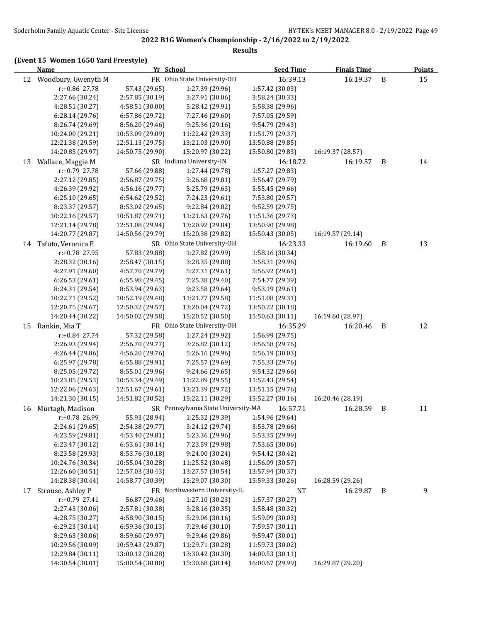# **2022 B1G Women's Championship - 2/16/2022 to 2/19/2022 Results**

# **(Event 15 Women 1650 Yard Freestyle)**

|    | <b>Name</b>         | Yr School        |                                     | <b>Seed Time</b> | <b>Finals Time</b> |   | <b>Points</b> |
|----|---------------------|------------------|-------------------------------------|------------------|--------------------|---|---------------|
| 12 | Woodbury, Gwenyth M |                  | FR Ohio State University-OH         | 16:39.13         | 16:19.37           | B | 15            |
|    | r:+0.86 27.78       | 57.43 (29.65)    | 1:27.39 (29.96)                     | 1:57.42 (30.03)  |                    |   |               |
|    | 2:27.66 (30.24)     | 2:57.85 (30.19)  | 3:27.91 (30.06)                     | 3:58.24 (30.33)  |                    |   |               |
|    | 4:28.51 (30.27)     | 4:58.51 (30.00)  | 5:28.42 (29.91)                     | 5:58.38 (29.96)  |                    |   |               |
|    | 6:28.14 (29.76)     | 6:57.86 (29.72)  | 7:27.46 (29.60)                     | 7:57.05 (29.59)  |                    |   |               |
|    | 8:26.74 (29.69)     | 8:56.20 (29.46)  | 9:25.36 (29.16)                     | 9:54.79 (29.43)  |                    |   |               |
|    | 10:24.00 (29.21)    | 10:53.09 (29.09) | 11:22.42 (29.33)                    | 11:51.79 (29.37) |                    |   |               |
|    | 12:21.38 (29.59)    | 12:51.13 (29.75) | 13:21.03 (29.90)                    | 13:50.88 (29.85) |                    |   |               |
|    | 14:20.85 (29.97)    | 14:50.75 (29.90) | 15:20.97 (30.22)                    | 15:50.80 (29.83) | 16:19.37 (28.57)   |   |               |
| 13 | Wallace, Maggie M   |                  | SR Indiana University-IN            | 16:18.72         | 16:19.57           | B | 14            |
|    | r:+0.79 27.78       | 57.66 (29.88)    | 1:27.44 (29.78)                     | 1:57.27 (29.83)  |                    |   |               |
|    | 2:27.12 (29.85)     | 2:56.87 (29.75)  | 3:26.68 (29.81)                     | 3:56.47 (29.79)  |                    |   |               |
|    | 4:26.39 (29.92)     | 4:56.16 (29.77)  | 5:25.79 (29.63)                     | 5:55.45 (29.66)  |                    |   |               |
|    | 6:25.10 (29.65)     | 6:54.62 (29.52)  | 7:24.23 (29.61)                     | 7:53.80 (29.57)  |                    |   |               |
|    | 8:23.37 (29.57)     | 8:53.02 (29.65)  | 9:22.84 (29.82)                     | 9:52.59 (29.75)  |                    |   |               |
|    | 10:22.16 (29.57)    | 10:51.87 (29.71) | 11:21.63 (29.76)                    | 11:51.36 (29.73) |                    |   |               |
|    | 12:21.14 (29.78)    | 12:51.08 (29.94) | 13:20.92 (29.84)                    | 13:50.90 (29.98) |                    |   |               |
|    | 14:20.77 (29.87)    | 14:50.56 (29.79) | 15:20.38 (29.82)                    | 15:50.43 (30.05) | 16:19.57 (29.14)   |   |               |
| 14 | Tafuto, Veronica E  |                  | SR Ohio State University-OH         | 16:23.33         | 16:19.60           | B | 13            |
|    | r:+0.78 27.95       | 57.83 (29.88)    | 1:27.82 (29.99)                     | 1:58.16 (30.34)  |                    |   |               |
|    | 2:28.32 (30.16)     | 2:58.47 (30.15)  | 3:28.35 (29.88)                     | 3:58.31 (29.96)  |                    |   |               |
|    | 4:27.91 (29.60)     | 4:57.70 (29.79)  | 5:27.31 (29.61)                     | 5:56.92 (29.61)  |                    |   |               |
|    | 6:26.53(29.61)      | 6:55.98 (29.45)  | 7:25.38 (29.40)                     | 7:54.77 (29.39)  |                    |   |               |
|    | 8:24.31 (29.54)     | 8:53.94 (29.63)  | 9:23.58 (29.64)                     | 9:53.19 (29.61)  |                    |   |               |
|    | 10:22.71 (29.52)    | 10:52.19 (29.48) | 11:21.77 (29.58)                    | 11:51.08 (29.31) |                    |   |               |
|    | 12:20.75 (29.67)    | 12:50.32 (29.57) | 13:20.04 (29.72)                    | 13:50.22 (30.18) |                    |   |               |
|    | 14:20.44 (30.22)    | 14:50.02 (29.58) | 15:20.52 (30.50)                    | 15:50.63 (30.11) | 16:19.60 (28.97)   |   |               |
| 15 | Rankin, Mia T       |                  | FR Ohio State University-OH         | 16:35.29         | 16:20.46           | B | 12            |
|    | r:+0.84 27.74       | 57.32 (29.58)    | 1:27.24 (29.92)                     | 1:56.99 (29.75)  |                    |   |               |
|    | 2:26.93 (29.94)     | 2:56.70 (29.77)  | 3:26.82 (30.12)                     | 3:56.58 (29.76)  |                    |   |               |
|    | 4:26.44 (29.86)     | 4:56.20 (29.76)  | 5:26.16 (29.96)                     | 5:56.19 (30.03)  |                    |   |               |
|    | 6:25.97 (29.78)     | 6:55.88 (29.91)  | 7:25.57 (29.69)                     | 7:55.33 (29.76)  |                    |   |               |
|    | 8:25.05 (29.72)     | 8:55.01 (29.96)  | 9:24.66 (29.65)                     | 9:54.32 (29.66)  |                    |   |               |
|    | 10:23.85 (29.53)    | 10:53.34 (29.49) | 11:22.89 (29.55)                    | 11:52.43 (29.54) |                    |   |               |
|    | 12:22.06 (29.63)    | 12:51.67 (29.61) | 13:21.39 (29.72)                    | 13:51.15 (29.76) |                    |   |               |
|    | 14:21.30 (30.15)    | 14:51.82 (30.52) | 15:22.11 (30.29)                    | 15:52.27 (30.16) | 16:20.46 (28.19)   |   |               |
| 16 | Murtagh, Madison    |                  | SR Pennsylvania State University-MA | 16:57.71         | 16:28.59           | B | 11            |
|    | r:+0.78 26.99       | 55.93 (28.94)    | 1:25.32 (29.39)                     | 1:54.96 (29.64)  |                    |   |               |
|    | 2:24.61 (29.65)     | 2:54.38 (29.77)  | 3:24.12 (29.74)                     | 3:53.78 (29.66)  |                    |   |               |
|    | 4:23.59 (29.81)     | 4:53.40 (29.81)  | 5:23.36 (29.96)                     | 5:53.35 (29.99)  |                    |   |               |
|    | 6:23.47 (30.12)     | 6:53.61 (30.14)  | 7:23.59 (29.98)                     | 7:53.65 (30.06)  |                    |   |               |
|    | 8:23.58 (29.93)     | 8:53.76 (30.18)  | 9:24.00 (30.24)                     | 9:54.42 (30.42)  |                    |   |               |
|    | 10:24.76 (30.34)    | 10:55.04 (30.28) | 11:25.52 (30.48)                    | 11:56.09 (30.57) |                    |   |               |
|    | 12:26.60 (30.51)    | 12:57.03 (30.43) | 13:27.57 (30.54)                    | 13:57.94 (30.37) |                    |   |               |
|    | 14:28.38 (30.44)    | 14:58.77 (30.39) | 15:29.07 (30.30)                    | 15:59.33 (30.26) | 16:28.59 (29.26)   |   |               |
| 17 | Strouse, Ashley P   |                  | FR Northwestern University-IL       | NT               | 16:29.87           | B | 9             |
|    | r:+0.79 27.41       | 56.87 (29.46)    | 1:27.10 (30.23)                     | 1:57.37 (30.27)  |                    |   |               |
|    | 2:27.43 (30.06)     | 2:57.81 (30.38)  | 3:28.16 (30.35)                     | 3:58.48 (30.32)  |                    |   |               |
|    | 4:28.75 (30.27)     | 4:58.90 (30.15)  | 5:29.06 (30.16)                     | 5:59.09 (30.03)  |                    |   |               |
|    | 6:29.23 (30.14)     | 6:59.36 (30.13)  | 7:29.46 (30.10)                     | 7:59.57 (30.11)  |                    |   |               |
|    | 8:29.63 (30.06)     | 8:59.60 (29.97)  | 9:29.46 (29.86)                     | 9:59.47 (30.01)  |                    |   |               |
|    | 10:29.56 (30.09)    | 10:59.43 (29.87) | 11:29.71 (30.28)                    | 11:59.73 (30.02) |                    |   |               |
|    |                     |                  |                                     |                  |                    |   |               |

12:29.84 (30.11) 13:00.12 (30.28) 13:30.42 (30.30) 14:00.53 (30.11)

14:30.54 (30.01) 15:00.54 (30.00) 15:30.68 (30.14) 16:00.67 (29.99) 16:29.87 (29.20)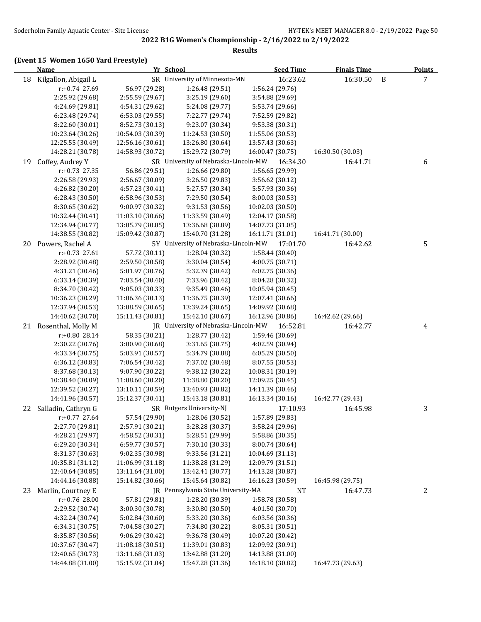# **(Event 15 Women 1650 Yard Freestyle)**

|    | <b>Name</b>                          | Yr School                            |                                      | <b>Seed Time</b>                     | <b>Finals Time</b> |   | <b>Points</b> |
|----|--------------------------------------|--------------------------------------|--------------------------------------|--------------------------------------|--------------------|---|---------------|
| 18 | Kilgallon, Abigail L                 |                                      | SR University of Minnesota-MN        | 16:23.62                             | 16:30.50           | B | 7             |
|    | r:+0.74 27.69                        | 56.97 (29.28)                        | 1:26.48 (29.51)                      | 1:56.24 (29.76)                      |                    |   |               |
|    | 2:25.92 (29.68)                      | 2:55.59 (29.67)                      | 3:25.19 (29.60)                      | 3:54.88 (29.69)                      |                    |   |               |
|    | 4:24.69 (29.81)                      | 4:54.31 (29.62)                      | 5:24.08 (29.77)                      | 5:53.74 (29.66)                      |                    |   |               |
|    | 6:23.48 (29.74)                      | 6:53.03 (29.55)                      | 7:22.77 (29.74)                      | 7:52.59 (29.82)                      |                    |   |               |
|    | 8:22.60 (30.01)                      | 8:52.73 (30.13)                      | 9:23.07 (30.34)                      | 9:53.38 (30.31)                      |                    |   |               |
|    | 10:23.64 (30.26)                     | 10:54.03 (30.39)                     | 11:24.53 (30.50)                     | 11:55.06 (30.53)                     |                    |   |               |
|    | 12:25.55 (30.49)                     | 12:56.16 (30.61)                     | 13:26.80 (30.64)                     | 13:57.43 (30.63)                     |                    |   |               |
|    | 14:28.21 (30.78)                     | 14:58.93 (30.72)                     | 15:29.72 (30.79)                     | 16:00.47 (30.75)                     | 16:30.50 (30.03)   |   |               |
| 19 | Coffey, Audrey Y                     |                                      | SR University of Nebraska-Lincoln-MW | 16:34.30                             | 16:41.71           |   | 6             |
|    | $r: +0.73$ 27.35                     | 56.86 (29.51)                        | 1:26.66 (29.80)                      | 1:56.65 (29.99)                      |                    |   |               |
|    | 2:26.58 (29.93)                      | 2:56.67 (30.09)                      | 3:26.50 (29.83)                      | 3:56.62 (30.12)                      |                    |   |               |
|    | 4:26.82 (30.20)                      | 4:57.23 (30.41)                      | 5:27.57 (30.34)                      | 5:57.93 (30.36)                      |                    |   |               |
|    | 6:28.43 (30.50)                      | 6:58.96 (30.53)                      | 7:29.50 (30.54)                      | 8:00.03 (30.53)                      |                    |   |               |
|    | 8:30.65 (30.62)                      | 9:00.97 (30.32)                      | 9:31.53 (30.56)                      | 10:02.03 (30.50)                     |                    |   |               |
|    | 10:32.44 (30.41)                     | 11:03.10 (30.66)                     | 11:33.59 (30.49)                     | 12:04.17 (30.58)                     |                    |   |               |
|    | 12:34.94 (30.77)                     | 13:05.79 (30.85)                     | 13:36.68 (30.89)                     | 14:07.73 (31.05)                     |                    |   |               |
|    | 14:38.55 (30.82)                     | 15:09.42 (30.87)                     | 15:40.70 (31.28)                     | 16:11.71 (31.01)                     | 16:41.71 (30.00)   |   |               |
| 20 | Powers, Rachel A                     |                                      | 5Y University of Nebraska-Lincoln-MW | 17:01.70                             | 16:42.62           |   | 5             |
|    | $r: +0.73$ 27.61                     | 57.72 (30.11)                        | 1:28.04 (30.32)                      | 1:58.44 (30.40)                      |                    |   |               |
|    | 2:28.92 (30.48)                      | 2:59.50 (30.58)                      | 3:30.04 (30.54)                      | 4:00.75 (30.71)                      |                    |   |               |
|    | 4:31.21 (30.46)                      | 5:01.97 (30.76)                      | 5:32.39 (30.42)                      | 6:02.75 (30.36)                      |                    |   |               |
|    | 6:33.14 (30.39)                      | 7:03.54 (30.40)                      | 7:33.96 (30.42)                      | 8:04.28 (30.32)                      |                    |   |               |
|    | 8:34.70 (30.42)                      | 9:05.03 (30.33)                      | 9:35.49 (30.46)                      | 10:05.94 (30.45)                     |                    |   |               |
|    | 10:36.23 (30.29)                     | 11:06.36 (30.13)                     | 11:36.75 (30.39)                     | 12:07.41 (30.66)                     |                    |   |               |
|    | 12:37.94 (30.53)                     | 13:08.59 (30.65)                     | 13:39.24 (30.65)                     | 14:09.92 (30.68)                     |                    |   |               |
|    | 14:40.62 (30.70)                     | 15:11.43 (30.81)                     | 15:42.10 (30.67)                     | 16:12.96 (30.86)                     | 16:42.62 (29.66)   |   |               |
|    | 21 Rosenthal, Molly M                |                                      | JR University of Nebraska-Lincoln-MW | 16:52.81                             | 16:42.77           |   | 4             |
|    | r:+0.80 28.14                        | 58.35 (30.21)                        | 1:28.77 (30.42)                      | 1:59.46 (30.69)                      |                    |   |               |
|    | 2:30.22 (30.76)                      | 3:00.90 (30.68)                      | 3:31.65 (30.75)                      | 4:02.59 (30.94)                      |                    |   |               |
|    | 4:33.34 (30.75)                      | 5:03.91 (30.57)                      | 5:34.79 (30.88)                      | 6:05.29 (30.50)                      |                    |   |               |
|    | 6:36.12 (30.83)                      | 7:06.54 (30.42)                      | 7:37.02 (30.48)                      | 8:07.55 (30.53)                      |                    |   |               |
|    | 8:37.68 (30.13)                      | 9:07.90 (30.22)                      | 9:38.12 (30.22)                      | 10:08.31 (30.19)                     |                    |   |               |
|    | 10:38.40 (30.09)                     | 11:08.60 (30.20)                     | 11:38.80 (30.20)                     | 12:09.25 (30.45)                     |                    |   |               |
|    | 12:39.52 (30.27)                     | 13:10.11 (30.59)                     | 13:40.93 (30.82)                     | 14:11.39 (30.46)                     |                    |   |               |
|    | 14:41.96 (30.57)                     | 15:12.37 (30.41)                     | 15:43.18 (30.81)                     | 16:13.34 (30.16)                     | 16:42.77 (29.43)   |   |               |
| 22 | Salladin, Cathryn G                  |                                      | SR Rutgers University-NJ             | 17:10.93                             | 16:45.98           |   | 3             |
|    | r:+0.77 27.64                        | 57.54 (29.90)                        | 1:28.06 (30.52)                      | 1:57.89 (29.83)                      |                    |   |               |
|    | 2:27.70 (29.81)                      | 2:57.91 (30.21)                      | 3:28.28 (30.37)                      | 3:58.24 (29.96)                      |                    |   |               |
|    | 4:28.21 (29.97)                      | 4:58.52 (30.31)                      | 5:28.51 (29.99)                      | 5:58.86 (30.35)                      |                    |   |               |
|    | 6:29.20 (30.34)                      | 6:59.77 (30.57)                      | 7:30.10 (30.33)                      | 8:00.74 (30.64)                      |                    |   |               |
|    | 8:31.37 (30.63)                      | 9:02.35 (30.98)                      | 9:33.56 (31.21)                      | 10:04.69 (31.13)                     |                    |   |               |
|    | 10:35.81 (31.12)                     | 11:06.99 (31.18)                     | 11:38.28 (31.29)                     | 12:09.79 (31.51)                     |                    |   |               |
|    | 12:40.64 (30.85)                     | 13:11.64 (31.00)                     | 13:42.41 (30.77)                     | 14:13.28 (30.87)                     |                    |   |               |
|    | 14:44.16 (30.88)                     | 15:14.82 (30.66)                     | 15:45.64 (30.82)                     | 16:16.23 (30.59)                     | 16:45.98 (29.75)   |   |               |
| 23 | Marlin, Courtney E                   |                                      | JR Pennsylvania State University-MA  | <b>NT</b>                            | 16:47.73           |   | 2             |
|    | r:+0.76 28.00                        | 57.81 (29.81)                        | 1:28.20 (30.39)                      | 1:58.78 (30.58)                      |                    |   |               |
|    | 2:29.52 (30.74)                      | 3:00.30 (30.78)                      | 3:30.80 (30.50)                      | 4:01.50 (30.70)                      |                    |   |               |
|    | 4:32.24 (30.74)                      | 5:02.84 (30.60)                      | 5:33.20 (30.36)                      | 6:03.56 (30.36)                      |                    |   |               |
|    | 6:34.31 (30.75)                      | 7:04.58 (30.27)                      | 7:34.80 (30.22)                      | 8:05.31 (30.51)                      |                    |   |               |
|    | 8:35.87 (30.56)                      | 9:06.29 (30.42)                      | 9:36.78 (30.49)                      | 10:07.20 (30.42)                     |                    |   |               |
|    | 10:37.67 (30.47)                     | 11:08.18 (30.51)                     | 11:39.01 (30.83)                     | 12:09.92 (30.91)                     |                    |   |               |
|    | 12:40.65 (30.73)<br>14:44.88 (31.00) | 13:11.68 (31.03)<br>15:15.92 (31.04) | 13:42.88 (31.20)<br>15:47.28 (31.36) | 14:13.88 (31.00)<br>16:18.10 (30.82) | 16:47.73 (29.63)   |   |               |
|    |                                      |                                      |                                      |                                      |                    |   |               |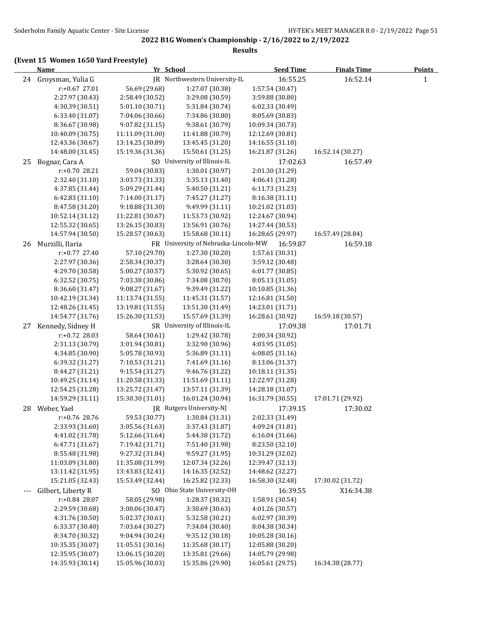# **(Event 15 Women 1650 Yard Freestyle)**

|       | <b>Name</b>          |                  | Yr School                            | <b>Seed Time</b> | <b>Finals Time</b> | Points       |
|-------|----------------------|------------------|--------------------------------------|------------------|--------------------|--------------|
|       | 24 Groysman, Yulia G |                  | JR Northwestern University-IL        | 16:55.25         | 16:52.14           | $\mathbf{1}$ |
|       | r:+0.67 27.01        | 56.69 (29.68)    | 1:27.07 (30.38)                      | 1:57.54 (30.47)  |                    |              |
|       | 2:27.97 (30.43)      | 2:58.49 (30.52)  | 3:29.08 (30.59)                      | 3:59.88 (30.80)  |                    |              |
|       | 4:30.39 (30.51)      | 5:01.10 (30.71)  | 5:31.84 (30.74)                      | 6:02.33 (30.49)  |                    |              |
|       | 6:33.40 (31.07)      | 7:04.06 (30.66)  | 7:34.86 (30.80)                      | 8:05.69 (30.83)  |                    |              |
|       | 8:36.67 (30.98)      | 9:07.82 (31.15)  | 9:38.61 (30.79)                      | 10:09.34 (30.73) |                    |              |
|       | 10:40.09 (30.75)     | 11:11.09 (31.00) | 11:41.88 (30.79)                     | 12:12.69 (30.81) |                    |              |
|       | 12:43.36 (30.67)     | 13:14.25 (30.89) | 13:45.45 (31.20)                     | 14:16.55 (31.10) |                    |              |
|       | 14:48.00 (31.45)     | 15:19.36 (31.36) | 15:50.61 (31.25)                     | 16:21.87 (31.26) | 16:52.14 (30.27)   |              |
| 25    | Bognar, Cara A       |                  | SO University of Illinois-IL         | 17:02.63         | 16:57.49           |              |
|       | $r: +0.70$ 28.21     | 59.04 (30.83)    | 1:30.01 (30.97)                      | 2:01.30 (31.29)  |                    |              |
|       | 2:32.40 (31.10)      | 3:03.73 (31.33)  | 3:35.13 (31.40)                      | 4:06.41 (31.28)  |                    |              |
|       | 4:37.85 (31.44)      | 5:09.29 (31.44)  | 5:40.50 (31.21)                      | 6:11.73 (31.23)  |                    |              |
|       | 6:42.83 (31.10)      | 7:14.00 (31.17)  | 7:45.27 (31.27)                      | 8:16.38 (31.11)  |                    |              |
|       | 8:47.58 (31.20)      | 9:18.88 (31.30)  | 9:49.99 (31.11)                      | 10:21.02 (31.03) |                    |              |
|       | 10:52.14 (31.12)     | 11:22.81 (30.67) | 11:53.73 (30.92)                     | 12:24.67 (30.94) |                    |              |
|       | 12:55.32 (30.65)     | 13:26.15 (30.83) | 13:56.91 (30.76)                     | 14:27.44 (30.53) |                    |              |
|       | 14:57.94 (30.50)     | 15:28.57 (30.63) | 15:58.68 (30.11)                     | 16:28.65 (29.97) | 16:57.49 (28.84)   |              |
| 26    | Murzilli, Ilaria     |                  | FR University of Nebraska-Lincoln-MW | 16:59.87         | 16:59.18           |              |
|       | r:+0.77 27.40        | 57.10 (29.70)    | 1:27.30 (30.20)                      | 1:57.61 (30.31)  |                    |              |
|       | 2:27.97 (30.36)      | 2:58.34 (30.37)  | 3:28.64 (30.30)                      | 3:59.12 (30.48)  |                    |              |
|       | 4:29.70 (30.58)      | 5:00.27 (30.57)  | 5:30.92 (30.65)                      | 6:01.77 (30.85)  |                    |              |
|       | 6:32.52(30.75)       | 7:03.38 (30.86)  | 7:34.08 (30.70)                      | 8:05.13 (31.05)  |                    |              |
|       | 8:36.60 (31.47)      | 9:08.27 (31.67)  | 9:39.49 (31.22)                      | 10:10.85 (31.36) |                    |              |
|       | 10:42.19 (31.34)     | 11:13.74 (31.55) | 11:45.31 (31.57)                     | 12:16.81 (31.50) |                    |              |
|       | 12:48.26 (31.45)     | 13:19.81 (31.55) | 13:51.30 (31.49)                     | 14:23.01 (31.71) |                    |              |
|       | 14:54.77 (31.76)     | 15:26.30 (31.53) | 15:57.69 (31.39)                     | 16:28.61 (30.92) | 16:59.18 (30.57)   |              |
| 27    | Kennedy, Sidney H    |                  | SR University of Illinois-IL         | 17:09.38         | 17:01.71           |              |
|       | r:+0.72 28.03        | 58.64 (30.61)    | 1:29.42 (30.78)                      | 2:00.34 (30.92)  |                    |              |
|       | 2:31.13 (30.79)      | 3:01.94 (30.81)  | 3:32.90 (30.96)                      | 4:03.95 (31.05)  |                    |              |
|       | 4:34.85 (30.90)      | 5:05.78 (30.93)  | 5:36.89 (31.11)                      | 6:08.05 (31.16)  |                    |              |
|       | 6:39.32 (31.27)      | 7:10.53 (31.21)  | 7:41.69 (31.16)                      | 8:13.06 (31.37)  |                    |              |
|       | 8:44.27 (31.21)      | 9:15.54 (31.27)  | 9:46.76 (31.22)                      | 10:18.11 (31.35) |                    |              |
|       | 10:49.25 (31.14)     | 11:20.58 (31.33) | 11:51.69 (31.11)                     | 12:22.97 (31.28) |                    |              |
|       | 12:54.25 (31.28)     | 13:25.72 (31.47) | 13:57.11 (31.39)                     | 14:28.18 (31.07) |                    |              |
|       | 14:59.29 (31.11)     | 15:30.30 (31.01) | 16:01.24 (30.94)                     | 16:31.79 (30.55) | 17:01.71 (29.92)   |              |
| 28    | Weber, Yael          |                  | JR Rutgers University-NJ             | 17:39.15         | 17:30.02           |              |
|       | r:+0.76 28.76        | 59.53 (30.77)    | 1:30.84 (31.31)                      | 2:02.33 (31.49)  |                    |              |
|       | 2:33.93 (31.60)      | 3:05.56 (31.63)  | 3:37.43 (31.87)                      | 4:09.24 (31.81)  |                    |              |
|       | 4:41.02 (31.78)      | 5:12.66 (31.64)  | 5:44.38 (31.72)                      | 6:16.04 (31.66)  |                    |              |
|       | 6:47.71 (31.67)      | 7:19.42 (31.71)  | 7:51.40 (31.98)                      | 8:23.50 (32.10)  |                    |              |
|       | 8:55.48 (31.98)      | 9:27.32 (31.84)  | 9:59.27 (31.95)                      | 10:31.29 (32.02) |                    |              |
|       | 11:03.09 (31.80)     | 11:35.08 (31.99) | 12:07.34 (32.26)                     | 12:39.47 (32.13) |                    |              |
|       | 13:11.42 (31.95)     | 13:43.83 (32.41) | 14:16.35 (32.52)                     | 14:48.62 (32.27) |                    |              |
|       | 15:21.05 (32.43)     | 15:53.49 (32.44) | 16:25.82 (32.33)                     | 16:58.30 (32.48) | 17:30.02 (31.72)   |              |
| $---$ | Gilbert, Liberty R   |                  | SO Ohio State University-OH          | 16:39.55         | X16:34.38          |              |
|       | r:+0.84 28.07        | 58.05 (29.98)    | 1:28.37 (30.32)                      | 1:58.91 (30.54)  |                    |              |
|       | 2:29.59 (30.68)      | 3:00.06 (30.47)  | 3:30.69 (30.63)                      | 4:01.26 (30.57)  |                    |              |
|       | 4:31.76 (30.50)      | 5:02.37 (30.61)  | 5:32.58 (30.21)                      | 6:02.97 (30.39)  |                    |              |
|       | 6:33.37 (30.40)      | 7:03.64 (30.27)  | 7:34.04 (30.40)                      | 8:04.38 (30.34)  |                    |              |
|       | 8:34.70 (30.32)      | 9:04.94 (30.24)  | 9:35.12 (30.18)                      | 10:05.28 (30.16) |                    |              |
|       | 10:35.35 (30.07)     | 11:05.51 (30.16) | 11:35.68 (30.17)                     | 12:05.88 (30.20) |                    |              |
|       | 12:35.95 (30.07)     | 13:06.15 (30.20) | 13:35.81 (29.66)                     | 14:05.79 (29.98) |                    |              |
|       | 14:35.93 (30.14)     | 15:05.96 (30.03) | 15:35.86 (29.90)                     | 16:05.61 (29.75) | 16:34.38 (28.77)   |              |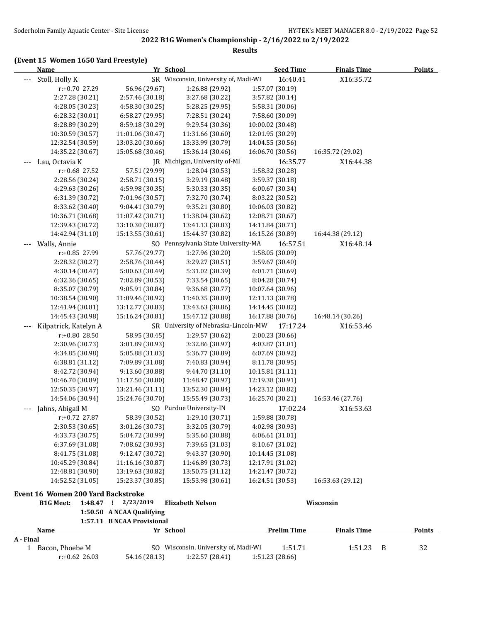**2022 B1G Women's Championship - 2/16/2022 to 2/19/2022 Results**

# **(Event 15 Women 1650 Yard Freestyle)**

|           | <b>Name</b>                        |                            | Yr School                            | <b>Seed Time</b>   | <b>Finals Time</b> | <b>Points</b> |
|-----------|------------------------------------|----------------------------|--------------------------------------|--------------------|--------------------|---------------|
| ---       | Stoll, Holly K                     |                            | SR Wisconsin, University of, Madi-WI | 16:40.41           | X16:35.72          |               |
|           | r:+0.70 27.29                      | 56.96 (29.67)              | 1:26.88 (29.92)                      | 1:57.07 (30.19)    |                    |               |
|           | 2:27.28 (30.21)                    | 2:57.46 (30.18)            | 3:27.68 (30.22)                      | 3:57.82 (30.14)    |                    |               |
|           | 4:28.05 (30.23)                    | 4:58.30 (30.25)            | 5:28.25 (29.95)                      | 5:58.31 (30.06)    |                    |               |
|           | 6:28.32 (30.01)                    | 6:58.27 (29.95)            | 7:28.51 (30.24)                      | 7:58.60 (30.09)    |                    |               |
|           | 8:28.89 (30.29)                    | 8:59.18 (30.29)            | 9:29.54 (30.36)                      | 10:00.02 (30.48)   |                    |               |
|           | 10:30.59 (30.57)                   | 11:01.06 (30.47)           | 11:31.66 (30.60)                     | 12:01.95 (30.29)   |                    |               |
|           | 12:32.54 (30.59)                   | 13:03.20 (30.66)           | 13:33.99 (30.79)                     | 14:04.55 (30.56)   |                    |               |
|           | 14:35.22 (30.67)                   | 15:05.68 (30.46)           | 15:36.14 (30.46)                     | 16:06.70 (30.56)   | 16:35.72 (29.02)   |               |
|           | Lau, Octavia K                     |                            | JR Michigan, University of-MI        | 16:35.77           | X16:44.38          |               |
|           | r:+0.68 27.52                      | 57.51 (29.99)              | 1:28.04 (30.53)                      | 1:58.32 (30.28)    |                    |               |
|           | 2:28.56 (30.24)                    | 2:58.71 (30.15)            | 3:29.19 (30.48)                      | 3:59.37 (30.18)    |                    |               |
|           | 4:29.63 (30.26)                    | 4:59.98 (30.35)            | 5:30.33 (30.35)                      | 6:00.67 (30.34)    |                    |               |
|           | 6:31.39 (30.72)                    | 7:01.96 (30.57)            | 7:32.70 (30.74)                      | 8:03.22 (30.52)    |                    |               |
|           | 8:33.62 (30.40)                    | 9:04.41 (30.79)            | 9:35.21 (30.80)                      | 10:06.03 (30.82)   |                    |               |
|           | 10:36.71 (30.68)                   | 11:07.42 (30.71)           | 11:38.04 (30.62)                     | 12:08.71 (30.67)   |                    |               |
|           | 12:39.43 (30.72)                   | 13:10.30 (30.87)           | 13:41.13 (30.83)                     | 14:11.84 (30.71)   |                    |               |
|           | 14:42.94 (31.10)                   | 15:13.55 (30.61)           | 15:44.37 (30.82)                     | 16:15.26 (30.89)   | 16:44.38 (29.12)   |               |
| ---       | Walls, Annie                       |                            | SO Pennsylvania State University-MA  | 16:57.51           | X16:48.14          |               |
|           | r:+0.85 27.99                      | 57.76 (29.77)              | 1:27.96 (30.20)                      | 1:58.05 (30.09)    |                    |               |
|           | 2:28.32 (30.27)                    | 2:58.76 (30.44)            | 3:29.27 (30.51)                      | 3:59.67 (30.40)    |                    |               |
|           | 4:30.14 (30.47)                    | 5:00.63 (30.49)            | 5:31.02 (30.39)                      | 6:01.71 (30.69)    |                    |               |
|           | 6:32.36 (30.65)                    | 7:02.89 (30.53)            | 7:33.54 (30.65)                      | 8:04.28 (30.74)    |                    |               |
|           | 8:35.07 (30.79)                    | 9:05.91 (30.84)            | 9:36.68 (30.77)                      | 10:07.64 (30.96)   |                    |               |
|           | 10:38.54 (30.90)                   | 11:09.46 (30.92)           | 11:40.35 (30.89)                     | 12:11.13 (30.78)   |                    |               |
|           | 12:41.94 (30.81)                   | 13:12.77 (30.83)           | 13:43.63 (30.86)                     | 14:14.45 (30.82)   |                    |               |
|           | 14:45.43 (30.98)                   | 15:16.24 (30.81)           | 15:47.12 (30.88)                     | 16:17.88 (30.76)   | 16:48.14 (30.26)   |               |
|           | Kilpatrick, Katelyn A              |                            | SR University of Nebraska-Lincoln-MW | 17:17.24           | X16:53.46          |               |
|           | r:+0.80 28.50                      | 58.95 (30.45)              | 1:29.57 (30.62)                      | 2:00.23 (30.66)    |                    |               |
|           | 2:30.96 (30.73)                    | 3:01.89 (30.93)            | 3:32.86 (30.97)                      | 4:03.87 (31.01)    |                    |               |
|           | 4:34.85 (30.98)                    | 5:05.88 (31.03)            | 5:36.77 (30.89)                      | 6:07.69 (30.92)    |                    |               |
|           | 6:38.81 (31.12)                    | 7:09.89 (31.08)            | 7:40.83 (30.94)                      | 8:11.78 (30.95)    |                    |               |
|           | 8:42.72 (30.94)                    | 9:13.60 (30.88)            | 9:44.70 (31.10)                      | 10:15.81 (31.11)   |                    |               |
|           | 10:46.70 (30.89)                   | 11:17.50 (30.80)           | 11:48.47 (30.97)                     | 12:19.38 (30.91)   |                    |               |
|           | 12:50.35 (30.97)                   | 13:21.46 (31.11)           | 13:52.30 (30.84)                     | 14:23.12 (30.82)   |                    |               |
|           | 14:54.06 (30.94)                   | 15:24.76 (30.70)           | 15:55.49 (30.73)                     | 16:25.70 (30.21)   | 16:53.46 (27.76)   |               |
| ---       | Jahns, Abigail M                   |                            | SO Purdue University-IN              | 17:02.24           | X16:53.63          |               |
|           | $r: +0.72$ 27.87                   | 58.39 (30.52)              | 1:29.10 (30.71)                      | 1:59.88 (30.78)    |                    |               |
|           | 2:30.53 (30.65)                    | 3:01.26 (30.73)            | 3:32.05 (30.79)                      | 4:02.98 (30.93)    |                    |               |
|           | 4:33.73 (30.75)                    | 5:04.72 (30.99)            | 5:35.60 (30.88)                      | 6:06.61 (31.01)    |                    |               |
|           | 6:37.69 (31.08)                    | 7:08.62 (30.93)            | 7:39.65 (31.03)                      | 8:10.67 (31.02)    |                    |               |
|           | 8:41.75 (31.08)                    | 9:12.47 (30.72)            | 9:43.37 (30.90)                      | 10:14.45 (31.08)   |                    |               |
|           | 10:45.29 (30.84)                   | 11:16.16 (30.87)           | 11:46.89 (30.73)                     | 12:17.91 (31.02)   |                    |               |
|           | 12:48.81 (30.90)                   | 13:19.63 (30.82)           | 13:50.75 (31.12)                     | 14:21.47 (30.72)   |                    |               |
|           | 14:52.52 (31.05)                   | 15:23.37 (30.85)           | 15:53.98 (30.61)                     | 16:24.51 (30.53)   | 16:53.63 (29.12)   |               |
|           | Event 16 Women 200 Yard Backstroke |                            |                                      |                    |                    |               |
|           | <b>B1G Meet:</b>                   | 1:48.47 ! 2/23/2019        | <b>Elizabeth Nelson</b>              |                    | Wisconsin          |               |
|           |                                    | 1:50.50 A NCAA Qualifying  |                                      |                    |                    |               |
|           |                                    | 1:57.11 B NCAA Provisional |                                      |                    |                    |               |
|           | Name                               |                            | Yr School                            | <b>Prelim Time</b> | <b>Finals Time</b> | <b>Points</b> |
| A - Final |                                    |                            |                                      |                    |                    |               |
|           | 1 Bacon, Phoebe M                  |                            | SO Wisconsin, University of, Madi-WI | 1:51.71            | 1:51.23            | 32<br>– B     |
|           | $r: +0.62$ 26.03                   | 54.16 (28.13)              | 1:22.57 (28.41)                      | 1:51.23 (28.66)    |                    |               |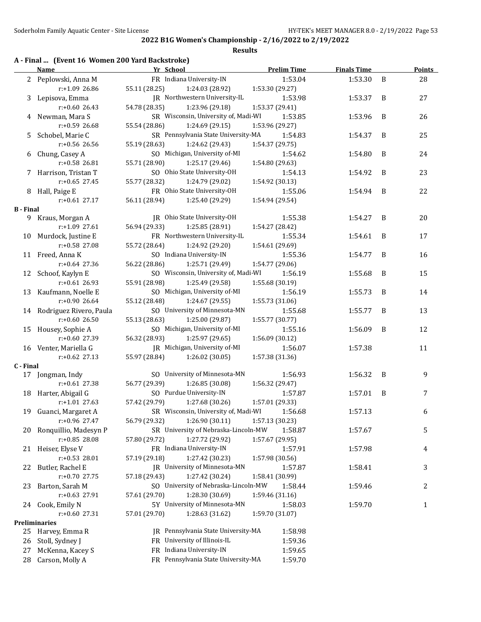### **Results**

# **A - Final ... (Event 16 Women 200 Yard Backstroke)**

|                  | <b>Name</b>                          | Yr School                            | <b>Prelim Time</b> | <b>Finals Time</b> |   | <b>Points</b> |
|------------------|--------------------------------------|--------------------------------------|--------------------|--------------------|---|---------------|
|                  | 2 Peplowski, Anna M                  | FR Indiana University-IN             | 1:53.04            | 1:53.30            | B | 28            |
|                  | r:+1.09 26.86                        | 55.11 (28.25)<br>1:24.03 (28.92)     | 1:53.30 (29.27)    |                    |   |               |
|                  | 3 Lepisova, Emma                     | JR Northwestern University-IL        | 1:53.98            | 1:53.37            | B | 27            |
|                  | $r: +0.60$ 26.43                     | 54.78 (28.35)<br>1:23.96 (29.18)     | 1:53.37 (29.41)    |                    |   |               |
|                  | 4 Newman, Mara S                     | SR Wisconsin, University of, Madi-WI | 1:53.85            | 1:53.96            | B | 26            |
|                  | r:+0.59 26.68                        | 55.54 (28.86)<br>1:24.69 (29.15)     | 1:53.96 (29.27)    |                    |   |               |
|                  | 5 Schobel, Marie C                   | SR Pennsylvania State University-MA  | 1:54.83            | 1:54.37            | B | 25            |
|                  | r:+0.56 26.56                        | 55.19 (28.63)<br>1:24.62 (29.43)     | 1:54.37 (29.75)    |                    |   |               |
|                  | 6 Chung, Casey A                     | SO Michigan, University of-MI        | 1:54.62            | 1:54.80            | B | 24            |
|                  | $r: +0.58$ 26.81                     | 55.71 (28.90)                        |                    |                    |   |               |
|                  |                                      | 1:25.17 (29.46)                      | 1:54.80 (29.63)    |                    |   |               |
|                  | 7 Harrison, Tristan T                | SO Ohio State University-OH          | 1:54.13            | 1:54.92            | B | 23            |
|                  | $r: +0.65$ 27.45                     | 55.77 (28.32)<br>1:24.79 (29.02)     | 1:54.92 (30.13)    |                    |   |               |
|                  | 8 Hall, Paige E                      | FR Ohio State University-OH          | 1:55.06            | 1:54.94            | B | 22            |
|                  | $r: +0.61$ 27.17                     | 56.11 (28.94)<br>1:25.40 (29.29)     | 1:54.94 (29.54)    |                    |   |               |
| <b>B</b> - Final |                                      |                                      |                    |                    |   |               |
|                  | 9 Kraus, Morgan A                    | JR Ohio State University-OH          | 1:55.38            | 1:54.27            | B | 20            |
|                  | $r: +1.09$ 27.61                     | 56.94 (29.33)<br>1:25.85 (28.91)     | 1:54.27 (28.42)    |                    |   |               |
|                  | 10 Murdock, Justine E                | FR Northwestern University-IL        | 1:55.34            | 1:54.61            | B | 17            |
|                  | $r: +0.58$ 27.08                     | 55.72 (28.64)<br>1:24.92 (29.20)     | 1:54.61 (29.69)    |                    |   |               |
|                  | 11 Freed, Anna K                     | SO Indiana University-IN             | 1:55.36            | 1:54.77            | B | 16            |
|                  | $r: +0.64$ 27.36                     | 56.22 (28.86)<br>1:25.71 (29.49)     | 1:54.77 (29.06)    |                    |   |               |
| 12               | Schoof, Kaylyn E                     | SO Wisconsin, University of, Madi-WI | 1:56.19            | 1:55.68            | B | 15            |
|                  | $r: +0.61$ 26.93                     | 55.91 (28.98)<br>1:25.49 (29.58)     | 1:55.68 (30.19)    |                    |   |               |
|                  | 13 Kaufmann, Noelle E                | SO Michigan, University of-MI        | 1:56.19            | 1:55.73            | B | 14            |
|                  | $r: +0.90$ 26.64                     | 55.12 (28.48)<br>1:24.67 (29.55)     | 1:55.73 (31.06)    |                    |   |               |
|                  | 14 Rodriguez Rivero, Paula           | SO University of Minnesota-MN        | 1:55.68            | 1:55.77            | B | 13            |
|                  | r:+0.60 26.50                        | 55.13 (28.63)<br>1:25.00 (29.87)     | 1:55.77 (30.77)    |                    |   |               |
|                  | 15 Housey, Sophie A                  | SO Michigan, University of-MI        | 1:55.16            | 1:56.09            | B | 12            |
|                  | r:+0.60 27.39                        | 56.32 (28.93)<br>1:25.97 (29.65)     | 1:56.09 (30.12)    |                    |   |               |
|                  | 16 Venter, Mariella G                | JR Michigan, University of-MI        | 1:56.07            | 1:57.38            |   | 11            |
|                  |                                      |                                      |                    |                    |   |               |
|                  | $r: +0.62$ 27.13                     | 55.97 (28.84)<br>1:26.02 (30.05)     | 1:57.38 (31.36)    |                    |   |               |
| C - Final        |                                      | SO University of Minnesota-MN        | 1:56.93            | 1:56.32            | B |               |
|                  | 17 Jongman, Indy<br>$r: +0.61$ 27.38 |                                      |                    |                    |   | 9             |
|                  |                                      | 56.77 (29.39)<br>1:26.85 (30.08)     | 1:56.32 (29.47)    |                    |   |               |
|                  | 18 Harter, Abigail G                 | SO Purdue University-IN              | 1:57.87            | 1:57.01            | B | 7             |
|                  | $r: +1.01$ 27.63                     | 57.42 (29.79)<br>1:27.68 (30.26)     | 1:57.01 (29.33)    |                    |   |               |
|                  | 19 Guanci, Margaret A                | SR Wisconsin, University of, Madi-WI | 1:56.68            | 1:57.13            |   | 6             |
|                  | r:+0.96 27.47                        | 56.79 (29.32)<br>1:26.90 (30.11)     | 1:57.13 (30.23)    |                    |   |               |
|                  | 20 Ronquillio, Madesyn P             | SR University of Nebraska-Lincoln-MW | 1:58.87            | 1:57.67            |   | 5             |
|                  | r:+0.85 28.08                        | 57.80 (29.72)<br>1:27.72 (29.92)     | 1:57.67 (29.95)    |                    |   |               |
|                  | 21 Heiser, Elyse V                   | FR Indiana University-IN             | 1:57.91            | 1:57.98            |   | 4             |
|                  | $r: +0.53$ 28.01                     | 57.19 (29.18)<br>1:27.42 (30.23)     | 1:57.98 (30.56)    |                    |   |               |
|                  | 22 Butler, Rachel E                  | JR University of Minnesota-MN        | 1:57.87            | 1:58.41            |   | 3             |
|                  | r:+0.70 27.75                        | 1:27.42 (30.24)<br>57.18 (29.43)     | 1:58.41 (30.99)    |                    |   |               |
| 23               | Barton, Sarah M                      | SO University of Nebraska-Lincoln-MW | 1:58.44            | 1:59.46            |   | 2             |
|                  | r:+0.63 27.91                        | 57.61 (29.70)<br>1:28.30 (30.69)     | 1:59.46 (31.16)    |                    |   |               |
|                  | 24 Cook, Emily N                     | 5Y University of Minnesota-MN        | 1:58.03            | 1:59.70            |   | 1             |
|                  | $r: +0.60$ 27.31                     | 57.01 (29.70)<br>1:28.63 (31.62)     | 1:59.70 (31.07)    |                    |   |               |
|                  | Preliminaries                        |                                      |                    |                    |   |               |
| 25               | Harvey, Emma R                       | JR Pennsylvania State University-MA  | 1:58.98            |                    |   |               |
| 26               | Stoll, Sydney J                      | FR University of Illinois-IL         | 1:59.36            |                    |   |               |
| 27               | McKenna, Kacey S                     | FR Indiana University-IN             |                    |                    |   |               |
|                  |                                      |                                      | 1:59.65            |                    |   |               |
| 28               | Carson, Molly A                      | FR Pennsylvania State University-MA  | 1:59.70            |                    |   |               |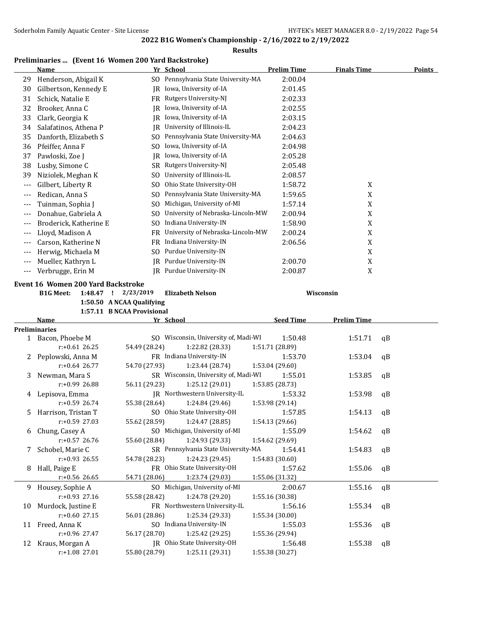### **Results**

# **Preliminaries ... (Event 16 Women 200 Yard Backstroke)**

|              | <b>Name</b>                         |               | Yr School                                      | <b>Prelim Time</b>         | <b>Finals Time</b> | <b>Points</b> |
|--------------|-------------------------------------|---------------|------------------------------------------------|----------------------------|--------------------|---------------|
| 29           | Henderson, Abigail K                |               | SO Pennsylvania State University-MA            | 2:00.04                    |                    |               |
| 30           | Gilbertson, Kennedy E               |               | JR Iowa, University of-IA                      | 2:01.45                    |                    |               |
| 31           | Schick, Natalie E                   |               | FR Rutgers University-NJ                       | 2:02.33                    |                    |               |
| 32           | Brooker, Anna C                     | IR            | Iowa, University of-IA                         | 2:02.55                    |                    |               |
| 33           | Clark, Georgia K                    | IR            | Iowa, University of-IA                         | 2:03.15                    |                    |               |
| 34           | Salafatinos, Athena P               | IR            | University of Illinois-IL                      | 2:04.23                    |                    |               |
| 35           | Danforth, Elizabeth S               | SO.           | Pennsylvania State University-MA               | 2:04.63                    |                    |               |
| 36           | Pfeiffer, Anna F                    | SO            | Iowa, University of-IA                         | 2:04.98                    |                    |               |
| 37           | Pawloski, Zoe J                     | IR            | Iowa, University of-IA                         | 2:05.28                    |                    |               |
| 38           | Lusby, Simone C                     |               | SR Rutgers University-NJ                       | 2:05.48                    |                    |               |
| 39           | Niziolek, Meghan K                  | SO.           | University of Illinois-IL                      | 2:08.57                    |                    |               |
| $---$        | Gilbert, Liberty R                  | SO.           | Ohio State University-OH                       | 1:58.72                    | X                  |               |
| $---$        | Redican, Anna S                     | SO.           | Pennsylvania State University-MA               | 1:59.65                    | $\mathbf X$        |               |
| $---$        | Tuinman, Sophia J                   | SO            | Michigan, University of-MI                     | 1:57.14                    | $\mathbf X$        |               |
| ---          | Donahue, Gabriela A                 | SO.           | University of Nebraska-Lincoln-MW              | 2:00.94                    | $\mathbf X$        |               |
| ---          | Broderick, Katherine E              | SO.           | Indiana University-IN                          | 1:58.90                    | X                  |               |
| ---          | Lloyd, Madison A                    |               | FR University of Nebraska-Lincoln-MW           | 2:00.24                    | X                  |               |
| $---$        | Carson, Katherine N                 |               | FR Indiana University-IN                       | 2:06.56                    | $\mathbf X$        |               |
| ---          | Herwig, Michaela M                  | SO            | Purdue University-IN                           |                            | X                  |               |
|              | Mueller, Kathryn L                  | IR            | Purdue University-IN                           | 2:00.70                    | X                  |               |
| ---<br>$---$ | Verbrugge, Erin M                   |               | JR Purdue University-IN                        | 2:00.87                    | X                  |               |
|              |                                     |               |                                                |                            |                    |               |
|              | Event 16 Women 200 Yard Backstroke  |               |                                                |                            |                    |               |
|              | <b>B1G Meet:</b><br>1:48.47<br>Τ.   | 2/23/2019     | <b>Elizabeth Nelson</b>                        |                            | Wisconsin          |               |
|              | 1:50.50 A NCAA Qualifying           |               |                                                |                            |                    |               |
|              |                                     |               |                                                |                            |                    |               |
|              | 1:57.11 B NCAA Provisional          |               |                                                |                            |                    |               |
|              | Name                                |               | <u>Yr School</u>                               | <b>Seed Time</b>           | <b>Prelim Time</b> |               |
|              | <b>Preliminaries</b>                |               |                                                |                            |                    |               |
| 1            | Bacon, Phoebe M                     |               | SO Wisconsin, University of, Madi-WI           | 1:50.48                    | 1:51.71            | qB            |
|              | $r: +0.61$ 26.25                    | 54.49 (28.24) | 1:22.82 (28.33)                                | 1:51.71 (28.89)            |                    |               |
| 2            | Peplowski, Anna M                   |               | FR Indiana University-IN                       | 1:53.70                    | 1:53.04            | qB            |
|              | $r: +0.64$ 26.77                    | 54.70 (27.93) | 1:23.44 (28.74)                                | 1:53.04 (29.60)            |                    |               |
| 3            | Newman, Mara S                      |               | SR Wisconsin, University of, Madi-WI           | 1:55.01                    | 1:53.85            | qB            |
|              | r:+0.99 26.88                       | 56.11 (29.23) | 1:25.12 (29.01)                                | 1:53.85 (28.73)            |                    |               |
| 4            | Lepisova, Emma                      |               | JR Northwestern University-IL                  | 1:53.32                    | 1:53.98            | qB            |
|              | $r: +0.59$ 26.74                    | 55.38 (28.64) | 1:24.84 (29.46)                                | 1:53.98 (29.14)            |                    |               |
| 5            | Harrison, Tristan T                 |               | SO Ohio State University-OH                    | 1:57.85                    | 1:54.13            | qB            |
|              | r:+0.59 27.03                       | 55.62 (28.59) | 1:24.47 (28.85)                                | 1:54.13 (29.66)            |                    |               |
| 6            | Chung, Casey A                      |               | SO Michigan, University of-MI                  | 1:55.09                    | 1:54.62            | qB            |
|              | $r: +0.57$ 26.76                    | 55.60 (28.84) | 1:24.93 (29.33)                                | 1:54.62 (29.69)            |                    |               |
| 7            | Schobel, Marie C                    |               | SR Pennsylvania State University-MA            | 1:54.41                    | 1:54.83            | qB            |
|              | $r: +0.93$ 26.55                    | 54.78 (28.23) | 1:24.23 (29.45)                                | 1:54.83 (30.60)            |                    |               |
|              | 8 Hall, Paige E                     |               | FR Ohio State University-OH                    | 1:57.62                    | 1:55.06            | qB            |
|              | $r$ :+0.56 26.65                    | 54.71 (28.06) | 1:23.74 (29.03)                                | 1:55.06 (31.32)            |                    |               |
|              | 9 Housey, Sophie A                  |               | SO Michigan, University of-MI                  | 2:00.67                    | 1:55.16            | qB            |
|              | r:+0.93 27.16                       | 55.58 (28.42) | 1:24.78 (29.20)                                | 1:55.16 (30.38)            |                    |               |
| 10           | Murdock, Justine E                  |               | FR Northwestern University-IL                  | 1:56.16                    | 1:55.34            | qB            |
|              | $r: +0.60$ 27.15                    | 56.01 (28.86) | 1:25.34 (29.33)                                | 1:55.34 (30.00)            |                    |               |
| 11           | Freed, Anna K                       |               | SO Indiana University-IN                       | 1:55.03                    | 1:55.36            | qB            |
|              | r:+0.96 27.47<br>12 Kraus, Morgan A | 56.17 (28.70) | 1:25.42 (29.25)<br>JR Ohio State University-OH | 1:55.36 (29.94)<br>1:56.48 | 1:55.38            | qB            |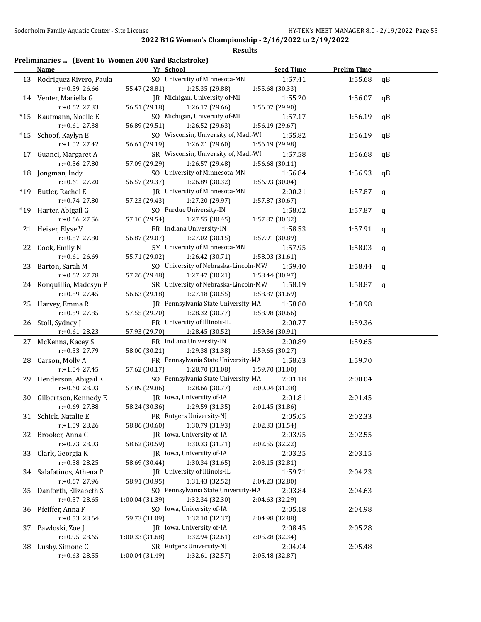| qB<br>qB<br>qB<br>qB<br>qB<br>qB<br>$\mathbf q$<br>$\mathbf q$<br>$\mathbf q$<br>q |
|------------------------------------------------------------------------------------|
|                                                                                    |
|                                                                                    |
|                                                                                    |
|                                                                                    |
|                                                                                    |
|                                                                                    |
|                                                                                    |
|                                                                                    |
|                                                                                    |
|                                                                                    |
|                                                                                    |
|                                                                                    |
|                                                                                    |
|                                                                                    |
|                                                                                    |
|                                                                                    |
|                                                                                    |
|                                                                                    |
|                                                                                    |
|                                                                                    |
| $\mathbf q$                                                                        |
|                                                                                    |
| $\mathbf q$                                                                        |
|                                                                                    |
|                                                                                    |
|                                                                                    |
|                                                                                    |
|                                                                                    |
|                                                                                    |
|                                                                                    |
|                                                                                    |
|                                                                                    |
|                                                                                    |
|                                                                                    |
|                                                                                    |
|                                                                                    |
|                                                                                    |
|                                                                                    |
|                                                                                    |
|                                                                                    |
|                                                                                    |
|                                                                                    |
|                                                                                    |
|                                                                                    |
|                                                                                    |
|                                                                                    |
|                                                                                    |
|                                                                                    |
|                                                                                    |
|                                                                                    |
|                                                                                    |
|                                                                                    |
|                                                                                    |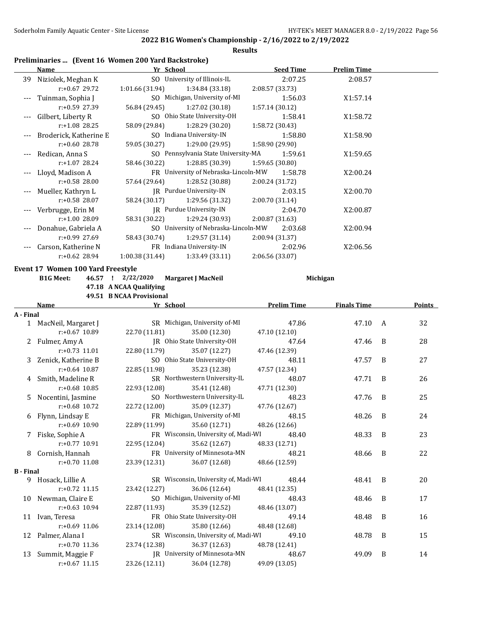|                  |                                                             |                                                     | <b>Results</b>                                          | 2022 B1G Women's Championship - 2/16/2022 to 2/19/2022 |                    |   |        |
|------------------|-------------------------------------------------------------|-----------------------------------------------------|---------------------------------------------------------|--------------------------------------------------------|--------------------|---|--------|
|                  | Preliminaries  (Event 16 Women 200 Yard Backstroke)<br>Name | Yr School                                           |                                                         | <b>Seed Time</b>                                       | <b>Prelim Time</b> |   |        |
|                  | 39 Niziolek, Meghan K<br>$r: +0.67$ 29.72                   | 1:01.66 (31.94)                                     | SO University of Illinois-IL<br>1:34.84 (33.18)         | 2:07.25<br>2:08.57 (33.73)                             | 2:08.57            |   |        |
| ---              | Tuinman, Sophia J<br>r:+0.59 27.39                          | 56.84 (29.45)                                       | SO Michigan, University of-MI<br>1:27.02 (30.18)        | 1:56.03<br>1:57.14 (30.12)                             | X1:57.14           |   |        |
| $---$            | Gilbert, Liberty R<br>$r: +1.08$ 28.25                      | 58.09 (29.84)                                       | SO Ohio State University-OH<br>1:28.29 (30.20)          | 1:58.41<br>1:58.72 (30.43)                             | X1:58.72           |   |        |
|                  | Broderick, Katherine E<br>r:+0.60 28.78                     | 59.05 (30.27)                                       | SO Indiana University-IN<br>1:29.00 (29.95)             | 1:58.80<br>1:58.90 (29.90)                             | X1:58.90           |   |        |
| $---$            | Redican, Anna S<br>$r: +1.07$ 28.24                         | 58.46 (30.22)                                       | SO Pennsylvania State University-MA<br>1:28.85 (30.39)  | 1:59.61<br>1:59.65 (30.80)                             | X1:59.65           |   |        |
|                  | Lloyd, Madison A<br>r:+0.58 28.00                           | 57.64 (29.64)                                       | FR University of Nebraska-Lincoln-MW<br>1:28.52 (30.88) | 1:58.78<br>2:00.24 (31.72)                             | X2:00.24           |   |        |
|                  | Mueller, Kathryn L<br>r:+0.58 28.07                         | 58.24 (30.17)                                       | JR Purdue University-IN<br>1:29.56 (31.32)              | 2:03.15<br>2:00.70 (31.14)                             | X2:00.70           |   |        |
|                  | Verbrugge, Erin M<br>r:+1.00 28.09                          | 58.31 (30.22)                                       | JR Purdue University-IN<br>1:29.24 (30.93)              | 2:04.70<br>2:00.87 (31.63)                             | X2:00.87           |   |        |
| $---$            | Donahue, Gabriela A<br>r:+0.99 27.69                        | 58.43 (30.74)                                       | SO University of Nebraska-Lincoln-MW<br>1:29.57(31.14)  | 2:03.68<br>2:00.94 (31.37)                             | X2:00.94           |   |        |
|                  | Carson, Katherine N<br>$r: +0.62$ 28.94                     | 1:00.38 (31.44)                                     | FR Indiana University-IN<br>1:33.49 (33.11)             | 2:02.96<br>2:06.56 (33.07)                             | X2:06.56           |   |        |
|                  | Event 17 Women 100 Yard Freestyle                           |                                                     |                                                         |                                                        |                    |   |        |
|                  | <b>B1G Meet:</b>                                            | 46.57 ! 2/22/2020                                   | <b>Margaret J MacNeil</b>                               |                                                        | Michigan           |   |        |
|                  |                                                             | 47.18 A NCAA Qualifying<br>49.51 B NCAA Provisional |                                                         |                                                        |                    |   |        |
|                  | Name                                                        | Yr School                                           |                                                         | <b>Prelim Time</b>                                     | <b>Finals Time</b> |   | Points |
| A - Final        |                                                             |                                                     |                                                         |                                                        |                    |   |        |
|                  | 1 MacNeil, Margaret J<br>$r: +0.67$ 10.89                   | 22.70 (11.81)                                       | SR Michigan, University of-MI<br>35.00 (12.30)          | 47.86<br>47.10 (12.10)                                 | 47.10              | A | 32     |
|                  | 2 Fulmer, Amy A<br>$r: +0.73$ 11.01                         | 22.80 (11.79)                                       | JR Ohio State University-OH<br>35.07 (12.27)            | 47.64<br>47.46 (12.39)                                 | 47.46              | B | 28     |
| 3                | Zenick, Katherine B<br>$r: +0.64$ 10.87                     | 22.85 (11.98)                                       | SO Ohio State University-OH<br>35.23 (12.38)            | 48.11<br>47.57 (12.34)                                 | 47.57              | B | 27     |
| 4                | Smith, Madeline R<br>$r: +0.68$ 10.85                       | 22.93 (12.08)                                       | SR Northwestern University-IL<br>35.41 (12.48)          | 48.07<br>47.71 (12.30)                                 | 47.71              | B | 26     |
|                  | Nocentini, Jasmine<br>r:+0.68 10.72                         | 22.72 (12.00)                                       | SO Northwestern University-IL<br>35.09 (12.37)          | 48.23<br>47.76 (12.67)                                 | 47.76              | B | 25     |
| 6                | Flynn, Lindsay E<br>r:+0.69 10.90                           | 22.89 (11.99)                                       | FR Michigan, University of-MI<br>35.60 (12.71)          | 48.15<br>48.26 (12.66)                                 | 48.26              | B | 24     |
| 7                | Fiske, Sophie A<br>r:+0.77 10.91                            | 22.95 (12.04)                                       | FR Wisconsin, University of, Madi-WI<br>35.62 (12.67)   | 48.40<br>48.33 (12.71)                                 | 48.33              | B | 23     |
|                  | 8 Cornish, Hannah<br>$r: +0.70$ 11.08                       | 23.39 (12.31)                                       | FR University of Minnesota-MN<br>36.07 (12.68)          | 48.21<br>48.66 (12.59)                                 | 48.66              | B | 22     |
| <b>B</b> - Final |                                                             |                                                     |                                                         |                                                        |                    |   |        |
|                  | 9 Hosack, Lillie A<br>$r: +0.72$ 11.15                      | 23.42 (12.27)                                       | SR Wisconsin, University of, Madi-WI<br>36.06 (12.64)   | 48.44<br>48.41 (12.35)                                 | 48.41              | B | 20     |
|                  | 10 Newman, Claire E<br>$r: +0.63$ 10.94                     | 22.87 (11.93)                                       | SO Michigan, University of-MI<br>35.39 (12.52)          | 48.43<br>48.46 (13.07)                                 | 48.46              | B | 17     |
| 11               | Ivan, Teresa<br>r:+0.69 11.06                               | 23.14 (12.08)                                       | FR Ohio State University-OH<br>35.80 (12.66)            | 49.14<br>48.48 (12.68)                                 | 48.48              | B | 16     |
| 12               | Palmer, Alana I                                             |                                                     | SR Wisconsin, University of, Madi-WI<br>36.37 (12.63)   | 49.10<br>48.78 (12.41)                                 | 48.78              | B | 15     |
|                  | $r: +0.70$ 11.36<br>Summit, Maggie F                        | 23.74 (12.38)                                       | JR University of Minnesota-MN                           |                                                        | 49.09              | B |        |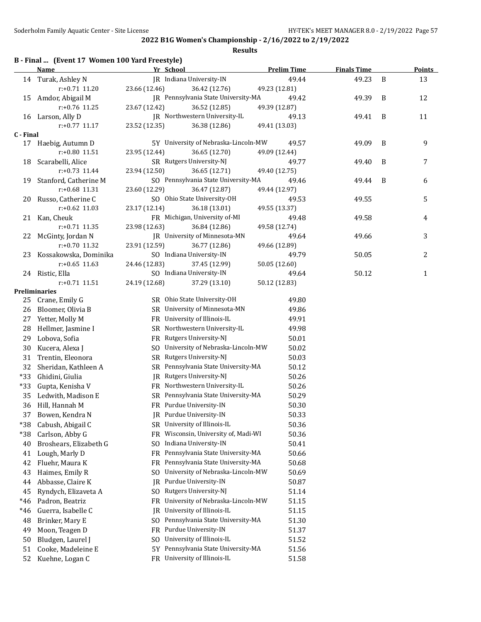|  |  | B - Final  (Event 17 Women 100 Yard Freestyle) |
|--|--|------------------------------------------------|
|--|--|------------------------------------------------|

|           | <b>Name</b>                         | Yr School                                                  | <b>Prelim Time</b>     | <b>Finals Time</b> |   | <b>Points</b> |
|-----------|-------------------------------------|------------------------------------------------------------|------------------------|--------------------|---|---------------|
|           | 14 Turak, Ashley N                  | JR Indiana University-IN                                   | 49.44                  | 49.23              | B | 13            |
|           | r:+0.71 11.20                       | 23.66 (12.46)<br>36.42 (12.76)                             | 49.23 (12.81)          |                    |   |               |
|           | 15 Amdor, Abigail M                 | JR Pennsylvania State University-MA                        | 49.42                  | 49.39              | B | 12            |
|           | r:+0.76 11.25                       | 23.67 (12.42)<br>36.52 (12.85)                             | 49.39 (12.87)          |                    |   |               |
|           | 16 Larson, Ally D                   | JR Northwestern University-IL                              | 49.13                  | 49.41              | B | 11            |
|           | $r: +0.77$ 11.17                    | 23.52 (12.35)<br>36.38 (12.86)                             | 49.41 (13.03)          |                    |   |               |
| C - Final |                                     |                                                            |                        |                    |   |               |
|           | 17 Haebig, Autumn D                 | 5Y University of Nebraska-Lincoln-MW                       | 49.57                  | 49.09              | B | 9             |
|           | r:+0.80 11.51                       | 23.95 (12.44)<br>36.65 (12.70)                             | 49.09 (12.44)          |                    |   |               |
| 18        | Scarabelli, Alice                   | SR Rutgers University-NJ                                   | 49.77                  | 49.40              | B | 7             |
|           | $r: +0.73$ 11.44                    | 23.94 (12.50)<br>36.65 (12.71)                             | 49.40 (12.75)          |                    |   |               |
| 19        | Stanford, Catherine M               | SO Pennsylvania State University-MA                        | 49.46                  | 49.44              | B | 6             |
|           | r:+0.68 11.31                       | 23.60 (12.29)<br>36.47 (12.87)                             | 49.44 (12.97)          |                    |   |               |
| 20        | Russo, Catherine C                  | SO Ohio State University-OH                                | 49.53                  | 49.55              |   | 5             |
|           | $r: +0.62$ 11.03                    | 36.18 (13.01)<br>23.17 (12.14)                             | 49.55 (13.37)          |                    |   |               |
|           | 21 Kan, Cheuk                       | FR Michigan, University of-MI                              | 49.48                  | 49.58              |   | 4             |
|           | $r: +0.71$ 11.35                    | 23.98 (12.63)<br>36.84 (12.86)                             | 49.58 (12.74)          |                    |   |               |
| 22        | McGinty, Jordan N                   | JR University of Minnesota-MN                              | 49.64                  | 49.66              |   | 3             |
|           | $r: +0.70$ 11.32                    | 23.91 (12.59)<br>36.77 (12.86)                             | 49.66 (12.89)          |                    |   |               |
| 23        | Kossakowska, Dominika               | SO Indiana University-IN                                   | 49.79                  | 50.05              |   | 2             |
|           | $r: +0.65$ 11.63                    | 24.46 (12.83)<br>37.45 (12.99)<br>SO Indiana University-IN | 50.05 (12.60)<br>49.64 |                    |   |               |
|           | 24 Ristic, Ella<br>$r: +0.71$ 11.51 | 24.19 (12.68)<br>37.29 (13.10)                             | 50.12 (12.83)          | 50.12              |   | $\mathbf{1}$  |
|           | <b>Preliminaries</b>                |                                                            |                        |                    |   |               |
|           | 25 Crane, Emily G                   | SR Ohio State University-OH                                | 49.80                  |                    |   |               |
| 26        | Bloomer, Olivia B                   | SR University of Minnesota-MN                              | 49.86                  |                    |   |               |
| 27        | Yetter, Molly M                     | FR University of Illinois-IL                               | 49.91                  |                    |   |               |
| 28        | Hellmer, Jasmine I                  | SR Northwestern University-IL                              | 49.98                  |                    |   |               |
| 29        | Lobova, Sofia                       | FR Rutgers University-NJ                                   | 50.01                  |                    |   |               |
| 30        | Kucera, Alexa J                     | SO University of Nebraska-Lincoln-MW                       | 50.02                  |                    |   |               |
| 31        | Trentin, Eleonora                   | SR Rutgers University-NJ                                   | 50.03                  |                    |   |               |
| 32        | Sheridan, Kathleen A                | SR Pennsylvania State University-MA                        | 50.12                  |                    |   |               |
| $*33$     | Ghidini, Giulia                     | JR Rutgers University-NJ                                   | 50.26                  |                    |   |               |
| $*33$     | Gupta, Kenisha V                    | FR Northwestern University-IL                              | 50.26                  |                    |   |               |
| 35        | Ledwith, Madison E                  | SR Pennsylvania State University-MA                        | 50.29                  |                    |   |               |
| 36        | Hill, Hannah M                      | FR Purdue University-IN                                    | 50.30                  |                    |   |               |
| 37        | Bowen, Kendra N                     | JR Purdue University-IN                                    | 50.33                  |                    |   |               |
| *38       | Cabush, Abigail C                   | SR University of Illinois-IL                               | 50.36                  |                    |   |               |
| $*38$     | Carlson, Abby G                     | Wisconsin, University of, Madi-WI<br>FR.                   | 50.36                  |                    |   |               |
| 40        | Broshears, Elizabeth G              | Indiana University-IN<br>SO.                               | 50.41                  |                    |   |               |
| 41        | Lough, Marly D                      | Pennsylvania State University-MA<br>FR                     | 50.66                  |                    |   |               |
| 42        | Fluehr, Maura K                     | Pennsylvania State University-MA<br>FR.                    | 50.68                  |                    |   |               |
| 43        | Haimes, Emily R                     | University of Nebraska-Lincoln-MW<br>SO.                   | 50.69                  |                    |   |               |
| 44        | Abbasse, Claire K                   | Purdue University-IN<br>IR                                 | 50.87                  |                    |   |               |
| 45        | Ryndych, Elizaveta A                | Rutgers University-NJ<br>SO.                               | 51.14                  |                    |   |               |
| $*46$     | Padron, Beatriz                     | University of Nebraska-Lincoln-MW<br>FR                    | 51.15                  |                    |   |               |
| $*46$     | Guerra, Isabelle C                  | University of Illinois-IL<br>IR                            | 51.15                  |                    |   |               |
| 48        | Brinker, Mary E                     | Pennsylvania State University-MA<br>S <sub>0</sub>         | 51.30                  |                    |   |               |
| 49        | Moon, Teagen D                      | Purdue University-IN<br>FR                                 | 51.37                  |                    |   |               |
| 50        | Bludgen, Laurel J                   | University of Illinois-IL<br>SO.                           | 51.52                  |                    |   |               |
| 51        | Cooke, Madeleine E                  | Pennsylvania State University-MA<br>5Y                     | 51.56                  |                    |   |               |
| 52        | Kuehne, Logan C                     | FR University of Illinois-IL                               | 51.58                  |                    |   |               |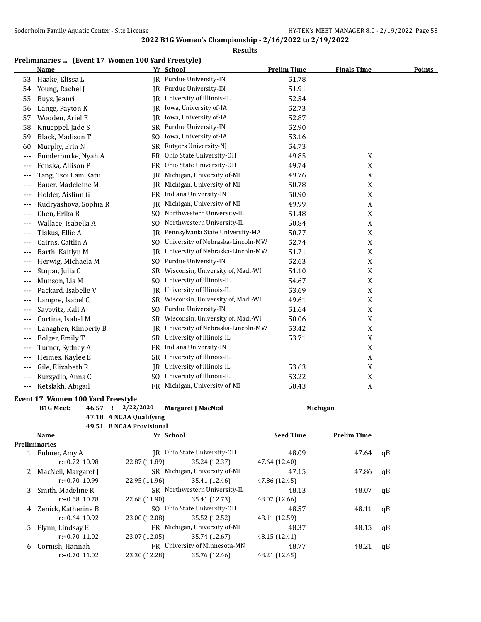### **Results**

### **Preliminaries ... (Event 17 Women 100 Yard Freestyle)**

|       | <u>Name</u>                             |                          | <u>Yr School</u>                     | <b>Prelim Time</b> | <b>Finals Time</b> | <u>Points</u> |
|-------|-----------------------------------------|--------------------------|--------------------------------------|--------------------|--------------------|---------------|
| 53    | Haake, Elissa L                         |                          | JR Purdue University-IN              | 51.78              |                    |               |
| 54    | Young, Rachel J                         |                          | JR Purdue University-IN              | 51.91              |                    |               |
| 55    | Buys, Jeanri                            |                          | JR University of Illinois-IL         | 52.54              |                    |               |
| 56    | Lange, Payton K                         |                          | JR Iowa, University of-IA            | 52.73              |                    |               |
| 57    | Wooden, Ariel E                         |                          | JR Iowa, University of-IA            | 52.87              |                    |               |
| 58    | Knueppel, Jade S                        |                          | SR Purdue University-IN              | 52.90              |                    |               |
| 59    | Black, Madison T                        | SO.                      | Iowa, University of-IA               | 53.16              |                    |               |
| 60    | Murphy, Erin N                          |                          | SR Rutgers University-NJ             | 54.73              |                    |               |
| $---$ | Funderburke, Nyah A                     |                          | FR Ohio State University-OH          | 49.85              | X                  |               |
| ---   | Fenska, Allison P                       |                          | FR Ohio State University-OH          | 49.74              | $\mathbf X$        |               |
| ---   | Tang, Tsoi Lam Katii                    |                          | JR Michigan, University of-MI        | 49.76              | X                  |               |
| ---   | Bauer, Madeleine M                      |                          | JR Michigan, University of-MI        | 50.78              | $\mathbf X$        |               |
| ---   | Holder, Aislinn G                       |                          | FR Indiana University-IN             | 50.90              | $\mathbf X$        |               |
| ---   | Kudryashova, Sophia R                   |                          | JR Michigan, University of-MI        | 49.99              | $\mathbf X$        |               |
| ---   | Chen, Erika B                           | SO.                      | Northwestern University-IL           | 51.48              | X                  |               |
| $---$ | Wallace, Isabella A                     | SO.                      | Northwestern University-IL           | 50.84              | X                  |               |
| $---$ | Tiskus, Ellie A                         | IR                       | Pennsylvania State University-MA     | 50.77              | X                  |               |
| $---$ | Cairns, Caitlin A                       | SO.                      | University of Nebraska-Lincoln-MW    | 52.74              | X                  |               |
| ---   | Barth, Kaitlyn M                        | IR                       | University of Nebraska-Lincoln-MW    | 51.71              | X                  |               |
| ---   | Herwig, Michaela M                      | SO.                      | Purdue University-IN                 | 52.63              | $\mathbf X$        |               |
| ---   | Stupar, Julia C                         |                          | SR Wisconsin, University of, Madi-WI | 51.10              | X                  |               |
| ---   | Munson, Lia M                           | S <sub>0</sub>           | University of Illinois-IL            | 54.67              | $\mathbf X$        |               |
| $---$ | Packard, Isabelle V                     | IR                       | University of Illinois-IL            | 53.69              | X                  |               |
| $---$ | Lampre, Isabel C                        | SR                       | Wisconsin, University of, Madi-WI    | 49.61              | $\mathbf X$        |               |
| $---$ | Sayovitz, Kali A                        | SO.                      | Purdue University-IN                 | 51.64              | X                  |               |
| $---$ | Cortina, Isabel M                       |                          | SR Wisconsin, University of, Madi-WI | 50.06              | X                  |               |
| ---   | Lanaghen, Kimberly B                    | IR                       | University of Nebraska-Lincoln-MW    | 53.42              | X                  |               |
| ---   | Bolger, Emily T                         |                          | SR University of Illinois-IL         | 53.71              | X                  |               |
| ---   | Turner, Sydney A                        |                          | FR Indiana University-IN             |                    | $\mathbf X$        |               |
| ---   | Heimes, Kaylee E                        | SR                       | University of Illinois-IL            |                    | X                  |               |
| $---$ | Gile, Elizabeth R                       | IR                       | University of Illinois-IL            | 53.63              | X                  |               |
| ---   | Kurzydlo, Anna C                        | SO.                      | University of Illinois-IL            | 53.22              | X                  |               |
|       | Ketslakh, Abigail                       |                          | FR Michigan, University of-MI        | 50.43              | X                  |               |
| $---$ |                                         |                          |                                      |                    |                    |               |
|       | Event 17 Women 100 Yard Freestyle       |                          |                                      |                    |                    |               |
|       | <b>B1G Meet:</b><br>46.57 !             | 2/22/2020                | <b>Margaret J MacNeil</b>            |                    | Michigan           |               |
|       |                                         | 47.18 A NCAA Qualifying  |                                      |                    |                    |               |
|       |                                         | 49.51 B NCAA Provisional |                                      |                    |                    |               |
|       | <b>Name</b>                             |                          | Yr School                            | <b>Seed Time</b>   | <b>Prelim Time</b> |               |
|       | <b>Preliminaries</b><br>1 Fulmer, Amy A |                          | JR Ohio State University-OH          | 48.09              | 47.64              | qB            |
|       | r:+0.72 10.98                           | 22.87 (11.89)            | 35.24 (12.37)                        | 47.64 (12.40)      |                    |               |
| 2     | MacNeil, Margaret J                     |                          | SR Michigan, University of-MI        | 47.15              | 47.86              | qB            |
|       | r:+0.70 10.99                           | 22.95 (11.96)            | 35.41 (12.46)                        | 47.86 (12.45)      |                    |               |
| 3     | Smith, Madeline R                       |                          | SR Northwestern University-IL        | 48.13              | 48.07              | qB            |
|       | r:+0.68 10.78                           | 22.68 (11.90)            | 35.41 (12.73)                        | 48.07 (12.66)      |                    |               |

4 Zenick, Katherine B SO Ohio State University-OH 48.57 48.11 qB

r:+0.64 10.92 23.00 (12.08) 35.52 (12.52) 48.11 (12.59) 5 Flynn, Lindsay E FR Michigan, University of-MI 48.37 48.15 qB

r:+0.70 11.02 23.07 (12.05) 35.74 (12.67) 48.15 (12.41) 6 Cornish, Hannah FR University of Minnesota-MN 48.77 48.21 qB

r:+0.70 11.02 23.30 (12.28) 35.76 (12.46) 48.21 (12.45)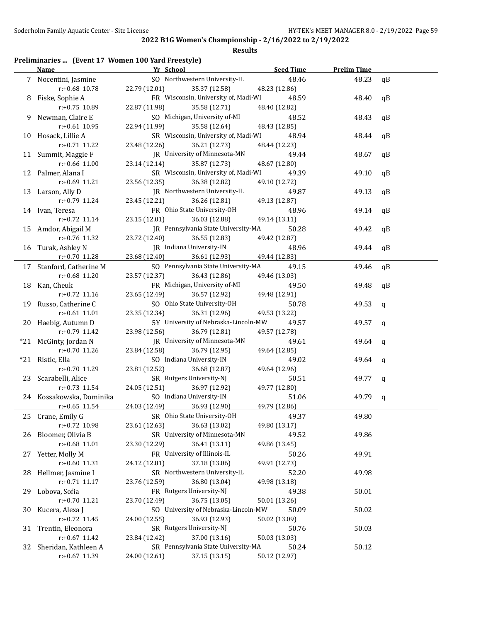|    | Preliminaries  (Event 17 Women 100 Yard Freestyle) |                                      |                        |                    |             |
|----|----------------------------------------------------|--------------------------------------|------------------------|--------------------|-------------|
|    | Name                                               | Yr School                            | <b>Seed Time</b>       | <b>Prelim Time</b> |             |
|    | 7 Nocentini, Jasmine                               | SO Northwestern University-IL        | 48.46                  | 48.23              | qB          |
|    | r:+0.68 10.78                                      | 22.79 (12.01)<br>35.37 (12.58)       | 48.23 (12.86)          |                    |             |
|    | 8 Fiske, Sophie A                                  | FR Wisconsin, University of, Madi-WI | 48.59                  | 48.40              | qB          |
|    | r:+0.75 10.89                                      | 22.87 (11.98)<br>35.58 (12.71)       | 48.40 (12.82)          |                    |             |
|    | 9 Newman, Claire E                                 | SO Michigan, University of-MI        | 48.52                  | 48.43              | qB          |
|    | $r: +0.61$ 10.95                                   | 22.94 (11.99)<br>35.58 (12.64)       | 48.43 (12.85)          |                    |             |
|    | 10 Hosack, Lillie A                                | SR Wisconsin, University of, Madi-WI | 48.94                  | 48.44              | qB          |
|    | r:+0.71 11.22                                      | 23.48 (12.26)<br>36.21 (12.73)       | 48.44 (12.23)          |                    |             |
|    | 11 Summit, Maggie F                                | JR University of Minnesota-MN        | 49.44                  | 48.67              | qB          |
|    | r:+0.66 11.00                                      | 23.14 (12.14)<br>35.87 (12.73)       | 48.67 (12.80)          |                    |             |
|    | 12 Palmer, Alana I                                 | SR Wisconsin, University of, Madi-WI | 49.39                  | 49.10              | qB          |
|    | r:+0.69 11.21                                      | 23.56 (12.35)<br>36.38 (12.82)       | 49.10 (12.72)          |                    |             |
|    | 13 Larson, Ally D                                  | JR Northwestern University-IL        | 49.87                  | 49.13              | qB          |
|    | r:+0.79 11.24                                      | 23.45 (12.21)<br>36.26 (12.81)       | 49.13 (12.87)          |                    |             |
|    | 14 Ivan, Teresa                                    | FR Ohio State University-OH          | 48.96                  | 49.14              | qB          |
|    | r:+0.72 11.14                                      | 23.15 (12.01)<br>36.03 (12.88)       | 49.14 (13.11)          |                    |             |
|    | 15 Amdor, Abigail M                                | JR Pennsylvania State University-MA  | 50.28                  | 49.42              | qB          |
|    | r:+0.76 11.32                                      | 23.72 (12.40)<br>36.55 (12.83)       | 49.42 (12.87)          |                    |             |
|    | 16 Turak, Ashley N                                 | JR Indiana University-IN             | 48.96                  | 49.44              | qB          |
|    | r:+0.70 11.28                                      | 23.68 (12.40)<br>36.61 (12.93)       | 49.44 (12.83)          |                    |             |
|    | 17 Stanford, Catherine M                           | SO Pennsylvania State University-MA  | 49.15                  | 49.46              | qB          |
|    | r:+0.68 11.20                                      | 23.57 (12.37)<br>36.43 (12.86)       | 49.46 (13.03)          |                    |             |
|    | 18 Kan, Cheuk                                      | FR Michigan, University of-MI        | 49.50                  | 49.48              | qB          |
|    | r:+0.72 11.16                                      | 23.65 (12.49)<br>36.57 (12.92)       | 49.48 (12.91)          |                    |             |
| 19 | Russo, Catherine C                                 | SO Ohio State University-OH          | 50.78                  | 49.53              | $\mathbf q$ |
|    | $r: +0.61$ 11.01                                   | 23.35 (12.34)<br>36.31 (12.96)       | 49.53 (13.22)          |                    |             |
|    | 20 Haebig, Autumn D                                | 5Y University of Nebraska-Lincoln-MW | 49.57                  | 49.57              | $\mathbf q$ |
|    | r:+0.79 11.42                                      | 36.79 (12.81)<br>23.98 (12.56)       | 49.57 (12.78)          |                    |             |
|    | *21 McGinty, Jordan N                              | JR University of Minnesota-MN        | 49.61                  | 49.64              | q           |
|    | r:+0.70 11.26                                      | 23.84 (12.58)<br>36.79 (12.95)       | 49.64 (12.85)          |                    |             |
|    | *21 Ristic, Ella                                   | SO Indiana University-IN             | 49.02                  | 49.64              | q           |
|    | $r: +0.70$ 11.29                                   | 23.81 (12.52)<br>36.68 (12.87)       | 49.64 (12.96)          |                    |             |
| 23 | Scarabelli, Alice                                  | SR Rutgers University-NJ             | 50.51                  | 49.77              |             |
|    | r:+0.73 11.54                                      | 24.05 (12.51)<br>36.97 (12.92)       | 49.77 (12.80)          |                    | q           |
|    | 24 Kossakowska, Dominika                           | SO Indiana University-IN             | 51.06                  | 49.79              |             |
|    | $r$ :+0.65 11.54                                   | 24.03 (12.49)<br>36.93 (12.90)       | 49.79 (12.86)          |                    | $\mathbf q$ |
|    | Crane, Emily G                                     | SR Ohio State University-OH          |                        |                    |             |
| 25 | r:+0.72 10.98                                      | 23.61 (12.63)<br>36.63 (13.02)       | 49.37<br>49.80 (13.17) | 49.80              |             |
|    |                                                    | SR University of Minnesota-MN        |                        |                    |             |
| 26 | Bloomer, Olivia B                                  |                                      | 49.52                  | 49.86              |             |
|    | r:+0.68 11.01                                      | 23.30 (12.29)<br>36.41 (13.11)       | 49.86 (13.45)          |                    |             |
| 27 | Yetter, Molly M                                    | FR University of Illinois-IL         | 50.26                  | 49.91              |             |
|    | r:+0.60 11.31                                      | 37.18 (13.06)<br>24.12 (12.81)       | 49.91 (12.73)          |                    |             |
| 28 | Hellmer, Jasmine I                                 | SR Northwestern University-IL        | 52.20                  | 49.98              |             |
|    | $r.+0.71$ 11.17                                    | 36.80 (13.04)<br>23.76 (12.59)       | 49.98 (13.18)          |                    |             |
| 29 | Lobova, Sofia                                      | FR Rutgers University-NJ             | 49.38                  | 50.01              |             |
|    | r:+0.70 11.21                                      | 23.70 (12.49)<br>36.75 (13.05)       | 50.01 (13.26)          |                    |             |
| 30 | Kucera, Alexa J                                    | SO University of Nebraska-Lincoln-MW | 50.09                  | 50.02              |             |
|    | r:+0.72 11.45                                      | 36.93 (12.93)<br>24.00 (12.55)       | 50.02 (13.09)          |                    |             |
| 31 | Trentin, Eleonora                                  | SR Rutgers University-NJ             | 50.76                  | 50.03              |             |
|    | $r: +0.67$ 11.42                                   | 37.00 (13.16)<br>23.84 (12.42)       | 50.03 (13.03)          |                    |             |
| 32 | Sheridan, Kathleen A                               | SR Pennsylvania State University-MA  | 50.24                  | 50.12              |             |
|    | r:+0.67 11.39                                      | 37.15 (13.15)<br>24.00 (12.61)       | 50.12 (12.97)          |                    |             |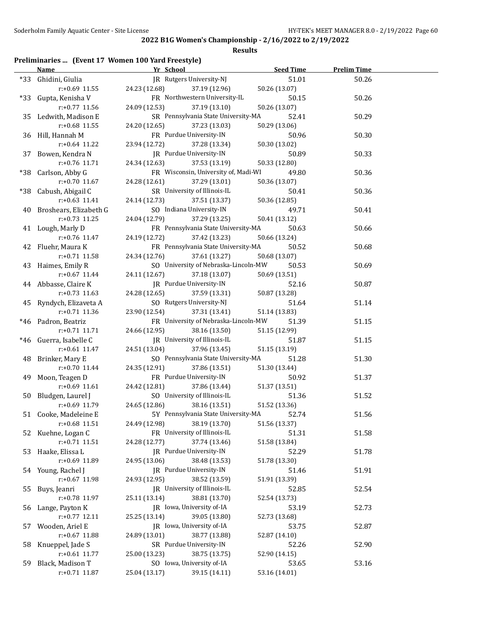### **Results**

# **Preliminaries ... (Event 17 Women 100 Yard Freestyle)**

|    | <b>Name</b>                             | Yr School                                             | Seed Time     | <b>Prelim Time</b> |  |
|----|-----------------------------------------|-------------------------------------------------------|---------------|--------------------|--|
|    | *33 Ghidini, Giulia                     | JR Rutgers University-NJ                              | 51.01         | 50.26              |  |
|    | $r: +0.69$ 11.55                        | 24.23 (12.68)<br>37.19 (12.96)                        | 50.26 (13.07) |                    |  |
|    | *33 Gupta, Kenisha V                    | FR Northwestern University-IL                         | 50.15         | 50.26              |  |
|    | $r: +0.77$ 11.56                        | 24.09 (12.53)<br>37.19 (13.10)                        | 50.26 (13.07) |                    |  |
|    | 35 Ledwith, Madison E                   | SR Pennsylvania State University-MA                   | 52.41         | 50.29              |  |
|    | $r: +0.68$ 11.55                        | 24.20 (12.65)<br>37.23 (13.03)                        | 50.29 (13.06) |                    |  |
|    | 36 Hill, Hannah M                       | FR Purdue University-IN                               | 50.96         | 50.30              |  |
|    | $r: +0.64$ 11.22                        | 23.94 (12.72)<br>37.28 (13.34)                        | 50.30 (13.02) |                    |  |
|    | 37 Bowen, Kendra N                      | JR Purdue University-IN                               | 50.89         | 50.33              |  |
|    | r:+0.76 11.71                           | 24.34 (12.63)<br>37.53 (13.19)                        | 50.33 (12.80) |                    |  |
|    | *38 Carlson, Abby G                     | FR Wisconsin, University of, Madi-WI                  | 49.80         | 50.36              |  |
|    | $r: +0.70$ 11.67                        | 24.28 (12.61)<br>37.29 (13.01)                        | 50.36 (13.07) |                    |  |
|    | *38 Cabush, Abigail C                   | SR University of Illinois-IL                          | 50.41         | 50.36              |  |
|    | $r: +0.63$ 11.41                        | 24.14 (12.73)<br>37.51 (13.37)                        | 50.36 (12.85) |                    |  |
|    | 40 Broshears, Elizabeth G               | SO Indiana University-IN                              | 49.71         | 50.41              |  |
|    | $r: +0.73$ 11.25                        | 24.04 (12.79)<br>37.29 (13.25)                        | 50.41 (13.12) |                    |  |
|    | 41 Lough, Marly D                       | FR Pennsylvania State University-MA                   | 50.63         | 50.66              |  |
|    | $r: +0.76$ 11.47                        | 24.19 (12.72)<br>37.42 (13.23)                        | 50.66 (13.24) |                    |  |
|    | 42 Fluehr, Maura K                      | FR Pennsylvania State University-MA                   | 50.52         | 50.68              |  |
|    | $r: +0.71$ 11.58                        | 24.34 (12.76)<br>37.61 (13.27)                        | 50.68 (13.07) |                    |  |
|    | 43 Haimes, Emily R                      | SO University of Nebraska-Lincoln-MW                  | 50.53         | 50.69              |  |
|    | $r: +0.67$ 11.44                        | 24.11 (12.67)<br>37.18 (13.07)                        | 50.69 (13.51) |                    |  |
|    | 44 Abbasse, Claire K                    | JR Purdue University-IN                               | 52.16         | 50.87              |  |
|    | $r: +0.73$ 11.63                        | 24.28 (12.65)<br>37.59 (13.31)                        | 50.87 (13.28) |                    |  |
|    | 45 Ryndych, Elizaveta A                 | SO Rutgers University-NJ                              | 51.64         | 51.14              |  |
|    | $r: +0.71$ 11.36                        | 37.31 (13.41)                                         |               |                    |  |
|    |                                         | 23.90 (12.54)                                         | 51.14 (13.83) |                    |  |
|    | *46 Padron, Beatriz<br>$r$ :+0.71 11.71 | FR University of Nebraska-Lincoln-MW<br>24.66 (12.95) | 51.39         | 51.15              |  |
|    |                                         | 38.16 (13.50)                                         | 51.15 (12.99) |                    |  |
|    | *46 Guerra, Isabelle C                  | JR University of Illinois-IL                          | 51.87         | 51.15              |  |
|    | $r.+0.61$ 11.47                         | 24.51 (13.04)<br>37.96 (13.45)                        | 51.15 (13.19) |                    |  |
|    | 48 Brinker, Mary E                      | SO Pennsylvania State University-MA                   | 51.28         | 51.30              |  |
|    | $r: +0.70$ 11.44                        | 24.35 (12.91)<br>37.86 (13.51)                        | 51.30 (13.44) |                    |  |
|    | 49 Moon, Teagen D                       | FR Purdue University-IN                               | 50.92         | 51.37              |  |
|    | $r$ :+0.69 11.61                        | 24.42 (12.81)<br>37.86 (13.44)                        | 51.37 (13.51) |                    |  |
|    | 50 Bludgen, Laurel J                    | SO University of Illinois-IL                          | 51.36         | 51.52              |  |
|    | r:+0.69 11.79                           | 24.65 (12.86)<br>38.16 (13.51)                        | 51.52 (13.36) |                    |  |
|    | 51 Cooke, Madeleine E                   | 5Y Pennsylvania State University-MA                   | 52.74         | 51.56              |  |
|    | r:+0.68 11.51                           | 24.49 (12.98)<br>38.19 (13.70)                        | 51.56 (13.37) |                    |  |
|    | 52 Kuehne, Logan C                      | FR University of Illinois-IL                          | 51.31         | 51.58              |  |
|    | $r: +0.71$ 11.51                        | 24.28 (12.77)<br>37.74 (13.46)                        | 51.58 (13.84) |                    |  |
|    | 53 Haake, Elissa L                      | JR Purdue University-IN                               | 52.29         | 51.78              |  |
|    | r:+0.69 11.89                           | 24.95 (13.06)<br>38.48 (13.53)                        | 51.78 (13.30) |                    |  |
|    | 54 Young, Rachel J                      | IR Purdue University-IN                               | 51.46         | 51.91              |  |
|    | r:+0.67 11.98                           | 24.93 (12.95)<br>38.52 (13.59)                        | 51.91 (13.39) |                    |  |
| 55 | Buys, Jeanri                            | JR University of Illinois-IL                          | 52.85         | 52.54              |  |
|    | r:+0.78 11.97                           | 38.81 (13.70)<br>25.11 (13.14)                        | 52.54 (13.73) |                    |  |
| 56 | Lange, Payton K                         | JR Iowa, University of-IA                             | 53.19         | 52.73              |  |
|    | $r: +0.77$ 12.11                        | 25.25 (13.14)<br>39.05 (13.80)                        | 52.73 (13.68) |                    |  |
| 57 | Wooden, Ariel E                         | JR Iowa, University of-IA                             | 53.75         | 52.87              |  |
|    | r:+0.67 11.88                           | 24.89 (13.01)<br>38.77 (13.88)                        | 52.87 (14.10) |                    |  |
| 58 | Knueppel, Jade S                        | SR Purdue University-IN                               | 52.26         | 52.90              |  |
|    | $r: +0.61$ 11.77                        | 38.75 (13.75)<br>25.00 (13.23)                        | 52.90 (14.15) |                    |  |
| 59 | Black, Madison T                        | SO Iowa, University of-IA                             | 53.65         | 53.16              |  |
|    | $r: +0.71$ 11.87                        | 25.04 (13.17)<br>39.15 (14.11)                        | 53.16 (14.01) |                    |  |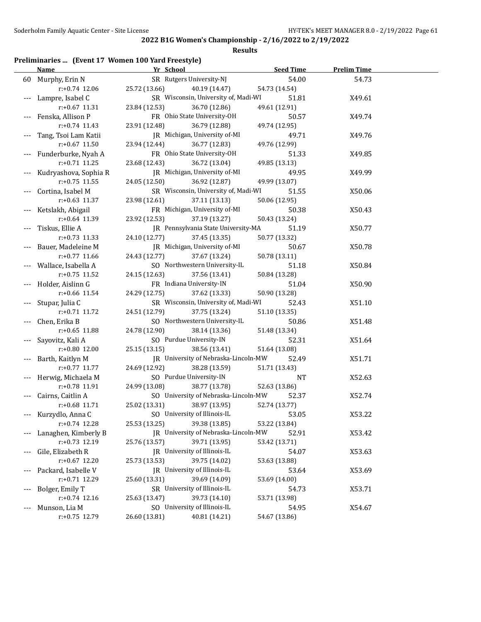### **Results**

# **Preliminaries ... (Event 17 Women 100 Yard Freestyle)**

|       | <b>Name</b>           | Yr School                            | <b>Seed Time</b> | <b>Prelim Time</b> |  |
|-------|-----------------------|--------------------------------------|------------------|--------------------|--|
|       | 60 Murphy, Erin N     | SR Rutgers University-NJ             | 54.00            | 54.73              |  |
|       | $r: +0.74$ 12.06      | 25.72 (13.66)<br>40.19 (14.47)       | 54.73 (14.54)    |                    |  |
|       | Lampre, Isabel C      | SR Wisconsin, University of, Madi-WI | 51.81            | X49.61             |  |
|       | $r: +0.67$ 11.31      | 23.84 (12.53)<br>36.70 (12.86)       | 49.61 (12.91)    |                    |  |
|       | Fenska, Allison P     | FR Ohio State University-OH          | 50.57            | X49.74             |  |
|       | $r: +0.74$ 11.43      | 23.91 (12.48)<br>36.79 (12.88)       | 49.74 (12.95)    |                    |  |
|       | Tang, Tsoi Lam Katii  | JR Michigan, University of-MI        | 49.71            | X49.76             |  |
|       | $r: +0.67$ 11.50      | 23.94 (12.44)<br>36.77 (12.83)       | 49.76 (12.99)    |                    |  |
|       | Funderburke, Nyah A   | FR Ohio State University-OH          | 51.33            | X49.85             |  |
|       | r:+0.71 11.25         | 23.68 (12.43)<br>36.72 (13.04)       | 49.85 (13.13)    |                    |  |
|       | Kudryashova, Sophia R | JR Michigan, University of-MI        | 49.95            | X49.99             |  |
|       | $r: +0.75$ 11.55      | 24.05 (12.50)<br>36.92 (12.87)       | 49.99 (13.07)    |                    |  |
| $---$ | Cortina, Isabel M     | SR Wisconsin, University of, Madi-WI | 51.55            | X50.06             |  |
|       | $r: +0.63$ 11.37      | 23.98 (12.61)<br>37.11 (13.13)       | 50.06 (12.95)    |                    |  |
|       | Ketslakh, Abigail     | FR Michigan, University of-MI        | 50.38            | X50.43             |  |
|       | $r: +0.64$ 11.39      | 23.92 (12.53)<br>37.19 (13.27)       | 50.43 (13.24)    |                    |  |
|       | Tiskus, Ellie A       | JR Pennsylvania State University-MA  | 51.19            | X50.77             |  |
|       | $r: +0.73$ 11.33      | 24.10 (12.77)<br>37.45 (13.35)       | 50.77 (13.32)    |                    |  |
|       | Bauer, Madeleine M    | JR Michigan, University of-MI        | 50.67            | X50.78             |  |
|       | $r: +0.77$ 11.66      | 24.43 (12.77)<br>37.67 (13.24)       | 50.78 (13.11)    |                    |  |
|       | Wallace, Isabella A   | SO Northwestern University-IL        | 51.18            | X50.84             |  |
|       | $r: +0.75$ 11.52      | 24.15 (12.63)<br>37.56 (13.41)       | 50.84 (13.28)    |                    |  |
|       | Holder, Aislinn G     | FR Indiana University-IN             | 51.04            | X50.90             |  |
|       | $r: +0.66$ 11.54      | 24.29 (12.75)<br>37.62 (13.33)       | 50.90 (13.28)    |                    |  |
|       | Stupar, Julia C       | SR Wisconsin, University of, Madi-WI | 52.43            | X51.10             |  |
|       | $r: +0.71$ 11.72      | 24.51 (12.79)<br>37.75 (13.24)       | 51.10 (13.35)    |                    |  |
|       | Chen, Erika B         | SO Northwestern University-IL        | 50.86            | X51.48             |  |
|       | $r: +0.65$ 11.88      | 24.78 (12.90)<br>38.14 (13.36)       | 51.48 (13.34)    |                    |  |
|       | Sayovitz, Kali A      | SO Purdue University-IN              | 52.31            | X51.64             |  |
|       | $r: +0.80$ 12.00      | 25.15 (13.15)<br>38.56 (13.41)       | 51.64 (13.08)    |                    |  |
|       | Barth, Kaitlyn M      | JR University of Nebraska-Lincoln-MW | 52.49            | X51.71             |  |
|       | $r: +0.77$ 11.77      | 24.69 (12.92)<br>38.28 (13.59)       | 51.71 (13.43)    |                    |  |
|       | Herwig, Michaela M    | SO Purdue University-IN              | NT               | X52.63             |  |
|       | r:+0.78 11.91         | 24.99 (13.08)<br>38.77 (13.78)       | 52.63 (13.86)    |                    |  |
|       | Cairns, Caitlin A     | SO University of Nebraska-Lincoln-MW | 52.37            | X52.74             |  |
|       | $r: +0.68$ 11.71      | 25.02 (13.31)<br>38.97 (13.95)       | 52.74 (13.77)    |                    |  |
|       | --- Kurzydlo, Anna C  | SO University of Illinois-IL         | 53.05            | X53.22             |  |
|       | r:+0.74 12.28         | 25.53 (13.25)<br>39.38 (13.85)       | 53.22 (13.84)    |                    |  |
|       | Lanaghen, Kimberly B  | JR University of Nebraska-Lincoln-MW | 52.91            | X53.42             |  |
|       | r:+0.73 12.19         | 25.76 (13.57)<br>39.71 (13.95)       | 53.42 (13.71)    |                    |  |
| $---$ | Gile, Elizabeth R     | JR University of Illinois-IL         | 54.07            | X53.63             |  |
|       | $r: +0.67$ 12.20      | 25.73 (13.53)<br>39.75 (14.02)       | 53.63 (13.88)    |                    |  |
|       | Packard, Isabelle V   | JR University of Illinois-IL         | 53.64            | X53.69             |  |
|       | r:+0.71 12.29         | 39.69 (14.09)<br>25.60 (13.31)       | 53.69 (14.00)    |                    |  |
|       | Bolger, Emily T       | SR University of Illinois-IL         | 54.73            | X53.71             |  |
|       | $r: +0.74$ 12.16      | 39.73 (14.10)<br>25.63 (13.47)       | 53.71 (13.98)    |                    |  |
| $---$ | Munson, Lia M         | SO University of Illinois-IL         | 54.95            | X54.67             |  |
|       | r:+0.75 12.79         | 26.60 (13.81)<br>40.81 (14.21)       | 54.67 (13.86)    |                    |  |
|       |                       |                                      |                  |                    |  |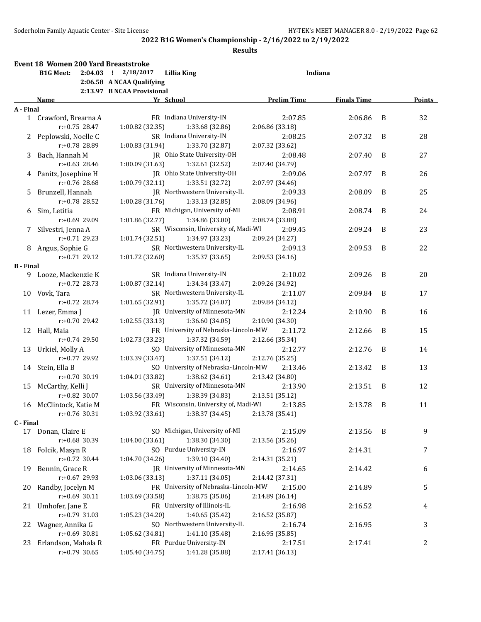|                  | Event 18 Women 200 Yard Breaststroke |                                                       |                    |                    |   |        |
|------------------|--------------------------------------|-------------------------------------------------------|--------------------|--------------------|---|--------|
|                  | <b>B1G Meet:</b>                     | 2:04.03 ! 2/18/2017<br><b>Lillia King</b>             | Indiana            |                    |   |        |
|                  |                                      | 2:06.58 A NCAA Qualifying                             |                    |                    |   |        |
|                  |                                      | 2:13.97 B NCAA Provisional                            |                    |                    |   |        |
|                  | Name                                 | Yr School                                             | <b>Prelim Time</b> | <b>Finals Time</b> |   | Points |
| A - Final        |                                      |                                                       |                    |                    |   |        |
|                  | 1 Crawford, Brearna A                | FR Indiana University-IN                              | 2:07.85            | 2:06.86            | B | 32     |
|                  | $r: +0.75$ 28.47                     | 1:00.82 (32.35)<br>1:33.68 (32.86)                    | 2:06.86 (33.18)    |                    |   |        |
| 2                | Peplowski, Noelle C                  | SR Indiana University-IN                              | 2:08.25            | 2:07.32            | B | 28     |
|                  | r:+0.78 28.89                        | 1:00.83 (31.94)<br>1:33.70 (32.87)                    | 2:07.32 (33.62)    |                    |   |        |
| 3                | Bach, Hannah M                       | JR Ohio State University-OH                           | 2:08.48            | 2:07.40            | B | 27     |
|                  | $r: +0.63$ 28.46                     | 1:00.09 (31.63)<br>1:32.61 (32.52)                    | 2:07.40 (34.79)    |                    |   |        |
|                  | 4 Panitz, Josephine H                | JR Ohio State University-OH                           | 2:09.06            | 2:07.97            | B | 26     |
|                  | $r: +0.76$ 28.68                     | 1:00.79 (32.11)<br>1:33.51 (32.72)                    | 2:07.97 (34.46)    |                    |   |        |
| 5                | Brunzell, Hannah                     | JR Northwestern University-IL                         | 2:09.33            | 2:08.09            | B | 25     |
|                  | $r: +0.78$ 28.52                     | 1:00.28 (31.76)<br>1:33.13 (32.85)                    | 2:08.09 (34.96)    |                    |   |        |
|                  |                                      | FR Michigan, University of-MI                         |                    |                    |   |        |
| 6                | Sim, Letitia                         |                                                       | 2:08.91            | 2:08.74            | B | 24     |
|                  | r:+0.69 29.09                        | 1:01.86 (32.77)<br>1:34.86 (33.00)                    | 2:08.74 (33.88)    |                    |   |        |
| 7.               | Silvestri, Jenna A                   | SR Wisconsin, University of, Madi-WI                  | 2:09.45            | 2:09.24            | B | 23     |
|                  | $r: +0.71$ 29.23                     | 1:01.74(32.51)<br>1:34.97 (33.23)                     | 2:09.24 (34.27)    |                    |   |        |
|                  | 8 Angus, Sophie G                    | SR Northwestern University-IL                         | 2:09.13            | 2:09.53            | B | 22     |
|                  | $r: +0.71$ 29.12                     | 1:01.72 (32.60)<br>1:35.37 (33.65)                    | 2:09.53 (34.16)    |                    |   |        |
| <b>B</b> - Final |                                      |                                                       |                    |                    |   |        |
|                  | 9 Looze, Mackenzie K                 | SR Indiana University-IN                              | 2:10.02            | 2:09.26            | B | 20     |
|                  | $r: +0.72$ 28.73                     | 1:00.87 (32.14)<br>1:34.34 (33.47)                    | 2:09.26 (34.92)    |                    |   |        |
|                  | 10 Vovk, Tara                        | SR Northwestern University-IL                         | 2:11.07            | 2:09.84            | B | 17     |
|                  | $r: +0.72$ 28.74                     | 1:01.65(32.91)<br>1:35.72 (34.07)                     | 2:09.84 (34.12)    |                    |   |        |
|                  | 11 Lezer, Emma J                     | JR University of Minnesota-MN                         | 2:12.24            | 2:10.90            | B | 16     |
|                  | $r: +0.70$ 29.42                     | 1:02.55(33.13)<br>1:36.60 (34.05)                     | 2:10.90 (34.30)    |                    |   |        |
| 12               | Hall, Maia                           | FR University of Nebraska-Lincoln-MW                  | 2:11.72            | 2:12.66            | B | 15     |
|                  | $r: +0.74$ 29.50                     | 1:02.73 (33.23)<br>1:37.32 (34.59)                    | 2:12.66 (35.34)    |                    |   |        |
| 13               | Urkiel, Molly A                      | SO University of Minnesota-MN                         | 2:12.77            | 2:12.76            | B | 14     |
|                  | r:+0.77 29.92                        | 1:37.51 (34.12)<br>1:03.39 (33.47)                    | 2:12.76 (35.25)    |                    |   |        |
| 14               | Stein, Ella B                        | SO University of Nebraska-Lincoln-MW                  | 2:13.46            | 2:13.42            | B | 13     |
|                  | r:+0.70 30.19                        | 1:04.01 (33.82)<br>1:38.62 (34.61)                    | 2:13.42 (34.80)    |                    |   |        |
| 15               | McCarthy, Kelli J                    | SR University of Minnesota-MN                         | 2:13.90            | 2:13.51            | B | 12     |
|                  | r:+0.82 30.07                        | 1:03.56 (33.49)<br>1:38.39 (34.83)                    | 2:13.51 (35.12)    |                    |   |        |
|                  |                                      | FR Wisconsin, University of, Madi-WI                  |                    |                    |   |        |
|                  | 16 McClintock, Katie M               |                                                       | 2:13.85            | 2:13.78            | B | 11     |
|                  | r:+0.76 30.31                        | $1:03.92$ (33.61) $1:38.37$ (34.45) $2:13.78$ (35.41) |                    |                    |   |        |
| C - Final        |                                      | SO Michigan, University of-MI                         | 2:15.09            |                    |   |        |
|                  | 17 Donan, Claire E                   |                                                       |                    | 2:13.56            | B | 9      |
|                  | r:+0.68 30.39                        | 1:04.00 (33.61)<br>1:38.30 (34.30)                    | 2:13.56 (35.26)    |                    |   |        |
| 18               | Folcik, Masyn R                      | SO Purdue University-IN                               | 2:16.97            | 2:14.31            |   | 7      |
|                  | r:+0.72 30.44                        | 1:39.10 (34.40)<br>1:04.70 (34.26)                    | 2:14.31 (35.21)    |                    |   |        |
| 19               | Bennin, Grace R                      | JR University of Minnesota-MN                         | 2:14.65            | 2:14.42            |   | 6      |
|                  | r:+0.67 29.93                        | 1:03.06 (33.13)<br>1:37.11 (34.05)                    | 2:14.42 (37.31)    |                    |   |        |
| 20               | Randby, Jocelyn M                    | FR University of Nebraska-Lincoln-MW                  | 2:15.00            | 2:14.89            |   | 5      |
|                  | $r: +0.69$ 30.11                     | 1:38.75 (35.06)<br>1:03.69 (33.58)                    | 2:14.89 (36.14)    |                    |   |        |
| 21               | Umhofer, Jane E                      | FR University of Illinois-IL                          | 2:16.98            | 2:16.52            |   | 4      |
|                  | $r: +0.79$ 31.03                     | 1:40.65 (35.42)<br>1:05.23 (34.20)                    | 2:16.52 (35.87)    |                    |   |        |
| 22               | Wagner, Annika G                     | SO Northwestern University-IL                         | 2:16.74            | 2:16.95            |   | 3      |
|                  | $r: +0.69$ 30.81                     | 1:41.10 (35.48)<br>1:05.62 (34.81)                    | 2:16.95 (35.85)    |                    |   |        |
| 23               | Erlandson, Mahala R                  | FR Purdue University-IN                               | 2:17.51            | 2:17.41            |   | 2      |
|                  | $r: +0.79$ 30.65                     | 1:05.40 (34.75)<br>1:41.28 (35.88)                    | 2:17.41 (36.13)    |                    |   |        |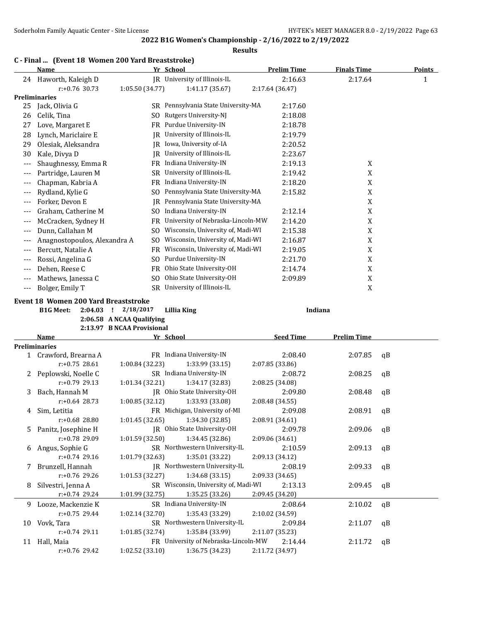### **2022 B1G Women's Championship - 2/16/2022 to 2/19/2022 Results**

### **C - Final ... (Event 18 Women 200 Yard Breaststroke)**

|       | Name                         |                 | Yr School                         | <b>Prelim Time</b> | <b>Finals Time</b> | <b>Points</b> |
|-------|------------------------------|-----------------|-----------------------------------|--------------------|--------------------|---------------|
| 24    | Haworth, Kaleigh D           |                 | JR University of Illinois-IL      | 2:16.63            | 2:17.64            | 1             |
|       | $r: +0.76$ 30.73             | 1:05.50 (34.77) | 1:41.17 (35.67)                   | 2:17.64 (36.47)    |                    |               |
|       | Preliminaries                |                 |                                   |                    |                    |               |
| 25    | Jack, Olivia G               | SR              | Pennsylvania State University-MA  | 2:17.60            |                    |               |
| 26    | Celik, Tina                  | SO.             | Rutgers University-NJ             | 2:18.08            |                    |               |
| 27    | Love, Margaret E             | FR.             | Purdue University-IN              | 2:18.78            |                    |               |
| 28    | Lynch, Mariclaire E          | IR              | University of Illinois-IL         | 2:19.79            |                    |               |
| 29    | Olesiak, Aleksandra          | IR              | Iowa, University of-IA            | 2:20.52            |                    |               |
| 30    | Kale, Divya D                | IR              | University of Illinois-IL         | 2:23.67            |                    |               |
| ---   | Shaughnessy, Emma R          | FR              | Indiana University-IN             | 2:19.13            | X                  |               |
| ---   | Partridge, Lauren M          | SR              | University of Illinois-IL         | 2:19.42            | X                  |               |
| $---$ | Chapman, Kabria A            | FR              | Indiana University-IN             | 2:18.20            | X                  |               |
| ---   | Rydland, Kylie G             | SO              | Pennsylvania State University-MA  | 2:15.82            | X                  |               |
| ---   | Forker, Devon E              | IR              | Pennsylvania State University-MA  |                    | X                  |               |
|       | Graham, Catherine M          | SO              | Indiana University-IN             | 2:12.14            | X                  |               |
| ---   | McCracken, Sydney H          | FR              | University of Nebraska-Lincoln-MW | 2:14.20            | X                  |               |
| ---   | Dunn, Callahan M             | SO.             | Wisconsin, University of, Madi-WI | 2:15.38            | X                  |               |
| ---   | Anagnostopoulos, Alexandra A | SO              | Wisconsin, University of, Madi-WI | 2:16.87            | X                  |               |
| ---   | Bercutt, Natalie A           | FR              | Wisconsin, University of, Madi-WI | 2:19.05            | X                  |               |
| ---   | Rossi, Angelina G            | SO              | Purdue University-IN              | 2:21.70            | X                  |               |
| $---$ | Dehen, Reese C               | FR              | Ohio State University-OH          | 2:14.74            | X                  |               |
| ---   | Mathews, Janessa C           | SO.             | Ohio State University-OH          | 2:09.89            | X                  |               |
| ---   | Bolger, Emily T              | <b>SR</b>       | University of Illinois-IL         |                    | X                  |               |

#### **Event 18 Women 200 Yard Breaststroke**

**B1G Meet: 2:04.03 ! 2/18/2017 Lillia King Indiana**

**2:06.58 A NCAA Qualifying**

**2:13.97 B NCAA Provisional Name Yr School Seed Time Prelim Time Preliminaries** 1 Crawford, Brearna A FR Indiana University-IN 2:08.40 2:07.85 qB r:+0.75 28.61 1:00.84 (32.23) 1:33.99 (33.15) 2:07.85 (33.86) 2 Peplowski, Noelle C SR Indiana University-IN 2:08.72 2:08.25 qB r:+0.79 29.13 1:01.34 (32.21) 1:34.17 (32.83) 2:08.25 (34.08) 3 Bach, Hannah M JR Ohio State University-OH 2:09.80 2:08.48 qB r:+0.64 28.73 1:00.85 (32.12) 1:33.93 (33.08) 2:08.48 (34.55) 4 Sim, Letitia FR Michigan, University of-MI 2:09.08 2:08.91 qB r:+0.68 28.80 1:01.45 (32.65) 1:34.30 (32.85) 2:08.91 (34.61) 5 Panitz, Josephine H JR Ohio State University-OH 2:09.78 2:09.06 qB r:+0.78 29.09 1:01.59 (32.50) 1:34.45 (32.86) 2:09.06 (34.61) 6 Angus, Sophie G SR Northwestern University-IL 2:10.59 2:09.13 qB r:+0.74 29.16 1:01.79 (32.63) 1:35.01 (33.22) 7 Brunzell, Hannah JR Northwestern University-IL 2:08.19 2:09.33 qB r:+0.76 29.26 1:01.53 (32.27) 1:34.68 (33.15) 2:09.33 (34.65) 8 Silvestri, Jenna A SR Wisconsin, University of, Madi-WI 2:13.13 2:09.45 qB r:+0.74 29.24 1:01.99 (32.75) 1:35.25 (33.26) 2:09.45 (34.20) 9 Looze, Mackenzie K SR Indiana University-IN 2:08.64 2:10.02 qB r:+0.75 29.44 1:02.14 (32.70) 1:35.43 (33.29) 2:10.02 (34.59) 10 Vovk, Tara SR Northwestern University-IL 2:09.84 2:11.07 qB r:+0.74 29.11 1:01.85 (32.74) 1:35.84 (33.99) 2:11.07 (35.23) 11 Hall, Maia FR University of Nebraska-Lincoln-MW 2:14.44 2:11.72 qB r:+0.76 29.42 1:02.52 (33.10) 1:36.75 (34.23) 2:11.72 (34.97)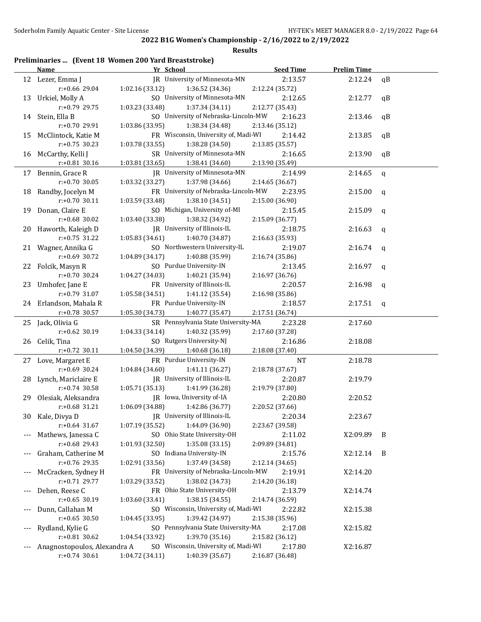### **Results**

# **Preliminaries ... (Event 18 Women 200 Yard Breaststroke)**

|    | <b>Name</b>                  | Yr School                            | <b>Seed Time</b> | <b>Prelim Time</b> |              |
|----|------------------------------|--------------------------------------|------------------|--------------------|--------------|
|    | 12 Lezer, Emma J             | JR University of Minnesota-MN        | 2:13.57          | 2:12.24            | qB           |
|    | r:+0.66 29.04                | 1:02.16 (33.12)<br>1:36.52 (34.36)   | 2:12.24 (35.72)  |                    |              |
|    | 13 Urkiel, Molly A           | SO University of Minnesota-MN        | 2:12.65          | 2:12.77            | qB           |
|    | r:+0.79 29.75                | 1:03.23 (33.48)<br>1:37.34 (34.11)   | 2:12.77 (35.43)  |                    |              |
|    | 14 Stein, Ella B             | SO University of Nebraska-Lincoln-MW | 2:16.23          | 2:13.46            | qB           |
|    | r:+0.70 29.91                | 1:03.86 (33.95)<br>1:38.34 (34.48)   | 2:13.46 (35.12)  |                    |              |
| 15 | McClintock, Katie M          | FR Wisconsin, University of, Madi-WI | 2:14.42          | 2:13.85            | qB           |
|    | $r: +0.75$ 30.23             | 1:03.78 (33.55)<br>1:38.28 (34.50)   | 2:13.85 (35.57)  |                    |              |
|    | 16 McCarthy, Kelli J         | SR University of Minnesota-MN        | 2:16.65          | 2:13.90            | qB           |
|    | r:+0.81 30.16                | 1:03.81 (33.65)<br>1:38.41 (34.60)   | 2:13.90 (35.49)  |                    |              |
|    | 17 Bennin, Grace R           | JR University of Minnesota-MN        | 2:14.99          | 2:14.65            | $\mathbf q$  |
|    | $r: +0.70$ 30.05             | 1:03.32 (33.27)<br>1:37.98 (34.66)   | 2:14.65 (36.67)  |                    |              |
|    | 18 Randby, Jocelyn M         | FR University of Nebraska-Lincoln-MW | 2:23.95          | 2:15.00            | q            |
|    | $r: +0.70$ 30.11             | 1:03.59 (33.48)<br>1:38.10 (34.51)   | 2:15.00 (36.90)  |                    |              |
|    | 19 Donan, Claire E           | SO Michigan, University of-MI        | 2:15.45          | 2:15.09            | q            |
|    | $r: +0.68$ 30.02             | 1:03.40 (33.38)<br>1:38.32 (34.92)   | 2:15.09 (36.77)  |                    |              |
|    | 20 Haworth, Kaleigh D        | JR University of Illinois-IL         | 2:18.75          | 2:16.63            | $\mathsf{q}$ |
|    | $r: +0.75$ 31.22             | 1:05.83 (34.61)<br>1:40.70 (34.87)   | 2:16.63 (35.93)  |                    |              |
|    | 21 Wagner, Annika G          | SO Northwestern University-IL        | 2:19.07          | 2:16.74            | q            |
|    | r:+0.69 30.72                | 1:04.89 (34.17)<br>1:40.88 (35.99)   | 2:16.74 (35.86)  |                    |              |
| 22 | Folcik, Masyn R              | SO Purdue University-IN              | 2:13.45          | 2:16.97            | $\mathsf{q}$ |
|    | r:+0.70 30.24                | 1:04.27 (34.03)<br>1:40.21 (35.94)   | 2:16.97 (36.76)  |                    |              |
| 23 | Umhofer, Jane E              | FR University of Illinois-IL         | 2:20.57          | 2:16.98            | q            |
|    | r:+0.79 31.07                | 1:05.58 (34.51)<br>1:41.12 (35.54)   | 2:16.98 (35.86)  |                    |              |
|    | 24 Erlandson, Mahala R       | FR Purdue University-IN              | 2:18.57          | 2:17.51            | q            |
|    | $r: +0.78$ 30.57             | 1:05.30 (34.73)<br>1:40.77 (35.47)   | 2:17.51 (36.74)  |                    |              |
|    | 25 Jack, Olivia G            | SR Pennsylvania State University-MA  | 2:23.28          | 2:17.60            |              |
|    | r:+0.62 30.19                | 1:04.33 (34.14)<br>1:40.32 (35.99)   | 2:17.60 (37.28)  |                    |              |
|    | 26 Celik, Tina               | SO Rutgers University-NJ             | 2:16.86          | 2:18.08            |              |
|    | $r: +0.72$ 30.11             | 1:04.50 (34.39)<br>1:40.68 (36.18)   | 2:18.08 (37.40)  |                    |              |
|    | 27 Love, Margaret E          | FR Purdue University-IN              | <b>NT</b>        | 2:18.78            |              |
|    | $r: +0.69$ 30.24             | 1:04.84 (34.60)<br>1:41.11 (36.27)   | 2:18.78 (37.67)  |                    |              |
| 28 | Lynch, Mariclaire E          | JR University of Illinois-IL         | 2:20.87          | 2:19.79            |              |
|    | r:+0.74 30.58                | 1:05.71 (35.13)<br>1:41.99 (36.28)   | 2:19.79 (37.80)  |                    |              |
| 29 | Olesiak, Aleksandra          | JR Iowa, University of-IA            | 2:20.80          | 2:20.52            |              |
|    | $r: +0.68$ 31.21             | 1:06.09 (34.88)<br>1:42.86 (36.77)   | 2:20.52 (37.66)  |                    |              |
|    | 30 Kale, Divya D             | JR University of Illinois-IL         | 2:20.34          | 2:23.67            |              |
|    | $r: +0.64$ 31.67             | 1:07.19 (35.52)<br>1:44.09 (36.90)   | 2:23.67 (39.58)  |                    |              |
|    | Mathews, Janessa C           | SO Ohio State University-OH          | 2:11.02          | X2:09.89           | B            |
|    | r:+0.68 29.43                | 1:35.08 (33.15)<br>1:01.93 (32.50)   | 2:09.89 (34.81)  |                    |              |
|    | Graham, Catherine M          | SO Indiana University-IN             | 2:15.76          | X2:12.14           | - B          |
|    | r:+0.76 29.35                | 1:37.49 (34.58)<br>1:02.91 (33.56)   | 2:12.14 (34.65)  |                    |              |
|    | McCracken, Sydney H          | FR University of Nebraska-Lincoln-MW | 2:19.91          | X2:14.20           |              |
|    | r:+0.71 29.77                | 1:38.02 (34.73)<br>1:03.29 (33.52)   | 2:14.20 (36.18)  |                    |              |
|    | Dehen, Reese C               | FR Ohio State University-OH          | 2:13.79          | X2:14.74           |              |
|    | $r: +0.65$ 30.19             | 1:03.60 (33.41)<br>1:38.15(34.55)    | 2:14.74 (36.59)  |                    |              |
|    | Dunn, Callahan M             | SO Wisconsin, University of, Madi-WI | 2:22.82          | X2:15.38           |              |
|    | $r: +0.65$ 30.50             | 1:39.42 (34.97)<br>1:04.45 (33.95)   | 2:15.38 (35.96)  |                    |              |
|    | Rydland, Kylie G             | SO Pennsylvania State University-MA  | 2:17.08          | X2:15.82           |              |
|    | $r: +0.81$ 30.62             | 1:04.54 (33.92)<br>1:39.70 (35.16)   | 2:15.82 (36.12)  |                    |              |
|    | Anagnostopoulos, Alexandra A | SO Wisconsin, University of, Madi-WI | 2:17.80          | X2:16.87           |              |
|    | $r: +0.74$ 30.61             | 1:04.72 (34.11)<br>1:40.39 (35.67)   | 2:16.87 (36.48)  |                    |              |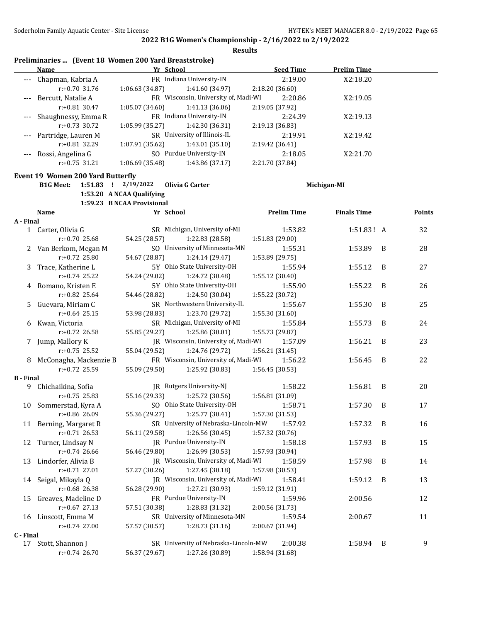|                  | Preliminaries  (Event 18 Women 200 Yard Breaststroke)<br>Name | Yr School                  |                                      | <b>Seed Time</b>   | <b>Prelim Time</b> |                |               |
|------------------|---------------------------------------------------------------|----------------------------|--------------------------------------|--------------------|--------------------|----------------|---------------|
|                  |                                                               |                            | FR Indiana University-IN             |                    |                    |                |               |
|                  | Chapman, Kabria A                                             |                            |                                      | 2:19.00            | X2:18.20           |                |               |
|                  | $r: +0.70$ 31.76                                              | 1:06.63 (34.87)            | 1:41.60 (34.97)                      | 2:18.20 (36.60)    |                    |                |               |
|                  | Bercutt, Natalie A                                            |                            | FR Wisconsin, University of, Madi-WI | 2:20.86            | X2:19.05           |                |               |
|                  | $r: +0.81$ 30.47                                              | 1:05.07 (34.60)            | 1:41.13 (36.06)                      | 2:19.05 (37.92)    |                    |                |               |
|                  | Shaughnessy, Emma R                                           |                            | FR Indiana University-IN             | 2:24.39            | X2:19.13           |                |               |
|                  | $r: +0.73$ 30.72                                              | 1:05.99 (35.27)            | 1:42.30 (36.31)                      | 2:19.13 (36.83)    |                    |                |               |
|                  | Partridge, Lauren M                                           |                            | SR University of Illinois-IL         | 2:19.91            | X2:19.42           |                |               |
|                  | r:+0.81 32.29                                                 | 1:07.91 (35.62)            | 1:43.01 (35.10)                      | 2:19.42 (36.41)    |                    |                |               |
|                  | Rossi, Angelina G                                             |                            | SO Purdue University-IN              | 2:18.05            | X2:21.70           |                |               |
|                  | $r: +0.75$ 31.21                                              | 1:06.69 (35.48)            | 1:43.86 (37.17)                      | 2:21.70 (37.84)    |                    |                |               |
|                  | Event 19 Women 200 Yard Butterfly                             |                            |                                      |                    |                    |                |               |
|                  | <b>B1G Meet:</b><br>$1:51.83$ ! $2/19/2022$                   |                            | Olivia G Carter                      |                    | Michigan-MI        |                |               |
|                  |                                                               | 1:53.20 A NCAA Qualifying  |                                      |                    |                    |                |               |
|                  |                                                               | 1:59.23 B NCAA Provisional |                                      |                    |                    |                |               |
|                  | Name                                                          | Yr School                  |                                      | <b>Prelim Time</b> | <b>Finals Time</b> |                | <b>Points</b> |
| A - Final        |                                                               |                            |                                      |                    |                    |                |               |
|                  | 1 Carter, Olivia G                                            |                            | SR Michigan, University of-MI        | 1:53.82            | 1:51.83! A         |                | 32            |
|                  | r:+0.70 25.68                                                 | 54.25 (28.57)              | 1:22.83 (28.58)                      | 1:51.83 (29.00)    |                    |                |               |
| $\mathbf{Z}$     | Van Berkom, Megan M                                           |                            | SO University of Minnesota-MN        | 1:55.31            | 1:53.89            | B              | 28            |
|                  | $r: +0.72$ 25.80                                              | 54.67 (28.87)              | 1:24.14 (29.47)                      | 1:53.89 (29.75)    |                    |                |               |
| 3                | Trace, Katherine L                                            |                            | 5Y Ohio State University-OH          | 1:55.94            | 1:55.12            | B              | 27            |
|                  | $r: +0.74$ 25.22                                              | 54.24 (29.02)              | 1:24.72 (30.48)                      | 1:55.12 (30.40)    |                    |                |               |
| 4                | Romano, Kristen E                                             |                            | 5Y Ohio State University-OH          | 1:55.90            | 1:55.22            | B              | 26            |
|                  | r:+0.82 25.64                                                 | 54.46 (28.82)              | 1:24.50 (30.04)                      | 1:55.22 (30.72)    |                    |                |               |
| 5.               | Guevara, Miriam C                                             |                            | SR Northwestern University-IL        | 1:55.67            | 1:55.30            | B              | 25            |
|                  | $r: +0.64$ 25.15                                              | 53.98 (28.83)              | 1:23.70 (29.72)                      | 1:55.30 (31.60)    |                    |                |               |
| 6                | Kwan, Victoria                                                |                            | SR Michigan, University of-MI        | 1:55.84            | 1:55.73            | B              | 24            |
|                  | r:+0.72 26.58                                                 | 55.85 (29.27)              | 1:25.86 (30.01)                      | 1:55.73 (29.87)    |                    |                |               |
| 7.               | Jump, Mallory K                                               |                            | JR Wisconsin, University of, Madi-WI | 1:57.09            | 1:56.21            | B              | 23            |
|                  | $r: +0.75$ 25.52                                              | 55.04 (29.52)              | 1:24.76 (29.72)                      | 1:56.21 (31.45)    |                    |                |               |
| 8                | McConagha, Mackenzie B                                        |                            | FR Wisconsin, University of, Madi-WI | 1:56.22            | 1:56.45            | B              | 22            |
|                  | $r: +0.72$ 25.59                                              | 55.09 (29.50)              | 1:25.92 (30.83)                      | 1:56.45 (30.53)    |                    |                |               |
| <b>B</b> - Final |                                                               |                            |                                      |                    |                    |                |               |
| 9.               | Chichaikina, Sofia                                            |                            | IR Rutgers University-NJ             | 1:58.22            | 1:56.81            | B              | 20            |
|                  | $r: +0.75$ 25.83                                              | 55.16 (29.33)              | 1:25.72 (30.56)                      | 1:56.81 (31.09)    |                    |                |               |
|                  | 10 Sommerstad, Kyra A                                         |                            | SO Ohio State University-OH          | 1:58.71            | $1:57.30$ B        |                | 17            |
|                  | r:+0.86 26.09                                                 | 55.36 (29.27)              | 1:25.77 (30.41)                      | 1:57.30 (31.53)    |                    |                |               |
|                  | 11 Berning, Margaret R                                        |                            | SR University of Nebraska-Lincoln-MW | 1:57.92            | 1:57.32            | - B            | 16            |
|                  | $r: +0.71$ 26.53                                              | 56.11 (29.58)              | 1:26.56 (30.45)                      | 1:57.32 (30.76)    |                    |                |               |
| 12               | Turner, Lindsay N                                             |                            | JR Purdue University-IN              | 1:58.18            | 1:57.93            | B              | 15            |
|                  | r:+0.74 26.66                                                 | 56.46 (29.80)              | 1:26.99 (30.53)                      | 1:57.93 (30.94)    |                    |                |               |
| 13               | Lindorfer, Alivia B                                           |                            | JR Wisconsin, University of, Madi-WI | 1:58.59            | 1:57.98            | B              | 14            |
|                  | $r: +0.71$ 27.01                                              | 57.27 (30.26)              | 1:27.45 (30.18)                      | 1:57.98 (30.53)    |                    |                |               |
| 14               | Seigal, Mikayla Q                                             |                            | JR Wisconsin, University of, Madi-WI | 1:58.41            | 1:59.12            | B              | 13            |
|                  | $r: +0.68$ 26.38                                              | 56.28 (29.90)              | 1:27.21 (30.93)                      | 1:59.12 (31.91)    |                    |                |               |
| 15               | Greaves, Madeline D                                           |                            | FR Purdue University-IN              | 1:59.96            | 2:00.56            |                | 12            |
|                  | $r: +0.67$ 27.13                                              | 57.51 (30.38)              | 1:28.83 (31.32)                      | 2:00.56 (31.73)    |                    |                |               |
|                  | 16 Linscott, Emma M                                           |                            | SR University of Minnesota-MN        | 1:59.54            | 2:00.67            |                | 11            |
|                  | r:+0.74 27.00                                                 | 57.57 (30.57)              | 1:28.73 (31.16)                      | 2:00.67 (31.94)    |                    |                |               |
| C - Final        |                                                               |                            |                                      |                    |                    |                |               |
|                  | 17 Stott, Shannon J                                           |                            | SR University of Nebraska-Lincoln-MW | 2:00.38            | 1:58.94            | $\overline{B}$ | 9             |
|                  | r:+0.74 26.70                                                 | 56.37 (29.67)              | 1:27.26 (30.89)                      | 1:58.94 (31.68)    |                    |                |               |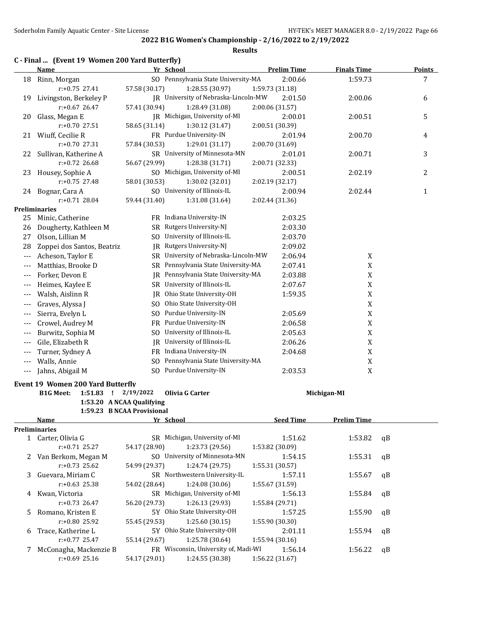### **2022 B1G Women's Championship - 2/16/2022 to 2/19/2022 Results**

#### **C - Final ... (Event 19 Women 200 Yard Butterfly)**

|       | $\mu$ and $\mu$ and $\mu$ and $\mu$ and $\mu$ and $\mu$ |               |                                      | <b>Prelim Time</b> |                    |               |
|-------|---------------------------------------------------------|---------------|--------------------------------------|--------------------|--------------------|---------------|
|       | <u>Name</u>                                             |               | Yr School                            |                    | <b>Finals Time</b> | <b>Points</b> |
| 18    | Rinn, Morgan                                            |               | SO Pennsylvania State University-MA  | 2:00.66            | 1:59.73            | 7             |
|       | $r: +0.75$ 27.41                                        | 57.58 (30.17) | 1:28.55 (30.97)                      | 1:59.73 (31.18)    |                    |               |
| 19    | Livingston, Berkeley P                                  |               | JR University of Nebraska-Lincoln-MW | 2:01.50            | 2:00.06            | 6             |
|       | $r: +0.67$ 26.47                                        | 57.41 (30.94) | 1:28.49 (31.08)                      | 2:00.06 (31.57)    |                    |               |
| 20    | Glass, Megan E                                          |               | JR Michigan, University of-MI        | 2:00.01            | 2:00.51            | 5             |
|       | r:+0.70 27.51                                           | 58.65 (31.14) | 1:30.12 (31.47)                      | 2:00.51 (30.39)    |                    |               |
| 21    | Wiuff, Cecilie R                                        |               | FR Purdue University-IN              | 2:01.94            | 2:00.70            | 4             |
|       | r:+0.70 27.31                                           | 57.84 (30.53) | 1:29.01 (31.17)                      | 2:00.70 (31.69)    |                    |               |
| 22    | Sullivan, Katherine A                                   |               | SR University of Minnesota-MN        | 2:01.01            | 2:00.71            | 3             |
|       | $r: +0.72$ 26.68                                        | 56.67 (29.99) | 1:28.38 (31.71)                      | 2:00.71 (32.33)    |                    |               |
| 23    | Housey, Sophie A                                        |               | SO Michigan, University of-MI        | 2:00.51            | 2:02.19            | 2             |
|       | $r: +0.75$ 27.48                                        | 58.01 (30.53) | 1:30.02 (32.01)                      | 2:02.19 (32.17)    |                    |               |
|       | 24 Bognar, Cara A                                       |               | SO University of Illinois-IL         | 2:00.94            | 2:02.44            | 1             |
|       | $r: +0.71$ 28.04                                        | 59.44 (31.40) | 1:31.08 (31.64)                      | 2:02.44 (31.36)    |                    |               |
|       | Preliminaries                                           |               |                                      |                    |                    |               |
| 25    | Minic, Catherine                                        |               | FR Indiana University-IN             | 2:03.25            |                    |               |
| 26    | Dougherty, Kathleen M                                   |               | SR Rutgers University-NJ             | 2:03.30            |                    |               |
| 27    | Olson, Lillian M                                        |               | SO University of Illinois-IL         | 2:03.70            |                    |               |
| 28    | Zoppei dos Santos, Beatriz                              |               | JR Rutgers University-NJ             | 2:09.02            |                    |               |
| ---   | Acheson, Taylor E                                       |               | SR University of Nebraska-Lincoln-MW | 2:06.94            | X                  |               |
| $---$ | Matthias, Brooke D                                      |               | SR Pennsylvania State University-MA  | 2:07.41            | X                  |               |
| ---   | Forker, Devon E                                         |               | JR Pennsylvania State University-MA  | 2:03.88            | $\mathbf X$        |               |
| ---   | Heimes, Kaylee E                                        |               | SR University of Illinois-IL         | 2:07.67            | X                  |               |
| ---   | Walsh, Aislinn R                                        | IR            | Ohio State University-OH             | 1:59.35            | X                  |               |
| $---$ | Graves, Alyssa J                                        | SO.           | Ohio State University-OH             |                    | X                  |               |
| $---$ | Sierra, Evelyn L                                        |               | SO Purdue University-IN              | 2:05.69            | X                  |               |
| $---$ | Crowel, Audrey M                                        |               | FR Purdue University-IN              | 2:06.58            | X                  |               |
| $---$ | Burwitz, Sophia M                                       |               | SO University of Illinois-IL         | 2:05.63            | X                  |               |
| $---$ | Gile, Elizabeth R                                       | IR            | University of Illinois-IL            | 2:06.26            | X                  |               |
| ---   | Turner, Sydney A                                        |               | FR Indiana University-IN             | 2:04.68            | X                  |               |
|       | Walls, Annie                                            | SO.           | Pennsylvania State University-MA     |                    | X                  |               |
| ---   |                                                         |               |                                      |                    |                    |               |
| ---   | Jahns, Abigail M                                        |               | SO Purdue University-IN              | 2:03.53            | X                  |               |
|       | <b>Event 19 Women 200 Yard Butterfly</b>                |               |                                      |                    |                    |               |
|       | <b>B1G Meet:</b><br>$1:51.83$ !                         | 2/19/2022     | Olivia G Carter                      |                    | Michigan-MI        |               |
|       | 1:53.20 A NCAA Qualifying                               |               |                                      |                    |                    |               |
|       | 1:59.23 B NCAA Provisional                              |               |                                      |                    |                    |               |
|       | <b>Name</b>                                             |               | Yr School                            | <b>Seed Time</b>   | <b>Prelim Time</b> |               |
|       | <b>Preliminaries</b>                                    |               |                                      |                    |                    |               |
|       | 1 Carter, Olivia G                                      |               | SR Michigan, University of-MI        | 1:51.62            | 1:53.82            | qB            |
|       | $r: +0.71$ 25.27                                        | 54.17 (28.90) | 1:23.73 (29.56)                      | 1:53.82 (30.09)    |                    |               |
| 2     | Van Berkom, Megan M                                     |               | SO University of Minnesota-MN        | 1:54.15            | 1:55.31            | qB            |
|       | $r: +0.73$ 25.62                                        | 54.99 (29.37) | 1:24.74 (29.75)                      | 1:55.31 (30.57)    |                    |               |
| 3     | Guevara, Miriam C                                       |               | SR Northwestern University-IL        | 1:57.11            | 1:55.67            | qB            |
|       | $r: +0.63$ 25.38                                        | 54.02 (28.64) | 1:24.08 (30.06)                      | 1:55.67 (31.59)    |                    |               |
| 4     | Kwan, Victoria                                          |               | SR Michigan, University of-MI        | 1:56.13            | 1:55.84            | qB            |
|       | r:+0.73 26.47                                           | 56.20 (29.73) | 1:26.13 (29.93)                      | 1:55.84 (29.71)    |                    |               |

5 Romano, Kristen E 5Y Ohio State University-OH 1:57.25 1:55.90 qB

6 Trace, Katherine L 5Y Ohio State University-OH 2:01.11 1:55.94 qB

7 McConagha, Mackenzie B FR Wisconsin, University of, Madi-WI 1:56.14 1:56.22 qB

r:+0.80 25.92 55.45 (29.53) 1:25.60 (30.15) 1:55.90 (30.30)

r:+0.77 25.47 55.14 (29.67) 1:25.78 (30.64) 1:55.94 (30.16)

r:+0.69 25.16 54.17 (29.01) 1:24.55 (30.38) 1:56.22 (31.67)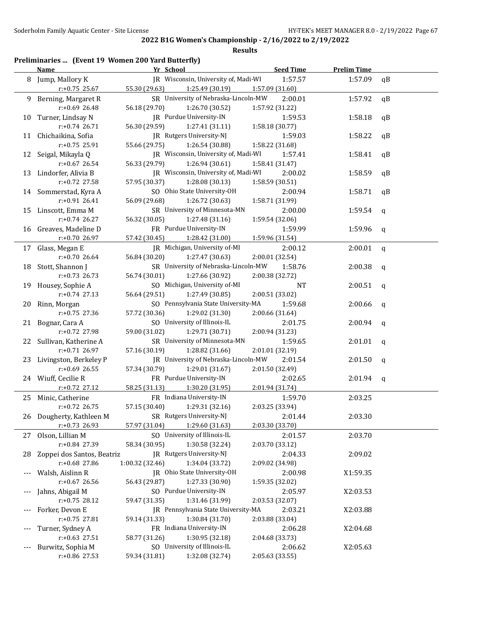### **Results**

# **Preliminaries ... (Event 19 Women 200 Yard Butterfly)**

|    | <b>Name</b>                | Yr School                            | <b>Seed Time</b> | <b>Prelim Time</b> |             |
|----|----------------------------|--------------------------------------|------------------|--------------------|-------------|
| 8  | Jump, Mallory K            | JR Wisconsin, University of, Madi-WI | 1:57.57          | 1:57.09            | qB          |
|    | $r: +0.75$ 25.67           | 55.30 (29.63)<br>1:25.49 (30.19)     | 1:57.09 (31.60)  |                    |             |
| 9  | Berning, Margaret R        | SR University of Nebraska-Lincoln-MW | 2:00.01          | 1:57.92            | qB          |
|    | r:+0.69 26.48              | 56.18 (29.70)<br>1:26.70 (30.52)     | 1:57.92 (31.22)  |                    |             |
| 10 | Turner, Lindsay N          | JR Purdue University-IN              | 1:59.53          | 1:58.18            | qB          |
|    | r:+0.74 26.71              | 56.30 (29.59)<br>1:27.41 (31.11)     | 1:58.18 (30.77)  |                    |             |
|    | 11 Chichaikina, Sofia      | JR Rutgers University-NJ             | 1:59.03          | 1:58.22            | qB          |
|    | r:+0.75 25.91              | 55.66 (29.75)<br>1:26.54 (30.88)     | 1:58.22 (31.68)  |                    |             |
|    | 12 Seigal, Mikayla Q       | JR Wisconsin, University of, Madi-WI | 1:57.41          | 1:58.41            | qB          |
|    | $r: +0.67$ 26.54           | 56.33 (29.79)<br>1:26.94 (30.61)     | 1:58.41 (31.47)  |                    |             |
| 13 | Lindorfer, Alivia B        | JR Wisconsin, University of, Madi-WI | 2:00.02          | 1:58.59            | qB          |
|    | r:+0.72 27.58              | 57.95 (30.37)<br>1:28.08 (30.13)     | 1:58.59 (30.51)  |                    |             |
|    | 14 Sommerstad, Kyra A      | SO Ohio State University-OH          | 2:00.94          | 1:58.71            | qB          |
|    | r:+0.91 26.41              | 56.09 (29.68)<br>1:26.72 (30.63)     | 1:58.71 (31.99)  |                    |             |
| 15 | Linscott, Emma M           | SR University of Minnesota-MN        | 2:00.00          | 1:59.54            | q           |
|    | r:+0.74 26.27              | 56.32 (30.05)<br>1:27.48 (31.16)     | 1:59.54 (32.06)  |                    |             |
| 16 | Greaves, Madeline D        | FR Purdue University-IN              | 1:59.99          | 1:59.96            | q           |
|    | r:+0.70 26.97              | 57.42 (30.45)<br>1:28.42 (31.00)     | 1:59.96 (31.54)  |                    |             |
| 17 | Glass, Megan E             | JR Michigan, University of-MI        | 2:00.12          | 2:00.01            | q           |
|    | r:+0.70 26.64              | 56.84 (30.20)<br>1:27.47 (30.63)     | 2:00.01 (32.54)  |                    |             |
| 18 | Stott, Shannon J           | SR University of Nebraska-Lincoln-MW | 1:58.76          | 2:00.38            | q           |
|    | $r: +0.73$ 26.73           | 56.74 (30.01)<br>1:27.66 (30.92)     | 2:00.38 (32.72)  |                    |             |
| 19 | Housey, Sophie A           | SO Michigan, University of-MI        | <b>NT</b>        | 2:00.51            | q           |
|    | r:+0.74 27.13              | 56.64 (29.51)<br>1:27.49 (30.85)     | 2:00.51 (33.02)  |                    |             |
| 20 | Rinn, Morgan               | SO Pennsylvania State University-MA  | 1:59.68          | 2:00.66            | q           |
|    | r:+0.75 27.36              | 57.72 (30.36)<br>1:29.02 (31.30)     | 2:00.66 (31.64)  |                    |             |
| 21 | Bognar, Cara A             | SO University of Illinois-IL         | 2:01.75          | 2:00.94            | $\mathbf q$ |
|    | r:+0.72 27.98              | 59.00 (31.02)<br>1:29.71 (30.71)     | 2:00.94 (31.23)  |                    |             |
|    | 22 Sullivan, Katherine A   | SR University of Minnesota-MN        | 1:59.65          | 2:01.01            | q           |
|    | r:+0.71 26.97              | 57.16 (30.19)<br>1:28.82 (31.66)     | 2:01.01 (32.19)  |                    |             |
| 23 | Livingston, Berkeley P     | JR University of Nebraska-Lincoln-MW | 2:01.54          | 2:01.50            | $\mathbf q$ |
|    | $r: +0.69$ 26.55           | 57.34 (30.79)<br>1:29.01 (31.67)     | 2:01.50 (32.49)  |                    |             |
|    | 24 Wiuff, Cecilie R        | FR Purdue University-IN              | 2:02.65          | 2:01.94            | q           |
|    | r:+0.72 27.12              | 58.25 (31.13)<br>1:30.20 (31.95)     | 2:01.94 (31.74)  |                    |             |
|    | 25 Minic, Catherine        | FR Indiana University-IN             | 1:59.70          | 2:03.25            |             |
|    | r:+0.72 26.75              | 57.15 (30.40)<br>1:29.31 (32.16)     | 2:03.25 (33.94)  |                    |             |
|    | 26 Dougherty, Kathleen M   | SR Rutgers University-NJ             | 2:01.44          | 2:03.30            |             |
|    | $r: +0.73$ 26.93           | 1:29.60 (31.63)<br>57.97 (31.04)     | 2:03.30 (33.70)  |                    |             |
|    | 27 Olson, Lillian M        | SO University of Illinois-IL         | 2:01.57          | 2:03.70            |             |
|    | r:+0.84 27.39              | 1:30.58 (32.24)<br>58.34 (30.95)     | 2:03.70 (33.12)  |                    |             |
| 28 | Zoppei dos Santos, Beatriz | JR Rutgers University-NJ             | 2:04.33          | 2:09.02            |             |
|    | r:+0.68 27.86              | 1:34.04 (33.72)<br>1:00.32 (32.46)   | 2:09.02 (34.98)  |                    |             |
|    | Walsh, Aislinn R           | JR Ohio State University-OH          | 2:00.98          | X1:59.35           |             |
|    | r:+0.67 26.56              | 1:27.33 (30.90)<br>56.43 (29.87)     | 1:59.35 (32.02)  |                    |             |
|    | Jahns, Abigail M           | SO Purdue University-IN              | 2:05.97          | X2:03.53           |             |
|    | $r: +0.75$ 28.12           | 59.47 (31.35)<br>1:31.46 (31.99)     | 2:03.53 (32.07)  |                    |             |
|    | Forker, Devon E            | JR Pennsylvania State University-MA  | 2:03.21          | X2:03.88           |             |
|    | $r: +0.75$ 27.81           | 59.14 (31.33)<br>1:30.84 (31.70)     | 2:03.88 (33.04)  |                    |             |
|    | Turner, Sydney A           | FR Indiana University-IN             | 2:06.28          | X2:04.68           |             |
|    | $r: +0.63$ 27.51           | 58.77 (31.26)<br>1:30.95 (32.18)     | 2:04.68 (33.73)  |                    |             |
|    | Burwitz, Sophia M          | SO University of Illinois-IL         | 2:06.62          | X2:05.63           |             |
|    | r:+0.86 27.53              | 1:32.08 (32.74)<br>59.34 (31.81)     | 2:05.63 (33.55)  |                    |             |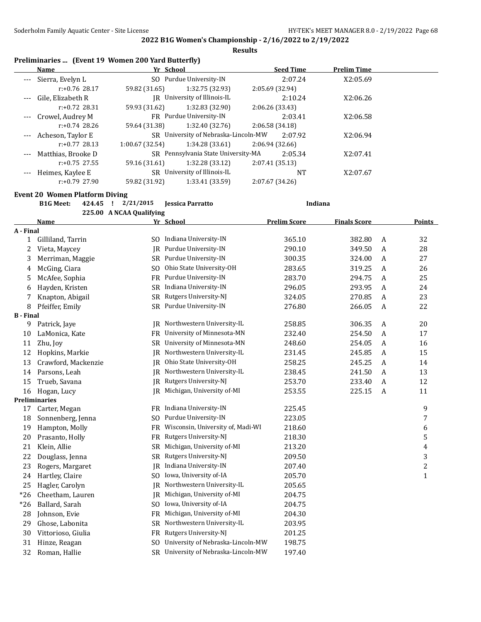**Results**

# **Preliminaries ... (Event 19 Women 200 Yard Butterfly)**

|                     | Name                 | Yr School      |                                      |                 | <b>Seed Time</b> | <b>Prelim Time</b> |  |
|---------------------|----------------------|----------------|--------------------------------------|-----------------|------------------|--------------------|--|
|                     | --- Sierra, Evelyn L |                | SO Purdue University-IN              |                 | 2:07.24          | X2:05.69           |  |
|                     | $r: +0.76$ 28.17     | 59.82 (31.65)  | 1:32.75 (32.93)                      | 2:05.69(32.94)  |                  |                    |  |
| $\qquad \qquad - -$ | Gile, Elizabeth R    |                | IR University of Illinois-IL         |                 | 2:10.24          | X2:06.26           |  |
|                     | $r: +0.72$ 28.31     | 59.93 (31.62)  | 1:32.83 (32.90)                      | 2:06.26(33.43)  |                  |                    |  |
| $---$               | Crowel, Audrey M     |                | FR Purdue University-IN              |                 | 2:03.41          | X2:06.58           |  |
|                     | $r: +0.74$ 28.26     | 59.64 (31.38)  | 1:32.40 (32.76)                      | 2:06.58(34.18)  |                  |                    |  |
| $---$               | Acheson, Taylor E    |                | SR University of Nebraska-Lincoln-MW |                 | 2:07.92          | X2:06.94           |  |
|                     | $r: +0.77$ 28.13     | 1:00.67(32.54) | 1:34.28 (33.61)                      | 2:06.94 (32.66) |                  |                    |  |
| $---$               | Matthias, Brooke D   |                | SR Pennsylvania State University-MA  |                 | 2:05.34          | X2:07.41           |  |
|                     | $r: +0.75$ 27.55     | 59.16 (31.61)  | 1:32.28 (33.12)                      | 2:07.41 (35.13) |                  |                    |  |
| $---$               | Heimes, Kaylee E     |                | SR University of Illinois-IL         |                 | <b>NT</b>        | X2:07.67           |  |
|                     | $r: +0.79$ 27.90     | 59.82 (31.92)  | 1:33.41 (33.59)                      | 2:07.67 (34.26) |                  |                    |  |

### **Event 20 Women Platform Diving**

**B1G Meet: 424.45 ! 2/21/2015 Jessica Parratto Indiana 225.00 A NCAA Qualifying**

|                  | <b>Name</b>          |                | Yr School                            | <b>Prelim Score</b> | <b>Finals Score</b> |   | <b>Points</b> |
|------------------|----------------------|----------------|--------------------------------------|---------------------|---------------------|---|---------------|
| A - Final        |                      |                |                                      |                     |                     |   |               |
| $\mathbf{1}$     | Gilliland, Tarrin    |                | SO Indiana University-IN             | 365.10              | 382.80              | A | 32            |
| 2                | Vieta, Maycey        | IR             | Purdue University-IN                 | 290.10              | 349.50              | A | 28            |
| 3                | Merriman, Maggie     | SR.            | Purdue University-IN                 | 300.35              | 324.00              | A | 27            |
| 4                | McGing, Ciara        | SO.            | Ohio State University-OH             | 283.65              | 319.25              | A | 26            |
| 5                | McAfee, Sophia       | FR             | Purdue University-IN                 | 283.70              | 294.75              | A | 25            |
| 6                | Hayden, Kristen      |                | SR Indiana University-IN             | 296.05              | 293.95              | A | 24            |
| 7                | Knapton, Abigail     | SR             | Rutgers University-NJ                | 324.05              | 270.85              | A | 23            |
| 8                | Pfeiffer, Emily      |                | SR Purdue University-IN              | 276.80              | 266.05              | A | 22            |
| <b>B</b> - Final |                      |                |                                      |                     |                     |   |               |
| 9                | Patrick, Jaye        | IR             | Northwestern University-IL           | 258.85              | 306.35              | A | 20            |
| 10               | LaMonica, Kate       | FR             | University of Minnesota-MN           | 232.40              | 254.50              | A | 17            |
| 11               | Zhu, Joy             | <b>SR</b>      | University of Minnesota-MN           | 248.60              | 254.05              | A | 16            |
| 12               | Hopkins, Markie      | IR             | Northwestern University-IL           | 231.45              | 245.85              | A | 15            |
| 13               | Crawford, Mackenzie  | IR             | Ohio State University-OH             | 258.25              | 245.25              | A | 14            |
| 14               | Parsons, Leah        | IR             | Northwestern University-IL           | 238.45              | 241.50              | A | 13            |
| 15               | Trueb, Savana        | IR             | Rutgers University-NJ                | 253.70              | 233.40              | A | 12            |
| 16               | Hogan, Lucy          | IR             | Michigan, University of-MI           | 253.55              | 225.15              | A | 11            |
|                  | <b>Preliminaries</b> |                |                                      |                     |                     |   |               |
| 17               | Carter, Megan        |                | FR Indiana University-IN             | 225.45              |                     |   | 9             |
| 18               | Sonnenberg, Jenna    | SO.            | Purdue University-IN                 | 223.05              |                     |   | 7             |
| 19               | Hampton, Molly       | FR             | Wisconsin, University of, Madi-WI    | 218.60              |                     |   | 6             |
| 20               | Prasanto, Holly      | FR             | Rutgers University-NJ                | 218.30              |                     |   | 5             |
| 21               | Klein, Allie         | SR             | Michigan, University of-MI           | 213.20              |                     |   | 4             |
| 22               | Douglass, Jenna      | SR             | Rutgers University-NJ                | 209.50              |                     |   | 3             |
| 23               | Rogers, Margaret     | JR             | Indiana University-IN                | 207.40              |                     |   | $\sqrt{2}$    |
| 24               | Hartley, Claire      | S <sub>O</sub> | Iowa, University of-IA               | 205.70              |                     |   | $\mathbf{1}$  |
| 25               | Hagler, Carolyn      | IR             | Northwestern University-IL           | 205.65              |                     |   |               |
| $*26$            | Cheetham, Lauren     | IR.            | Michigan, University of-MI           | 204.75              |                     |   |               |
| $*26$            | Ballard, Sarah       | SO.            | Iowa, University of-IA               | 204.75              |                     |   |               |
| 28               | Johnson, Evie        | <b>FR</b>      | Michigan, University of-MI           | 204.30              |                     |   |               |
| 29               | Ghose, Labonita      | SR             | Northwestern University-IL           | 203.95              |                     |   |               |
| 30               | Vittorioso, Giulia   | FR             | Rutgers University-NJ                | 201.25              |                     |   |               |
| 31               | Hinze, Reagan        | SO.            | University of Nebraska-Lincoln-MW    | 198.75              |                     |   |               |
| 32               | Roman, Hallie        |                | SR University of Nebraska-Lincoln-MW | 197.40              |                     |   |               |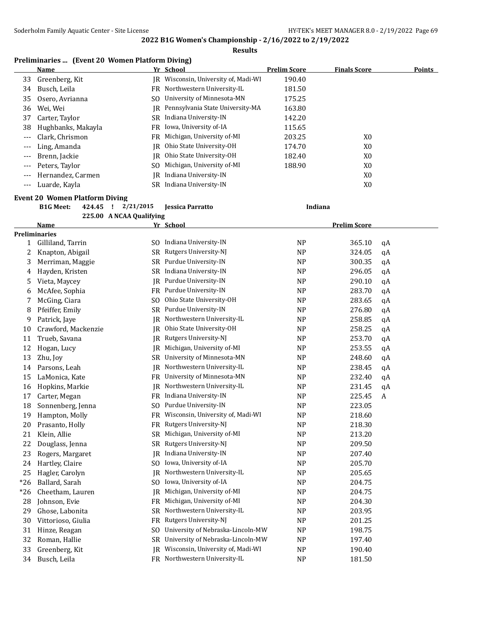### **Results**

# **Preliminaries ... (Event 20 Women Platform Diving)**

|       | Name               |     | Yr School                           | <b>Prelim Score</b> | <b>Finals Score</b> | <b>Points</b> |
|-------|--------------------|-----|-------------------------------------|---------------------|---------------------|---------------|
| 33    | Greenberg, Kit     | IR  | Wisconsin, University of, Madi-WI   | 190.40              |                     |               |
| 34    | Busch, Leila       |     | FR Northwestern University-IL       | 181.50              |                     |               |
| 35    | Osero, Avrianna    | SO. | University of Minnesota-MN          | 175.25              |                     |               |
| 36    | Wei, Wei           |     | IR Pennsylvania State University-MA | 163.80              |                     |               |
| 37    | Carter, Taylor     |     | SR Indiana University-IN            | 142.20              |                     |               |
| 38    | Hughbanks, Makayla |     | FR Iowa, University of-IA           | 115.65              |                     |               |
| ---   | Clark. Chrismon    | FR. | Michigan, University of-MI          | 203.25              | X <sub>0</sub>      |               |
| ---   | Ling, Amanda       |     | IR Ohio State University-OH         | 174.70              | X0                  |               |
| $---$ | Brenn, Jackie      |     | IR Ohio State University-OH         | 182.40              | X0                  |               |
| ---   | Peters, Taylor     | SO. | Michigan, University of-MI          | 188.90              | X0                  |               |
| ---   | Hernandez, Carmen  | IR  | Indiana University-IN               |                     | X0                  |               |
| ---   | Luarde, Kayla      |     | SR Indiana University-IN            |                     | X0                  |               |

# **Event 20 Women Platform Diving**

|  |                          | Indiana |
|--|--------------------------|---------|
|  | 225.00 A NCAA Qualifying |         |

|       | Name                 |           | Yr School                         |                | <b>Prelim Score</b> |    |
|-------|----------------------|-----------|-----------------------------------|----------------|---------------------|----|
|       | <b>Preliminaries</b> |           |                                   |                |                     |    |
| 1     | Gilliland, Tarrin    | SO.       | Indiana University-IN             | NP             | 365.10              | qA |
| 2     | Knapton, Abigail     | <b>SR</b> | Rutgers University-NJ             | <b>NP</b>      | 324.05              | qA |
| 3     | Merriman, Maggie     | SR        | Purdue University-IN              | <b>NP</b>      | 300.35              | qA |
| 4     | Hayden, Kristen      | SR        | Indiana University-IN             | N <sub>P</sub> | 296.05              | qA |
| 5     | Vieta, Maycey        | JR        | Purdue University-IN              | <b>NP</b>      | 290.10              | qA |
| 6     | McAfee, Sophia       | FR        | Purdue University-IN              | <b>NP</b>      | 283.70              | qA |
| 7     | McGing, Ciara        | SO.       | Ohio State University-OH          | <b>NP</b>      | 283.65              | qA |
| 8     | Pfeiffer, Emily      | <b>SR</b> | Purdue University-IN              | N <sub>P</sub> | 276.80              | qA |
| 9     | Patrick, Jaye        | IR        | Northwestern University-IL        | N <sub>P</sub> | 258.85              | qA |
| 10    | Crawford, Mackenzie  | IR.       | Ohio State University-OH          | <b>NP</b>      | 258.25              | qA |
| 11    | Trueb, Savana        | IR        | Rutgers University-NJ             | <b>NP</b>      | 253.70              | qA |
| 12    | Hogan, Lucy          | IR        | Michigan, University of-MI        | <b>NP</b>      | 253.55              | qA |
| 13    | Zhu, Joy             | SR.       | University of Minnesota-MN        | <b>NP</b>      | 248.60              | qA |
| 14    | Parsons, Leah        | JR        | Northwestern University-IL        | <b>NP</b>      | 238.45              | qA |
| 15    | LaMonica, Kate       | FR        | University of Minnesota-MN        | N <sub>P</sub> | 232.40              | qA |
| 16    | Hopkins, Markie      | <b>IR</b> | Northwestern University-IL        | NP             | 231.45              | qA |
| 17    | Carter, Megan        | FR        | Indiana University-IN             | <b>NP</b>      | 225.45              | A  |
| 18    | Sonnenberg, Jenna    | SO.       | Purdue University-IN              | N <sub>P</sub> | 223.05              |    |
| 19    | Hampton, Molly       | FR        | Wisconsin, University of, Madi-WI | <b>NP</b>      | 218.60              |    |
| 20    | Prasanto, Holly      | FR        | Rutgers University-NJ             | <b>NP</b>      | 218.30              |    |
| 21    | Klein, Allie         | <b>SR</b> | Michigan, University of-MI        | <b>NP</b>      | 213.20              |    |
| 22    | Douglass, Jenna      | SR        | Rutgers University-NJ             | <b>NP</b>      | 209.50              |    |
| 23    | Rogers, Margaret     | JR        | Indiana University-IN             | NP             | 207.40              |    |
| 24    | Hartley, Claire      | SO.       | Iowa, University of-IA            | <b>NP</b>      | 205.70              |    |
| 25    | Hagler, Carolyn      | JR        | Northwestern University-IL        | <b>NP</b>      | 205.65              |    |
| $*26$ | Ballard, Sarah       | SO.       | Iowa, University of-IA            | <b>NP</b>      | 204.75              |    |
| $*26$ | Cheetham, Lauren     | IR        | Michigan, University of-MI        | <b>NP</b>      | 204.75              |    |
| 28    | Johnson, Evie        | FR        | Michigan, University of-MI        | <b>NP</b>      | 204.30              |    |
| 29    | Ghose, Labonita      | <b>SR</b> | Northwestern University-IL        | <b>NP</b>      | 203.95              |    |
| 30    | Vittorioso, Giulia   | <b>FR</b> | Rutgers University-NJ             | <b>NP</b>      | 201.25              |    |
| 31    | Hinze, Reagan        | SO.       | University of Nebraska-Lincoln-MW | <b>NP</b>      | 198.75              |    |
| 32    | Roman, Hallie        | SR        | University of Nebraska-Lincoln-MW | <b>NP</b>      | 197.40              |    |
| 33    | Greenberg, Kit       | IR        | Wisconsin, University of, Madi-WI | <b>NP</b>      | 190.40              |    |
| 34    | Busch, Leila         | <b>FR</b> | Northwestern University-IL        | <b>NP</b>      | 181.50              |    |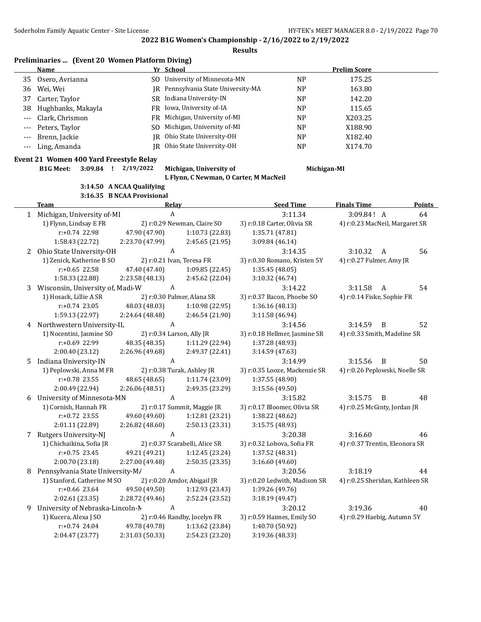**Results**

|                     | Preliminaries  (Event 20 Women Platform Diving) |     |                                     |           |                     |  |  |  |
|---------------------|-------------------------------------------------|-----|-------------------------------------|-----------|---------------------|--|--|--|
|                     | Name                                            |     | Yr School                           |           | <b>Prelim Score</b> |  |  |  |
| 35                  | Osero, Avrianna                                 |     | SO University of Minnesota-MN       | NP.       | 175.25              |  |  |  |
| 36                  | Wei, Wei                                        |     | IR Pennsylvania State University-MA | <b>NP</b> | 163.80              |  |  |  |
| 37                  | Carter, Taylor                                  |     | SR Indiana University-IN            | <b>NP</b> | 142.20              |  |  |  |
| 38                  | Hughbanks, Makayla                              |     | FR Iowa, University of-IA           | <b>NP</b> | 115.65              |  |  |  |
| $\qquad \qquad - -$ | Clark, Chrismon                                 |     | FR Michigan, University of-MI       | <b>NP</b> | X203.25             |  |  |  |
|                     | --- Peters, Taylor                              | SO. | Michigan, University of-MI          | <b>NP</b> | X188.90             |  |  |  |
|                     | Brenn, Jackie                                   |     | JR Ohio State University-OH         | <b>NP</b> | X182.40             |  |  |  |
|                     | --- Ling, Amanda                                |     | IR Ohio State University-OH         | <b>NP</b> | X174.70             |  |  |  |

### **Event 21 Women 400 Yard Freestyle Relay**

**B1G Meet: 3:09.84 ! 2/19/2022 Michigan, University of Michigan-MI**

**L Flynn, C Newman, O Carter, M MacNeil**

### **3:14.50 A NCAA Qualifying 3:16.35 B NCAA Provisional**

|   | <b>Team</b>                      | Relay                     |                                | <b>Seed Time</b>              | <b>Finals Time</b>              | <b>Points</b> |
|---|----------------------------------|---------------------------|--------------------------------|-------------------------------|---------------------------------|---------------|
|   | 1 Michigan, University of-MI     | $\mathbf{A}$              |                                | 3:11.34                       | 3:09.84! A                      | 64            |
|   | 1) Flynn, Lindsay E FR           |                           | 2) r:0.29 Newman, Claire SO    | 3) r:0.18 Carter, Olivia SR   | 4) r:0.23 MacNeil, Margaret SR  |               |
|   | r:+0.74 22.98                    | 47.90 (47.90)             | 1:10.73 (22.83)                | 1:35.71 (47.81)               |                                 |               |
|   | 1:58.43 (22.72)                  | 2:23.70 (47.99)           | 2:45.65 (21.95)                | 3:09.84 (46.14)               |                                 |               |
|   | 2 Ohio State University-OH       | A                         |                                | 3:14.35                       | 3:10.32<br>A                    | 56            |
|   | 1) Zenick, Katherine B SO        |                           | 2) r:0.21 Ivan, Teresa FR      | 3) r:0.30 Romano, Kristen 5Y  | 4) r:0.27 Fulmer, Amy JR        |               |
|   | $r: +0.65$ 22.58                 | 47.40 (47.40)             | 1:09.85(22.45)                 | 1:35.45 (48.05)               |                                 |               |
|   | 1:58.33 (22.88)                  | 2:23.58 (48.13)           | 2:45.62 (22.04)                | 3:10.32 (46.74)               |                                 |               |
| 3 | Wisconsin, University of, Madi-W | A                         |                                | 3:14.22                       | 3:11.58<br>A                    | 54            |
|   | 1) Hosack, Lillie A SR           |                           | 2) r:0.30 Palmer, Alana SR     | 3) r:0.37 Bacon, Phoebe SO    | 4) r:0.14 Fiske, Sophie FR      |               |
|   | $r: +0.74$ 23.05                 | 48.03 (48.03)             | 1:10.98 (22.95)                | 1:36.16 (48.13)               |                                 |               |
|   | 1:59.13 (22.97)                  | 2:24.64 (48.48)           | 2:46.54 (21.90)                | 3:11.58 (46.94)               |                                 |               |
|   | 4 Northwestern University-IL     | A                         |                                | 3:14.56                       | 3:14.59<br>B                    | 52            |
|   | 1) Nocentini, Jasmine SO         | 2) r:0.34 Larson, Ally JR |                                | 3) r:0.18 Hellmer, Jasmine SR | 4) r:0.33 Smith, Madeline SR    |               |
|   | r:+0.69 22.99                    | 48.35 (48.35)             | 1:11.29 (22.94)                | 1:37.28 (48.93)               |                                 |               |
|   | 2:00.40 (23.12)                  | 2:26.96 (49.68)           | 2:49.37 (22.41)                | 3:14.59 (47.63)               |                                 |               |
| 5 | Indiana University-IN            | A                         |                                | 3:14.99                       | 3:15.56<br>B                    | 50            |
|   | 1) Peplowski, Anna M FR          |                           | 2) r:0.38 Turak, Ashley JR     | 3) r:0.35 Looze, Mackenzie SR | 4) r:0.26 Peplowski, Noelle SR  |               |
|   | $r: +0.78$ 23.55                 | 48.65 (48.65)             | 1:11.74 (23.09)                | 1:37.55 (48.90)               |                                 |               |
|   | 2:00.49 (22.94)                  | 2:26.06 (48.51)           | 2:49.35 (23.29)                | 3:15.56 (49.50)               |                                 |               |
| 6 | University of Minnesota-MN       | A                         |                                | 3:15.82                       | 3:15.75<br>B                    | 48            |
|   | 1) Cornish, Hannah FR            |                           | 2) r:0.17 Summit, Maggie JR    | 3) r:0.17 Bloomer, Olivia SR  | 4) r:0.25 McGinty, Jordan JR    |               |
|   | $r: +0.72$ 23.55                 | 49.60 (49.60)             | 1:12.81 (23.21)                | 1:38.22 (48.62)               |                                 |               |
|   | 2:01.11 (22.89)                  | 2:26.82 (48.60)           | 2:50.13 (23.31)                | 3:15.75 (48.93)               |                                 |               |
| 7 | Rutgers University-NJ            | A                         |                                | 3:20.38                       | 3:16.60                         | 46            |
|   | 1) Chichaikina, Sofia JR         |                           | 2) r:0.37 Scarabelli, Alice SR | 3) r:0.32 Lobova, Sofia FR    | 4) r:0.37 Trentin, Eleonora SR  |               |
|   | $r: +0.75$ 23.45                 | 49.21 (49.21)             | 1:12.45 (23.24)                | 1:37.52 (48.31)               |                                 |               |
|   | 2:00.70 (23.18)                  | 2:27.00 (49.48)           | 2:50.35 (23.35)                | 3:16.60 (49.60)               |                                 |               |
| 8 | Pennsylvania State University-M/ | A                         |                                | 3:20.56                       | 3:18.19                         | 44            |
|   | 1) Stanford, Catherine M SO      |                           | 2) r:0.20 Amdor, Abigail JR    | 3) r:0.20 Ledwith, Madison SR | 4) r:0.25 Sheridan, Kathleen SR |               |
|   | r:+0.66 23.64                    | 49.50 (49.50)             | 1:12.93 (23.43)                | 1:39.26 (49.76)               |                                 |               |
|   | 2:02.61 (23.35)                  | 2:28.72 (49.46)           | 2:52.24 (23.52)                | 3:18.19 (49.47)               |                                 |               |
| 9 | University of Nebraska-Lincoln-N | A                         |                                | 3:20.12                       | 3:19.36                         | 40            |
|   | 1) Kucera, Alexa J SO            |                           | 2) r:0.46 Randby, Jocelyn FR   | 3) r:0.59 Haimes, Emily SO    | 4) r:0.29 Haebig, Autumn 5Y     |               |
|   | $r: +0.74$ 24.04                 | 49.78 (49.78)             | 1:13.62 (23.84)                | 1:40.70 (50.92)               |                                 |               |
|   | 2:04.47 (23.77)                  | 2:31.03 (50.33)           | 2:54.23 (23.20)                | 3:19.36 (48.33)               |                                 |               |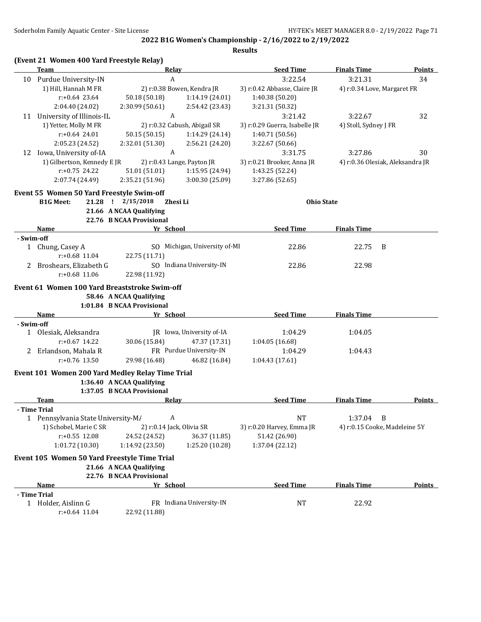|            | (Event 21 Women 400 Yard Freestyle Relay)        |                                                     |                               |                               |                                  |               |
|------------|--------------------------------------------------|-----------------------------------------------------|-------------------------------|-------------------------------|----------------------------------|---------------|
|            | Team                                             | <b>Relay</b>                                        |                               | <b>Seed Time</b>              | <b>Finals Time</b>               | Points        |
| 10         | Purdue University-IN                             | A                                                   |                               | 3:22.54                       | 3:21.31                          | 34            |
|            | 1) Hill, Hannah M FR                             |                                                     | 2) r:0.38 Bowen, Kendra JR    | 3) r:0.42 Abbasse, Claire JR  | 4) r:0.34 Love, Margaret FR      |               |
|            | $r: +0.64$ 23.64                                 | 50.18 (50.18)                                       | 1:14.19 (24.01)               | 1:40.38 (50.20)               |                                  |               |
|            | 2:04.40 (24.02)                                  | 2:30.99 (50.61)                                     | 2:54.42 (23.43)               | 3:21.31 (50.32)               |                                  |               |
| 11         | University of Illinois-IL                        | A                                                   |                               | 3:21.42                       | 3:22.67                          | 32            |
|            | 1) Yetter, Molly M FR                            |                                                     | 2) r:0.32 Cabush, Abigail SR  | 3) r:0.29 Guerra, Isabelle JR | 4) Stoll, Sydney J FR            |               |
|            | $r: +0.64$ 24.01                                 | 50.15 (50.15)                                       | 1:14.29(24.14)                | 1:40.71 (50.56)               |                                  |               |
|            | 2:05.23 (24.52)                                  | 2:32.01 (51.30)                                     | 2:56.21 (24.20)               | 3:22.67 (50.66)               |                                  |               |
| 12         | Iowa, University of-IA                           | A                                                   |                               | 3:31.75                       | 3:27.86                          | 30            |
|            | 1) Gilbertson, Kennedy E JR                      |                                                     | 2) r:0.43 Lange, Payton JR    | 3) r:0.21 Brooker, Anna JR    | 4) r:0.36 Olesiak, Aleksandra JR |               |
|            | $r: +0.75$ 24.22                                 | 51.01 (51.01)                                       | 1:15.95 (24.94)               | 1:43.25 (52.24)               |                                  |               |
|            | 2:07.74 (24.49)                                  | 2:35.21 (51.96)                                     | 3:00.30 (25.09)               | 3:27.86 (52.65)               |                                  |               |
|            |                                                  |                                                     |                               |                               |                                  |               |
|            | Event 55 Women 50 Yard Freestyle Swim-off        |                                                     |                               |                               |                                  |               |
|            | <b>B1G Meet:</b>                                 | 21.28 ! 2/15/2018                                   | Zhesi Li                      | <b>Ohio State</b>             |                                  |               |
|            |                                                  | 21.66 A NCAA Qualifying<br>22.76 B NCAA Provisional |                               |                               |                                  |               |
|            | Name                                             | Yr School                                           |                               | <b>Seed Time</b>              | <b>Finals Time</b>               |               |
| - Swim-off |                                                  |                                                     |                               |                               |                                  |               |
|            | 1 Chung, Casey A                                 |                                                     | SO Michigan, University of-MI | 22.86                         | 22.75<br>B                       |               |
|            | $r: +0.68$ 11.04                                 | 22.75 (11.71)                                       |                               |                               |                                  |               |
| 2.         | Broshears, Elizabeth G                           |                                                     | SO Indiana University-IN      | 22.86                         | 22.98                            |               |
|            | $r: +0.68$ 11.06                                 | 22.98 (11.92)                                       |                               |                               |                                  |               |
|            |                                                  |                                                     |                               |                               |                                  |               |
|            | Event 61 Women 100 Yard Breaststroke Swim-off    |                                                     |                               |                               |                                  |               |
|            |                                                  | 58.46 A NCAA Qualifying                             |                               |                               |                                  |               |
|            |                                                  | 1:01.84 B NCAA Provisional                          |                               |                               |                                  |               |
|            | Name                                             | Yr School                                           |                               | <b>Seed Time</b>              | <b>Finals Time</b>               |               |
| - Swim-off |                                                  |                                                     |                               |                               |                                  |               |
|            | 1 Olesiak, Aleksandra                            |                                                     | JR Iowa, University of-IA     | 1:04.29                       | 1:04.05                          |               |
|            | $r: +0.67$ 14.22                                 | 30.06 (15.84)                                       | 47.37 (17.31)                 | 1:04.05 (16.68)               |                                  |               |
|            | 2 Erlandson, Mahala R                            |                                                     | FR Purdue University-IN       | 1:04.29                       | 1:04.43                          |               |
|            | $r: +0.76$ 13.50                                 | 29.98 (16.48)                                       | 46.82 (16.84)                 | 1:04.43 (17.61)               |                                  |               |
|            | Event 101 Women 200 Yard Medley Relay Time Trial |                                                     |                               |                               |                                  |               |
|            |                                                  | 1:36.40 A NCAA Qualifying                           |                               |                               |                                  |               |
|            |                                                  | 1:37.05 B NCAA Provisional                          |                               |                               |                                  |               |
|            | <b>Team</b>                                      | <b>Relay</b>                                        |                               | <b>Seed Time</b>              | <b>Finals Time</b>               | <b>Points</b> |
|            | - Time Trial                                     |                                                     |                               |                               |                                  |               |
|            | 1 Pennsylvania State University-M/               | A                                                   |                               | <b>NT</b>                     | 1:37.04<br>$\overline{B}$        |               |
|            | 1) Schobel, Marie C SR                           | 2) r:0.14 Jack, Olivia SR                           |                               | 3) r:0.20 Harvey, Emma JR     | 4) r:0.15 Cooke, Madeleine 5Y    |               |
|            | $r: +0.55$ 12.08                                 | 24.52 (24.52)                                       | 36.37 (11.85)                 | 51.42 (26.90)                 |                                  |               |
|            | 1:01.72 (10.30)                                  | 1:14.92 (23.50)                                     | 1:25.20 (10.28)               | 1:37.04 (22.12)               |                                  |               |
|            | Event 105 Women 50 Yard Freestyle Time Trial     |                                                     |                               |                               |                                  |               |
|            |                                                  | 21.66 A NCAA Qualifying                             |                               |                               |                                  |               |
|            |                                                  | 22.76 B NCAA Provisional                            |                               |                               |                                  |               |
|            | Name                                             | Yr School                                           |                               | <b>Seed Time</b>              | <b>Finals Time</b>               | Points        |
|            | - Time Trial                                     |                                                     |                               |                               |                                  |               |
|            | 1 Holder, Aislinn G                              |                                                     | FR Indiana University-IN      | NT                            | 22.92                            |               |
|            | $r: +0.64$ 11.04                                 | 22.92 (11.88)                                       |                               |                               |                                  |               |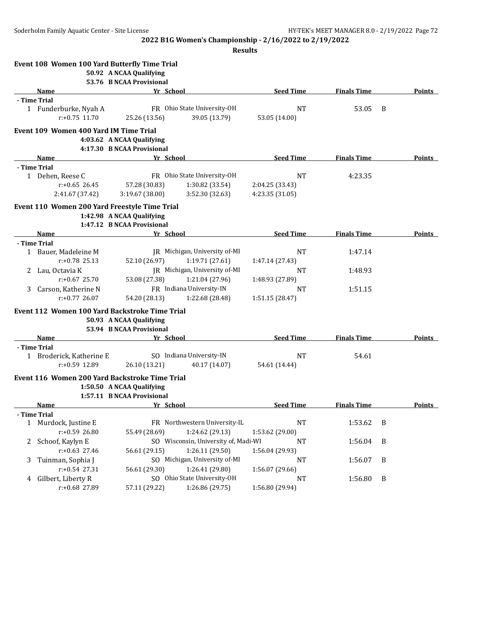|   | Event 108 Women 100 Yard Butterfly Time Trial  |                            |                                      |                  |                    |   |               |
|---|------------------------------------------------|----------------------------|--------------------------------------|------------------|--------------------|---|---------------|
|   |                                                | 50.92 A NCAA Qualifying    |                                      |                  |                    |   |               |
|   |                                                | 53.76 B NCAA Provisional   |                                      |                  |                    |   |               |
|   | Name                                           | Yr School                  |                                      | <b>Seed Time</b> | <b>Finals Time</b> |   | <b>Points</b> |
|   | - Time Trial                                   |                            |                                      |                  |                    |   |               |
|   | 1 Funderburke, Nyah A                          |                            | FR Ohio State University-OH          | <b>NT</b>        | 53.05              | B |               |
|   | $r: +0.75$ 11.70                               | 25.26 (13.56)              | 39.05 (13.79)                        | 53.05 (14.00)    |                    |   |               |
|   | Event 109 Women 400 Yard IM Time Trial         |                            |                                      |                  |                    |   |               |
|   |                                                | 4:03.62 A NCAA Qualifying  |                                      |                  |                    |   |               |
|   |                                                | 4:17.30 B NCAA Provisional |                                      |                  |                    |   |               |
|   | Name                                           | Yr School                  |                                      | <b>Seed Time</b> | <b>Finals Time</b> |   | Points        |
|   | - Time Trial                                   |                            |                                      |                  |                    |   |               |
|   | 1 Dehen, Reese C                               |                            | FR Ohio State University-OH          | <b>NT</b>        | 4:23.35            |   |               |
|   | $r: +0.65$ 26.45                               | 57.28 (30.83)              | 1:30.82 (33.54)                      | 2:04.25 (33.43)  |                    |   |               |
|   | 2:41.67 (37.42)                                | 3:19.67 (38.00)            | 3:52.30 (32.63)                      | 4:23.35 (31.05)  |                    |   |               |
|   | Event 110 Women 200 Yard Freestyle Time Trial  |                            |                                      |                  |                    |   |               |
|   |                                                | 1:42.98 A NCAA Qualifying  |                                      |                  |                    |   |               |
|   |                                                | 1:47.12 B NCAA Provisional |                                      |                  |                    |   |               |
|   | Name                                           | Yr School                  |                                      | <b>Seed Time</b> | <b>Finals Time</b> |   | Points        |
|   | - Time Trial                                   |                            |                                      |                  |                    |   |               |
|   | 1 Bauer, Madeleine M                           |                            | JR Michigan, University of-MI        | <b>NT</b>        | 1:47.14            |   |               |
|   | $r: +0.78$ 25.13                               | 52.10 (26.97)              | 1:19.71(27.61)                       | 1:47.14 (27.43)  |                    |   |               |
| 2 | Lau, Octavia K                                 |                            | JR Michigan, University of-MI        | NT               | 1:48.93            |   |               |
|   | $r: +0.67$ 25.70                               | 53.08 (27.38)              | 1:21.04 (27.96)                      | 1:48.93 (27.89)  |                    |   |               |
| 3 | Carson, Katherine N                            |                            | FR Indiana University-IN             | <b>NT</b>        | 1:51.15            |   |               |
|   | $r: +0.77$ 26.07                               | 54.20 (28.13)              | 1:22.68 (28.48)                      | 1:51.15 (28.47)  |                    |   |               |
|   | Event 112 Women 100 Yard Backstroke Time Trial |                            |                                      |                  |                    |   |               |
|   |                                                | 50.93 A NCAA Qualifying    |                                      |                  |                    |   |               |
|   |                                                | 53.94 B NCAA Provisional   |                                      |                  |                    |   |               |
|   | Name                                           | Yr School                  |                                      | <b>Seed Time</b> | <b>Finals Time</b> |   | <b>Points</b> |
|   | - Time Trial                                   |                            |                                      |                  |                    |   |               |
|   | 1 Broderick, Katherine E                       |                            | SO Indiana University-IN             | <b>NT</b>        | 54.61              |   |               |
|   | r:+0.59 12.89                                  | 26.10 (13.21)              | 40.17 (14.07)                        | 54.61 (14.44)    |                    |   |               |
|   | Event 116 Women 200 Yard Backstroke Time Trial |                            |                                      |                  |                    |   |               |
|   |                                                | 1:50.50 A NCAA Qualifying  |                                      |                  |                    |   |               |
|   |                                                | 1:57.11 B NCAA Provisional |                                      |                  |                    |   |               |
|   | Name                                           | Yr School                  |                                      | <b>Seed Time</b> | <b>Finals Time</b> |   | Points        |
|   | - Time Trial                                   |                            |                                      |                  |                    |   |               |
| 1 | Murdock, Justine E                             |                            | FR Northwestern University-IL        | <b>NT</b>        | 1:53.62            | B |               |
|   | r:+0.59 26.80                                  | 55.49 (28.69)              | 1:24.62(29.13)                       | 1:53.62 (29.00)  |                    |   |               |
| 2 | Schoof, Kaylyn E                               |                            | SO Wisconsin, University of, Madi-WI | <b>NT</b>        | 1:56.04            | B |               |
|   | $r: +0.63$ 27.46                               | 56.61 (29.15)              | 1:26.11(29.50)                       | 1:56.04 (29.93)  |                    |   |               |
| 3 | Tuinman, Sophia J                              |                            | SO Michigan, University of-MI        | NT               | 1:56.07            | B |               |
|   | r:+0.54 27.31                                  | 56.61 (29.30)              | 1:26.41 (29.80)                      | 1:56.07 (29.66)  |                    |   |               |
| 4 | Gilbert, Liberty R                             |                            | SO Ohio State University-OH          | NT               | 1:56.80            | B |               |
|   | r:+0.68 27.89                                  | 57.11 (29.22)              | 1:26.86 (29.75)                      | 1:56.80 (29.94)  |                    |   |               |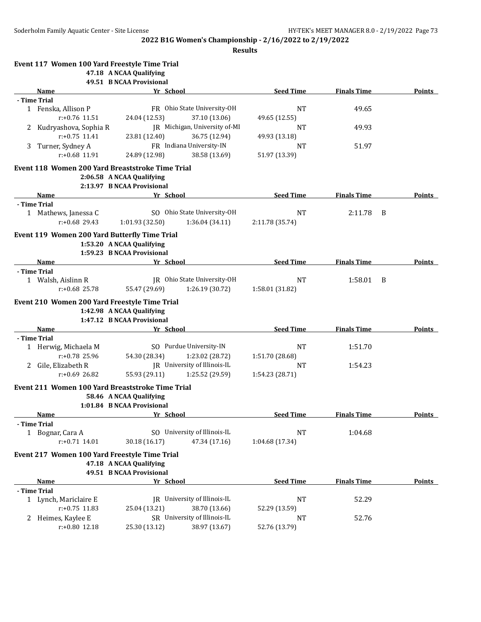**Results**

|   | Event 117 Women 100 Yard Freestyle Time Trial    |                                                     |                                                 |                     |                    |   |               |
|---|--------------------------------------------------|-----------------------------------------------------|-------------------------------------------------|---------------------|--------------------|---|---------------|
|   |                                                  | 47.18 A NCAA Qualifying<br>49.51 B NCAA Provisional |                                                 |                     |                    |   |               |
|   | Name                                             | Yr School                                           |                                                 | <b>Seed Time</b>    | <b>Finals Time</b> |   | <b>Points</b> |
|   | - Time Trial                                     |                                                     |                                                 |                     |                    |   |               |
|   | 1 Fenska, Allison P                              |                                                     | FR Ohio State University-OH                     | <b>NT</b>           | 49.65              |   |               |
|   | r:+0.76 11.51                                    | 24.04 (12.53)                                       | 37.10 (13.06)                                   | 49.65 (12.55)       |                    |   |               |
| 2 | Kudryashova, Sophia R                            |                                                     | JR Michigan, University of-MI                   | NT                  | 49.93              |   |               |
|   | $r: +0.75$ 11.41                                 | 23.81 (12.40)                                       | 36.75 (12.94)                                   | 49.93 (13.18)       |                    |   |               |
| 3 | Turner, Sydney A                                 |                                                     | FR Indiana University-IN                        | NT                  | 51.97              |   |               |
|   | $r: +0.68$ 11.91                                 | 24.89 (12.98)                                       | 38.58 (13.69)                                   | 51.97 (13.39)       |                    |   |               |
|   | Event 118 Women 200 Yard Breaststroke Time Trial |                                                     |                                                 |                     |                    |   |               |
|   |                                                  | 2:06.58 A NCAA Qualifying                           |                                                 |                     |                    |   |               |
|   |                                                  | 2:13.97 B NCAA Provisional                          |                                                 |                     |                    |   |               |
|   | <b>Name</b>                                      | Yr School                                           |                                                 | <b>Seed Time</b>    | <b>Finals Time</b> |   | <b>Points</b> |
|   | - Time Trial                                     |                                                     |                                                 |                     |                    |   |               |
|   | 1 Mathews, Janessa C                             |                                                     | SO Ohio State University-OH                     | <b>NT</b>           | 2:11.78            | B |               |
|   | $r: +0.68$ 29.43                                 | 1:01.93 (32.50)                                     | 1:36.04 (34.11)                                 | 2:11.78 (35.74)     |                    |   |               |
|   | Event 119 Women 200 Yard Butterfly Time Trial    |                                                     |                                                 |                     |                    |   |               |
|   |                                                  | 1:53.20 A NCAA Qualifying                           |                                                 |                     |                    |   |               |
|   |                                                  | 1:59.23 B NCAA Provisional                          |                                                 |                     |                    |   |               |
|   | Name                                             | Yr School                                           |                                                 | <b>Seed Time</b>    | <b>Finals Time</b> |   | <b>Points</b> |
|   | - Time Trial                                     |                                                     |                                                 |                     |                    |   |               |
|   | 1 Walsh, Aislinn R                               |                                                     | JR Ohio State University-OH                     | <b>NT</b>           | 1:58.01            | B |               |
|   | $r: +0.68$ 25.78                                 | 55.47 (29.69)                                       | 1:26.19 (30.72)                                 | 1:58.01 (31.82)     |                    |   |               |
|   | Event 210 Women 200 Yard Freestyle Time Trial    |                                                     |                                                 |                     |                    |   |               |
|   |                                                  | 1:42.98 A NCAA Qualifying                           |                                                 |                     |                    |   |               |
|   |                                                  | 1:47.12 B NCAA Provisional                          |                                                 |                     |                    |   |               |
|   | Name                                             | Yr School                                           |                                                 | <b>Seed Time</b>    | <b>Finals Time</b> |   | Points        |
|   | - Time Trial                                     |                                                     |                                                 |                     |                    |   |               |
|   | 1 Herwig, Michaela M                             |                                                     | SO Purdue University-IN                         | <b>NT</b>           | 1:51.70            |   |               |
|   | r:+0.78 25.96                                    | 54.30 (28.34)                                       | 1:23.02 (28.72)<br>JR University of Illinois-IL | 1:51.70 (28.68)     |                    |   |               |
| 2 | Gile, Elizabeth R<br>$r: +0.69$ 26.82            |                                                     |                                                 | NT                  | 1:54.23            |   |               |
|   |                                                  | 55.93 (29.11)                                       | 1:25.52 (29.59)                                 | 1:54.23 (28.71)     |                    |   |               |
|   | Event 211 Women 100 Yard Breaststroke Time Trial |                                                     |                                                 |                     |                    |   |               |
|   |                                                  | 58.46 A NCAA Qualifying                             |                                                 |                     |                    |   |               |
|   |                                                  | 1:01.84 B NCAA Provisional                          |                                                 |                     |                    |   |               |
|   | <b>Name</b>                                      | Yr School                                           |                                                 | <b>Seed Time</b>    | <b>Finals Time</b> |   | <b>Points</b> |
|   | - Time Trial                                     |                                                     | SO University of Illinois-IL                    |                     |                    |   |               |
|   | 1 Bognar, Cara A<br>$r: +0.71$ 14.01             |                                                     | 47.34 (17.16)                                   | <b>NT</b>           | 1:04.68            |   |               |
|   |                                                  | 30.18 (16.17)                                       |                                                 | 1:04.68 (17.34)     |                    |   |               |
|   | Event 217 Women 100 Yard Freestyle Time Trial    |                                                     |                                                 |                     |                    |   |               |
|   |                                                  | 47.18 A NCAA Qualifying                             |                                                 |                     |                    |   |               |
|   |                                                  | 49.51 B NCAA Provisional                            |                                                 |                     |                    |   |               |
|   | Name                                             | Yr School                                           |                                                 | <b>Seed Time</b>    | <b>Finals Time</b> |   | <b>Points</b> |
|   | - Time Trial                                     |                                                     | JR University of Illinois-IL                    |                     |                    |   |               |
|   | 1 Lynch, Mariclaire E<br>$r: +0.75$ 11.83        | 25.04 (13.21)                                       | 38.70 (13.66)                                   | <b>NT</b>           | 52.29              |   |               |
|   |                                                  |                                                     | SR University of Illinois-IL                    | 52.29 (13.59)       |                    |   |               |
| 2 | Heimes, Kaylee E<br>r:+0.80 12.18                | 25.30 (13.12)                                       | 38.97 (13.67)                                   | NT<br>52.76 (13.79) | 52.76              |   |               |
|   |                                                  |                                                     |                                                 |                     |                    |   |               |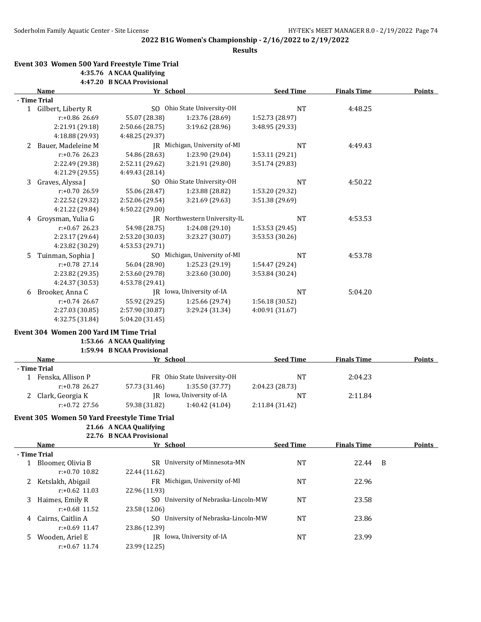**Results**

#### **Event 303 Women 500 Yard Freestyle Time Trial 4:35.76 A NCAA Qualifying 4:47.20 B NCAA Provisional**

|   | Yr School<br>Name    |                 | <b>Seed Time</b>              | <b>Finals Time</b> | <b>Points</b> |  |
|---|----------------------|-----------------|-------------------------------|--------------------|---------------|--|
|   | - Time Trial         |                 |                               |                    |               |  |
|   | 1 Gilbert, Liberty R |                 | SO Ohio State University-OH   | <b>NT</b>          | 4:48.25       |  |
|   | $r: +0.86$ 26.69     | 55.07 (28.38)   | 1:23.76 (28.69)               | 1:52.73 (28.97)    |               |  |
|   | 2:21.91 (29.18)      | 2:50.66 (28.75) | 3:19.62 (28.96)               | 3:48.95 (29.33)    |               |  |
|   | 4:18.88 (29.93)      | 4:48.25 (29.37) |                               |                    |               |  |
| 2 | Bauer, Madeleine M   |                 | JR Michigan, University of-MI | <b>NT</b>          | 4:49.43       |  |
|   | $r: +0.76$ 26.23     | 54.86 (28.63)   | 1:23.90 (29.04)               | 1:53.11 (29.21)    |               |  |
|   | 2:22.49 (29.38)      | 2:52.11 (29.62) | 3:21.91 (29.80)               | 3:51.74 (29.83)    |               |  |
|   | 4:21.29 (29.55)      | 4:49.43 (28.14) |                               |                    |               |  |
| 3 | Graves, Alyssa J     |                 | SO Ohio State University-OH   | <b>NT</b>          | 4:50.22       |  |
|   | $r: +0.70$ 26.59     | 55.06 (28.47)   | 1:23.88 (28.82)               | 1:53.20 (29.32)    |               |  |
|   | 2:22.52 (29.32)      | 2:52.06 (29.54) | 3:21.69 (29.63)               | 3:51.38 (29.69)    |               |  |
|   | 4:21.22 (29.84)      | 4:50.22 (29.00) |                               |                    |               |  |
| 4 | Groysman, Yulia G    | IR              | Northwestern University-IL    | <b>NT</b>          | 4:53.53       |  |
|   | $r: +0.67$ 26.23     | 54.98 (28.75)   | 1:24.08 (29.10)               | 1:53.53 (29.45)    |               |  |
|   | 2:23.17 (29.64)      | 2:53.20 (30.03) | 3:23.27 (30.07)               | 3:53.53 (30.26)    |               |  |
|   | 4:23.82 (30.29)      | 4:53.53 (29.71) |                               |                    |               |  |
| 5 | Tuinman, Sophia J    |                 | SO Michigan, University of-MI | <b>NT</b>          | 4:53.78       |  |
|   | $r: +0.78$ 27.14     | 56.04 (28.90)   | 1:25.23(29.19)                | 1:54.47 (29.24)    |               |  |
|   | 2:23.82 (29.35)      | 2:53.60 (29.78) | 3:23.60 (30.00)               | 3:53.84 (30.24)    |               |  |
|   | 4:24.37 (30.53)      | 4:53.78 (29.41) |                               |                    |               |  |
| 6 | Brooker, Anna C      |                 | JR Iowa, University of-IA     | <b>NT</b>          | 5:04.20       |  |
|   | $r: +0.74$ 26.67     | 55.92 (29.25)   | 1:25.66 (29.74)               | 1:56.18(30.52)     |               |  |
|   | 2:27.03 (30.85)      | 2:57.90 (30.87) | 3:29.24 (31.34)               | 4:00.91 (31.67)    |               |  |
|   | 4:32.75 (31.84)      | 5:04.20 (31.45) |                               |                    |               |  |

### **Event 304 Women 200 Yard IM Time Trial**

### **1:53.66 A NCAA Qualifying 1:59.94 B NCAA Provisional**

| Name              | Yr School     |                             | <b>Seed Time</b> | <b>Finals Time</b> | <b>Points</b> |
|-------------------|---------------|-----------------------------|------------------|--------------------|---------------|
| - Time Trial      |               |                             |                  |                    |               |
| Fenska, Allison P |               | FR Ohio State University-OH | ΝT               | 2:04.23            |               |
| $r: +0.78$ 26.27  | 57.73 (31.46) | 1:35.50(37.77)              | 2:04.23 (28.73)  |                    |               |
| Clark, Georgia K  |               | JR Iowa, University of-IA   | NΊ               | 2:11.84            |               |
| $r: +0.72$ 27.56  | 59.38 (31.82) | 1:40.42 (41.04)             | 2:11.84(31.42)   |                    |               |

# **Event 305 Women 50 Yard Freestyle Time Trial**

# **21.66 A NCAA Qualifying**

|  | 22.76 B NCAA Provisional |
|--|--------------------------|
|  |                          |

|    | <b>Name</b>       | Yr_School                                | <b>Seed Time</b> | <b>Finals Time</b> | <b>Points</b> |
|----|-------------------|------------------------------------------|------------------|--------------------|---------------|
|    | - Time Trial      |                                          |                  |                    |               |
|    | Bloomer, Olivia B | University of Minnesota-MN<br>SR.        | <b>NT</b>        | 22.44              | -B            |
|    | $r: +0.70$ 10.82  | 22.44 (11.62)                            |                  |                    |               |
|    | Ketslakh, Abigail | FR Michigan, University of-MI            | NT               | 22.96              |               |
|    | $r: +0.62$ 11.03  | 22.96 (11.93)                            |                  |                    |               |
| 3  | Haimes, Emily R   | SO University of Nebraska-Lincoln-MW     | NT               | 23.58              |               |
|    | $r: +0.68$ 11.52  | 23.58 (12.06)                            |                  |                    |               |
| 4  | Cairns, Caitlin A | University of Nebraska-Lincoln-MW<br>SO. | <b>NT</b>        | 23.86              |               |
|    | $r: +0.69$ 11.47  | 23.86 (12.39)                            |                  |                    |               |
| 5. | Wooden, Ariel E   | Iowa, University of-IA<br>IR             | NT               | 23.99              |               |
|    | $r: +0.67$ 11.74  | 23.99 (12.25)                            |                  |                    |               |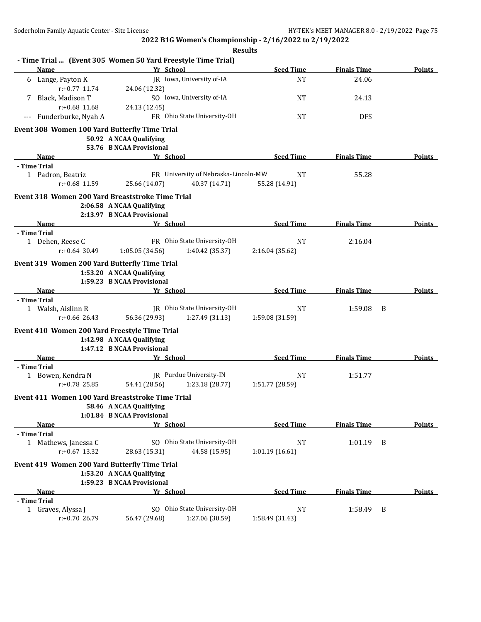**2022 B1G Women's Championship - 2/16/2022 to 2/19/2022 Results**

|     |                                    | - Time Trial  (Event 305 Women 50 Yard Freestyle Time Trial) |                                      |                  |                    |   |               |
|-----|------------------------------------|--------------------------------------------------------------|--------------------------------------|------------------|--------------------|---|---------------|
|     | Name                               | Yr School                                                    |                                      | <b>Seed Time</b> | <b>Finals Time</b> |   | Points        |
|     | 6 Lange, Payton K                  |                                                              | JR Iowa, University of-IA            | <b>NT</b>        | 24.06              |   |               |
|     | $r: +0.77$ 11.74                   | 24.06 (12.32)                                                |                                      |                  |                    |   |               |
|     | Black, Madison T                   |                                                              | SO Iowa, University of-IA            | <b>NT</b>        | 24.13              |   |               |
|     | $r: +0.68$ 11.68                   | 24.13 (12.45)                                                |                                      |                  |                    |   |               |
| --- | Funderburke, Nyah A                |                                                              | FR Ohio State University-OH          | <b>NT</b>        | <b>DFS</b>         |   |               |
|     |                                    | Event 308 Women 100 Yard Butterfly Time Trial                |                                      |                  |                    |   |               |
|     |                                    | 50.92 A NCAA Qualifying                                      |                                      |                  |                    |   |               |
|     |                                    | 53.76 B NCAA Provisional                                     |                                      |                  |                    |   |               |
|     | Name                               | Yr School                                                    |                                      | <b>Seed Time</b> | <b>Finals Time</b> |   | Points        |
|     | - Time Trial                       |                                                              |                                      |                  |                    |   |               |
|     | 1 Padron, Beatriz                  |                                                              | FR University of Nebraska-Lincoln-MW | NT               | 55.28              |   |               |
|     | r:+0.68 11.59                      | 25.66 (14.07)                                                | 40.37 (14.71)                        | 55.28 (14.91)    |                    |   |               |
|     |                                    | Event 318 Women 200 Yard Breaststroke Time Trial             |                                      |                  |                    |   |               |
|     |                                    | 2:06.58 A NCAA Qualifying                                    |                                      |                  |                    |   |               |
|     |                                    | 2:13.97 B NCAA Provisional                                   |                                      |                  |                    |   |               |
|     | <b>Name</b>                        | Yr School                                                    |                                      | <b>Seed Time</b> | <b>Finals Time</b> |   | <b>Points</b> |
|     | - Time Trial                       |                                                              |                                      |                  |                    |   |               |
|     | 1 Dehen, Reese C                   |                                                              | FR Ohio State University-OH          | NT               | 2:16.04            |   |               |
|     | $r: +0.64$ 30.49                   | 1:05.05 (34.56)                                              | 1:40.42 (35.37)                      | 2:16.04 (35.62)  |                    |   |               |
|     |                                    | Event 319 Women 200 Yard Butterfly Time Trial                |                                      |                  |                    |   |               |
|     |                                    | 1:53.20 A NCAA Qualifying                                    |                                      |                  |                    |   |               |
|     |                                    | 1:59.23 B NCAA Provisional                                   |                                      |                  |                    |   |               |
|     | Name                               | Yr School                                                    |                                      | <b>Seed Time</b> | <b>Finals Time</b> |   | <b>Points</b> |
|     | - Time Trial                       |                                                              |                                      |                  |                    |   |               |
|     | 1 Walsh, Aislinn R                 |                                                              | JR Ohio State University-OH          | <b>NT</b>        | 1:59.08            | B |               |
|     | $r: +0.66$ 26.43                   | 56.36 (29.93)                                                | 1:27.49 (31.13)                      | 1:59.08 (31.59)  |                    |   |               |
|     |                                    | Event 410 Women 200 Yard Freestyle Time Trial                |                                      |                  |                    |   |               |
|     |                                    | 1:42.98 A NCAA Qualifying                                    |                                      |                  |                    |   |               |
|     |                                    | 1:47.12 B NCAA Provisional                                   |                                      |                  |                    |   |               |
|     | Name                               | Yr School                                                    |                                      | <b>Seed Time</b> | <b>Finals Time</b> |   | Points        |
|     | - Time Trial                       |                                                              |                                      |                  |                    |   |               |
|     | 1 Bowen, Kendra N                  |                                                              | JR Purdue University-IN              | <b>NT</b>        | 1:51.77            |   |               |
|     | $r: +0.78$ 25.85                   | 54.41 (28.56)                                                | 1:23.18 (28.77)                      | 1:51.77 (28.59)  |                    |   |               |
|     |                                    | Event 411 Women 100 Yard Breaststroke Time Trial             |                                      |                  |                    |   |               |
|     |                                    | 58.46 A NCAA Qualifying                                      |                                      |                  |                    |   |               |
|     |                                    | 1:01.84 B NCAA Provisional                                   |                                      |                  |                    |   |               |
|     | Name                               | Yr School                                                    |                                      | <b>Seed Time</b> | <b>Finals Time</b> |   | Points        |
|     | - Time Trial                       |                                                              |                                      |                  |                    |   |               |
|     | 1 Mathews, Janessa C               |                                                              | SO Ohio State University-OH          | NT               | 1:01.19            | B |               |
|     | r:+0.67 13.32                      | 28.63 (15.31)                                                | 44.58 (15.95)                        | 1:01.19(16.61)   |                    |   |               |
|     |                                    | Event 419 Women 200 Yard Butterfly Time Trial                |                                      |                  |                    |   |               |
|     |                                    | 1:53.20 A NCAA Qualifying                                    |                                      |                  |                    |   |               |
|     |                                    | 1:59.23 B NCAA Provisional                                   |                                      |                  |                    |   |               |
|     | Name                               | Yr School                                                    |                                      | <b>Seed Time</b> | <b>Finals Time</b> |   | <b>Points</b> |
|     | - Time Trial<br>1 Graves, Alyssa J |                                                              | SO Ohio State University-OH          | <b>NT</b>        |                    | B |               |
|     | r:+0.70 26.79                      | 56.47 (29.68)                                                | 1:27.06 (30.59)                      | 1:58.49 (31.43)  | 1:58.49            |   |               |
|     |                                    |                                                              |                                      |                  |                    |   |               |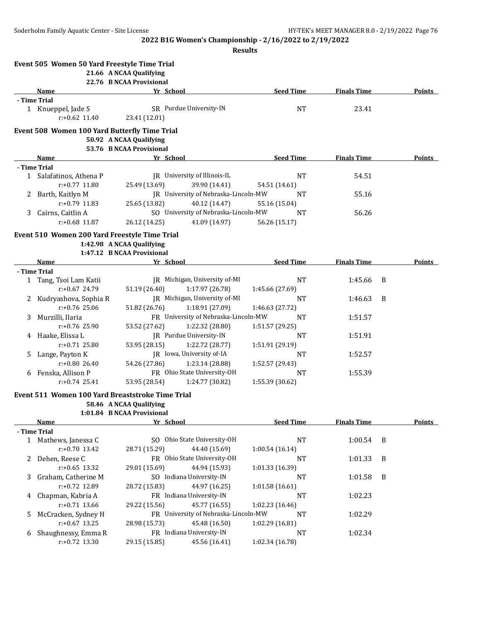**Results**

|    | Event 505 Women 50 Yard Freestyle Time Trial           | 21.66 A NCAA Qualifying                             |                                      |                  |                    |   |               |
|----|--------------------------------------------------------|-----------------------------------------------------|--------------------------------------|------------------|--------------------|---|---------------|
|    |                                                        | 22.76 B NCAA Provisional                            |                                      |                  |                    |   |               |
|    | Name                                                   | Yr School                                           |                                      | <b>Seed Time</b> | <b>Finals Time</b> |   | <b>Points</b> |
|    | - Time Trial<br>1 Knueppel, Jade S<br>$r: +0.62$ 11.40 | 23.41 (12.01)                                       | SR Purdue University-IN              | <b>NT</b>        | 23.41              |   |               |
|    | <b>Event 508 Women 100 Yard Butterfly Time Trial</b>   |                                                     |                                      |                  |                    |   |               |
|    |                                                        | 50.92 A NCAA Qualifying<br>53.76 B NCAA Provisional |                                      |                  |                    |   |               |
|    | Name                                                   | Yr School                                           |                                      | <b>Seed Time</b> | <b>Finals Time</b> |   | Points        |
|    | - Time Trial                                           |                                                     |                                      |                  |                    |   |               |
|    | 1 Salafatinos, Athena P                                |                                                     | JR University of Illinois-IL         | <b>NT</b>        | 54.51              |   |               |
|    | r:+0.77 11.80                                          | 25.49 (13.69)                                       | 39.90 (14.41)                        | 54.51 (14.61)    |                    |   |               |
| 2  | Barth, Kaitlyn M                                       |                                                     | JR University of Nebraska-Lincoln-MW | <b>NT</b>        | 55.16              |   |               |
|    | r:+0.79 11.83                                          | 25.65 (13.82)                                       | 40.12 (14.47)                        | 55.16 (15.04)    |                    |   |               |
| 3  | Cairns, Caitlin A                                      |                                                     | SO University of Nebraska-Lincoln-MW | <b>NT</b>        | 56.26              |   |               |
|    | $r: +0.68$ 11.87                                       | 26.12 (14.25)                                       | 41.09 (14.97)                        | 56.26 (15.17)    |                    |   |               |
|    | Event 510 Women 200 Yard Freestyle Time Trial          |                                                     |                                      |                  |                    |   |               |
|    |                                                        | 1:42.98 A NCAA Qualifying                           |                                      |                  |                    |   |               |
|    |                                                        | 1:47.12 B NCAA Provisional                          |                                      |                  |                    |   |               |
|    | Name                                                   | Yr School                                           |                                      | <b>Seed Time</b> | <b>Finals Time</b> |   | <b>Points</b> |
|    | - Time Trial                                           |                                                     |                                      |                  |                    |   |               |
|    | 1 Tang, Tsoi Lam Katii                                 |                                                     | JR Michigan, University of-MI        | <b>NT</b>        | 1:45.66            | B |               |
|    | r:+0.67 24.79                                          | 51.19 (26.40)                                       | 1:17.97 (26.78)                      | 1:45.66 (27.69)  |                    |   |               |
| 2  | Kudryashova, Sophia R                                  |                                                     | JR Michigan, University of-MI        | <b>NT</b>        | 1:46.63            | B |               |
|    | $r: +0.76$ 25.06                                       | 51.82 (26.76)                                       | 1:18.91 (27.09)                      | 1:46.63 (27.72)  |                    |   |               |
| 3. | Murzilli, Ilaria                                       |                                                     | FR University of Nebraska-Lincoln-MW | NT               | 1:51.57            |   |               |
|    | $r: +0.76$ 25.90                                       | 53.52 (27.62)                                       | 1:22.32 (28.80)                      | 1:51.57 (29.25)  |                    |   |               |
| 4  | Haake, Elissa L                                        |                                                     | JR Purdue University-IN              | <b>NT</b>        | 1:51.91            |   |               |
|    | $r: +0.71$ 25.80                                       | 53.95 (28.15)                                       | 1:22.72 (28.77)                      | 1:51.91 (29.19)  |                    |   |               |
| 5. | Lange, Payton K                                        |                                                     | JR Iowa, University of-IA            | <b>NT</b>        | 1:52.57            |   |               |
|    | $r: +0.80$ 26.40                                       | 54.26 (27.86)                                       | 1:23.14 (28.88)                      | 1:52.57 (29.43)  |                    |   |               |
| 6  | Fenska, Allison P                                      |                                                     | FR Ohio State University-OH          | NT               | 1:55.39            |   |               |
|    | $r: +0.74$ 25.41                                       | 53.95 (28.54)                                       | 1:24.77 (30.82)                      | 1:55.39 (30.62)  |                    |   |               |
|    | Event 511 Women 100 Yard Breaststroke Time Trial       |                                                     |                                      |                  |                    |   |               |
|    |                                                        | 58.46 A NCAA Qualifying                             |                                      |                  |                    |   |               |
|    |                                                        | 1:01.84 B NCAA Provisional                          |                                      |                  |                    |   |               |
|    | Name                                                   | Yr School                                           |                                      | <b>Seed Time</b> | <b>Finals Time</b> |   | <b>Points</b> |
|    | - Time Trial                                           |                                                     |                                      |                  |                    |   |               |
|    | 1 Mathews, Janessa C                                   |                                                     | SO Ohio State University-OH          | $\rm{NT}$        | 1:00.54            | B |               |
|    | r:+0.70 13.42                                          | 28.71 (15.29)                                       | 44.40 (15.69)                        | 1:00.54(16.14)   |                    |   |               |
| 2. | Dehen, Reese C                                         |                                                     | FR Ohio State University-OH          | <b>NT</b>        | 1:01.33            | B |               |
|    | $r: +0.65$ 13.32                                       | 29.01 (15.69)                                       | 44.94 (15.93)                        | 1:01.33 (16.39)  |                    |   |               |
| 3. | Graham, Catherine M                                    |                                                     | SO Indiana University-IN             | <b>NT</b>        | 1:01.58            | B |               |
|    | r:+0.72 12.89                                          | 28.72 (15.83)                                       | 44.97 (16.25)                        | 1:01.58 (16.61)  |                    |   |               |
| 4  | Chapman, Kabria A                                      |                                                     | FR Indiana University-IN             | <b>NT</b>        | 1:02.23            |   |               |
|    | $r: +0.71$ 13.66                                       | 29.22 (15.56)                                       | 45.77 (16.55)                        | 1:02.23 (16.46)  |                    |   |               |
| 5. | McCracken, Sydney H                                    |                                                     | FR University of Nebraska-Lincoln-MW | <b>NT</b>        | 1:02.29            |   |               |
|    | $r: +0.67$ 13.25                                       | 28.98 (15.73)                                       | 45.48 (16.50)                        | 1:02.29 (16.81)  |                    |   |               |
| 6  | Shaughnessy, Emma R                                    |                                                     | FR Indiana University-IN             | <b>NT</b>        | 1:02.34            |   |               |
|    | r:+0.72 13.30                                          | 29.15 (15.85)                                       | 45.56 (16.41)                        | 1:02.34 (16.78)  |                    |   |               |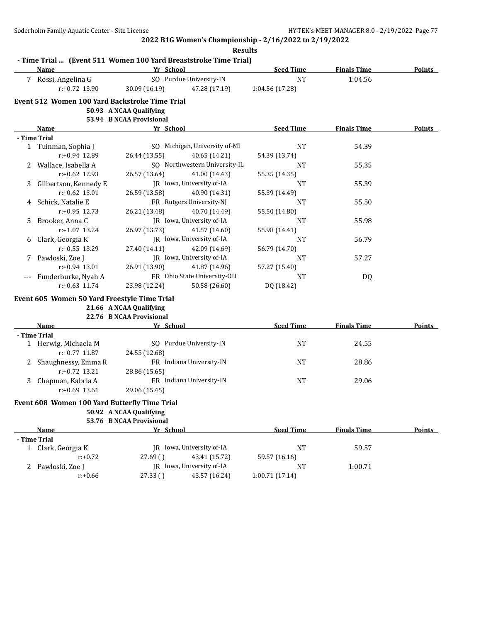**2022 B1G Women's Championship - 2/16/2022 to 2/19/2022 Results**

|       | Name                                           | Yr School                |                                            | <b>Seed Time</b>      | <b>Finals Time</b> | Points |
|-------|------------------------------------------------|--------------------------|--------------------------------------------|-----------------------|--------------------|--------|
|       | 7 Rossi, Angelina G                            |                          | SO Purdue University-IN                    | <b>NT</b>             | 1:04.56            |        |
|       | $r: +0.72$ 13.90                               | 30.09 (16.19)            | 47.28 (17.19)                              | 1:04.56 (17.28)       |                    |        |
|       | Event 512 Women 100 Yard Backstroke Time Trial |                          |                                            |                       |                    |        |
|       |                                                | 50.93 A NCAA Qualifying  |                                            |                       |                    |        |
|       |                                                | 53.94 B NCAA Provisional |                                            |                       |                    |        |
|       | Name                                           | Yr School                |                                            | <b>Seed Time</b>      | <b>Finals Time</b> | Points |
|       | - Time Trial                                   |                          |                                            |                       |                    |        |
|       | 1 Tuinman, Sophia J                            |                          | SO Michigan, University of-MI              | <b>NT</b>             | 54.39              |        |
|       | r:+0.94 12.89                                  | 26.44 (13.55)            | 40.65 (14.21)                              | 54.39 (13.74)         |                    |        |
| 2     | Wallace, Isabella A                            |                          | SO Northwestern University-IL              | NT                    | 55.35              |        |
|       | $r: +0.62$ 12.93                               | 26.57 (13.64)            | 41.00 (14.43)                              | 55.35 (14.35)         |                    |        |
| 3.    | Gilbertson, Kennedy E                          |                          | JR Iowa, University of-IA                  | NT                    | 55.39              |        |
|       | $r: +0.62$ 13.01                               | 26.59 (13.58)            | 40.90 (14.31)                              | 55.39 (14.49)         |                    |        |
| 4     | Schick, Natalie E                              |                          | FR Rutgers University-NJ                   | <b>NT</b>             | 55.50              |        |
|       | $r: +0.95$ 12.73                               | 26.21 (13.48)            | 40.70 (14.49)                              | 55.50 (14.80)         |                    |        |
| 5.    | Brooker, Anna C                                |                          | JR Iowa, University of-IA                  | NT                    | 55.98              |        |
|       | $r: +1.07$ 13.24                               | 26.97 (13.73)            | 41.57 (14.60)                              | 55.98 (14.41)         |                    |        |
| 6     | Clark, Georgia K                               |                          | JR Iowa, University of-IA                  | <b>NT</b>             | 56.79              |        |
|       | $r: +0.55$ 13.29                               | 27.40 (14.11)            | 42.09 (14.69)                              | 56.79 (14.70)         |                    |        |
| 7     | Pawloski, Zoe J                                |                          | JR Iowa, University of-IA                  | NT                    | 57.27              |        |
|       | $r: +0.94$ 13.01                               | 26.91 (13.90)            | 41.87 (14.96)                              | 57.27 (15.40)         |                    |        |
| $---$ | Funderburke, Nyah A                            |                          | FR Ohio State University-OH                | <b>NT</b>             | DQ                 |        |
|       | $r: +0.63$ 11.74                               | 23.98 (12.24)            | 50.58 (26.60)                              | DQ (18.42)            |                    |        |
|       | Event 605 Women 50 Yard Freestyle Time Trial   |                          |                                            |                       |                    |        |
|       |                                                | 21.66 A NCAA Qualifying  |                                            |                       |                    |        |
|       |                                                | 22.76 B NCAA Provisional |                                            |                       |                    |        |
|       | Name                                           | Yr School                |                                            | <b>Seed Time</b>      | <b>Finals Time</b> | Points |
|       | - Time Trial                                   |                          |                                            |                       |                    |        |
|       | 1 Herwig, Michaela M                           |                          | SO Purdue University-IN                    | <b>NT</b>             | 24.55              |        |
|       | $r: +0.77$ 11.87                               | 24.55 (12.68)            |                                            |                       |                    |        |
|       | 2 Shaughnessy, Emma R                          |                          | FR Indiana University-IN                   | NT                    | 28.86              |        |
|       | $r: +0.72$ 13.21                               | 28.86 (15.65)            |                                            |                       |                    |        |
| 3     | Chapman, Kabria A                              |                          | FR Indiana University-IN                   | NT                    | 29.06              |        |
|       | $r: +0.69$ 13.61                               | 29.06 (15.45)            |                                            |                       |                    |        |
|       |                                                |                          |                                            |                       |                    |        |
|       |                                                |                          |                                            |                       |                    |        |
|       | Event 608 Women 100 Yard Butterfly Time Trial  |                          |                                            |                       |                    |        |
|       |                                                | 50.92 A NCAA Qualifying  |                                            |                       |                    |        |
|       |                                                | 53.76 B NCAA Provisional |                                            |                       |                    |        |
|       | Name                                           | Yr School                |                                            | <b>Seed Time</b>      | <b>Finals Time</b> |        |
|       | - Time Trial                                   |                          |                                            |                       |                    |        |
|       | 1 Clark, Georgia K                             |                          | JR Iowa, University of-IA                  | <b>NT</b>             | 59.57              |        |
|       | $r: +0.72$                                     | 27.69()                  | 43.41 (15.72)                              | 59.57 (16.16)         |                    | Points |
|       | 2 Pawloski, Zoe J<br>$r: +0.66$                | 27.33()                  | JR Iowa, University of-IA<br>43.57 (16.24) | NT<br>1:00.71 (17.14) | 1:00.71            |        |